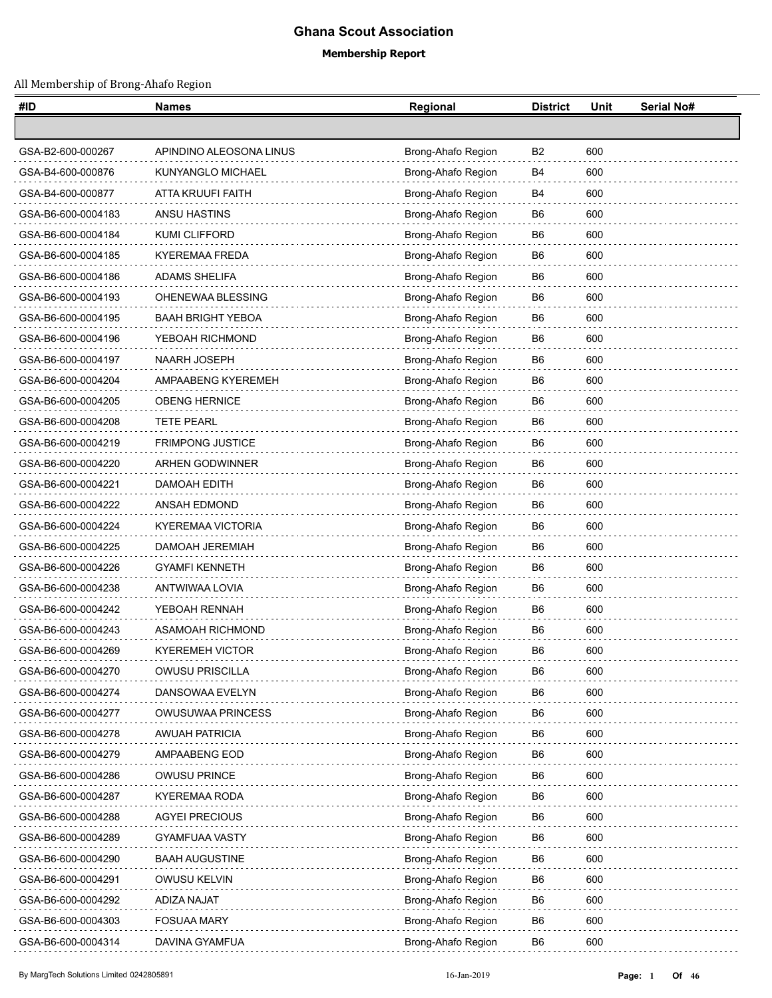## **Ghana Scout Association**

## **Membership Report**

## All Membership of Brong-Ahafo Region

| #ID                | <b>Names</b>             | Regional           | <b>District</b> | Unit | Serial No# |
|--------------------|--------------------------|--------------------|-----------------|------|------------|
|                    |                          |                    |                 |      |            |
| GSA-B2-600-000267  | APINDINO ALEOSONA LINUS  | Brong-Ahafo Region | B <sub>2</sub>  | 600  |            |
| GSA-B4-600-000876  | KUNYANGLO MICHAEL        | Brong-Ahafo Region | B4              | 600  |            |
| GSA-B4-600-000877  | ATTA KRUUFI FAITH        | Brong-Ahafo Region | B4              | 600  |            |
| GSA-B6-600-0004183 | ANSU HASTINS             | Brong-Ahafo Region | B6              | 600  |            |
| GSA-B6-600-0004184 | KUMI CLIFFORD            | Brong-Ahafo Region | B6              | 600  |            |
| GSA-B6-600-0004185 | <b>KYEREMAA FREDA</b>    | Brong-Ahafo Region | B <sub>6</sub>  | 600  |            |
| GSA-B6-600-0004186 | <b>ADAMS SHELIFA</b>     | Brong-Ahafo Region | B6              | 600  |            |
| GSA-B6-600-0004193 | OHENEWAA BLESSING        | Brong-Ahafo Region | B6              | 600  |            |
| GSA-B6-600-0004195 | <b>BAAH BRIGHT YEBOA</b> | Brong-Ahafo Region | B6              | 600  |            |
| GSA-B6-600-0004196 | YEBOAH RICHMOND          | Brong-Ahafo Region | B <sub>6</sub>  | 600  |            |
| GSA-B6-600-0004197 | NAARH JOSEPH             | Brong-Ahafo Region | B6              | 600  |            |
| GSA-B6-600-0004204 | AMPAABENG KYEREMEH       | Brong-Ahafo Region | B6              | 600  |            |
| GSA-B6-600-0004205 | <b>OBENG HERNICE</b>     | Brong-Ahafo Region | B6              | 600  |            |
| GSA-B6-600-0004208 | <b>TETE PEARL</b>        | Brong-Ahafo Region | B <sub>6</sub>  | 600  |            |
| GSA-B6-600-0004219 | FRIMPONG JUSTICE         | Brong-Ahafo Region | B6              | 600  |            |
| GSA-B6-600-0004220 | <b>ARHEN GODWINNER</b>   | Brong-Ahafo Region | B6              | 600  |            |
| GSA-B6-600-0004221 | DAMOAH EDITH             | Brong-Ahafo Region | B6              | 600  |            |
| GSA-B6-600-0004222 | ANSAH EDMOND             | Brong-Ahafo Region | B <sub>6</sub>  | 600  |            |
| GSA-B6-600-0004224 | <b>KYEREMAA VICTORIA</b> | Brong-Ahafo Region | B6              | 600  |            |
| GSA-B6-600-0004225 | DAMOAH JEREMIAH          | Brong-Ahafo Region | B6              | 600  |            |
| GSA-B6-600-0004226 | <b>GYAMFI KENNETH</b>    | Brong-Ahafo Region | B6              | 600  |            |
| GSA-B6-600-0004238 | ANTWIWAA LOVIA           | Brong-Ahafo Region | B6              | 600  |            |
| GSA-B6-600-0004242 | YEBOAH RENNAH            | Brong-Ahafo Region | B6              | 600  |            |
| GSA-B6-600-0004243 | ASAMOAH RICHMOND         | Brong-Ahafo Region | B6              | 600  |            |
| GSA-B6-600-0004269 | <b>KYEREMEH VICTOR</b>   | Brong-Ahafo Region | B6              | 600  |            |
| GSA-B6-600-0004270 | OWUSU PRISCILLA          | Brong-Ahafo Region | B <sub>6</sub>  | 600  |            |
| GSA-B6-600-0004274 | DANSOWAA EVELYN          | Brong-Ahafo Region | B <sub>6</sub>  | 600  |            |
| GSA-B6-600-0004277 | OWUSUWAA PRINCESS        | Brong-Ahafo Region | B <sub>6</sub>  | 600  |            |
| GSA-B6-600-0004278 | <b>AWUAH PATRICIA</b>    | Brong-Ahafo Region | B <sub>6</sub>  | 600  |            |
| GSA-B6-600-0004279 | AMPAABENG EOD            | Brong-Ahafo Region | B <sub>6</sub>  | 600  |            |
| GSA-B6-600-0004286 | OWUSU PRINCE             | Brong-Ahafo Region | B <sub>6</sub>  | 600  |            |
| GSA-B6-600-0004287 | KYEREMAA RODA            | Brong-Ahafo Region | B6              | 600  |            |
| GSA-B6-600-0004288 | <b>AGYEI PRECIOUS</b>    | Brong-Ahafo Region | B <sub>6</sub>  | 600  |            |
| GSA-B6-600-0004289 | <b>GYAMFUAA VASTY</b>    | Brong-Ahafo Region | B <sub>6</sub>  | 600  |            |
| GSA-B6-600-0004290 | <b>BAAH AUGUSTINE</b>    | Brong-Ahafo Region | B6              | 600  |            |
| GSA-B6-600-0004291 | <b>OWUSU KELVIN</b>      | Brong-Ahafo Region | B <sub>6</sub>  | 600  |            |
| GSA-B6-600-0004292 | ADIZA NAJAT              | Brong-Ahafo Region | B6              | 600  |            |
| GSA-B6-600-0004303 | <b>FOSUAA MARY</b>       | Brong-Ahafo Region | B <sub>6</sub>  | 600  |            |
| GSA-B6-600-0004314 | DAVINA GYAMFUA           | Brong-Ahafo Region | B <sub>6</sub>  | 600  |            |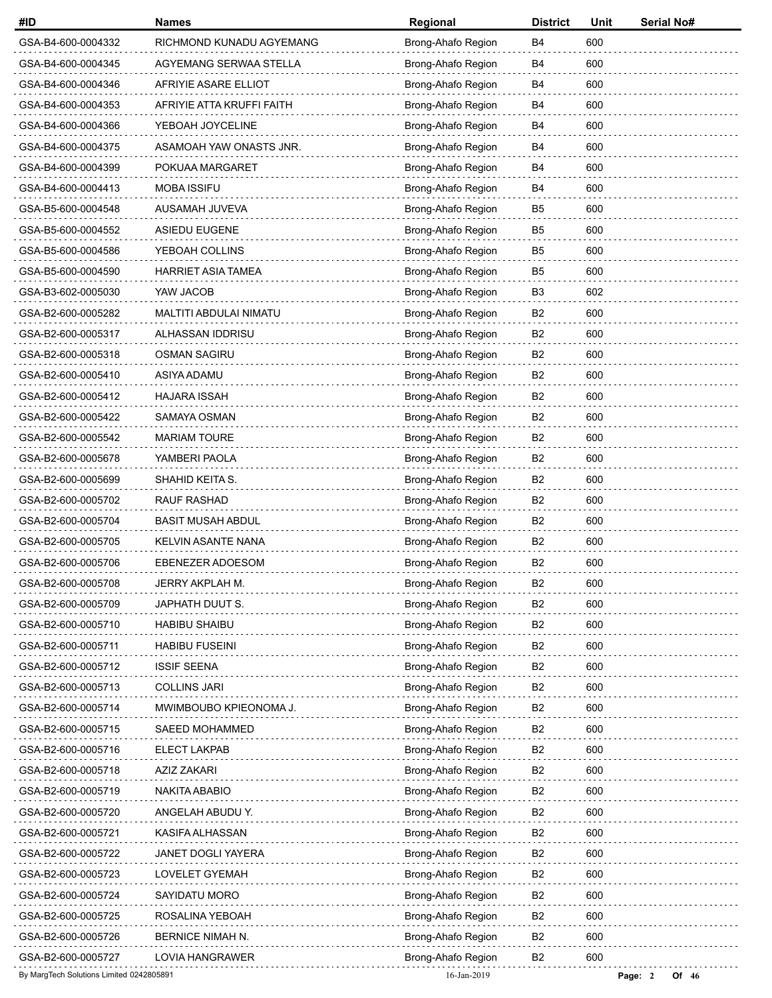| #ID                                      | <b>Names</b>              | Regional           | <b>District</b> | Unit | Serial No#       |
|------------------------------------------|---------------------------|--------------------|-----------------|------|------------------|
| GSA-B4-600-0004332                       | RICHMOND KUNADU AGYEMANG  | Brong-Ahafo Region | <b>B4</b>       | 600  |                  |
| GSA-B4-600-0004345                       | AGYEMANG SERWAA STELLA    | Brong-Ahafo Region | B4              | 600  |                  |
| GSA-B4-600-0004346                       | AFRIYIE ASARE ELLIOT      | Brong-Ahafo Region | B4              | 600  |                  |
| GSA-B4-600-0004353                       | AFRIYIE ATTA KRUFFI FAITH | Brong-Ahafo Region | B4              | 600  |                  |
| GSA-B4-600-0004366                       | YEBOAH JOYCELINE          | Brong-Ahafo Region | B4              | 600  |                  |
| GSA-B4-600-0004375                       | ASAMOAH YAW ONASTS JNR.   | Brong-Ahafo Region | <b>B4</b>       | 600  |                  |
| GSA-B4-600-0004399                       | POKUAA MARGARET           | Brong-Ahafo Region | <b>B4</b>       | 600  |                  |
| GSA-B4-600-0004413                       | <b>MOBA ISSIFU</b>        | Brong-Ahafo Region | B4              | 600  |                  |
| GSA-B5-600-0004548                       | AUSAMAH JUVEVA            | Brong-Ahafo Region | B5              | 600  |                  |
| GSA-B5-600-0004552                       | <b>ASIEDU EUGENE</b>      | Brong-Ahafo Region | B <sub>5</sub>  | 600  |                  |
| GSA-B5-600-0004586                       | YEBOAH COLLINS            | Brong-Ahafo Region | B <sub>5</sub>  | 600  |                  |
| GSA-B5-600-0004590                       | <b>HARRIET ASIA TAMEA</b> | Brong-Ahafo Region | B <sub>5</sub>  | 600  |                  |
| GSA-B3-602-0005030                       | YAW JACOB                 | Brong-Ahafo Region | B <sub>3</sub>  | 602  |                  |
| GSA-B2-600-0005282                       | MALTITI ABDULAI NIMATU    | Brong-Ahafo Region | B <sub>2</sub>  | 600  |                  |
| GSA-B2-600-0005317                       | ALHASSAN IDDRISU          | Brong-Ahafo Region | B <sub>2</sub>  | 600  |                  |
| GSA-B2-600-0005318                       | <b>OSMAN SAGIRU</b>       | Brong-Ahafo Region | B <sub>2</sub>  | 600  |                  |
| GSA-B2-600-0005410                       | ASIYA ADAMU               | Brong-Ahafo Region | B <sub>2</sub>  | 600  |                  |
| GSA-B2-600-0005412                       | <b>HAJARA ISSAH</b>       | Brong-Ahafo Region | B <sub>2</sub>  | 600  |                  |
| GSA-B2-600-0005422                       | SAMAYA OSMAN              | Brong-Ahafo Region | <b>B2</b>       | 600  |                  |
| GSA-B2-600-0005542                       | <b>MARIAM TOURE</b>       | Brong-Ahafo Region | B <sub>2</sub>  | 600  |                  |
| GSA-B2-600-0005678                       | YAMBERI PAOLA             | Brong-Ahafo Region | B <sub>2</sub>  | 600  |                  |
| GSA-B2-600-0005699                       | SHAHID KEITA S.           | Brong-Ahafo Region | <b>B2</b>       | 600  |                  |
| GSA-B2-600-0005702                       | <b>RAUF RASHAD</b>        | Brong-Ahafo Region | B <sub>2</sub>  | 600  |                  |
| GSA-B2-600-0005704                       | <b>BASIT MUSAH ABDUL</b>  | Brong-Ahafo Region | B <sub>2</sub>  | 600  |                  |
| GSA-B2-600-0005705                       | KELVIN ASANTE NANA        | Brong-Ahafo Region | B <sub>2</sub>  | 600  |                  |
| GSA-B2-600-0005706                       | EBENEZER ADOESOM          | Brong-Ahafo Region | B <sub>2</sub>  | 600  |                  |
| GSA-B2-600-0005708                       | JERRY AKPLAH M.           | Brong-Ahafo Region | B <sub>2</sub>  | 600  |                  |
| GSA-B2-600-0005709                       | JAPHATH DUUT S.           | Brong-Ahafo Region | B <sub>2</sub>  | 600  |                  |
| GSA-B2-600-0005710                       | <b>HABIBU SHAIBU</b>      | Brong-Ahafo Region | B <sub>2</sub>  | 600  |                  |
| GSA-B2-600-0005711                       | <b>HABIBU FUSEINI</b>     | Brong-Ahafo Region | B <sub>2</sub>  | 600  |                  |
| GSA-B2-600-0005712                       | <b>ISSIF SEENA</b>        | Brong-Ahafo Region | B <sub>2</sub>  | 600  |                  |
| GSA-B2-600-0005713                       | <b>COLLINS JARI</b>       | Brong-Ahafo Region | B <sub>2</sub>  | 600  |                  |
| GSA-B2-600-0005714                       | MWIMBOUBO KPIEONOMA J.    | Brong-Ahafo Region | B <sub>2</sub>  | 600  |                  |
| GSA-B2-600-0005715                       | SAEED MOHAMMED            | Brong-Ahafo Region | B2              | 600  |                  |
| GSA-B2-600-0005716                       | <b>ELECT LAKPAB</b>       | Brong-Ahafo Region | B <sub>2</sub>  | 600  |                  |
| GSA-B2-600-0005718                       | AZIZ ZAKARI               | Brong-Ahafo Region | B <sub>2</sub>  | 600  |                  |
| GSA-B2-600-0005719                       | NAKITA ABABIO             | Brong-Ahafo Region | B <sub>2</sub>  | 600  |                  |
| GSA-B2-600-0005720                       | ANGELAH ABUDU Y.          | Brong-Ahafo Region | B <sub>2</sub>  | 600  |                  |
| GSA-B2-600-0005721                       | KASIFA ALHASSAN           | Brong-Ahafo Region | B <sub>2</sub>  | 600  |                  |
| GSA-B2-600-0005722                       | JANET DOGLI YAYERA        | Brong-Ahafo Region | B <sub>2</sub>  | 600  |                  |
| GSA-B2-600-0005723                       | LOVELET GYEMAH            | Brong-Ahafo Region | B <sub>2</sub>  | 600  |                  |
| GSA-B2-600-0005724                       | SAYIDATU MORO             | Brong-Ahafo Region | B2              | 600  |                  |
| GSA-B2-600-0005725                       | ROSALINA YEBOAH           | Brong-Ahafo Region | B <sub>2</sub>  | 600  |                  |
| GSA-B2-600-0005726                       | BERNICE NIMAH N.          | Brong-Ahafo Region | B <sub>2</sub>  | 600  |                  |
| GSA-B2-600-0005727                       | LOVIA HANGRAWER           | Brong-Ahafo Region | B <sub>2</sub>  | 600  |                  |
| By MargTech Solutions Limited 0242805891 |                           | 16-Jan-2019        |                 |      | Page: 2<br>Of 46 |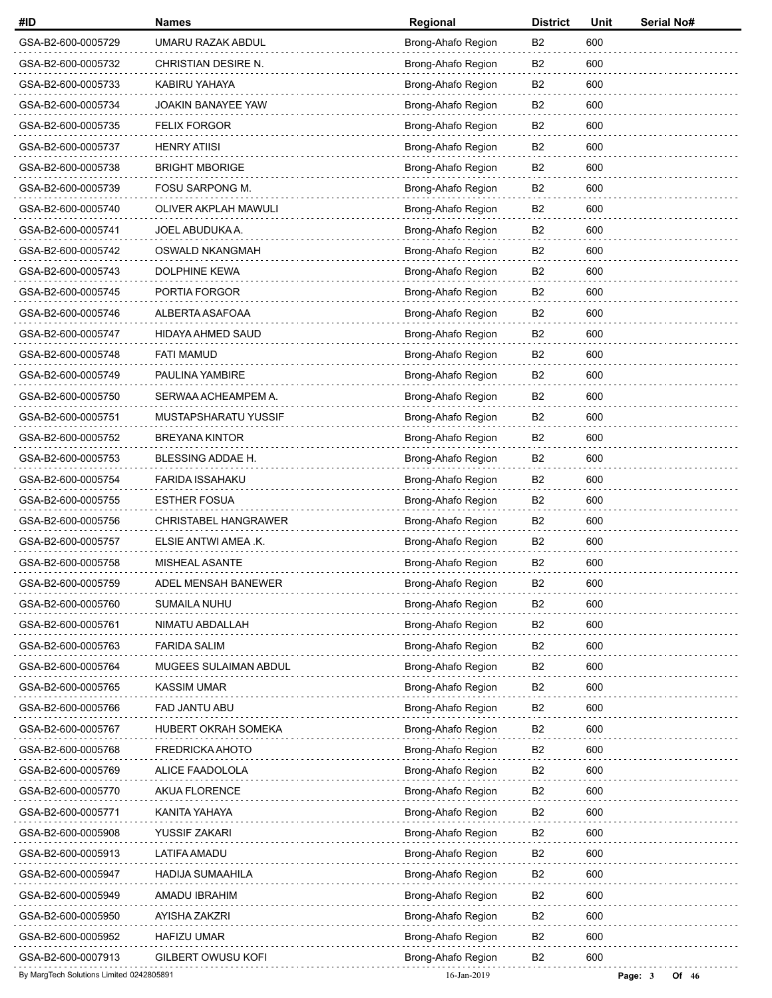| #ID                                      | <b>Names</b>                | Regional           | <b>District</b> | Unit | <b>Serial No#</b> |
|------------------------------------------|-----------------------------|--------------------|-----------------|------|-------------------|
| GSA-B2-600-0005729                       | UMARU RAZAK ABDUL           | Brong-Ahafo Region | B <sub>2</sub>  | 600  |                   |
| GSA-B2-600-0005732                       | CHRISTIAN DESIRE N.         | Brong-Ahafo Region | B <sub>2</sub>  | 600  |                   |
| GSA-B2-600-0005733                       | KABIRU YAHAYA               | Brong-Ahafo Region | B <sub>2</sub>  | 600  |                   |
| GSA-B2-600-0005734                       | <b>JOAKIN BANAYEE YAW</b>   | Brong-Ahafo Region | B <sub>2</sub>  | 600  |                   |
| GSA-B2-600-0005735                       | <b>FELIX FORGOR</b>         | Brong-Ahafo Region | B <sub>2</sub>  | 600  |                   |
| GSA-B2-600-0005737                       | <b>HENRY ATIISI</b>         | Brong-Ahafo Region | B <sub>2</sub>  | 600  |                   |
| GSA-B2-600-0005738                       | <b>BRIGHT MBORIGE</b>       | Brong-Ahafo Region | B <sub>2</sub>  | 600  |                   |
| GSA-B2-600-0005739                       | FOSU SARPONG M.             | Brong-Ahafo Region | B <sub>2</sub>  | 600  |                   |
| GSA-B2-600-0005740                       | OLIVER AKPLAH MAWULI        | Brong-Ahafo Region | B <sub>2</sub>  | 600  |                   |
| GSA-B2-600-0005741                       | JOEL ABUDUKA A.             | Brong-Ahafo Region | B <sub>2</sub>  | 600  |                   |
| GSA-B2-600-0005742                       | OSWALD NKANGMAH             | Brong-Ahafo Region | B <sub>2</sub>  | 600  |                   |
| GSA-B2-600-0005743                       | DOLPHINE KEWA               | Brong-Ahafo Region | B <sub>2</sub>  | 600  |                   |
| GSA-B2-600-0005745                       | PORTIA FORGOR               | Brong-Ahafo Region | B <sub>2</sub>  | 600  |                   |
| GSA-B2-600-0005746                       | ALBERTA ASAFOAA             | Brong-Ahafo Region | B <sub>2</sub>  | 600  |                   |
| GSA-B2-600-0005747                       | HIDAYA AHMED SAUD           | Brong-Ahafo Region | B <sub>2</sub>  | 600  |                   |
| GSA-B2-600-0005748                       | <b>FATI MAMUD</b>           | Brong-Ahafo Region | B <sub>2</sub>  | 600  |                   |
| GSA-B2-600-0005749                       | PAULINA YAMBIRE             | Brong-Ahafo Region | B <sub>2</sub>  | 600  |                   |
| GSA-B2-600-0005750                       | SERWAA ACHEAMPEM A.         | Brong-Ahafo Region | B <sub>2</sub>  | 600  |                   |
| GSA-B2-600-0005751                       | MUSTAPSHARATU YUSSIF        | Brong-Ahafo Region | B <sub>2</sub>  | 600  |                   |
| GSA-B2-600-0005752                       | <b>BREYANA KINTOR</b>       | Brong-Ahafo Region | B <sub>2</sub>  | 600  |                   |
| GSA-B2-600-0005753                       | BLESSING ADDAE H.           | Brong-Ahafo Region | B <sub>2</sub>  | 600  |                   |
| GSA-B2-600-0005754                       | <b>FARIDA ISSAHAKU</b>      | Brong-Ahafo Region | B <sub>2</sub>  | 600  |                   |
| GSA-B2-600-0005755                       | <b>ESTHER FOSUA</b>         | Brong-Ahafo Region | B <sub>2</sub>  | 600  |                   |
| GSA-B2-600-0005756                       | <b>CHRISTABEL HANGRAWER</b> | Brong-Ahafo Region | B <sub>2</sub>  | 600  |                   |
| GSA-B2-600-0005757                       | ELSIE ANTWI AMEA .K.        | Brong-Ahafo Region | B <sub>2</sub>  | 600  |                   |
| GSA-B2-600-0005758                       | MISHEAL ASANTE              | Brong-Ahafo Region | B <sub>2</sub>  | 600  |                   |
| GSA-B2-600-0005759                       | ADEL MENSAH BANEWER         | Brong-Ahafo Region | B <sub>2</sub>  | 600  |                   |
| GSA-B2-600-0005760                       | SUMAILA NUHU                | Brong-Ahafo Region | B <sub>2</sub>  | 600  |                   |
| GSA-B2-600-0005761                       | NIMATU ABDALLAH             | Brong-Ahafo Region | B <sub>2</sub>  | 600  |                   |
| GSA-B2-600-0005763                       | <b>FARIDA SALIM</b>         | Brong-Ahafo Region | B <sub>2</sub>  | 600  |                   |
| GSA-B2-600-0005764                       | MUGEES SULAIMAN ABDUL       | Brong-Ahafo Region | B <sub>2</sub>  | 600  |                   |
| GSA-B2-600-0005765                       | <b>KASSIM UMAR</b>          | Brong-Ahafo Region | B <sub>2</sub>  | 600  |                   |
| GSA-B2-600-0005766                       | FAD JANTU ABU               | Brong-Ahafo Region | B <sub>2</sub>  | 600  |                   |
| GSA-B2-600-0005767                       | HUBERT OKRAH SOMEKA         | Brong-Ahafo Region | B <sub>2</sub>  | 600  |                   |
| GSA-B2-600-0005768                       | FREDRICKA AHOTO             | Brong-Ahafo Region | B <sub>2</sub>  | 600  |                   |
| GSA-B2-600-0005769                       | ALICE FAADOLOLA             | Brong-Ahafo Region | B <sub>2</sub>  | 600  |                   |
| GSA-B2-600-0005770                       | <b>AKUA FLORENCE</b>        | Brong-Ahafo Region | B <sub>2</sub>  | 600  |                   |
| GSA-B2-600-0005771                       | KANITA YAHAYA               | Brong-Ahafo Region | B <sub>2</sub>  | 600  |                   |
| GSA-B2-600-0005908                       | YUSSIF ZAKARI               | Brong-Ahafo Region | B <sub>2</sub>  | 600  |                   |
| GSA-B2-600-0005913                       | <b>LATIFA AMADU</b>         | Brong-Ahafo Region | B <sub>2</sub>  | 600  |                   |
| GSA-B2-600-0005947                       | <b>HADIJA SUMAAHILA</b>     | Brong-Ahafo Region | B <sub>2</sub>  | 600  |                   |
| GSA-B2-600-0005949                       | AMADU IBRAHIM               | Brong-Ahafo Region | B2              | 600  |                   |
| GSA-B2-600-0005950                       | AYISHA ZAKZRI               | Brong-Ahafo Region | B <sub>2</sub>  | 600  |                   |
| GSA-B2-600-0005952                       | <b>HAFIZU UMAR</b>          | Brong-Ahafo Region | B <sub>2</sub>  | 600  |                   |
| GSA-B2-600-0007913                       | <b>GILBERT OWUSU KOFI</b>   | Brong-Ahafo Region | B <sub>2</sub>  | 600  |                   |
| By MargTech Solutions Limited 0242805891 |                             | 16-Jan-2019        |                 |      | Page: 3<br>Of 46  |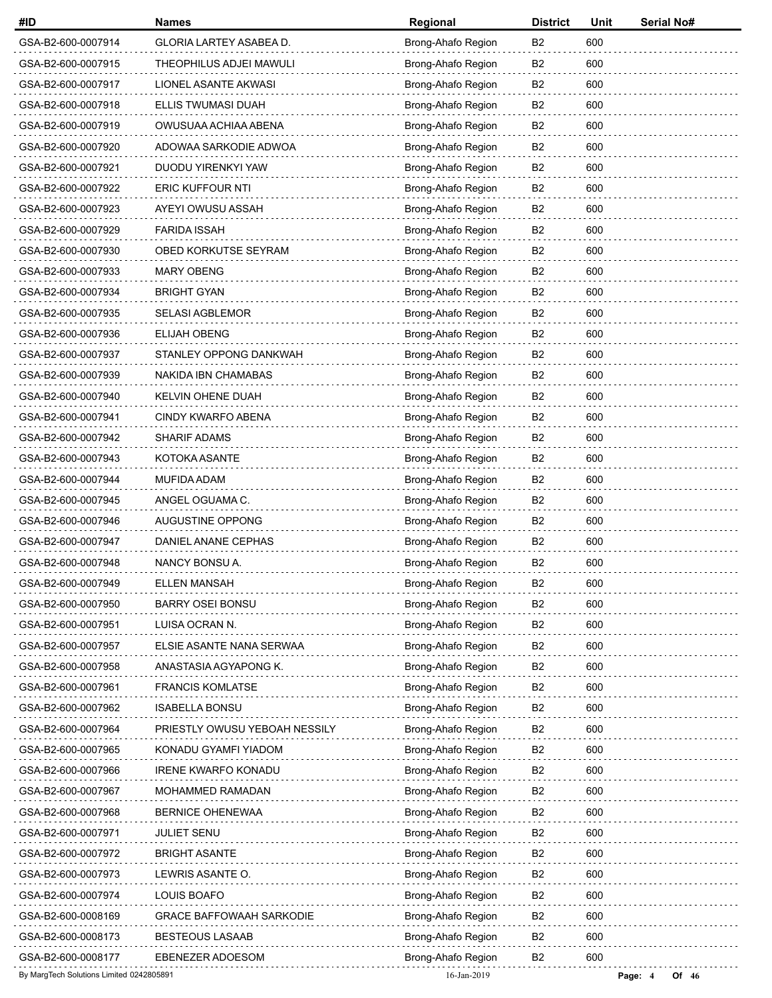| #ID                                      | <b>Names</b>                    | Regional           | <b>District</b> | Unit | Serial No#       |
|------------------------------------------|---------------------------------|--------------------|-----------------|------|------------------|
| GSA-B2-600-0007914                       | GLORIA LARTEY ASABEA D.         | Brong-Ahafo Region | B <sub>2</sub>  | 600  |                  |
| GSA-B2-600-0007915                       | THEOPHILUS ADJEI MAWULI         | Brong-Ahafo Region | B <sub>2</sub>  | 600  |                  |
| GSA-B2-600-0007917                       | LIONEL ASANTE AKWASI            | Brong-Ahafo Region | B2              | 600  |                  |
| GSA-B2-600-0007918                       | ELLIS TWUMASI DUAH              | Brong-Ahafo Region | B <sub>2</sub>  | 600  |                  |
| GSA-B2-600-0007919                       | OWUSUAA ACHIAA ABENA            | Brong-Ahafo Region | B <sub>2</sub>  | 600  |                  |
| GSA-B2-600-0007920                       | ADOWAA SARKODIE ADWOA           | Brong-Ahafo Region | B2              | 600  |                  |
| GSA-B2-600-0007921                       | DUODU YIRENKYI YAW              | Brong-Ahafo Region | B2              | 600  |                  |
| GSA-B2-600-0007922                       | <b>ERIC KUFFOUR NTI</b>         | Brong-Ahafo Region | B <sub>2</sub>  | 600  |                  |
| GSA-B2-600-0007923                       | AYEYI OWUSU ASSAH               | Brong-Ahafo Region | B <sub>2</sub>  | 600  |                  |
| GSA-B2-600-0007929                       | <b>FARIDA ISSAH</b>             | Brong-Ahafo Region | B2              | 600  |                  |
| GSA-B2-600-0007930                       | OBED KORKUTSE SEYRAM            | Brong-Ahafo Region | B2              | 600  |                  |
| GSA-B2-600-0007933                       | <b>MARY OBENG</b>               | Brong-Ahafo Region | B <sub>2</sub>  | 600  |                  |
| GSA-B2-600-0007934                       | <b>BRIGHT GYAN</b>              | Brong-Ahafo Region | B <sub>2</sub>  | 600  |                  |
| GSA-B2-600-0007935                       | <b>SELASI AGBLEMOR</b>          | Brong-Ahafo Region | B2              | 600  |                  |
| GSA-B2-600-0007936                       | <b>ELIJAH OBENG</b>             | Brong-Ahafo Region | B <sub>2</sub>  | 600  |                  |
| GSA-B2-600-0007937                       | STANLEY OPPONG DANKWAH          | Brong-Ahafo Region | B <sub>2</sub>  | 600  |                  |
| GSA-B2-600-0007939                       | NAKIDA IBN CHAMABAS             | Brong-Ahafo Region | B <sub>2</sub>  | 600  |                  |
| GSA-B2-600-0007940                       | KELVIN OHENE DUAH               | Brong-Ahafo Region | B2              | 600  |                  |
| GSA-B2-600-0007941                       | CINDY KWARFO ABENA              | Brong-Ahafo Region | B2              | 600  |                  |
| GSA-B2-600-0007942                       | <b>SHARIF ADAMS</b>             | Brong-Ahafo Region | B <sub>2</sub>  | 600  |                  |
| GSA-B2-600-0007943                       | KOTOKA ASANTE                   | Brong-Ahafo Region | B2              | 600  |                  |
| GSA-B2-600-0007944                       | MUFIDA ADAM                     | Brong-Ahafo Region | B2              | 600  |                  |
| GSA-B2-600-0007945                       | ANGEL OGUAMA C.                 | Brong-Ahafo Region | B <sub>2</sub>  | 600  |                  |
| GSA-B2-600-0007946                       | AUGUSTINE OPPONG                | Brong-Ahafo Region | B <sub>2</sub>  | 600  |                  |
| GSA-B2-600-0007947                       | DANIEL ANANE CEPHAS             | Brong-Ahafo Region | B <sub>2</sub>  | 600  |                  |
| GSA-B2-600-0007948                       | NANCY BONSU A.                  | Brong-Ahafo Region | B <sub>2</sub>  | 600  |                  |
| GSA-B2-600-0007949                       | <b>ELLEN MANSAH</b>             | Brong-Ahafo Region | B <sub>2</sub>  | 600  |                  |
| GSA-B2-600-0007950                       | <b>BARRY OSEI BONSU</b>         | Brong-Ahafo Region | B <sub>2</sub>  | 600  |                  |
| GSA-B2-600-0007951                       | LUISA OCRAN N.                  | Brong-Ahafo Region | B <sub>2</sub>  | 600  |                  |
| GSA-B2-600-0007957                       | ELSIE ASANTE NANA SERWAA        | Brong-Ahafo Region | B <sub>2</sub>  | 600  |                  |
| GSA-B2-600-0007958                       | ANASTASIA AGYAPONG K.           | Brong-Ahafo Region | B <sub>2</sub>  | 600  |                  |
| GSA-B2-600-0007961                       | <b>FRANCIS KOMLATSE</b>         | Brong-Ahafo Region | B <sub>2</sub>  | 600  |                  |
| GSA-B2-600-0007962                       | <b>ISABELLA BONSU</b>           | Brong-Ahafo Region | B <sub>2</sub>  | 600  |                  |
| GSA-B2-600-0007964                       | PRIESTLY OWUSU YEBOAH NESSILY   | Brong-Ahafo Region | B2              | 600  |                  |
| GSA-B2-600-0007965                       | KONADU GYAMFI YIADOM            | Brong-Ahafo Region | B <sub>2</sub>  | 600  |                  |
| GSA-B2-600-0007966                       | <b>IRENE KWARFO KONADU</b>      | Brong-Ahafo Region | B <sub>2</sub>  | 600  |                  |
| GSA-B2-600-0007967                       | MOHAMMED RAMADAN                | Brong-Ahafo Region | B <sub>2</sub>  | 600  |                  |
| GSA-B2-600-0007968                       | BERNICE OHENEWAA                | Brong-Ahafo Region | B <sub>2</sub>  | 600  |                  |
| GSA-B2-600-0007971                       | <b>JULIET SENU</b>              | Brong-Ahafo Region | B <sub>2</sub>  | 600  |                  |
| GSA-B2-600-0007972                       | <b>BRIGHT ASANTE</b>            | Brong-Ahafo Region | B <sub>2</sub>  | 600  |                  |
| GSA-B2-600-0007973                       | LEWRIS ASANTE O.                | Brong-Ahafo Region | B <sub>2</sub>  | 600  |                  |
| GSA-B2-600-0007974                       | LOUIS BOAFO                     | Brong-Ahafo Region | B2              | 600  |                  |
| GSA-B2-600-0008169                       | <b>GRACE BAFFOWAAH SARKODIE</b> | Brong-Ahafo Region | B <sub>2</sub>  | 600  |                  |
| GSA-B2-600-0008173                       | <b>BESTEOUS LASAAB</b>          | Brong-Ahafo Region | B <sub>2</sub>  | 600  |                  |
| GSA-B2-600-0008177                       | <b>EBENEZER ADOESOM</b>         | Brong-Ahafo Region | B <sub>2</sub>  | 600  |                  |
| By MargTech Solutions Limited 0242805891 |                                 | 16-Jan-2019        |                 |      | Page: 4<br>Of 46 |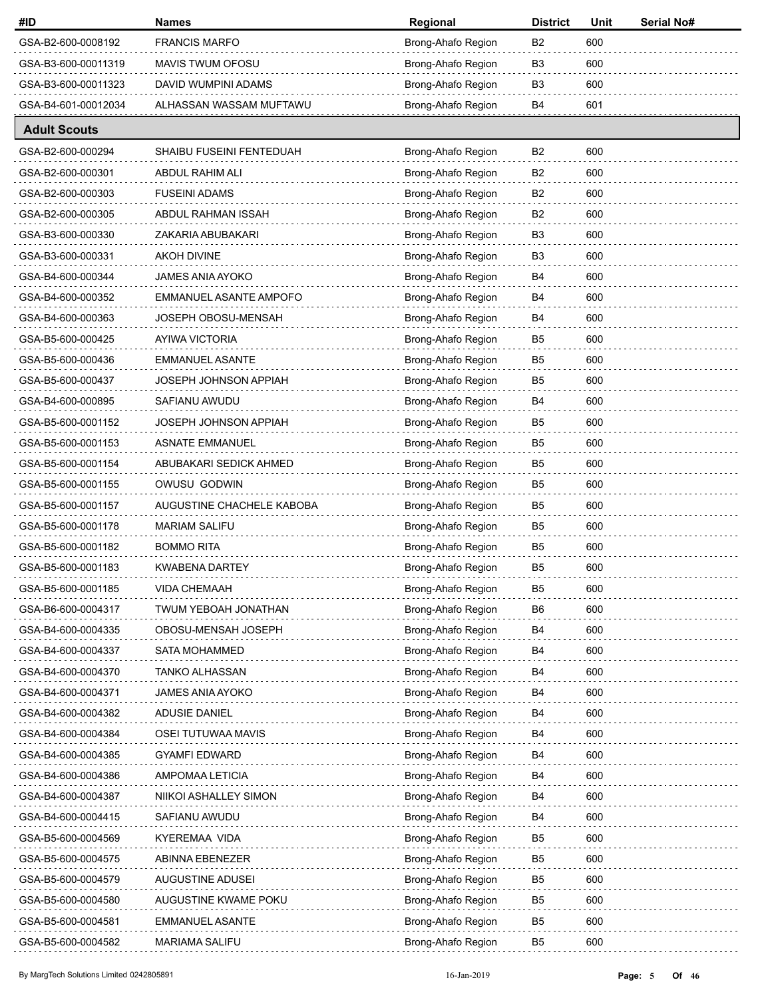| #ID                 | <b>Names</b>              | Regional           | <b>District</b> | Unit | Serial No# |
|---------------------|---------------------------|--------------------|-----------------|------|------------|
| GSA-B2-600-0008192  | <b>FRANCIS MARFO</b>      | Brong-Ahafo Region | B <sub>2</sub>  | 600  |            |
| GSA-B3-600-00011319 | MAVIS TWUM OFOSU          | Brong-Ahafo Region | B <sub>3</sub>  | 600  |            |
| GSA-B3-600-00011323 | DAVID WUMPINI ADAMS       | Brong-Ahafo Region | B3              | 600  |            |
| GSA-B4-601-00012034 | ALHASSAN WASSAM MUFTAWU   | Brong-Ahafo Region | B4              | 601  |            |
| <b>Adult Scouts</b> |                           |                    |                 |      |            |
| GSA-B2-600-000294   | SHAIBU FUSEINI FENTEDUAH  | Brong-Ahafo Region | B <sub>2</sub>  | 600  |            |
| GSA-B2-600-000301   | ABDUL RAHIM ALI           | Brong-Ahafo Region | B <sub>2</sub>  | 600  |            |
| GSA-B2-600-000303   | <b>FUSEINI ADAMS</b>      | Brong-Ahafo Region | B <sub>2</sub>  | 600  |            |
| GSA-B2-600-000305   | ABDUL RAHMAN ISSAH        | Brong-Ahafo Region | B <sub>2</sub>  | 600  |            |
| GSA-B3-600-000330   | ZAKARIA ABUBAKARI         | Brong-Ahafo Region | B3              | 600  |            |
| GSA-B3-600-000331   | AKOH DIVINE               | Brong-Ahafo Region | B3              | 600  |            |
| GSA-B4-600-000344   | JAMES ANIA AYOKO          | Brong-Ahafo Region | B4              | 600  |            |
| GSA-B4-600-000352   | EMMANUEL ASANTE AMPOFO    | Brong-Ahafo Region | B4              | 600  |            |
| GSA-B4-600-000363   | JOSEPH OBOSU-MENSAH       | Brong-Ahafo Region | B4              | 600  |            |
| GSA-B5-600-000425   | AYIWA VICTORIA            | Brong-Ahafo Region | B <sub>5</sub>  | 600  |            |
| GSA-B5-600-000436   | <b>EMMANUEL ASANTE</b>    | Brong-Ahafo Region | B5              | 600  |            |
| GSA-B5-600-000437   | JOSEPH JOHNSON APPIAH     | Brong-Ahafo Region | B5              | 600  |            |
| GSA-B4-600-000895   | SAFIANU AWUDU             | Brong-Ahafo Region | B4              | 600  |            |
| GSA-B5-600-0001152  | JOSEPH JOHNSON APPIAH     | Brong-Ahafo Region | B <sub>5</sub>  | 600  |            |
| GSA-B5-600-0001153  | <b>ASNATE EMMANUEL</b>    | Brong-Ahafo Region | B5              | 600  |            |
| GSA-B5-600-0001154  | ABUBAKARI SEDICK AHMED    | Brong-Ahafo Region | B5              | 600  |            |
| GSA-B5-600-0001155  | OWUSU GODWIN              | Brong-Ahafo Region | B5              | 600  |            |
| GSA-B5-600-0001157  | AUGUSTINE CHACHELE KABOBA | Brong-Ahafo Region | B5              | 600  |            |
| GSA-B5-600-0001178  | <b>MARIAM SALIFU</b>      | Brong-Ahafo Region | B5              | 600  |            |
| GSA-B5-600-0001182  | <b>BOMMO RITA</b>         | Brong-Ahafo Region | B5              | 600  |            |
| GSA-B5-600-0001183  | KWABENA DARTEY            | Brong-Ahafo Region | B5              | 600  |            |
| GSA-B5-600-0001185  | <b>VIDA CHEMAAH</b>       | Brong-Ahafo Region | B <sub>5</sub>  | 600  |            |
| GSA-B6-600-0004317  | TWUM YEBOAH JONATHAN      | Brong-Ahafo Region | B6              | 600  |            |
| GSA-B4-600-0004335  | OBOSU-MENSAH JOSEPH       | Brong-Ahafo Region | B4              | 600  |            |
| GSA-B4-600-0004337  | <b>SATA MOHAMMED</b>      | Brong-Ahafo Region | B4              | 600  |            |
| GSA-B4-600-0004370  | TANKO ALHASSAN            | Brong-Ahafo Region | B4              | 600  |            |
| GSA-B4-600-0004371  | <b>JAMES ANIA AYOKO</b>   | Brong-Ahafo Region | B4              | 600  |            |
| GSA-B4-600-0004382  | <b>ADUSIE DANIEL</b>      | Brong-Ahafo Region | B4              | 600  |            |
| GSA-B4-600-0004384  | OSEI TUTUWAA MAVIS        | Brong-Ahafo Region | B4              | 600  |            |
| GSA-B4-600-0004385  | <b>GYAMFI EDWARD</b>      | Brong-Ahafo Region | B4              | 600  |            |
| GSA-B4-600-0004386  | AMPOMAA LETICIA           | Brong-Ahafo Region | B4              | 600  |            |
| GSA-B4-600-0004387  | NIIKOI ASHALLEY SIMON     | Brong-Ahafo Region | B4              | 600  |            |
| GSA-B4-600-0004415  | SAFIANU AWUDU             | Brong-Ahafo Region | B4              | 600  |            |
| GSA-B5-600-0004569  | KYEREMAA VIDA             | Brong-Ahafo Region | B <sub>5</sub>  | 600  |            |
| GSA-B5-600-0004575  | ABINNA EBENEZER           | Brong-Ahafo Region | B5              | 600  |            |
| GSA-B5-600-0004579  | <b>AUGUSTINE ADUSEI</b>   | Brong-Ahafo Region | B5              | 600  |            |
| GSA-B5-600-0004580  | AUGUSTINE KWAME POKU      | Brong-Ahafo Region | B5              | 600  |            |
| GSA-B5-600-0004581  | EMMANUEL ASANTE           | Brong-Ahafo Region | B5              | 600  |            |
| GSA-B5-600-0004582  | <b>MARIAMA SALIFU</b>     | Brong-Ahafo Region | B5              | 600  |            |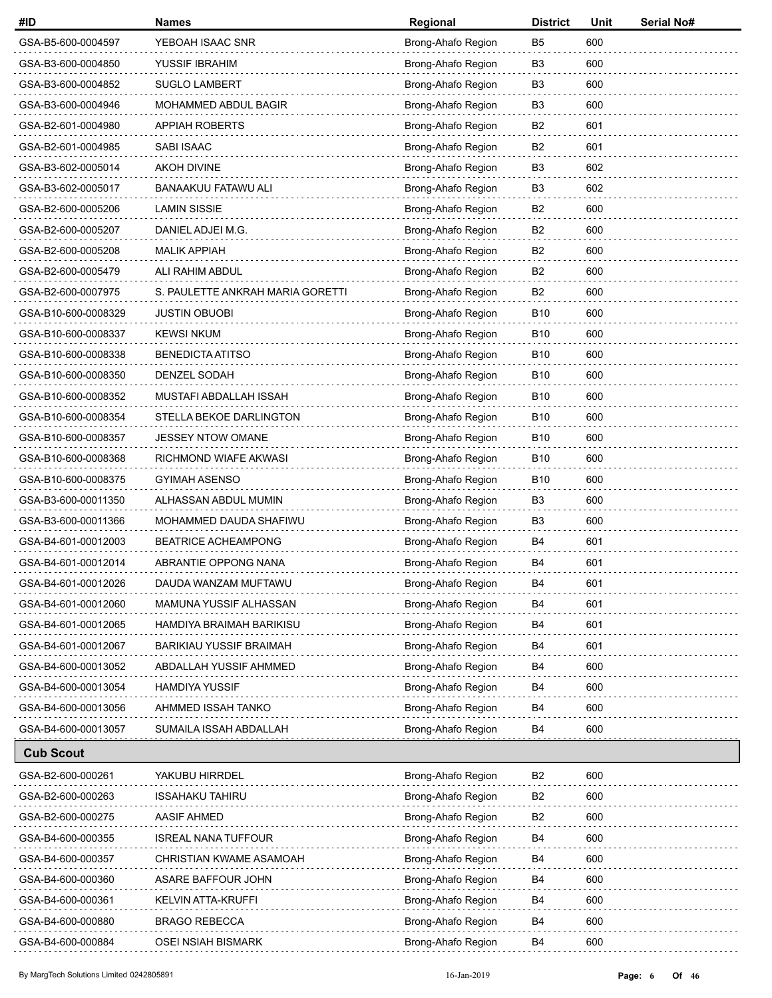| #ID                 | <b>Names</b>                     | Regional           | <b>District</b> | Unit | Serial No# |
|---------------------|----------------------------------|--------------------|-----------------|------|------------|
| GSA-B5-600-0004597  | YEBOAH ISAAC SNR                 | Brong-Ahafo Region | B5              | 600  |            |
| GSA-B3-600-0004850  | YUSSIF IBRAHIM                   | Brong-Ahafo Region | B <sub>3</sub>  | 600  |            |
| GSA-B3-600-0004852  | <b>SUGLO LAMBERT</b>             | Brong-Ahafo Region | B3              | 600  |            |
| GSA-B3-600-0004946  | <b>MOHAMMED ABDUL BAGIR</b>      | Brong-Ahafo Region | B3              | 600  |            |
| GSA-B2-601-0004980  | <b>APPIAH ROBERTS</b>            | Brong-Ahafo Region | B2              | 601  |            |
| GSA-B2-601-0004985  | SABI ISAAC                       | Brong-Ahafo Region | B <sub>2</sub>  | 601  |            |
| GSA-B3-602-0005014  | <b>AKOH DIVINE</b>               | Brong-Ahafo Region | B3              | 602  |            |
| GSA-B3-602-0005017  | <b>BANAAKUU FATAWU ALI</b>       | Brong-Ahafo Region | B3              | 602  |            |
| GSA-B2-600-0005206  | <b>LAMIN SISSIE</b>              | Brong-Ahafo Region | B2              | 600  |            |
| GSA-B2-600-0005207  | DANIEL ADJEI M.G.                | Brong-Ahafo Region | B <sub>2</sub>  | 600  |            |
| GSA-B2-600-0005208  | <b>MALIK APPIAH</b>              | Brong-Ahafo Region | B2              | 600  |            |
| GSA-B2-600-0005479  | ALI RAHIM ABDUL                  | Brong-Ahafo Region | B2              | 600  |            |
| GSA-B2-600-0007975  | S. PAULETTE ANKRAH MARIA GORETTI | Brong-Ahafo Region | B2              | 600  |            |
| GSA-B10-600-0008329 | <b>JUSTIN OBUOBI</b>             | Brong-Ahafo Region | B <sub>10</sub> | 600  |            |
| GSA-B10-600-0008337 | <b>KEWSI NKUM</b>                | Brong-Ahafo Region | B <sub>10</sub> | 600  |            |
| GSA-B10-600-0008338 | <b>BENEDICTA ATITSO</b>          | Brong-Ahafo Region | B <sub>10</sub> | 600  |            |
| GSA-B10-600-0008350 | DENZEL SODAH                     | Brong-Ahafo Region | B <sub>10</sub> | 600  |            |
| GSA-B10-600-0008352 | MUSTAFI ABDALLAH ISSAH           | Brong-Ahafo Region | B <sub>10</sub> | 600  |            |
| GSA-B10-600-0008354 | STELLA BEKOE DARLINGTON          | Brong-Ahafo Region | B <sub>10</sub> | 600  |            |
| GSA-B10-600-0008357 | JESSEY NTOW OMANE                | Brong-Ahafo Region | B <sub>10</sub> | 600  |            |
| GSA-B10-600-0008368 | RICHMOND WIAFE AKWASI            | Brong-Ahafo Region | B <sub>10</sub> | 600  |            |
| GSA-B10-600-0008375 | GYIMAH ASENSO                    | Brong-Ahafo Region | B <sub>10</sub> | 600  |            |
| GSA-B3-600-00011350 | ALHASSAN ABDUL MUMIN             | Brong-Ahafo Region | B3              | 600  |            |
| GSA-B3-600-00011366 | MOHAMMED DAUDA SHAFIWU           | Brong-Ahafo Region | B3              | 600  |            |
| GSA-B4-601-00012003 | <b>BEATRICE ACHEAMPONG</b>       | Brong-Ahafo Region | B4              | 601  |            |
| GSA-B4-601-00012014 | ABRANTIE OPPONG NANA             | Brong-Ahafo Region | B4              | 601  |            |
| GSA-B4-601-00012026 | DAUDA WANZAM MUFTAWU             | Brong-Ahafo Region | B <sub>4</sub>  | 601  |            |
| GSA-B4-601-00012060 | MAMUNA YUSSIF ALHASSAN           | Brong-Ahafo Region | B4              | 601  |            |
| GSA-B4-601-00012065 | HAMDIYA BRAIMAH BARIKISU         | Brong-Ahafo Region | B4              | 601  |            |
| GSA-B4-601-00012067 | <b>BARIKIAU YUSSIF BRAIMAH</b>   | Brong-Ahafo Region | B4              | 601  |            |
| GSA-B4-600-00013052 | ABDALLAH YUSSIF AHMMED           | Brong-Ahafo Region | B4              | 600  |            |
| GSA-B4-600-00013054 | <b>HAMDIYA YUSSIF</b>            | Brong-Ahafo Region | B4              | 600  |            |
| GSA-B4-600-00013056 | AHMMED ISSAH TANKO               | Brong-Ahafo Region | B4              | 600  |            |
| GSA-B4-600-00013057 | SUMAILA ISSAH ABDALLAH           | Brong-Ahafo Region | B4              | 600  |            |
| <b>Cub Scout</b>    |                                  |                    |                 |      |            |
| GSA-B2-600-000261   | YAKUBU HIRRDEL                   | Brong-Ahafo Region | B <sub>2</sub>  | 600  |            |
| GSA-B2-600-000263   | <b>ISSAHAKU TAHIRU</b>           | Brong-Ahafo Region | B <sub>2</sub>  | 600  |            |
| GSA-B2-600-000275   | <b>AASIF AHMED</b>               | Brong-Ahafo Region | B <sub>2</sub>  | 600  |            |
| GSA-B4-600-000355   | <b>ISREAL NANA TUFFOUR</b>       | Brong-Ahafo Region | B4              | 600  |            |
| GSA-B4-600-000357   | CHRISTIAN KWAME ASAMOAH          | Brong-Ahafo Region | B4              | 600  |            |
| GSA-B4-600-000360   | ASARE BAFFOUR JOHN               | Brong-Ahafo Region | B4              | 600  |            |
| GSA-B4-600-000361   | KELVIN ATTA-KRUFFI               | Brong-Ahafo Region | B4              | 600  |            |
| GSA-B4-600-000880   | <b>BRAGO REBECCA</b>             | Brong-Ahafo Region | B4              | 600  |            |
| GSA-B4-600-000884   | OSEI NSIAH BISMARK               | Brong-Ahafo Region | B4              | 600  |            |
|                     |                                  |                    |                 |      |            |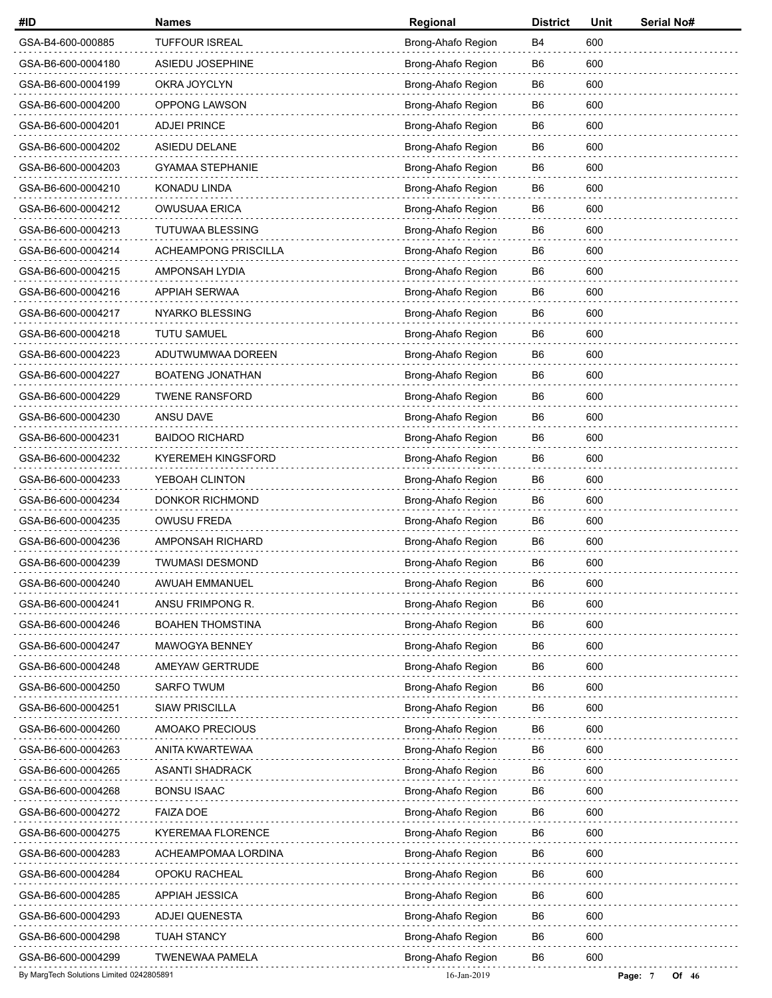| #ID                                      | <b>Names</b>                | Regional           | <b>District</b> | Unit | Serial No#       |
|------------------------------------------|-----------------------------|--------------------|-----------------|------|------------------|
| GSA-B4-600-000885                        | <b>TUFFOUR ISREAL</b>       | Brong-Ahafo Region | B4              | 600  |                  |
| GSA-B6-600-0004180                       | ASIEDU JOSEPHINE            | Brong-Ahafo Region | B6              | 600  |                  |
| GSA-B6-600-0004199                       | OKRA JOYCLYN                | Brong-Ahafo Region | B6              | 600  |                  |
| GSA-B6-600-0004200                       | <b>OPPONG LAWSON</b>        | Brong-Ahafo Region | B6              | 600  |                  |
| GSA-B6-600-0004201                       | <b>ADJEI PRINCE</b>         | Brong-Ahafo Region | B <sub>6</sub>  | 600  |                  |
| GSA-B6-600-0004202                       | ASIEDU DELANE               | Brong-Ahafo Region | B6              | 600  |                  |
| GSA-B6-600-0004203                       | <b>GYAMAA STEPHANIE</b>     | Brong-Ahafo Region | B6              | 600  |                  |
| GSA-B6-600-0004210                       | <b>KONADU LINDA</b>         | Brong-Ahafo Region | B6              | 600  |                  |
| GSA-B6-600-0004212                       | <b>OWUSUAA ERICA</b>        | Brong-Ahafo Region | B <sub>6</sub>  | 600  |                  |
| GSA-B6-600-0004213                       | <b>TUTUWAA BLESSING</b>     | Brong-Ahafo Region | B6              | 600  |                  |
| GSA-B6-600-0004214                       | <b>ACHEAMPONG PRISCILLA</b> | Brong-Ahafo Region | B6              | 600  |                  |
| GSA-B6-600-0004215                       | AMPONSAH LYDIA              | Brong-Ahafo Region | B6              | 600  |                  |
| GSA-B6-600-0004216                       | <b>APPIAH SERWAA</b>        | Brong-Ahafo Region | B <sub>6</sub>  | 600  |                  |
| GSA-B6-600-0004217                       | NYARKO BLESSING             | Brong-Ahafo Region | B6              | 600  |                  |
| GSA-B6-600-0004218                       | <b>TUTU SAMUEL</b>          | Brong-Ahafo Region | B6              | 600  |                  |
| GSA-B6-600-0004223                       | ADUTWUMWAA DOREEN           | Brong-Ahafo Region | B6              | 600  |                  |
| GSA-B6-600-0004227                       | <b>BOATENG JONATHAN</b>     | Brong-Ahafo Region | B <sub>6</sub>  | 600  |                  |
| GSA-B6-600-0004229                       | <b>TWENE RANSFORD</b>       | Brong-Ahafo Region | B6              | 600  |                  |
| GSA-B6-600-0004230                       | ANSU DAVE                   | Brong-Ahafo Region | B6              | 600  |                  |
| GSA-B6-600-0004231                       | <b>BAIDOO RICHARD</b>       | Brong-Ahafo Region | B6              | 600  |                  |
| GSA-B6-600-0004232                       | <b>KYEREMEH KINGSFORD</b>   | Brong-Ahafo Region | B <sub>6</sub>  | 600  |                  |
| GSA-B6-600-0004233                       | YEBOAH CLINTON              | Brong-Ahafo Region | B6              | 600  |                  |
| GSA-B6-600-0004234                       | <b>DONKOR RICHMOND</b>      | Brong-Ahafo Region | B6              | 600  |                  |
| GSA-B6-600-0004235                       | OWUSU FREDA                 | Brong-Ahafo Region | B6              | 600  |                  |
| GSA-B6-600-0004236                       | AMPONSAH RICHARD            | Brong-Ahafo Region | B6              | 600  |                  |
| GSA-B6-600-0004239                       | <b>TWUMASI DESMOND</b>      | Brong-Ahafo Region | B6              | 600  |                  |
| GSA-B6-600-0004240                       | AWUAH EMMANUEL              | Brong-Ahafo Region | B6              | 600  |                  |
| GSA-B6-600-0004241                       | ANSU FRIMPONG R.            | Brong-Ahafo Region | B6              | 600  |                  |
| GSA-B6-600-0004246                       | <b>BOAHEN THOMSTINA</b>     | Brong-Ahafo Region | B6              | 600  |                  |
| GSA-B6-600-0004247                       | MAWOGYA BENNEY              | Brong-Ahafo Region | B <sub>6</sub>  | 600  |                  |
| GSA-B6-600-0004248                       | AMEYAW GERTRUDE             | Brong-Ahafo Region | B6              | 600  |                  |
| GSA-B6-600-0004250                       | SARFO TWUM                  | Brong-Ahafo Region | B <sub>6</sub>  | 600  |                  |
| GSA-B6-600-0004251                       | <b>SIAW PRISCILLA</b>       | Brong-Ahafo Region | B <sub>6</sub>  | 600  |                  |
| GSA-B6-600-0004260                       | AMOAKO PRECIOUS             | Brong-Ahafo Region | B6              | 600  |                  |
| GSA-B6-600-0004263                       | ANITA KWARTEWAA             | Brong-Ahafo Region | B6              | 600  |                  |
| GSA-B6-600-0004265                       | <b>ASANTI SHADRACK</b>      | Brong-Ahafo Region | B <sub>6</sub>  | 600  |                  |
| GSA-B6-600-0004268                       | <b>BONSU ISAAC</b>          | Brong-Ahafo Region | B6              | 600  |                  |
| GSA-B6-600-0004272                       | <b>FAIZA DOE</b>            | Brong-Ahafo Region | B <sub>6</sub>  | 600  |                  |
| GSA-B6-600-0004275                       | KYEREMAA FLORENCE           | Brong-Ahafo Region | B6              | 600  |                  |
| GSA-B6-600-0004283                       | ACHEAMPOMAA LORDINA         | Brong-Ahafo Region | B <sub>6</sub>  | 600  |                  |
| GSA-B6-600-0004284                       | OPOKU RACHEAL               | Brong-Ahafo Region | B <sub>6</sub>  | 600  |                  |
| GSA-B6-600-0004285                       | <b>APPIAH JESSICA</b>       | Brong-Ahafo Region | B6              | 600  |                  |
| GSA-B6-600-0004293                       | <b>ADJEI QUENESTA</b>       | Brong-Ahafo Region | B6              | 600  |                  |
| GSA-B6-600-0004298                       | <b>TUAH STANCY</b>          | Brong-Ahafo Region | B6              | 600  |                  |
| GSA-B6-600-0004299                       | <b>TWENEWAA PAMELA</b>      | Brong-Ahafo Region | B6              | 600  |                  |
| By MargTech Solutions Limited 0242805891 |                             | 16-Jan-2019        |                 |      | Of 46<br>Page: 7 |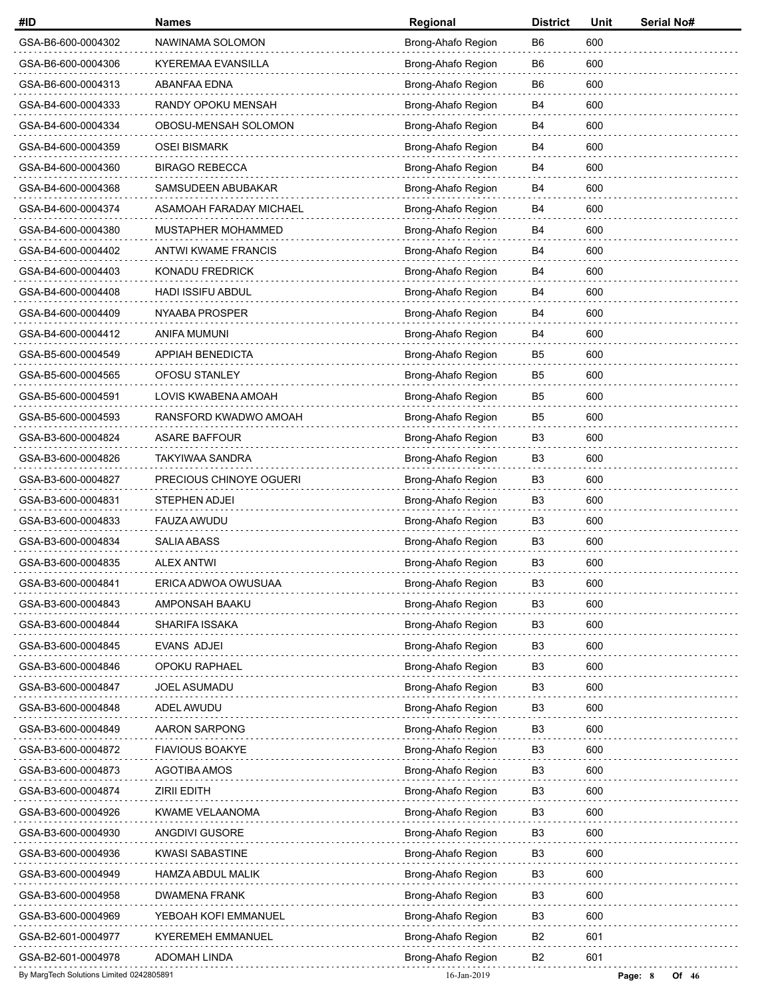| #ID                                      | <b>Names</b>               | Regional           | <b>District</b> | Unit | Serial No#       |
|------------------------------------------|----------------------------|--------------------|-----------------|------|------------------|
| GSA-B6-600-0004302                       | NAWINAMA SOLOMON           | Brong-Ahafo Region | B <sub>6</sub>  | 600  |                  |
| GSA-B6-600-0004306                       | KYEREMAA EVANSILLA         | Brong-Ahafo Region | B <sub>6</sub>  | 600  |                  |
| GSA-B6-600-0004313                       | ABANFAA EDNA               | Brong-Ahafo Region | B6              | 600  |                  |
| GSA-B4-600-0004333                       | RANDY OPOKU MENSAH         | Brong-Ahafo Region | B4              | 600  |                  |
| GSA-B4-600-0004334                       | OBOSU-MENSAH SOLOMON       | Brong-Ahafo Region | B4              | 600  |                  |
| GSA-B4-600-0004359                       | <b>OSEI BISMARK</b>        | Brong-Ahafo Region | B4              | 600  |                  |
| GSA-B4-600-0004360                       | <b>BIRAGO REBECCA</b>      | Brong-Ahafo Region | B4              | 600  |                  |
| GSA-B4-600-0004368                       | SAMSUDEEN ABUBAKAR         | Brong-Ahafo Region | B4              | 600  |                  |
| GSA-B4-600-0004374                       | ASAMOAH FARADAY MICHAEL    | Brong-Ahafo Region | B4              | 600  |                  |
| GSA-B4-600-0004380                       | MUSTAPHER MOHAMMED         | Brong-Ahafo Region | B4              | 600  |                  |
| GSA-B4-600-0004402                       | <b>ANTWI KWAME FRANCIS</b> | Brong-Ahafo Region | B4              | 600  |                  |
| GSA-B4-600-0004403                       | KONADU FREDRICK            | Brong-Ahafo Region | B4              | 600  |                  |
| GSA-B4-600-0004408                       | <b>HADI ISSIFU ABDUL</b>   | Brong-Ahafo Region | B4              | 600  |                  |
| GSA-B4-600-0004409                       | NYAABA PROSPER             | Brong-Ahafo Region | B4              | 600  |                  |
| GSA-B4-600-0004412                       | ANIFA MUMUNI               | Brong-Ahafo Region | B4              | 600  |                  |
| GSA-B5-600-0004549                       | APPIAH BENEDICTA           | Brong-Ahafo Region | B <sub>5</sub>  | 600  |                  |
| GSA-B5-600-0004565                       | OFOSU STANLEY              | Brong-Ahafo Region | B <sub>5</sub>  | 600  |                  |
| GSA-B5-600-0004591                       | LOVIS KWABENA AMOAH        | Brong-Ahafo Region | B <sub>5</sub>  | 600  |                  |
| GSA-B5-600-0004593                       | RANSFORD KWADWO AMOAH      | Brong-Ahafo Region | B5              | 600  |                  |
| GSA-B3-600-0004824                       | <b>ASARE BAFFOUR</b>       | Brong-Ahafo Region | B <sub>3</sub>  | 600  |                  |
| GSA-B3-600-0004826                       | <b>TAKYIWAA SANDRA</b>     | Brong-Ahafo Region | B <sub>3</sub>  | 600  |                  |
| GSA-B3-600-0004827                       | PRECIOUS CHINOYE OGUERI    | Brong-Ahafo Region | B <sub>3</sub>  | 600  |                  |
| GSA-B3-600-0004831                       | STEPHEN ADJEI              | Brong-Ahafo Region | B <sub>3</sub>  | 600  |                  |
| GSA-B3-600-0004833                       | FAUZA AWUDU                | Brong-Ahafo Region | B <sub>3</sub>  | 600  |                  |
| GSA-B3-600-0004834                       | <b>SALIA ABASS</b>         | Brong-Ahafo Region | B3              | 600  |                  |
| GSA-B3-600-0004835                       | ALEX ANTWI                 | Brong-Ahafo Region | B <sub>3</sub>  | 600  |                  |
| GSA-B3-600-0004841                       | ERICA ADWOA OWUSUAA        | Brong-Ahafo Region | B <sub>3</sub>  | 600  |                  |
| GSA-B3-600-0004843                       | AMPONSAH BAAKU             | Brong-Ahafo Region | B <sub>3</sub>  | 600  |                  |
| GSA-B3-600-0004844                       | <b>SHARIFA ISSAKA</b>      | Brong-Ahafo Region | B <sub>3</sub>  | 600  |                  |
| GSA-B3-600-0004845                       | EVANS ADJEI                | Brong-Ahafo Region | B <sub>3</sub>  | 600  |                  |
| GSA-B3-600-0004846                       | OPOKU RAPHAEL              | Brong-Ahafo Region | B <sub>3</sub>  | 600  |                  |
| GSA-B3-600-0004847                       | JOEL ASUMADU               | Brong-Ahafo Region | B <sub>3</sub>  | 600  |                  |
| GSA-B3-600-0004848                       | ADEL AWUDU                 | Brong-Ahafo Region | B <sub>3</sub>  | 600  |                  |
| GSA-B3-600-0004849                       | <b>AARON SARPONG</b>       | Brong-Ahafo Region | B3              | 600  |                  |
| GSA-B3-600-0004872                       | <b>FIAVIOUS BOAKYE</b>     | Brong-Ahafo Region | B <sub>3</sub>  | 600  |                  |
| GSA-B3-600-0004873                       | AGOTIBA AMOS               | Brong-Ahafo Region | B <sub>3</sub>  | 600  |                  |
| GSA-B3-600-0004874                       | <b>ZIRII EDITH</b>         | Brong-Ahafo Region | B <sub>3</sub>  | 600  |                  |
| GSA-B3-600-0004926                       | <b>KWAME VELAANOMA</b>     | Brong-Ahafo Region | B <sub>3</sub>  | 600  |                  |
| GSA-B3-600-0004930                       | ANGDIVI GUSORE             | Brong-Ahafo Region | B3              | 600  |                  |
| GSA-B3-600-0004936                       | <b>KWASI SABASTINE</b>     | Brong-Ahafo Region | B <sub>3</sub>  | 600  |                  |
| GSA-B3-600-0004949                       | <b>HAMZA ABDUL MALIK</b>   | Brong-Ahafo Region | B <sub>3</sub>  | 600  |                  |
| GSA-B3-600-0004958                       | <b>DWAMENA FRANK</b>       | Brong-Ahafo Region | B3              | 600  |                  |
| GSA-B3-600-0004969                       | YEBOAH KOFI EMMANUEL       | Brong-Ahafo Region | B <sub>3</sub>  | 600  |                  |
| GSA-B2-601-0004977                       | <b>KYEREMEH EMMANUEL</b>   | Brong-Ahafo Region | B <sub>2</sub>  | 601  |                  |
| GSA-B2-601-0004978                       | <b>ADOMAH LINDA</b>        | Brong-Ahafo Region | B <sub>2</sub>  | 601  |                  |
| By MargTech Solutions Limited 0242805891 |                            | 16-Jan-2019        |                 |      | Page: 8<br>Of 46 |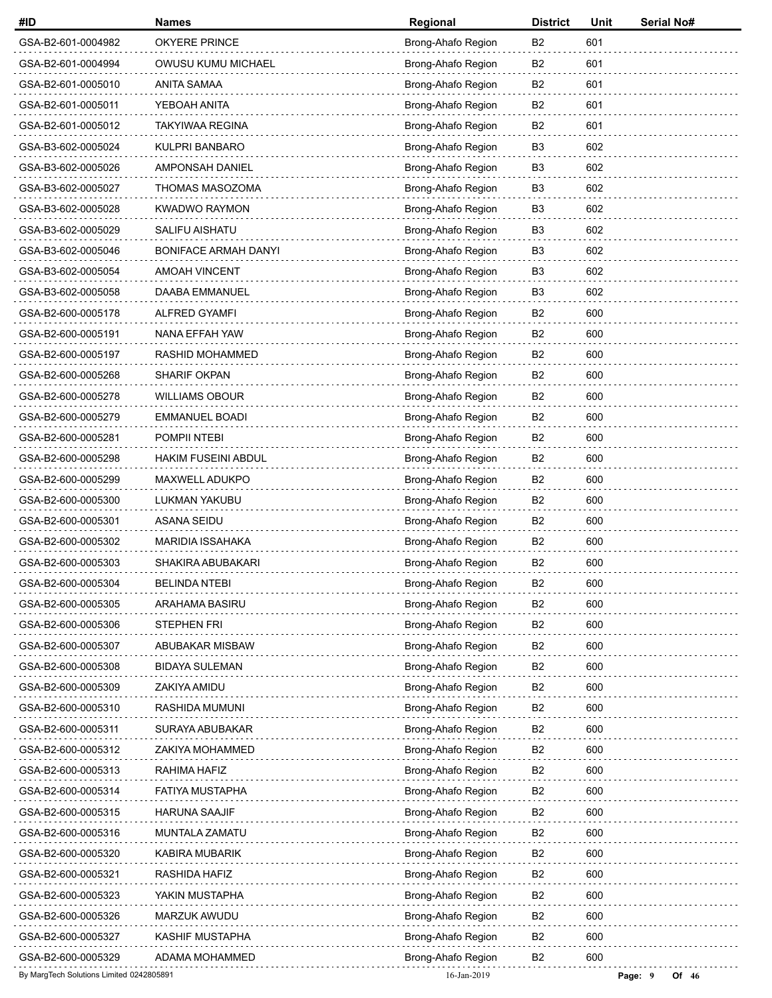| #ID                                      | <b>Names</b>                | Regional           | <b>District</b> | Unit | Serial No#       |
|------------------------------------------|-----------------------------|--------------------|-----------------|------|------------------|
| GSA-B2-601-0004982                       | OKYERE PRINCE               | Brong-Ahafo Region | B2              | 601  |                  |
| GSA-B2-601-0004994                       | OWUSU KUMU MICHAEL          | Brong-Ahafo Region | B2              | 601  |                  |
| GSA-B2-601-0005010                       | ANITA SAMAA                 | Brong-Ahafo Region | B2              | 601  |                  |
| GSA-B2-601-0005011                       | YEBOAH ANITA                | Brong-Ahafo Region | B <sub>2</sub>  | 601  |                  |
| GSA-B2-601-0005012                       | <b>TAKYIWAA REGINA</b>      | Brong-Ahafo Region | B <sub>2</sub>  | 601  |                  |
| GSA-B3-602-0005024                       | KULPRI BANBARO              | Brong-Ahafo Region | B3              | 602  |                  |
| GSA-B3-602-0005026                       | AMPONSAH DANIEL             | Brong-Ahafo Region | B <sub>3</sub>  | 602  |                  |
| GSA-B3-602-0005027                       | THOMAS MASOZOMA             | Brong-Ahafo Region | B <sub>3</sub>  | 602  |                  |
| GSA-B3-602-0005028                       | <b>KWADWO RAYMON</b>        | Brong-Ahafo Region | B <sub>3</sub>  | 602  |                  |
| GSA-B3-602-0005029                       | <b>SALIFU AISHATU</b>       | Brong-Ahafo Region | B3              | 602  |                  |
| GSA-B3-602-0005046                       | <b>BONIFACE ARMAH DANYI</b> | Brong-Ahafo Region | B3              | 602  |                  |
| GSA-B3-602-0005054                       | <b>AMOAH VINCENT</b>        | Brong-Ahafo Region | B <sub>3</sub>  | 602  |                  |
| GSA-B3-602-0005058                       | DAABA EMMANUEL              | Brong-Ahafo Region | B <sub>3</sub>  | 602  |                  |
| GSA-B2-600-0005178                       | ALFRED GYAMFI               | Brong-Ahafo Region | B <sub>2</sub>  | 600  |                  |
| GSA-B2-600-0005191                       | NANA EFFAH YAW              | Brong-Ahafo Region | B <sub>2</sub>  | 600  |                  |
| GSA-B2-600-0005197                       | RASHID MOHAMMED             | Brong-Ahafo Region | B <sub>2</sub>  | 600  |                  |
| GSA-B2-600-0005268                       | <b>SHARIF OKPAN</b>         | Brong-Ahafo Region | B <sub>2</sub>  | 600  |                  |
| GSA-B2-600-0005278                       | <b>WILLIAMS OBOUR</b>       | Brong-Ahafo Region | B <sub>2</sub>  | 600  |                  |
| GSA-B2-600-0005279                       | <b>EMMANUEL BOADI</b>       | Brong-Ahafo Region | B2              | 600  |                  |
| GSA-B2-600-0005281                       | POMPII NTEBI                | Brong-Ahafo Region | B <sub>2</sub>  | 600  |                  |
| GSA-B2-600-0005298                       | <b>HAKIM FUSEINI ABDUL</b>  | Brong-Ahafo Region | B <sub>2</sub>  | 600  |                  |
| GSA-B2-600-0005299                       | MAXWELL ADUKPO              | Brong-Ahafo Region | B <sub>2</sub>  | 600  |                  |
| GSA-B2-600-0005300                       | LUKMAN YAKUBU               | Brong-Ahafo Region | B2              | 600  |                  |
| GSA-B2-600-0005301                       | ASANA SEIDU                 | Brong-Ahafo Region | B <sub>2</sub>  | 600  |                  |
| GSA-B2-600-0005302                       | <b>MARIDIA ISSAHAKA</b>     | Brong-Ahafo Region | B <sub>2</sub>  | 600  |                  |
| GSA-B2-600-0005303                       | SHAKIRA ABUBAKARI           | Brong-Ahafo Region | B <sub>2</sub>  | 600  |                  |
| GSA-B2-600-0005304                       | <b>BELINDA NTEBI</b>        | Brong-Ahafo Region | B <sub>2</sub>  | 600  |                  |
| GSA-B2-600-0005305                       | <b>ARAHAMA BASIRU</b>       | Brong-Ahafo Region | B <sub>2</sub>  | 600  |                  |
| GSA-B2-600-0005306                       | <b>STEPHEN FRI</b>          | Brong-Ahafo Region | B <sub>2</sub>  | 600  |                  |
| GSA-B2-600-0005307                       | ABUBAKAR MISBAW             | Brong-Ahafo Region | B <sub>2</sub>  | 600  |                  |
| GSA-B2-600-0005308                       | <b>BIDAYA SULEMAN</b>       | Brong-Ahafo Region | B <sub>2</sub>  | 600  |                  |
| GSA-B2-600-0005309                       | ZAKIYA AMIDU                | Brong-Ahafo Region | B <sub>2</sub>  | 600  |                  |
| GSA-B2-600-0005310                       | RASHIDA MUMUNI              | Brong-Ahafo Region | B <sub>2</sub>  | 600  |                  |
| GSA-B2-600-0005311                       | SURAYA ABUBAKAR             | Brong-Ahafo Region | B <sub>2</sub>  | 600  |                  |
| GSA-B2-600-0005312                       | ZAKIYA MOHAMMED             | Brong-Ahafo Region | B <sub>2</sub>  | 600  |                  |
| GSA-B2-600-0005313                       | RAHIMA HAFIZ                | Brong-Ahafo Region | B <sub>2</sub>  | 600  |                  |
| GSA-B2-600-0005314                       | <b>FATIYA MUSTAPHA</b>      | Brong-Ahafo Region | B <sub>2</sub>  | 600  |                  |
| GSA-B2-600-0005315                       | <b>HARUNA SAAJIF</b>        | Brong-Ahafo Region | B <sub>2</sub>  | 600  |                  |
| GSA-B2-600-0005316                       | MUNTALA ZAMATU              | Brong-Ahafo Region | B <sub>2</sub>  | 600  |                  |
| GSA-B2-600-0005320                       | KABIRA MUBARIK              | Brong-Ahafo Region | B <sub>2</sub>  | 600  |                  |
| GSA-B2-600-0005321                       | RASHIDA HAFIZ               | Brong-Ahafo Region | B <sub>2</sub>  | 600  |                  |
| GSA-B2-600-0005323                       | YAKIN MUSTAPHA              | Brong-Ahafo Region | B <sub>2</sub>  | 600  |                  |
| GSA-B2-600-0005326                       | MARZUK AWUDU                | Brong-Ahafo Region | B <sub>2</sub>  | 600  |                  |
| GSA-B2-600-0005327                       | KASHIF MUSTAPHA             | Brong-Ahafo Region | B <sub>2</sub>  | 600  |                  |
| GSA-B2-600-0005329                       | ADAMA MOHAMMED              | Brong-Ahafo Region | B <sub>2</sub>  | 600  |                  |
| By MargTech Solutions Limited 0242805891 |                             | 16-Jan-2019        |                 |      | Page: 9<br>Of 46 |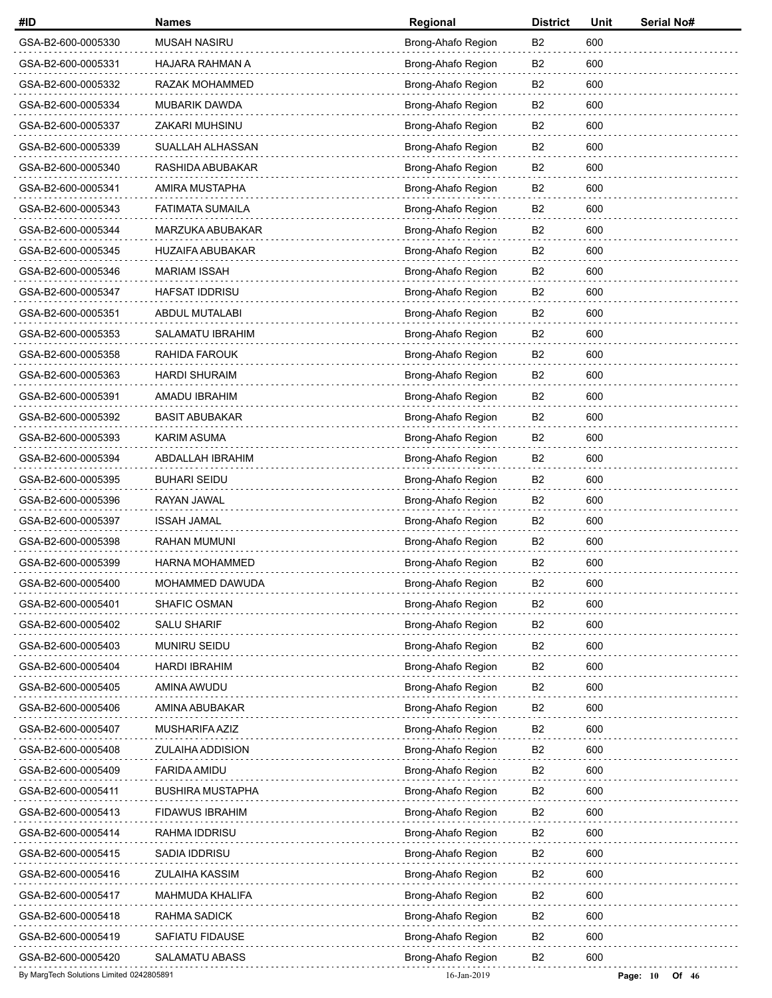| #ID                                      | <b>Names</b>            | Regional           | <b>District</b> | Unit | Serial No#            |
|------------------------------------------|-------------------------|--------------------|-----------------|------|-----------------------|
| GSA-B2-600-0005330                       | <b>MUSAH NASIRU</b>     | Brong-Ahafo Region | B2              | 600  |                       |
| GSA-B2-600-0005331                       | HAJARA RAHMAN A         | Brong-Ahafo Region | B2              | 600  |                       |
| GSA-B2-600-0005332                       | RAZAK MOHAMMED          | Brong-Ahafo Region | B2              | 600  |                       |
| GSA-B2-600-0005334                       | <b>MUBARIK DAWDA</b>    | Brong-Ahafo Region | B <sub>2</sub>  | 600  |                       |
| GSA-B2-600-0005337                       | <b>ZAKARI MUHSINU</b>   | Brong-Ahafo Region | B <sub>2</sub>  | 600  |                       |
| GSA-B2-600-0005339                       | SUALLAH ALHASSAN        | Brong-Ahafo Region | B2              | 600  |                       |
| GSA-B2-600-0005340                       | RASHIDA ABUBAKAR        | Brong-Ahafo Region | B <sub>2</sub>  | 600  |                       |
| GSA-B2-600-0005341                       | AMIRA MUSTAPHA          | Brong-Ahafo Region | B <sub>2</sub>  | 600  |                       |
| GSA-B2-600-0005343                       | <b>FATIMATA SUMAILA</b> | Brong-Ahafo Region | B <sub>2</sub>  | 600  |                       |
| GSA-B2-600-0005344                       | MARZUKA ABUBAKAR        | Brong-Ahafo Region | B <sub>2</sub>  | 600  |                       |
| GSA-B2-600-0005345                       | <b>HUZAIFA ABUBAKAR</b> | Brong-Ahafo Region | B2              | 600  |                       |
| GSA-B2-600-0005346                       | <b>MARIAM ISSAH</b>     | Brong-Ahafo Region | B <sub>2</sub>  | 600  |                       |
| GSA-B2-600-0005347                       | <b>HAFSAT IDDRISU</b>   | Brong-Ahafo Region | B <sub>2</sub>  | 600  |                       |
| GSA-B2-600-0005351                       | ABDUL MUTALABI          | Brong-Ahafo Region | B <sub>2</sub>  | 600  |                       |
| GSA-B2-600-0005353                       | <b>SALAMATU IBRAHIM</b> | Brong-Ahafo Region | B <sub>2</sub>  | 600  |                       |
| GSA-B2-600-0005358                       | RAHIDA FAROUK           | Brong-Ahafo Region | B <sub>2</sub>  | 600  |                       |
| GSA-B2-600-0005363                       | <b>HARDI SHURAIM</b>    | Brong-Ahafo Region | B <sub>2</sub>  | 600  |                       |
| GSA-B2-600-0005391                       | AMADU IBRAHIM           | Brong-Ahafo Region | B <sub>2</sub>  | 600  |                       |
| GSA-B2-600-0005392                       | <b>BASIT ABUBAKAR</b>   | Brong-Ahafo Region | B2              | 600  |                       |
| GSA-B2-600-0005393                       | KARIM ASUMA             | Brong-Ahafo Region | B <sub>2</sub>  | 600  |                       |
| GSA-B2-600-0005394                       | ABDALLAH IBRAHIM        | Brong-Ahafo Region | B <sub>2</sub>  | 600  |                       |
| GSA-B2-600-0005395                       | <b>BUHARI SEIDU</b>     | Brong-Ahafo Region | B <sub>2</sub>  | 600  |                       |
| GSA-B2-600-0005396                       | RAYAN JAWAL             | Brong-Ahafo Region | B2              | 600  |                       |
| GSA-B2-600-0005397                       | <b>ISSAH JAMAL</b>      | Brong-Ahafo Region | B <sub>2</sub>  | 600  |                       |
| GSA-B2-600-0005398                       | <b>RAHAN MUMUNI</b>     | Brong-Ahafo Region | B <sub>2</sub>  | 600  |                       |
| GSA-B2-600-0005399                       | <b>HARNA MOHAMMED</b>   | Brong-Ahafo Region | B <sub>2</sub>  | 600  |                       |
| GSA-B2-600-0005400                       | MOHAMMED DAWUDA         | Brong-Ahafo Region | B <sub>2</sub>  | 600  |                       |
| GSA-B2-600-0005401                       | SHAFIC OSMAN            | Brong-Ahafo Region | B <sub>2</sub>  | 600  |                       |
| GSA-B2-600-0005402                       | <b>SALU SHARIF</b>      | Brong-Ahafo Region | B <sub>2</sub>  | 600  |                       |
| GSA-B2-600-0005403                       | <b>MUNIRU SEIDU</b>     | Brong-Ahafo Region | B <sub>2</sub>  | 600  |                       |
| GSA-B2-600-0005404                       | HARDI IBRAHIM           | Brong-Ahafo Region | B <sub>2</sub>  | 600  |                       |
| GSA-B2-600-0005405                       | AMINA AWUDU             | Brong-Ahafo Region | B <sub>2</sub>  | 600  |                       |
| GSA-B2-600-0005406                       | AMINA ABUBAKAR          | Brong-Ahafo Region | B <sub>2</sub>  | 600  |                       |
| GSA-B2-600-0005407                       | MUSHARIFA AZIZ          | Brong-Ahafo Region | B2              | 600  |                       |
| GSA-B2-600-0005408                       | <b>ZULAIHA ADDISION</b> | Brong-Ahafo Region | B <sub>2</sub>  | 600  |                       |
| GSA-B2-600-0005409                       | <b>FARIDA AMIDU</b>     | Brong-Ahafo Region | B <sub>2</sub>  | 600  |                       |
| GSA-B2-600-0005411                       | <b>BUSHIRA MUSTAPHA</b> | Brong-Ahafo Region | B <sub>2</sub>  | 600  |                       |
| GSA-B2-600-0005413                       | <b>FIDAWUS IBRAHIM</b>  | Brong-Ahafo Region | B <sub>2</sub>  | 600  |                       |
| GSA-B2-600-0005414                       | RAHMA IDDRISU           | Brong-Ahafo Region | B2              | 600  |                       |
| GSA-B2-600-0005415                       | SADIA IDDRISU           | Brong-Ahafo Region | B <sub>2</sub>  | 600  |                       |
| GSA-B2-600-0005416                       | ZULAIHA KASSIM          | Brong-Ahafo Region | B <sub>2</sub>  | 600  |                       |
| GSA-B2-600-0005417                       | <b>MAHMUDA KHALIFA</b>  | Brong-Ahafo Region | B <sub>2</sub>  | 600  |                       |
| GSA-B2-600-0005418                       | RAHMA SADICK            | Brong-Ahafo Region | B <sub>2</sub>  | 600  |                       |
| GSA-B2-600-0005419                       | <b>SAFIATU FIDAUSE</b>  | Brong-Ahafo Region | B <sub>2</sub>  | 600  |                       |
| GSA-B2-600-0005420                       | <b>SALAMATU ABASS</b>   | Brong-Ahafo Region | B <sub>2</sub>  | 600  |                       |
| By MargTech Solutions Limited 0242805891 |                         | 16-Jan-2019        |                 |      | Page: $10$<br>Of $46$ |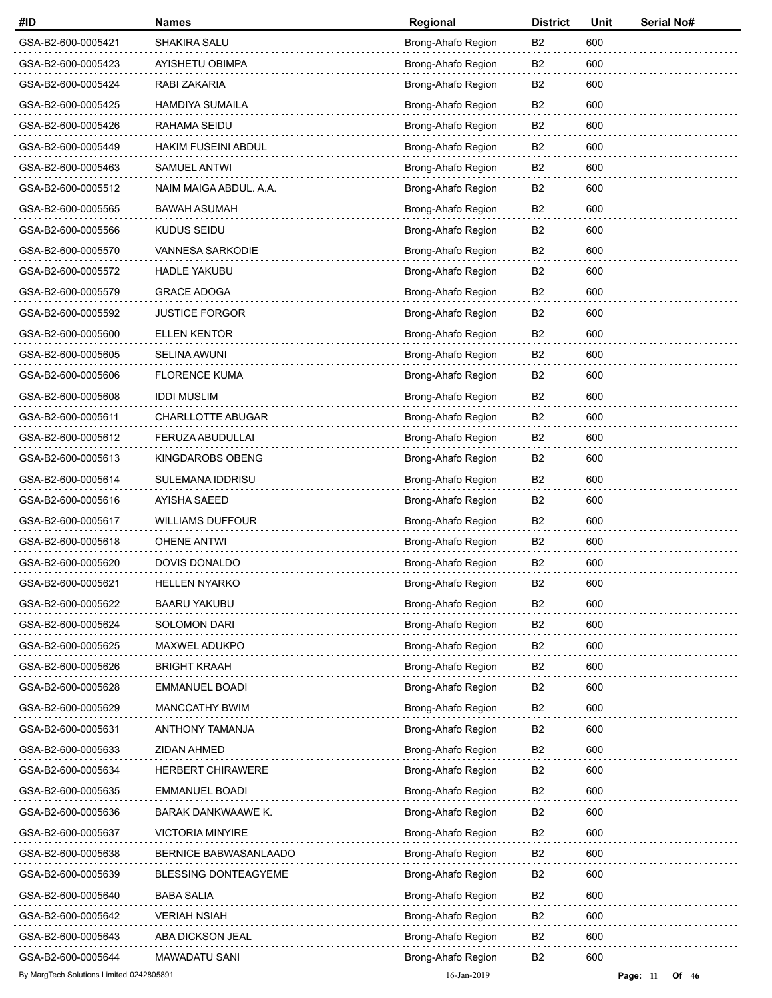| #ID                                      | <b>Names</b>                 | Regional           | <b>District</b> | Unit | Serial No#          |
|------------------------------------------|------------------------------|--------------------|-----------------|------|---------------------|
| GSA-B2-600-0005421                       | SHAKIRA SALU                 | Brong-Ahafo Region | B2              | 600  |                     |
| GSA-B2-600-0005423                       | AYISHETU OBIMPA              | Brong-Ahafo Region | B2              | 600  |                     |
| GSA-B2-600-0005424                       | RABI ZAKARIA                 | Brong-Ahafo Region | B2              | 600  |                     |
| GSA-B2-600-0005425                       | <b>HAMDIYA SUMAILA</b>       | Brong-Ahafo Region | B <sub>2</sub>  | 600  |                     |
| GSA-B2-600-0005426                       | RAHAMA SEIDU                 | Brong-Ahafo Region | B <sub>2</sub>  | 600  |                     |
| GSA-B2-600-0005449                       | <b>HAKIM FUSEINI ABDUL</b>   | Brong-Ahafo Region | B2              | 600  |                     |
| GSA-B2-600-0005463                       | <b>SAMUEL ANTWI</b>          | Brong-Ahafo Region | B <sub>2</sub>  | 600  |                     |
| GSA-B2-600-0005512                       | NAIM MAIGA ABDUL. A.A.       | Brong-Ahafo Region | B <sub>2</sub>  | 600  |                     |
| GSA-B2-600-0005565                       | <b>BAWAH ASUMAH</b>          | Brong-Ahafo Region | B <sub>2</sub>  | 600  |                     |
| GSA-B2-600-0005566                       | <b>KUDUS SEIDU</b>           | Brong-Ahafo Region | B <sub>2</sub>  | 600  |                     |
| GSA-B2-600-0005570                       | VANNESA SARKODIE             | Brong-Ahafo Region | B2              | 600  |                     |
| GSA-B2-600-0005572                       | <b>HADLE YAKUBU</b>          | Brong-Ahafo Region | B <sub>2</sub>  | 600  |                     |
| GSA-B2-600-0005579                       | <b>GRACE ADOGA</b>           | Brong-Ahafo Region | B <sub>2</sub>  | 600  |                     |
| GSA-B2-600-0005592                       | <b>JUSTICE FORGOR</b>        | Brong-Ahafo Region | B <sub>2</sub>  | 600  |                     |
| GSA-B2-600-0005600                       | <b>ELLEN KENTOR</b>          | Brong-Ahafo Region | B <sub>2</sub>  | 600  |                     |
| GSA-B2-600-0005605                       | <b>SELINA AWUNI</b>          | Brong-Ahafo Region | B <sub>2</sub>  | 600  |                     |
| GSA-B2-600-0005606                       | <b>FLORENCE KUMA</b>         | Brong-Ahafo Region | B <sub>2</sub>  | 600  |                     |
| GSA-B2-600-0005608                       | <b>IDDI MUSLIM</b>           | Brong-Ahafo Region | B <sub>2</sub>  | 600  |                     |
| GSA-B2-600-0005611                       | CHARLLOTTE ABUGAR            | Brong-Ahafo Region | B2              | 600  |                     |
| GSA-B2-600-0005612                       | FERUZA ABUDULLAI             | Brong-Ahafo Region | B <sub>2</sub>  | 600  |                     |
| GSA-B2-600-0005613                       | KINGDAROBS OBENG             | Brong-Ahafo Region | B <sub>2</sub>  | 600  |                     |
| GSA-B2-600-0005614                       | SULEMANA IDDRISU             | Brong-Ahafo Region | B <sub>2</sub>  | 600  |                     |
| GSA-B2-600-0005616                       | AYISHA SAEED                 | Brong-Ahafo Region | B2              | 600  |                     |
| GSA-B2-600-0005617                       | <b>WILLIAMS DUFFOUR</b>      | Brong-Ahafo Region | B <sub>2</sub>  | 600  |                     |
| GSA-B2-600-0005618                       | <b>OHENE ANTWI</b>           | Brong-Ahafo Region | B <sub>2</sub>  | 600  |                     |
| GSA-B2-600-0005620                       | <b>DOVIS DONALDO</b>         | Brong-Ahafo Region | B <sub>2</sub>  | 600  |                     |
| GSA-B2-600-0005621                       | <b>HELLEN NYARKO</b>         | Brong-Ahafo Region | B <sub>2</sub>  | 600  |                     |
| GSA-B2-600-0005622                       | <b>BAARU YAKUBU</b>          | Brong-Ahafo Region | B <sub>2</sub>  | 600  |                     |
| GSA-B2-600-0005624                       | <b>SOLOMON DARI</b>          | Brong-Ahafo Region | B <sub>2</sub>  | 600  |                     |
| GSA-B2-600-0005625                       | MAXWEL ADUKPO                | Brong-Ahafo Region | B <sub>2</sub>  | 600  |                     |
| GSA-B2-600-0005626                       | <b>BRIGHT KRAAH</b>          | Brong-Ahafo Region | B <sub>2</sub>  | 600  |                     |
| GSA-B2-600-0005628                       | <b>EMMANUEL BOADI</b>        | Brong-Ahafo Region | B <sub>2</sub>  | 600  |                     |
| GSA-B2-600-0005629                       | <b>MANCCATHY BWIM</b>        | Brong-Ahafo Region | B <sub>2</sub>  | 600  |                     |
| GSA-B2-600-0005631                       | <b>ANTHONY TAMANJA</b>       | Brong-Ahafo Region | B2              | 600  |                     |
| GSA-B2-600-0005633                       | ZIDAN AHMED                  | Brong-Ahafo Region | B <sub>2</sub>  | 600  |                     |
| GSA-B2-600-0005634                       | HERBERT CHIRAWERE            | Brong-Ahafo Region | B <sub>2</sub>  | 600  |                     |
| GSA-B2-600-0005635                       | EMMANUEL BOADI               | Brong-Ahafo Region | B <sub>2</sub>  | 600  |                     |
| GSA-B2-600-0005636                       | BARAK DANKWAAWE K.           | Brong-Ahafo Region | B <sub>2</sub>  | 600  |                     |
| GSA-B2-600-0005637                       | <b>VICTORIA MINYIRE</b>      | Brong-Ahafo Region | B2              | 600  |                     |
| GSA-B2-600-0005638                       | <b>BERNICE BABWASANLAADO</b> | Brong-Ahafo Region | B <sub>2</sub>  | 600  |                     |
| GSA-B2-600-0005639                       | <b>BLESSING DONTEAGYEME</b>  | Brong-Ahafo Region | B <sub>2</sub>  | 600  |                     |
| GSA-B2-600-0005640                       | <b>BABA SALIA</b>            | Brong-Ahafo Region | B <sub>2</sub>  | 600  |                     |
| GSA-B2-600-0005642                       | VERIAH NSIAH                 | Brong-Ahafo Region | B <sub>2</sub>  | 600  |                     |
| GSA-B2-600-0005643                       | ABA DICKSON JEAL             | Brong-Ahafo Region | B <sub>2</sub>  | 600  |                     |
| GSA-B2-600-0005644                       | MAWADATU SANI                | Brong-Ahafo Region | B <sub>2</sub>  | 600  |                     |
| By MargTech Solutions Limited 0242805891 |                              | 16-Jan-2019        |                 |      | Page: 11<br>Of $46$ |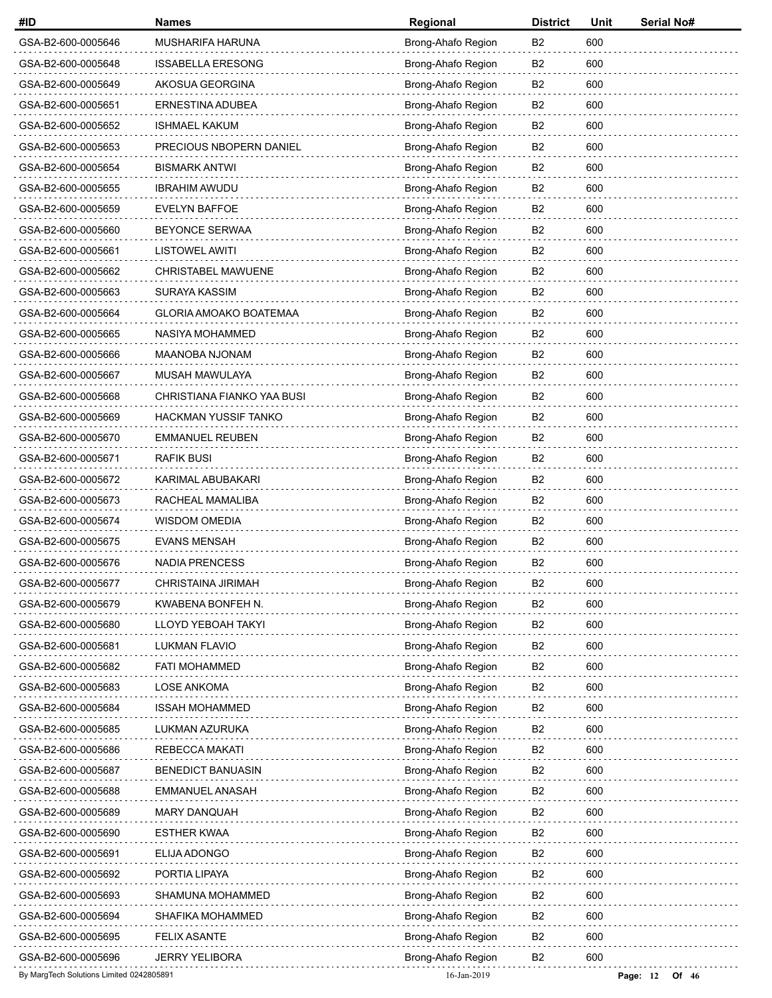| #ID                                      | <b>Names</b>               | Regional           | <b>District</b> | Unit | Serial No#          |
|------------------------------------------|----------------------------|--------------------|-----------------|------|---------------------|
| GSA-B2-600-0005646                       | MUSHARIFA HARUNA           | Brong-Ahafo Region | B2              | 600  |                     |
| GSA-B2-600-0005648                       | <b>ISSABELLA ERESONG</b>   | Brong-Ahafo Region | B2              | 600  |                     |
| GSA-B2-600-0005649                       | AKOSUA GEORGINA            | Brong-Ahafo Region | B2              | 600  |                     |
| GSA-B2-600-0005651                       | ERNESTINA ADUBEA           | Brong-Ahafo Region | B <sub>2</sub>  | 600  |                     |
| GSA-B2-600-0005652                       | <b>ISHMAEL KAKUM</b>       | Brong-Ahafo Region | B <sub>2</sub>  | 600  |                     |
| GSA-B2-600-0005653                       | PRECIOUS NBOPERN DANIEL    | Brong-Ahafo Region | B <sub>2</sub>  | 600  |                     |
| GSA-B2-600-0005654                       | <b>BISMARK ANTWI</b>       | Brong-Ahafo Region | B <sub>2</sub>  | 600  |                     |
| GSA-B2-600-0005655                       | <b>IBRAHIM AWUDU</b>       | Brong-Ahafo Region | B <sub>2</sub>  | 600  |                     |
| GSA-B2-600-0005659                       | <b>EVELYN BAFFOE</b>       | Brong-Ahafo Region | B <sub>2</sub>  | 600  |                     |
| GSA-B2-600-0005660                       | <b>BEYONCE SERWAA</b>      | Brong-Ahafo Region | B <sub>2</sub>  | 600  |                     |
| GSA-B2-600-0005661                       | <b>LISTOWEL AWITI</b>      | Brong-Ahafo Region | B2              | 600  |                     |
| GSA-B2-600-0005662                       | <b>CHRISTABEL MAWUENE</b>  | Brong-Ahafo Region | B <sub>2</sub>  | 600  |                     |
| GSA-B2-600-0005663                       | SURAYA KASSIM              | Brong-Ahafo Region | B <sub>2</sub>  | 600  |                     |
| GSA-B2-600-0005664                       | GLORIA AMOAKO BOATEMAA     | Brong-Ahafo Region | B <sub>2</sub>  | 600  |                     |
| GSA-B2-600-0005665                       | NASIYA MOHAMMED            | Brong-Ahafo Region | B <sub>2</sub>  | 600  |                     |
| GSA-B2-600-0005666                       | MAANOBA NJONAM             | Brong-Ahafo Region | B <sub>2</sub>  | 600  |                     |
| GSA-B2-600-0005667                       | MUSAH MAWULAYA             | Brong-Ahafo Region | B <sub>2</sub>  | 600  |                     |
| GSA-B2-600-0005668                       | CHRISTIANA FIANKO YAA BUSI | Brong-Ahafo Region | B <sub>2</sub>  | 600  |                     |
| GSA-B2-600-0005669                       | HACKMAN YUSSIF TANKO       | Brong-Ahafo Region | B2              | 600  |                     |
| GSA-B2-600-0005670                       | <b>EMMANUEL REUBEN</b>     | Brong-Ahafo Region | B <sub>2</sub>  | 600  |                     |
| GSA-B2-600-0005671                       | <b>RAFIK BUSI</b>          | Brong-Ahafo Region | B <sub>2</sub>  | 600  |                     |
| GSA-B2-600-0005672                       | KARIMAL ABUBAKARI          | Brong-Ahafo Region | B <sub>2</sub>  | 600  |                     |
| GSA-B2-600-0005673                       | RACHEAL MAMALIBA           | Brong-Ahafo Region | B2              | 600  |                     |
| GSA-B2-600-0005674                       | WISDOM OMEDIA              | Brong-Ahafo Region | B <sub>2</sub>  | 600  |                     |
| GSA-B2-600-0005675                       | <b>EVANS MENSAH</b>        | Brong-Ahafo Region | B <sub>2</sub>  | 600  |                     |
| GSA-B2-600-0005676                       | <b>NADIA PRENCESS</b>      | Brong-Ahafo Region | B <sub>2</sub>  | 600  |                     |
| GSA-B2-600-0005677                       | CHRISTAINA JIRIMAH         | Brong-Ahafo Region | B <sub>2</sub>  | 600  |                     |
| GSA-B2-600-0005679                       | KWABENA BONFEH N.          | Brong-Ahafo Region | B <sub>2</sub>  | 600  |                     |
| GSA-B2-600-0005680                       | LLOYD YEBOAH TAKYI         | Brong-Ahafo Region | B <sub>2</sub>  | 600  |                     |
| GSA-B2-600-0005681                       | LUKMAN FLAVIO              | Brong-Ahafo Region | B <sub>2</sub>  | 600  |                     |
| GSA-B2-600-0005682                       | <b>FATI MOHAMMED</b>       | Brong-Ahafo Region | B <sub>2</sub>  | 600  |                     |
| GSA-B2-600-0005683                       | LOSE ANKOMA                | Brong-Ahafo Region | B <sub>2</sub>  | 600  |                     |
| GSA-B2-600-0005684                       | <b>ISSAH MOHAMMED</b>      | Brong-Ahafo Region | B <sub>2</sub>  | 600  |                     |
| GSA-B2-600-0005685                       | LUKMAN AZURUKA             | Brong-Ahafo Region | B2              | 600  |                     |
| GSA-B2-600-0005686                       | <b>REBECCA MAKATI</b>      | Brong-Ahafo Region | B <sub>2</sub>  | 600  |                     |
| GSA-B2-600-0005687                       | <b>BENEDICT BANUASIN</b>   | Brong-Ahafo Region | B <sub>2</sub>  | 600  |                     |
| GSA-B2-600-0005688                       | EMMANUEL ANASAH            | Brong-Ahafo Region | B <sub>2</sub>  | 600  |                     |
| GSA-B2-600-0005689                       | <b>MARY DANQUAH</b>        | Brong-Ahafo Region | B <sub>2</sub>  | 600  |                     |
| GSA-B2-600-0005690                       | <b>ESTHER KWAA</b>         | Brong-Ahafo Region | B2              | 600  |                     |
| GSA-B2-600-0005691                       | ELIJA ADONGO               | Brong-Ahafo Region | B <sub>2</sub>  | 600  |                     |
| GSA-B2-600-0005692                       | PORTIA LIPAYA              | Brong-Ahafo Region | B <sub>2</sub>  | 600  |                     |
| GSA-B2-600-0005693                       | SHAMUNA MOHAMMED           | Brong-Ahafo Region | B <sub>2</sub>  | 600  |                     |
| GSA-B2-600-0005694                       | SHAFIKA MOHAMMED           | Brong-Ahafo Region | B2              | 600  |                     |
| GSA-B2-600-0005695                       | <b>FELIX ASANTE</b>        | Brong-Ahafo Region | B <sub>2</sub>  | 600  |                     |
| GSA-B2-600-0005696                       | <b>JERRY YELIBORA</b>      | Brong-Ahafo Region | B <sub>2</sub>  | 600  |                     |
| By MargTech Solutions Limited 0242805891 |                            | 16-Jan-2019        |                 |      | Page: 12<br>Of $46$ |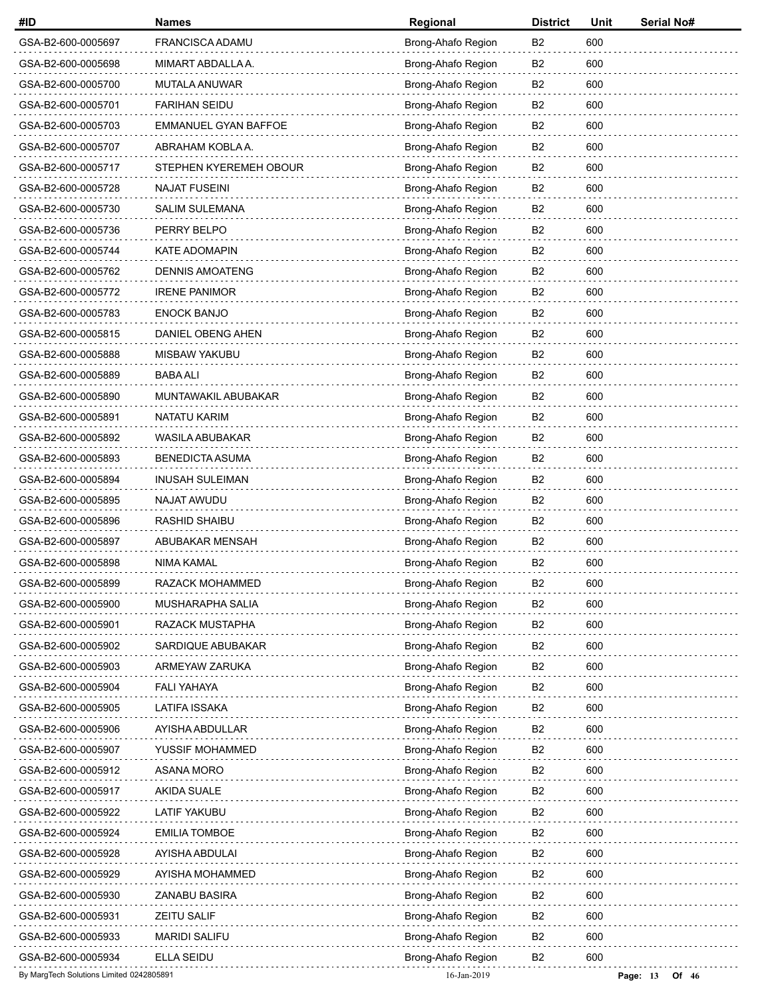| #ID                                      | <b>Names</b>                | Regional           | <b>District</b> | Unit | Serial No#          |
|------------------------------------------|-----------------------------|--------------------|-----------------|------|---------------------|
| GSA-B2-600-0005697                       | FRANCISCA ADAMU             | Brong-Ahafo Region | B2              | 600  |                     |
| GSA-B2-600-0005698                       | MIMART ABDALLA A.           | Brong-Ahafo Region | B2              | 600  |                     |
| GSA-B2-600-0005700                       | MUTALA ANUWAR               | Brong-Ahafo Region | B2              | 600  |                     |
| GSA-B2-600-0005701                       | <b>FARIHAN SEIDU</b>        | Brong-Ahafo Region | B <sub>2</sub>  | 600  |                     |
| GSA-B2-600-0005703                       | <b>EMMANUEL GYAN BAFFOE</b> | Brong-Ahafo Region | B <sub>2</sub>  | 600  |                     |
| GSA-B2-600-0005707                       | ABRAHAM KOBLA A.            | Brong-Ahafo Region | B2              | 600  |                     |
| GSA-B2-600-0005717                       | STEPHEN KYEREMEH OBOUR      | Brong-Ahafo Region | B <sub>2</sub>  | 600  |                     |
| GSA-B2-600-0005728                       | <b>NAJAT FUSEINI</b>        | Brong-Ahafo Region | B <sub>2</sub>  | 600  |                     |
| GSA-B2-600-0005730                       | <b>SALIM SULEMANA</b>       | Brong-Ahafo Region | B <sub>2</sub>  | 600  |                     |
| GSA-B2-600-0005736                       | PERRY BELPO                 | Brong-Ahafo Region | B <sub>2</sub>  | 600  |                     |
| GSA-B2-600-0005744                       | <b>KATE ADOMAPIN</b>        | Brong-Ahafo Region | B2              | 600  |                     |
| GSA-B2-600-0005762                       | <b>DENNIS AMOATENG</b>      | Brong-Ahafo Region | B <sub>2</sub>  | 600  |                     |
| GSA-B2-600-0005772                       | <b>IRENE PANIMOR</b>        | Brong-Ahafo Region | B <sub>2</sub>  | 600  |                     |
| GSA-B2-600-0005783                       | <b>ENOCK BANJO</b>          | Brong-Ahafo Region | B <sub>2</sub>  | 600  |                     |
| GSA-B2-600-0005815                       | DANIEL OBENG AHEN           | Brong-Ahafo Region | B <sub>2</sub>  | 600  |                     |
| GSA-B2-600-0005888                       | MISBAW YAKUBU               | Brong-Ahafo Region | B <sub>2</sub>  | 600  |                     |
| GSA-B2-600-0005889                       | <b>BABA ALI</b>             | Brong-Ahafo Region | B <sub>2</sub>  | 600  |                     |
| GSA-B2-600-0005890                       | MUNTAWAKIL ABUBAKAR         | Brong-Ahafo Region | B <sub>2</sub>  | 600  |                     |
| GSA-B2-600-0005891                       | NATATU KARIM                | Brong-Ahafo Region | B2              | 600  |                     |
| GSA-B2-600-0005892                       | WASILA ABUBAKAR             | Brong-Ahafo Region | B <sub>2</sub>  | 600  |                     |
| GSA-B2-600-0005893                       | <b>BENEDICTA ASUMA</b>      | Brong-Ahafo Region | B <sub>2</sub>  | 600  |                     |
| GSA-B2-600-0005894                       | <b>INUSAH SULEIMAN</b>      | Brong-Ahafo Region | B <sub>2</sub>  | 600  |                     |
| GSA-B2-600-0005895                       | NAJAT AWUDU                 | Brong-Ahafo Region | B2              | 600  |                     |
| GSA-B2-600-0005896                       | RASHID SHAIBU               | Brong-Ahafo Region | B <sub>2</sub>  | 600  |                     |
| GSA-B2-600-0005897                       | ABUBAKAR MENSAH             | Brong-Ahafo Region | B <sub>2</sub>  | 600  |                     |
| GSA-B2-600-0005898                       | <b>NIMA KAMAL</b>           | Brong-Ahafo Region | B <sub>2</sub>  | 600  |                     |
| GSA-B2-600-0005899                       | RAZACK MOHAMMED             | Brong-Ahafo Region | B <sub>2</sub>  | 600  |                     |
| GSA-B2-600-0005900                       | MUSHARAPHA SALIA            | Brong-Ahafo Region | B <sub>2</sub>  | 600  |                     |
| GSA-B2-600-0005901                       | RAZACK MUSTAPHA             | Brong-Ahafo Region | B <sub>2</sub>  | 600  |                     |
| GSA-B2-600-0005902                       | SARDIQUE ABUBAKAR           | Brong-Ahafo Region | B <sub>2</sub>  | 600  |                     |
| GSA-B2-600-0005903                       | ARMEYAW ZARUKA              | Brong-Ahafo Region | B <sub>2</sub>  | 600  |                     |
| GSA-B2-600-0005904                       | FALI YAHAYA                 | Brong-Ahafo Region | B <sub>2</sub>  | 600  |                     |
| GSA-B2-600-0005905                       | <b>LATIFA ISSAKA</b>        | Brong-Ahafo Region | B <sub>2</sub>  | 600  |                     |
| GSA-B2-600-0005906                       | AYISHA ABDULLAR             | Brong-Ahafo Region | B2              | 600  |                     |
| GSA-B2-600-0005907                       | YUSSIF MOHAMMED             | Brong-Ahafo Region | B <sub>2</sub>  | 600  |                     |
| GSA-B2-600-0005912                       | ASANA MORO                  | Brong-Ahafo Region | B <sub>2</sub>  | 600  |                     |
| GSA-B2-600-0005917                       | <b>AKIDA SUALE</b>          | Brong-Ahafo Region | B <sub>2</sub>  | 600  |                     |
| GSA-B2-600-0005922                       | LATIF YAKUBU                | Brong-Ahafo Region | B <sub>2</sub>  | 600  |                     |
| GSA-B2-600-0005924                       | <b>EMILIA TOMBOE</b>        | Brong-Ahafo Region | B2              | 600  |                     |
| GSA-B2-600-0005928                       | AYISHA ABDULAI              | Brong-Ahafo Region | B <sub>2</sub>  | 600  |                     |
| GSA-B2-600-0005929                       | AYISHA MOHAMMED             | Brong-Ahafo Region | B <sub>2</sub>  | 600  |                     |
| GSA-B2-600-0005930                       | ZANABU BASIRA               | Brong-Ahafo Region | B <sub>2</sub>  | 600  |                     |
| GSA-B2-600-0005931                       | <b>ZEITU SALIF</b>          | Brong-Ahafo Region | B <sub>2</sub>  | 600  |                     |
| GSA-B2-600-0005933                       | <b>MARIDI SALIFU</b>        | Brong-Ahafo Region | B <sub>2</sub>  | 600  |                     |
| GSA-B2-600-0005934                       | <b>ELLA SEIDU</b>           | Brong-Ahafo Region | B <sub>2</sub>  | 600  |                     |
| By MargTech Solutions Limited 0242805891 |                             | 16-Jan-2019        |                 |      | Page: 13<br>Of $46$ |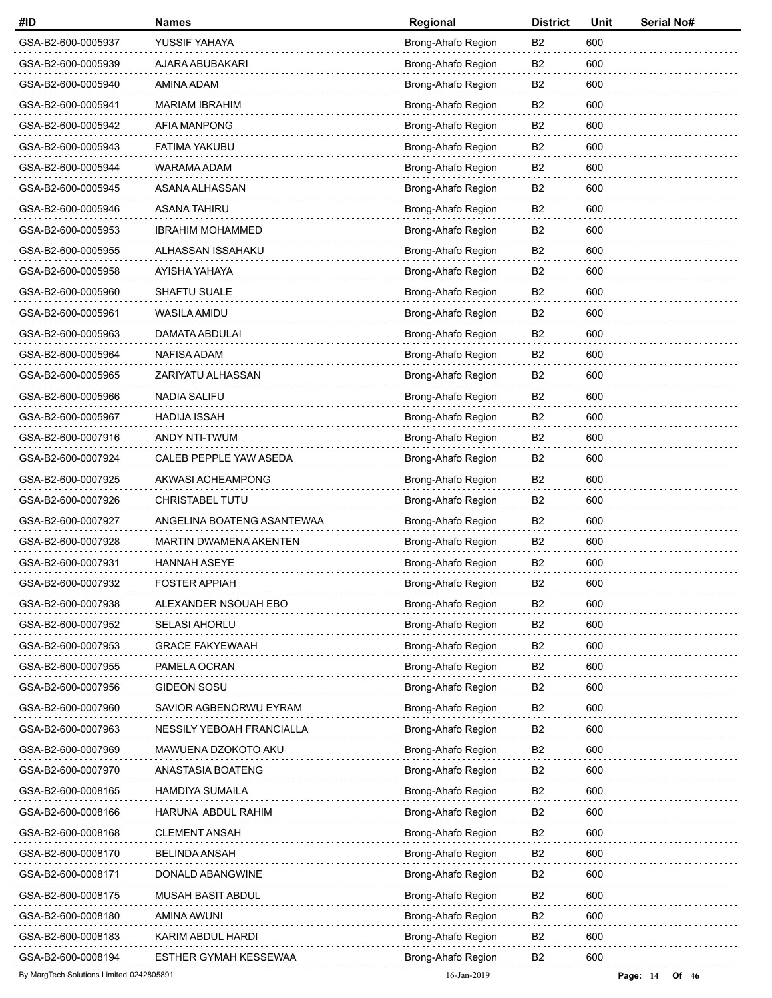| #ID                                      | <b>Names</b>                  | Regional           | <b>District</b> | Unit | <b>Serial No#</b>   |
|------------------------------------------|-------------------------------|--------------------|-----------------|------|---------------------|
| GSA-B2-600-0005937                       | YUSSIF YAHAYA                 | Brong-Ahafo Region | B <sub>2</sub>  | 600  |                     |
| GSA-B2-600-0005939                       | AJARA ABUBAKARI               | Brong-Ahafo Region | B <sub>2</sub>  | 600  |                     |
| GSA-B2-600-0005940                       | AMINA ADAM                    | Brong-Ahafo Region | B2              | 600  |                     |
| GSA-B2-600-0005941                       | <b>MARIAM IBRAHIM</b>         | Brong-Ahafo Region | B <sub>2</sub>  | 600  |                     |
| GSA-B2-600-0005942                       | <b>AFIA MANPONG</b>           | Brong-Ahafo Region | B <sub>2</sub>  | 600  |                     |
| GSA-B2-600-0005943                       | <b>FATIMA YAKUBU</b>          | Brong-Ahafo Region | B <sub>2</sub>  | 600  |                     |
| GSA-B2-600-0005944                       | WARAMA ADAM                   | Brong-Ahafo Region | B2              | 600  |                     |
| GSA-B2-600-0005945                       | ASANA ALHASSAN                | Brong-Ahafo Region | B <sub>2</sub>  | 600  |                     |
| GSA-B2-600-0005946                       | <b>ASANA TAHIRU</b>           | Brong-Ahafo Region | B <sub>2</sub>  | 600  |                     |
| GSA-B2-600-0005953                       | <b>IBRAHIM MOHAMMED</b>       | Brong-Ahafo Region | B <sub>2</sub>  | 600  |                     |
| GSA-B2-600-0005955                       | ALHASSAN ISSAHAKU             | Brong-Ahafo Region | B <sub>2</sub>  | 600  |                     |
| GSA-B2-600-0005958                       | AYISHA YAHAYA                 | Brong-Ahafo Region | B <sub>2</sub>  | 600  |                     |
| GSA-B2-600-0005960                       | SHAFTU SUALE                  | Brong-Ahafo Region | B <sub>2</sub>  | 600  |                     |
| GSA-B2-600-0005961                       | <b>WASILA AMIDU</b>           | Brong-Ahafo Region | B <sub>2</sub>  | 600  |                     |
| GSA-B2-600-0005963                       | DAMATA ABDULAI                | Brong-Ahafo Region | B <sub>2</sub>  | 600  |                     |
| GSA-B2-600-0005964                       | NAFISA ADAM                   | Brong-Ahafo Region | B <sub>2</sub>  | 600  |                     |
| GSA-B2-600-0005965                       | ZARIYATU ALHASSAN             | Brong-Ahafo Region | B <sub>2</sub>  | 600  |                     |
| GSA-B2-600-0005966                       | <b>NADIA SALIFU</b>           | Brong-Ahafo Region | B <sub>2</sub>  | 600  |                     |
| GSA-B2-600-0005967                       | <b>HADIJA ISSAH</b>           | Brong-Ahafo Region | B <sub>2</sub>  | 600  |                     |
| GSA-B2-600-0007916                       | ANDY NTI-TWUM                 | Brong-Ahafo Region | B <sub>2</sub>  | 600  |                     |
| GSA-B2-600-0007924                       | CALEB PEPPLE YAW ASEDA        | Brong-Ahafo Region | B <sub>2</sub>  | 600  |                     |
| GSA-B2-600-0007925                       | AKWASI ACHEAMPONG             | Brong-Ahafo Region | B <sub>2</sub>  | 600  |                     |
| GSA-B2-600-0007926                       | CHRISTABEL TUTU               | Brong-Ahafo Region | B <sub>2</sub>  | 600  |                     |
| GSA-B2-600-0007927                       | ANGELINA BOATENG ASANTEWAA    | Brong-Ahafo Region | B <sub>2</sub>  | 600  |                     |
| GSA-B2-600-0007928                       | <b>MARTIN DWAMENA AKENTEN</b> | Brong-Ahafo Region | B <sub>2</sub>  | 600  |                     |
| GSA-B2-600-0007931                       | HANNAH ASEYE                  | Brong-Ahafo Region | B <sub>2</sub>  | 600  |                     |
| GSA-B2-600-0007932                       | <b>FOSTER APPIAH</b>          | Brong-Ahafo Region | B <sub>2</sub>  | 600  |                     |
| GSA-B2-600-0007938                       | ALEXANDER NSOUAH EBO          | Brong-Ahafo Region | B <sub>2</sub>  | 600  |                     |
| GSA-B2-600-0007952                       | <b>SELASI AHORLU</b>          | Brong-Ahafo Region | B <sub>2</sub>  | 600  |                     |
| GSA-B2-600-0007953                       | <b>GRACE FAKYEWAAH</b>        | Brong-Ahafo Region | B <sub>2</sub>  | 600  |                     |
| GSA-B2-600-0007955                       | PAMELA OCRAN                  | Brong-Ahafo Region | B <sub>2</sub>  | 600  |                     |
| GSA-B2-600-0007956                       | GIDEON SOSU                   | Brong-Ahafo Region | B <sub>2</sub>  | 600  |                     |
| GSA-B2-600-0007960                       | SAVIOR AGBENORWU EYRAM        | Brong-Ahafo Region | B <sub>2</sub>  | 600  |                     |
| GSA-B2-600-0007963                       | NESSILY YEBOAH FRANCIALLA     | Brong-Ahafo Region | B <sub>2</sub>  | 600  |                     |
| GSA-B2-600-0007969                       | MAWUENA DZOKOTO AKU           | Brong-Ahafo Region | B <sub>2</sub>  | 600  |                     |
| GSA-B2-600-0007970                       | ANASTASIA BOATENG             | Brong-Ahafo Region | B <sub>2</sub>  | 600  |                     |
| GSA-B2-600-0008165                       | <b>HAMDIYA SUMAILA</b>        | Brong-Ahafo Region | B <sub>2</sub>  | 600  |                     |
| GSA-B2-600-0008166                       | HARUNA ABDUL RAHIM            | Brong-Ahafo Region | B <sub>2</sub>  | 600  |                     |
| GSA-B2-600-0008168                       | <b>CLEMENT ANSAH</b>          | Brong-Ahafo Region | B <sub>2</sub>  | 600  |                     |
| GSA-B2-600-0008170                       | <b>BELINDA ANSAH</b>          | Brong-Ahafo Region | B <sub>2</sub>  | 600  |                     |
| GSA-B2-600-0008171                       | DONALD ABANGWINE              | Brong-Ahafo Region | B <sub>2</sub>  | 600  |                     |
| GSA-B2-600-0008175                       | MUSAH BASIT ABDUL             | Brong-Ahafo Region | B2              | 600  |                     |
| GSA-B2-600-0008180                       | AMINA AWUNI                   | Brong-Ahafo Region | B <sub>2</sub>  | 600  |                     |
| GSA-B2-600-0008183                       | KARIM ABDUL HARDI             | Brong-Ahafo Region | B <sub>2</sub>  | 600  |                     |
| GSA-B2-600-0008194                       | ESTHER GYMAH KESSEWAA         | Brong-Ahafo Region | B <sub>2</sub>  | 600  |                     |
| By MargTech Solutions Limited 0242805891 |                               | 16-Jan-2019        |                 |      | Page: 14<br>Of $46$ |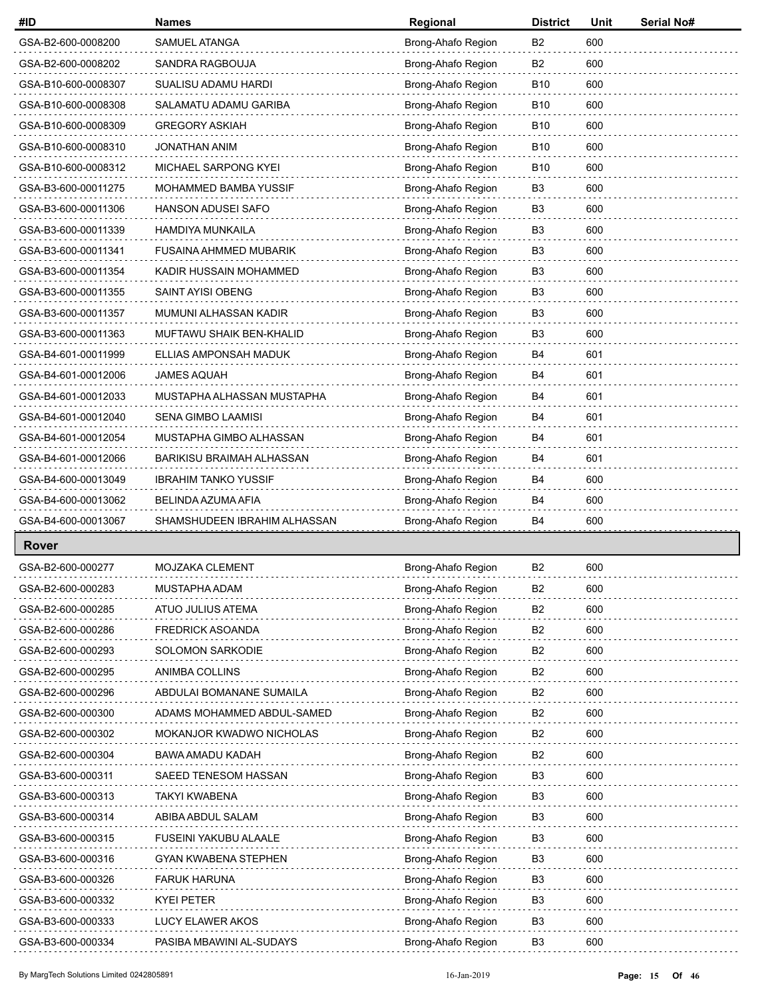| #ID                 | <b>Names</b>                     | Regional           | <b>District</b> | Unit | <b>Serial No#</b> |
|---------------------|----------------------------------|--------------------|-----------------|------|-------------------|
| GSA-B2-600-0008200  | SAMUEL ATANGA                    | Brong-Ahafo Region | <b>B2</b>       | 600  |                   |
| GSA-B2-600-0008202  | SANDRA RAGBOUJA                  | Brong-Ahafo Region | B <sub>2</sub>  | 600  |                   |
| GSA-B10-600-0008307 | SUALISU ADAMU HARDI              | Brong-Ahafo Region | <b>B10</b>      | 600  |                   |
| GSA-B10-600-0008308 | SALAMATU ADAMU GARIBA            | Brong-Ahafo Region | <b>B10</b>      | 600  |                   |
| GSA-B10-600-0008309 | <b>GREGORY ASKIAH</b>            | Brong-Ahafo Region | <b>B10</b>      | 600  |                   |
| GSA-B10-600-0008310 | <b>JONATHAN ANIM</b>             | Brong-Ahafo Region | <b>B10</b>      | 600  |                   |
| GSA-B10-600-0008312 | MICHAEL SARPONG KYEI             | Brong-Ahafo Region | <b>B10</b>      | 600  |                   |
| GSA-B3-600-00011275 | MOHAMMED BAMBA YUSSIF            | Brong-Ahafo Region | B <sub>3</sub>  | 600  |                   |
| GSA-B3-600-00011306 | <b>HANSON ADUSEI SAFO</b>        | Brong-Ahafo Region | B <sub>3</sub>  | 600  |                   |
| GSA-B3-600-00011339 | HAMDIYA MUNKAILA                 | Brong-Ahafo Region | B <sub>3</sub>  | 600  |                   |
| GSA-B3-600-00011341 | <b>FUSAINA AHMMED MUBARIK</b>    | Brong-Ahafo Region | B <sub>3</sub>  | 600  |                   |
| GSA-B3-600-00011354 | KADIR HUSSAIN MOHAMMED           | Brong-Ahafo Region | B <sub>3</sub>  | 600  |                   |
| GSA-B3-600-00011355 | SAINT AYISI OBENG                | Brong-Ahafo Region | B <sub>3</sub>  | 600  |                   |
| GSA-B3-600-00011357 | MUMUNI ALHASSAN KADIR            | Brong-Ahafo Region | B <sub>3</sub>  | 600  |                   |
| GSA-B3-600-00011363 | MUFTAWU SHAIK BEN-KHALID         | Brong-Ahafo Region | B <sub>3</sub>  | 600  |                   |
| GSA-B4-601-00011999 | ELLIAS AMPONSAH MADUK            | Brong-Ahafo Region | B4              | 601  |                   |
| GSA-B4-601-00012006 | <b>JAMES AQUAH</b>               | Brong-Ahafo Region | B4              | 601  |                   |
| GSA-B4-601-00012033 | MUSTAPHA ALHASSAN MUSTAPHA       | Brong-Ahafo Region | B4              | 601  |                   |
| GSA-B4-601-00012040 | SENA GIMBO LAAMISI               | Brong-Ahafo Region | B4              | 601  |                   |
| GSA-B4-601-00012054 | MUSTAPHA GIMBO ALHASSAN          | Brong-Ahafo Region | B4              | 601  |                   |
| GSA-B4-601-00012066 | <b>BARIKISU BRAIMAH ALHASSAN</b> | Brong-Ahafo Region | B4              | 601  |                   |
| GSA-B4-600-00013049 | <b>IBRAHIM TANKO YUSSIF</b>      | Brong-Ahafo Region | B4              | 600  |                   |
| GSA-B4-600-00013062 | BELINDA AZUMA AFIA               | Brong-Ahafo Region | B4              | 600  |                   |
| GSA-B4-600-00013067 | SHAMSHUDEEN IBRAHIM ALHASSAN     | Brong-Ahafo Region | B4              | 600  |                   |
| <b>Rover</b>        |                                  |                    |                 |      |                   |
| GSA-B2-600-000277   | MOJZAKA CLEMENT                  | Brong-Ahafo Region | B <sub>2</sub>  | 600  |                   |
| GSA-B2-600-000283   | MUSTAPHA ADAM                    | Brong-Ahafo Region | B <sub>2</sub>  | 600  |                   |
| GSA-B2-600-000285   | ATUO JULIUS ATEMA                | Brong-Ahafo Region | B <sub>2</sub>  | 600  |                   |
| GSA-B2-600-000286   | <b>FREDRICK ASOANDA</b>          | Brong-Ahafo Region | B <sub>2</sub>  | 600  |                   |
| GSA-B2-600-000293   | SOLOMON SARKODIE                 | Brong-Ahafo Region | B <sub>2</sub>  | 600  |                   |
| GSA-B2-600-000295   | ANIMBA COLLINS                   | Brong-Ahafo Region | B2              | 600  |                   |
| GSA-B2-600-000296   | ABDULAI BOMANANE SUMAILA         | Brong-Ahafo Region | B <sub>2</sub>  | 600  |                   |
| GSA-B2-600-000300   | ADAMS MOHAMMED ABDUL-SAMED       | Brong-Ahafo Region | B <sub>2</sub>  | 600  |                   |
| GSA-B2-600-000302   | MOKANJOR KWADWO NICHOLAS         | Brong-Ahafo Region | B2              | 600  |                   |
| GSA-B2-600-000304   | BAWA AMADU KADAH                 | Brong-Ahafo Region | B <sub>2</sub>  | 600  |                   |
| GSA-B3-600-000311   | SAEED TENESOM HASSAN             | Brong-Ahafo Region | B <sub>3</sub>  | 600  |                   |
| GSA-B3-600-000313   | TAKYI KWABENA                    | Brong-Ahafo Region | B <sub>3</sub>  | 600  |                   |
| GSA-B3-600-000314   | ABIBA ABDUL SALAM                | Brong-Ahafo Region | B <sub>3</sub>  | 600  |                   |
| GSA-B3-600-000315   | FUSEINI YAKUBU ALAALE            | Brong-Ahafo Region | B3              | 600  |                   |
| GSA-B3-600-000316   | GYAN KWABENA STEPHEN             | Brong-Ahafo Region | B <sub>3</sub>  | 600  |                   |
| GSA-B3-600-000326   | <b>FARUK HARUNA</b>              | Brong-Ahafo Region | B <sub>3</sub>  | 600  |                   |
| GSA-B3-600-000332   | <b>KYEI PETER</b>                | Brong-Ahafo Region | B3              | 600  |                   |
| GSA-B3-600-000333   | LUCY ELAWER AKOS                 | Brong-Ahafo Region | B <sub>3</sub>  | 600  |                   |
| GSA-B3-600-000334   | PASIBA MBAWINI AL-SUDAYS         | Brong-Ahafo Region | B <sub>3</sub>  | 600  |                   |
|                     |                                  |                    |                 |      |                   |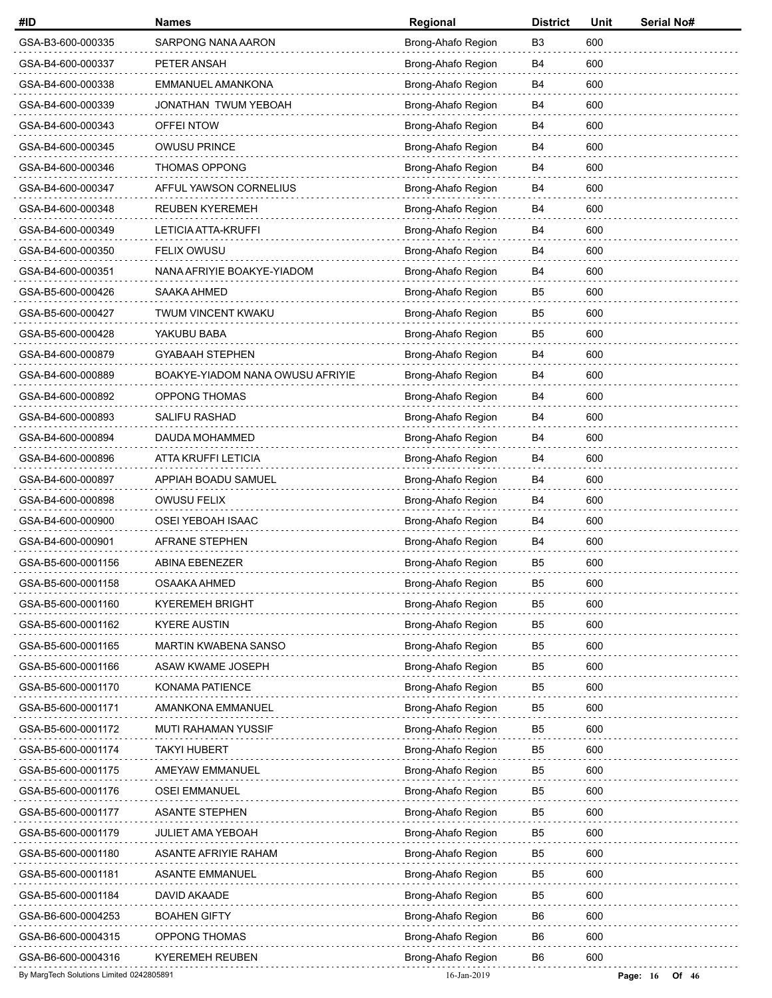| #ID                                      | <b>Names</b>                     | Regional           | <b>District</b> | Unit | Serial No#            |
|------------------------------------------|----------------------------------|--------------------|-----------------|------|-----------------------|
| GSA-B3-600-000335                        | SARPONG NANA AARON               | Brong-Ahafo Region | B <sub>3</sub>  | 600  |                       |
| GSA-B4-600-000337                        | PETER ANSAH                      | Brong-Ahafo Region | B4              | 600  |                       |
| GSA-B4-600-000338                        | EMMANUEL AMANKONA                | Brong-Ahafo Region | B4              | 600  |                       |
| GSA-B4-600-000339                        | JONATHAN TWUM YEBOAH             | Brong-Ahafo Region | B4              | 600  |                       |
| GSA-B4-600-000343                        | OFFEI NTOW                       | Brong-Ahafo Region | B4              | 600  |                       |
| GSA-B4-600-000345                        | <b>OWUSU PRINCE</b>              | Brong-Ahafo Region | B4              | 600  |                       |
| GSA-B4-600-000346                        | <b>THOMAS OPPONG</b>             | Brong-Ahafo Region | <b>B4</b>       | 600  |                       |
| GSA-B4-600-000347                        | AFFUL YAWSON CORNELIUS           | Brong-Ahafo Region | B4              | 600  |                       |
| GSA-B4-600-000348                        | <b>REUBEN KYEREMEH</b>           | Brong-Ahafo Region | B4              | 600  |                       |
| GSA-B4-600-000349                        | LETICIA ATTA-KRUFFI              | Brong-Ahafo Region | <b>B4</b>       | 600  |                       |
| GSA-B4-600-000350                        | <b>FELIX OWUSU</b>               | Brong-Ahafo Region | B4              | 600  |                       |
| GSA-B4-600-000351                        | NANA AFRIYIE BOAKYE-YIADOM       | Brong-Ahafo Region | B4              | 600  |                       |
| GSA-B5-600-000426                        | SAAKA AHMED                      | Brong-Ahafo Region | B <sub>5</sub>  | 600  |                       |
| GSA-B5-600-000427                        | TWUM VINCENT KWAKU               | Brong-Ahafo Region | B5              | 600  |                       |
| GSA-B5-600-000428                        | YAKUBU BABA                      | Brong-Ahafo Region | B <sub>5</sub>  | 600  |                       |
| GSA-B4-600-000879                        | <b>GYABAAH STEPHEN</b>           | Brong-Ahafo Region | B4              | 600  |                       |
| GSA-B4-600-000889                        | BOAKYE-YIADOM NANA OWUSU AFRIYIE | Brong-Ahafo Region | B4              | 600  |                       |
| GSA-B4-600-000892                        | OPPONG THOMAS                    | Brong-Ahafo Region | B4              | 600  |                       |
| GSA-B4-600-000893                        | <b>SALIFU RASHAD</b>             | Brong-Ahafo Region | B4              | 600  |                       |
| GSA-B4-600-000894                        | DAUDA MOHAMMED                   | Brong-Ahafo Region | B4              | 600  |                       |
| GSA-B4-600-000896                        | ATTA KRUFFI LETICIA              | Brong-Ahafo Region | B4              | 600  |                       |
| GSA-B4-600-000897                        | APPIAH BOADU SAMUEL              | Brong-Ahafo Region | <b>B4</b>       | 600  |                       |
| GSA-B4-600-000898                        | <b>OWUSU FELIX</b>               | Brong-Ahafo Region | B4              | 600  |                       |
| GSA-B4-600-000900                        | OSEI YEBOAH ISAAC                | Brong-Ahafo Region | B4              | 600  |                       |
| GSA-B4-600-000901                        | AFRANE STEPHEN                   | Brong-Ahafo Region | B4              | 600  |                       |
| GSA-B5-600-0001156                       | ABINA EBENEZER                   | Brong-Ahafo Region | B <sub>5</sub>  | 600  |                       |
| GSA-B5-600-0001158                       | OSAAKA AHMED                     | Brong-Ahafo Region | B <sub>5</sub>  | 600  |                       |
| GSA-B5-600-0001160                       | <b>KYEREMEH BRIGHT</b>           | Brong-Ahafo Region | B <sub>5</sub>  | 600  |                       |
| GSA-B5-600-0001162                       | <b>KYERE AUSTIN</b>              | Brong-Ahafo Region | B <sub>5</sub>  | 600  |                       |
| GSA-B5-600-0001165                       | <b>MARTIN KWABENA SANSO</b>      | Brong-Ahafo Region | B5              | 600  |                       |
| GSA-B5-600-0001166                       | ASAW KWAME JOSEPH                | Brong-Ahafo Region | B <sub>5</sub>  | 600  |                       |
| GSA-B5-600-0001170                       | KONAMA PATIENCE                  | Brong-Ahafo Region | B <sub>5</sub>  | 600  |                       |
| GSA-B5-600-0001171                       | AMANKONA EMMANUEL                | Brong-Ahafo Region | B <sub>5</sub>  | 600  |                       |
| GSA-B5-600-0001172                       | MUTI RAHAMAN YUSSIF              | Brong-Ahafo Region | B5              | 600  |                       |
| GSA-B5-600-0001174                       | <b>TAKYI HUBERT</b>              | Brong-Ahafo Region | B <sub>5</sub>  | 600  |                       |
| GSA-B5-600-0001175                       | AMEYAW EMMANUEL                  | Brong-Ahafo Region | B <sub>5</sub>  | 600  |                       |
| GSA-B5-600-0001176                       | <b>OSEI EMMANUEL</b>             | Brong-Ahafo Region | B <sub>5</sub>  | 600  |                       |
| GSA-B5-600-0001177                       | <b>ASANTE STEPHEN</b>            | Brong-Ahafo Region | B <sub>5</sub>  | 600  |                       |
| GSA-B5-600-0001179                       | JULIET AMA YEBOAH                | Brong-Ahafo Region | B <sub>5</sub>  | 600  |                       |
| GSA-B5-600-0001180                       | <b>ASANTE AFRIYIE RAHAM</b>      | Brong-Ahafo Region | B <sub>5</sub>  | 600  |                       |
| GSA-B5-600-0001181                       | <b>ASANTE EMMANUEL</b>           | Brong-Ahafo Region | B <sub>5</sub>  | 600  |                       |
| GSA-B5-600-0001184                       | DAVID AKAADE                     | Brong-Ahafo Region | B5              | 600  |                       |
| GSA-B6-600-0004253                       | <b>BOAHEN GIFTY</b>              | Brong-Ahafo Region | B <sub>6</sub>  | 600  |                       |
| GSA-B6-600-0004315                       | OPPONG THOMAS                    | Brong-Ahafo Region | B <sub>6</sub>  | 600  |                       |
| GSA-B6-600-0004316                       | <b>KYEREMEH REUBEN</b>           | Brong-Ahafo Region | B6              | 600  |                       |
| By MargTech Solutions Limited 0242805891 |                                  | 16-Jan-2019        |                 |      | Page: $16$<br>Of $46$ |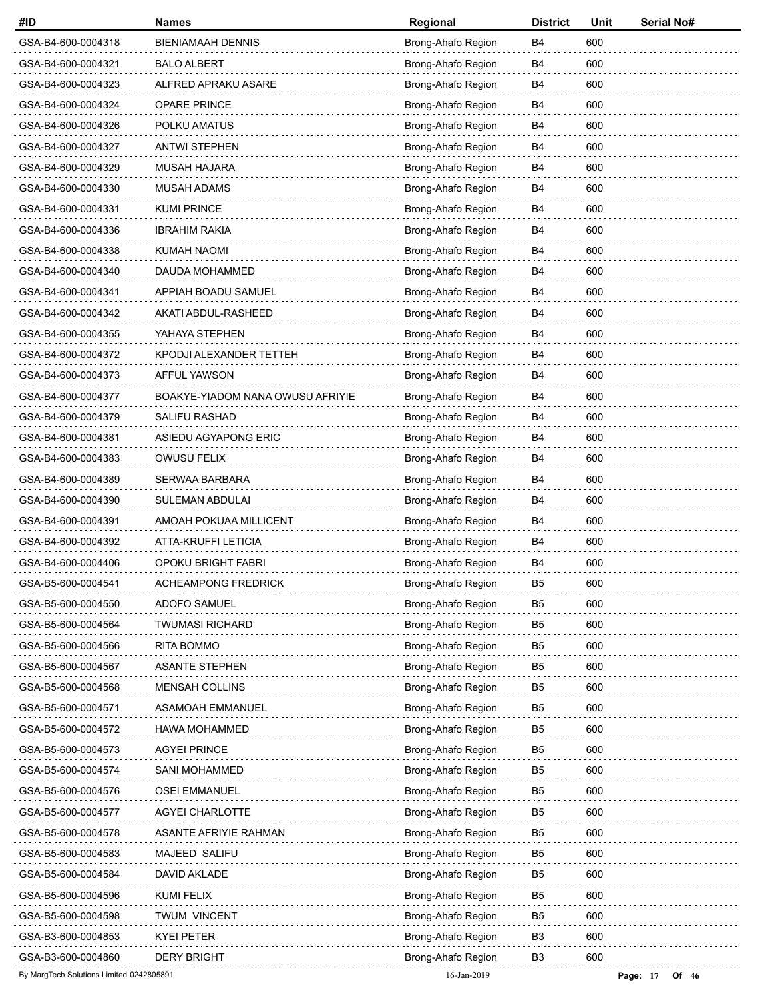| #ID                                      | <b>Names</b>                     | Regional           | <b>District</b> | Unit | Serial No#          |
|------------------------------------------|----------------------------------|--------------------|-----------------|------|---------------------|
| GSA-B4-600-0004318                       | <b>BIENIAMAAH DENNIS</b>         | Brong-Ahafo Region | B4              | 600  |                     |
| GSA-B4-600-0004321                       | <b>BALO ALBERT</b>               | Brong-Ahafo Region | B4              | 600  |                     |
| GSA-B4-600-0004323                       | ALFRED APRAKU ASARE              | Brong-Ahafo Region | B4              | 600  |                     |
| GSA-B4-600-0004324                       | <b>OPARE PRINCE</b>              | Brong-Ahafo Region | B4              | 600  |                     |
| GSA-B4-600-0004326                       | POLKU AMATUS                     | Brong-Ahafo Region | B4              | 600  |                     |
| GSA-B4-600-0004327                       | <b>ANTWI STEPHEN</b>             | Brong-Ahafo Region | B4              | 600  |                     |
| GSA-B4-600-0004329                       | <b>MUSAH HAJARA</b>              | Brong-Ahafo Region | B4              | 600  |                     |
| GSA-B4-600-0004330                       | MUSAH ADAMS                      | Brong-Ahafo Region | B4              | 600  |                     |
| GSA-B4-600-0004331                       | <b>KUMI PRINCE</b>               | Brong-Ahafo Region | B4              | 600  |                     |
| GSA-B4-600-0004336                       | <b>IBRAHIM RAKIA</b>             | Brong-Ahafo Region | B4              | 600  |                     |
| GSA-B4-600-0004338                       | KUMAH NAOMI                      | Brong-Ahafo Region | B4              | 600  |                     |
| GSA-B4-600-0004340                       | DAUDA MOHAMMED                   | Brong-Ahafo Region | B4              | 600  |                     |
| GSA-B4-600-0004341                       | APPIAH BOADU SAMUEL              | Brong-Ahafo Region | B4              | 600  |                     |
| GSA-B4-600-0004342                       | AKATI ABDUL-RASHEED              | Brong-Ahafo Region | B4              | 600  |                     |
| GSA-B4-600-0004355                       | YAHAYA STEPHEN                   | Brong-Ahafo Region | B4              | 600  |                     |
| GSA-B4-600-0004372                       | KPODJI ALEXANDER TETTEH          | Brong-Ahafo Region | B4              | 600  |                     |
| GSA-B4-600-0004373                       | AFFUL YAWSON                     | Brong-Ahafo Region | B4              | 600  |                     |
| GSA-B4-600-0004377                       | BOAKYE-YIADOM NANA OWUSU AFRIYIE | Brong-Ahafo Region | B4              | 600  |                     |
| GSA-B4-600-0004379                       | SALIFU RASHAD                    | Brong-Ahafo Region | B4              | 600  |                     |
| GSA-B4-600-0004381                       | ASIEDU AGYAPONG ERIC             | Brong-Ahafo Region | B4              | 600  |                     |
| GSA-B4-600-0004383                       | <b>OWUSU FELIX</b>               | Brong-Ahafo Region | B4              | 600  |                     |
| GSA-B4-600-0004389                       | <b>SERWAA BARBARA</b>            | Brong-Ahafo Region | B4              | 600  |                     |
| GSA-B4-600-0004390                       | SULEMAN ABDULAI                  | Brong-Ahafo Region | B4              | 600  |                     |
| GSA-B4-600-0004391                       | AMOAH POKUAA MILLICENT           | Brong-Ahafo Region | B4              | 600  |                     |
| GSA-B4-600-0004392                       | ATTA-KRUFFI LETICIA              | Brong-Ahafo Region | B4              | 600  |                     |
| GSA-B4-600-0004406                       | OPOKU BRIGHT FABRI               | Brong-Ahafo Region | B4              | 600  |                     |
| GSA-B5-600-0004541                       | <b>ACHEAMPONG FREDRICK</b>       | Brong-Ahafo Region | B <sub>5</sub>  | 600  |                     |
| GSA-B5-600-0004550                       | ADOFO SAMUEL                     | Brong-Ahafo Region | B <sub>5</sub>  | 600  |                     |
| GSA-B5-600-0004564                       | <b>TWUMASI RICHARD</b>           | Brong-Ahafo Region | B <sub>5</sub>  | 600  |                     |
| GSA-B5-600-0004566                       | <b>RITA BOMMO</b>                | Brong-Ahafo Region | B5              | 600  |                     |
| GSA-B5-600-0004567                       | <b>ASANTE STEPHEN</b>            | Brong-Ahafo Region | B <sub>5</sub>  | 600  |                     |
| GSA-B5-600-0004568                       | MENSAH COLLINS                   | Brong-Ahafo Region | B <sub>5</sub>  | 600  |                     |
| GSA-B5-600-0004571                       | <b>ASAMOAH EMMANUEL</b>          | Brong-Ahafo Region | B <sub>5</sub>  | 600  |                     |
| GSA-B5-600-0004572                       | HAWA MOHAMMED                    | Brong-Ahafo Region | B5              | 600  |                     |
| GSA-B5-600-0004573                       | <b>AGYEI PRINCE</b>              | Brong-Ahafo Region | B <sub>5</sub>  | 600  |                     |
| GSA-B5-600-0004574                       | <b>SANI MOHAMMED</b>             | Brong-Ahafo Region | B <sub>5</sub>  | 600  |                     |
| GSA-B5-600-0004576                       | <b>OSEI EMMANUEL</b>             | Brong-Ahafo Region | B <sub>5</sub>  | 600  |                     |
| GSA-B5-600-0004577                       | AGYEI CHARLOTTE                  | Brong-Ahafo Region | B5              | 600  |                     |
| GSA-B5-600-0004578                       | ASANTE AFRIYIE RAHMAN            | Brong-Ahafo Region | B <sub>5</sub>  | 600  |                     |
| GSA-B5-600-0004583                       | MAJEED SALIFU                    | Brong-Ahafo Region | B <sub>5</sub>  | 600  |                     |
| GSA-B5-600-0004584                       | DAVID AKLADE                     | Brong-Ahafo Region | B <sub>5</sub>  | 600  |                     |
| GSA-B5-600-0004596                       | KUMI FELIX                       | Brong-Ahafo Region | B5              | 600  |                     |
| GSA-B5-600-0004598                       | <b>TWUM VINCENT</b>              | Brong-Ahafo Region | B <sub>5</sub>  | 600  |                     |
| GSA-B3-600-0004853                       | <b>KYEI PETER</b>                | Brong-Ahafo Region | B <sub>3</sub>  | 600  |                     |
| GSA-B3-600-0004860                       | <b>DERY BRIGHT</b>               | Brong-Ahafo Region | B <sub>3</sub>  | 600  |                     |
| By MargTech Solutions Limited 0242805891 |                                  | 16-Jan-2019        |                 |      | Page: 17<br>Of $46$ |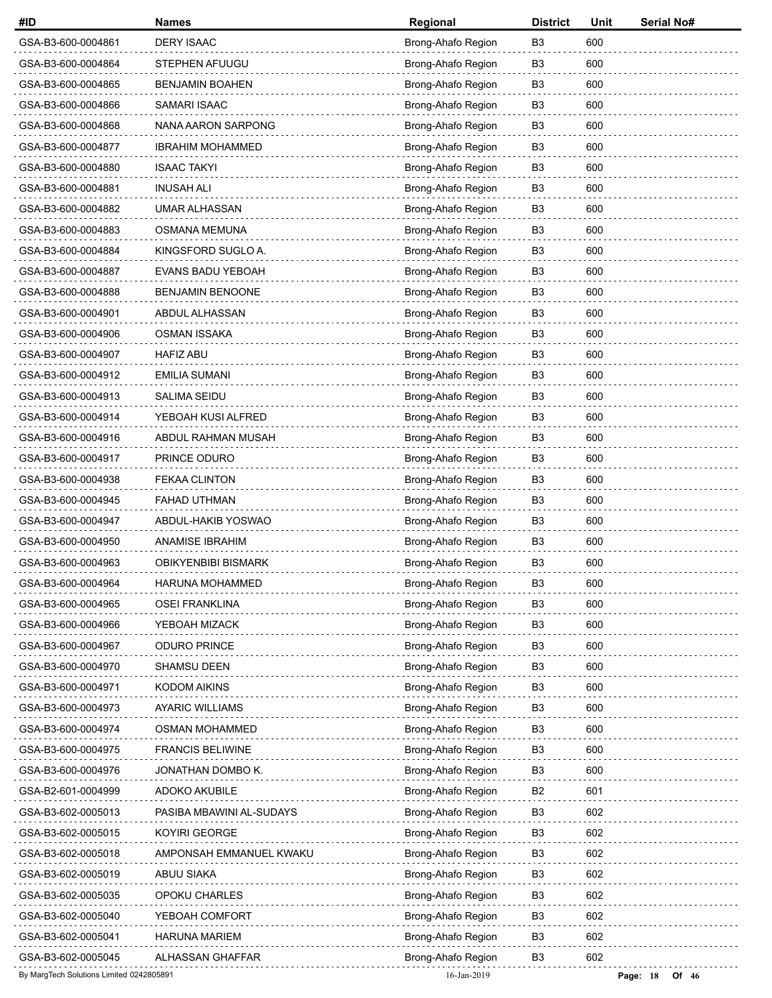| #ID                                      | <b>Names</b>               | Regional           | <b>District</b> | Unit | Serial No#          |
|------------------------------------------|----------------------------|--------------------|-----------------|------|---------------------|
| GSA-B3-600-0004861                       | <b>DERY ISAAC</b>          | Brong-Ahafo Region | B <sub>3</sub>  | 600  |                     |
| GSA-B3-600-0004864                       | STEPHEN AFUUGU             | Brong-Ahafo Region | B <sub>3</sub>  | 600  |                     |
| GSA-B3-600-0004865                       | <b>BENJAMIN BOAHEN</b>     | Brong-Ahafo Region | B <sub>3</sub>  | 600  |                     |
| GSA-B3-600-0004866                       | SAMARI ISAAC               | Brong-Ahafo Region | B <sub>3</sub>  | 600  |                     |
| GSA-B3-600-0004868                       | NANA AARON SARPONG         | Brong-Ahafo Region | B <sub>3</sub>  | 600  |                     |
| GSA-B3-600-0004877                       | <b>IBRAHIM MOHAMMED</b>    | Brong-Ahafo Region | B <sub>3</sub>  | 600  |                     |
| GSA-B3-600-0004880                       | <b>ISAAC TAKYI</b>         | Brong-Ahafo Region | B <sub>3</sub>  | 600  |                     |
| GSA-B3-600-0004881                       | <b>INUSAH ALI</b>          | Brong-Ahafo Region | B <sub>3</sub>  | 600  |                     |
| GSA-B3-600-0004882                       | <b>UMAR ALHASSAN</b>       | Brong-Ahafo Region | B <sub>3</sub>  | 600  |                     |
| GSA-B3-600-0004883                       | OSMANA MEMUNA              | Brong-Ahafo Region | B <sub>3</sub>  | 600  |                     |
| GSA-B3-600-0004884                       | KINGSFORD SUGLO A.         | Brong-Ahafo Region | B <sub>3</sub>  | 600  |                     |
| GSA-B3-600-0004887                       | <b>EVANS BADU YEBOAH</b>   | Brong-Ahafo Region | B <sub>3</sub>  | 600  |                     |
| GSA-B3-600-0004888                       | <b>BENJAMIN BENOONE</b>    | Brong-Ahafo Region | B <sub>3</sub>  | 600  |                     |
| GSA-B3-600-0004901                       | ABDUL ALHASSAN             | Brong-Ahafo Region | B <sub>3</sub>  | 600  |                     |
| GSA-B3-600-0004906                       | <b>OSMAN ISSAKA</b>        | Brong-Ahafo Region | B <sub>3</sub>  | 600  |                     |
| GSA-B3-600-0004907                       | <b>HAFIZ ABU</b>           | Brong-Ahafo Region | B <sub>3</sub>  | 600  |                     |
| GSA-B3-600-0004912                       | <b>EMILIA SUMANI</b>       | Brong-Ahafo Region | B <sub>3</sub>  | 600  |                     |
| GSA-B3-600-0004913                       | SALIMA SEIDU               | Brong-Ahafo Region | B <sub>3</sub>  | 600  |                     |
| GSA-B3-600-0004914                       | YEBOAH KUSI ALFRED         | Brong-Ahafo Region | B <sub>3</sub>  | 600  |                     |
| GSA-B3-600-0004916                       | ABDUL RAHMAN MUSAH         | Brong-Ahafo Region | B <sub>3</sub>  | 600  |                     |
| GSA-B3-600-0004917                       | PRINCE ODURO               | Brong-Ahafo Region | B <sub>3</sub>  | 600  |                     |
| GSA-B3-600-0004938                       | <b>FEKAA CLINTON</b>       | Brong-Ahafo Region | B <sub>3</sub>  | 600  |                     |
| GSA-B3-600-0004945                       | FAHAD UTHMAN               | Brong-Ahafo Region | B <sub>3</sub>  | 600  |                     |
| GSA-B3-600-0004947                       | ABDUL-HAKIB YOSWAO         | Brong-Ahafo Region | B <sub>3</sub>  | 600  |                     |
| GSA-B3-600-0004950                       | ANAMISE IBRAHIM            | Brong-Ahafo Region | B3              | 600  |                     |
| GSA-B3-600-0004963                       | <b>OBIKYENBIBI BISMARK</b> | Brong-Ahafo Region | B <sub>3</sub>  | 600  |                     |
| GSA-B3-600-0004964                       | HARUNA MOHAMMED            | Brong-Ahafo Region | B <sub>3</sub>  | 600  |                     |
| GSA-B3-600-0004965                       | <b>OSEI FRANKLINA</b>      | Brong-Ahafo Region | B <sub>3</sub>  | 600  |                     |
| GSA-B3-600-0004966                       | YEBOAH MIZACK              | Brong-Ahafo Region | B3              | 600  |                     |
| GSA-B3-600-0004967                       | ODURO PRINCE               | Brong-Ahafo Region | B <sub>3</sub>  | 600  |                     |
| GSA-B3-600-0004970                       | <b>SHAMSU DEEN</b>         | Brong-Ahafo Region | B <sub>3</sub>  | 600  |                     |
| GSA-B3-600-0004971                       | <b>KODOM AIKINS</b>        | Brong-Ahafo Region | B <sub>3</sub>  | 600  |                     |
| GSA-B3-600-0004973                       | <b>AYARIC WILLIAMS</b>     | Brong-Ahafo Region | B <sub>3</sub>  | 600  |                     |
| GSA-B3-600-0004974                       | <b>OSMAN MOHAMMED</b>      | Brong-Ahafo Region | B3              | 600  |                     |
| GSA-B3-600-0004975                       | <b>FRANCIS BELIWINE</b>    | Brong-Ahafo Region | B <sub>3</sub>  | 600  |                     |
| GSA-B3-600-0004976                       | JONATHAN DOMBO K.          | Brong-Ahafo Region | B <sub>3</sub>  | 600  |                     |
| GSA-B2-601-0004999                       | ADOKO AKUBILE              | Brong-Ahafo Region | B <sub>2</sub>  | 601  |                     |
| GSA-B3-602-0005013                       | PASIBA MBAWINI AL-SUDAYS   | Brong-Ahafo Region | B <sub>3</sub>  | 602  |                     |
| GSA-B3-602-0005015                       | KOYIRI GEORGE              | Brong-Ahafo Region | B3              | 602  |                     |
| GSA-B3-602-0005018                       | AMPONSAH EMMANUEL KWAKU    | Brong-Ahafo Region | B <sub>3</sub>  | 602  |                     |
| GSA-B3-602-0005019                       | ABUU SIAKA                 | Brong-Ahafo Region | B <sub>3</sub>  | 602  |                     |
| GSA-B3-602-0005035                       | OPOKU CHARLES              | Brong-Ahafo Region | B3              | 602  |                     |
| GSA-B3-602-0005040                       | YEBOAH COMFORT             | Brong-Ahafo Region | B <sub>3</sub>  | 602  |                     |
| GSA-B3-602-0005041                       | <b>HARUNA MARIEM</b>       | Brong-Ahafo Region | B <sub>3</sub>  | 602  |                     |
| GSA-B3-602-0005045                       | ALHASSAN GHAFFAR           | Brong-Ahafo Region | B <sub>3</sub>  | 602  |                     |
| By MargTech Solutions Limited 0242805891 |                            | 16-Jan-2019        |                 |      | Page: 18<br>Of $46$ |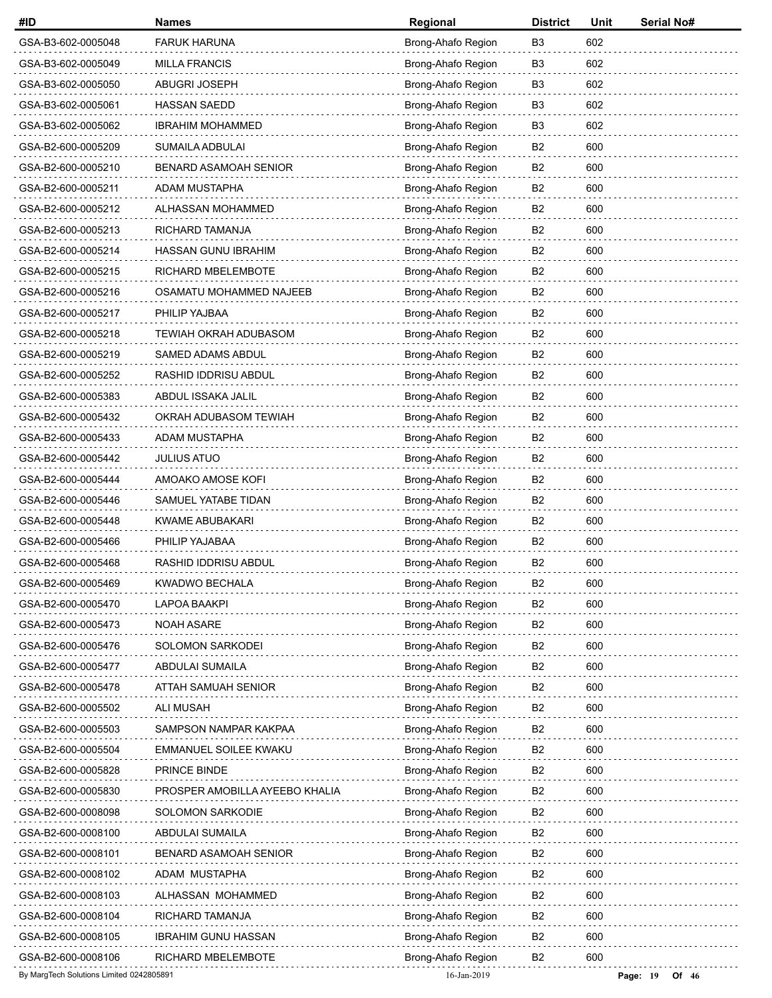| #ID                                      | <b>Names</b>                   | Regional           | <b>District</b> | Unit | Serial No#            |
|------------------------------------------|--------------------------------|--------------------|-----------------|------|-----------------------|
| GSA-B3-602-0005048                       | <b>FARUK HARUNA</b>            | Brong-Ahafo Region | B <sub>3</sub>  | 602  |                       |
| GSA-B3-602-0005049                       | <b>MILLA FRANCIS</b>           | Brong-Ahafo Region | B <sub>3</sub>  | 602  |                       |
| GSA-B3-602-0005050                       | <b>ABUGRI JOSEPH</b>           | Brong-Ahafo Region | B3              | 602  |                       |
| GSA-B3-602-0005061                       | <b>HASSAN SAEDD</b>            | Brong-Ahafo Region | B <sub>3</sub>  | 602  |                       |
| GSA-B3-602-0005062                       | <b>IBRAHIM MOHAMMED</b>        | Brong-Ahafo Region | B <sub>3</sub>  | 602  |                       |
| GSA-B2-600-0005209                       | SUMAILA ADBULAI                | Brong-Ahafo Region | B <sub>2</sub>  | 600  |                       |
| GSA-B2-600-0005210                       | BENARD ASAMOAH SENIOR          | Brong-Ahafo Region | B <sub>2</sub>  | 600  |                       |
| GSA-B2-600-0005211                       | ADAM MUSTAPHA                  | Brong-Ahafo Region | B <sub>2</sub>  | 600  |                       |
| GSA-B2-600-0005212                       | ALHASSAN MOHAMMED              | Brong-Ahafo Region | B <sub>2</sub>  | 600  |                       |
| GSA-B2-600-0005213                       | RICHARD TAMANJA                | Brong-Ahafo Region | B <sub>2</sub>  | 600  |                       |
| GSA-B2-600-0005214                       | HASSAN GUNU IBRAHIM            | Brong-Ahafo Region | B2              | 600  |                       |
| GSA-B2-600-0005215                       | RICHARD MBELEMBOTE             | Brong-Ahafo Region | B <sub>2</sub>  | 600  |                       |
| GSA-B2-600-0005216                       | OSAMATU MOHAMMED NAJEEB        | Brong-Ahafo Region | B <sub>2</sub>  | 600  |                       |
| GSA-B2-600-0005217                       | PHILIP YAJBAA                  | Brong-Ahafo Region | B <sub>2</sub>  | 600  |                       |
| GSA-B2-600-0005218                       | <b>TEWIAH OKRAH ADUBASOM</b>   | Brong-Ahafo Region | B <sub>2</sub>  | 600  |                       |
| GSA-B2-600-0005219                       | SAMED ADAMS ABDUL              | Brong-Ahafo Region | B <sub>2</sub>  | 600  |                       |
| GSA-B2-600-0005252                       | RASHID IDDRISU ABDUL           | Brong-Ahafo Region | B <sub>2</sub>  | 600  |                       |
| GSA-B2-600-0005383                       | ABDUL ISSAKA JALIL             | Brong-Ahafo Region | B <sub>2</sub>  | 600  |                       |
| GSA-B2-600-0005432                       | OKRAH ADUBASOM TEWIAH          | Brong-Ahafo Region | B2              | 600  |                       |
| GSA-B2-600-0005433                       | ADAM MUSTAPHA                  | Brong-Ahafo Region | B <sub>2</sub>  | 600  |                       |
| GSA-B2-600-0005442                       | <b>JULIUS ATUO</b>             | Brong-Ahafo Region | B <sub>2</sub>  | 600  |                       |
| GSA-B2-600-0005444                       | AMOAKO AMOSE KOFI              | Brong-Ahafo Region | B <sub>2</sub>  | 600  |                       |
| GSA-B2-600-0005446                       | SAMUEL YATABE TIDAN            | Brong-Ahafo Region | B2              | 600  |                       |
| GSA-B2-600-0005448                       | KWAME ABUBAKARI                | Brong-Ahafo Region | B <sub>2</sub>  | 600  |                       |
| GSA-B2-600-0005466                       | PHILIP YAJABAA                 | Brong-Ahafo Region | B <sub>2</sub>  | 600  |                       |
| GSA-B2-600-0005468                       | RASHID IDDRISU ABDUL           | Brong-Ahafo Region | B <sub>2</sub>  | 600  |                       |
| GSA-B2-600-0005469                       | <b>KWADWO BECHALA</b>          | Brong-Ahafo Region | B2              | 600  |                       |
| GSA-B2-600-0005470                       | LAPOA BAAKPI                   | Brong-Ahafo Region | B <sub>2</sub>  | 600  |                       |
| GSA-B2-600-0005473                       | <b>NOAH ASARE</b>              | Brong-Ahafo Region | B <sub>2</sub>  | 600  |                       |
| GSA-B2-600-0005476                       | <b>SOLOMON SARKODEI</b>        | Brong-Ahafo Region | B <sub>2</sub>  | 600  |                       |
| GSA-B2-600-0005477                       | ABDULAI SUMAILA                | Brong-Ahafo Region | B2              | 600  |                       |
| GSA-B2-600-0005478                       | ATTAH SAMUAH SENIOR            | Brong-Ahafo Region | B <sub>2</sub>  | 600  |                       |
| GSA-B2-600-0005502                       | <b>ALI MUSAH</b>               | Brong-Ahafo Region | B <sub>2</sub>  | 600  |                       |
| GSA-B2-600-0005503                       | SAMPSON NAMPAR KAKPAA          | Brong-Ahafo Region | B2              | 600  |                       |
| GSA-B2-600-0005504                       | EMMANUEL SOILEE KWAKU          | Brong-Ahafo Region | B <sub>2</sub>  | 600  |                       |
| GSA-B2-600-0005828                       | PRINCE BINDE                   | Brong-Ahafo Region | B <sub>2</sub>  | 600  |                       |
| GSA-B2-600-0005830                       | PROSPER AMOBILLA AYEEBO KHALIA | Brong-Ahafo Region | B <sub>2</sub>  | 600  |                       |
| GSA-B2-600-0008098                       | SOLOMON SARKODIE               | Brong-Ahafo Region | B <sub>2</sub>  | 600  |                       |
| GSA-B2-600-0008100                       | ABDULAI SUMAILA                | Brong-Ahafo Region | B2              | 600  |                       |
| GSA-B2-600-0008101                       | <b>BENARD ASAMOAH SENIOR</b>   | Brong-Ahafo Region | B <sub>2</sub>  | 600  |                       |
| GSA-B2-600-0008102                       | ADAM MUSTAPHA                  | Brong-Ahafo Region | B <sub>2</sub>  | 600  |                       |
| GSA-B2-600-0008103                       | ALHASSAN MOHAMMED              | Brong-Ahafo Region | B2              | 600  |                       |
| GSA-B2-600-0008104                       | RICHARD TAMANJA                | Brong-Ahafo Region | B2              | 600  |                       |
| GSA-B2-600-0008105                       | <b>IBRAHIM GUNU HASSAN</b>     | Brong-Ahafo Region | B <sub>2</sub>  | 600  |                       |
| GSA-B2-600-0008106                       | RICHARD MBELEMBOTE             | Brong-Ahafo Region | B2              | 600  |                       |
| By MargTech Solutions Limited 0242805891 |                                | 16-Jan-2019        |                 |      | Page: $19$<br>Of $46$ |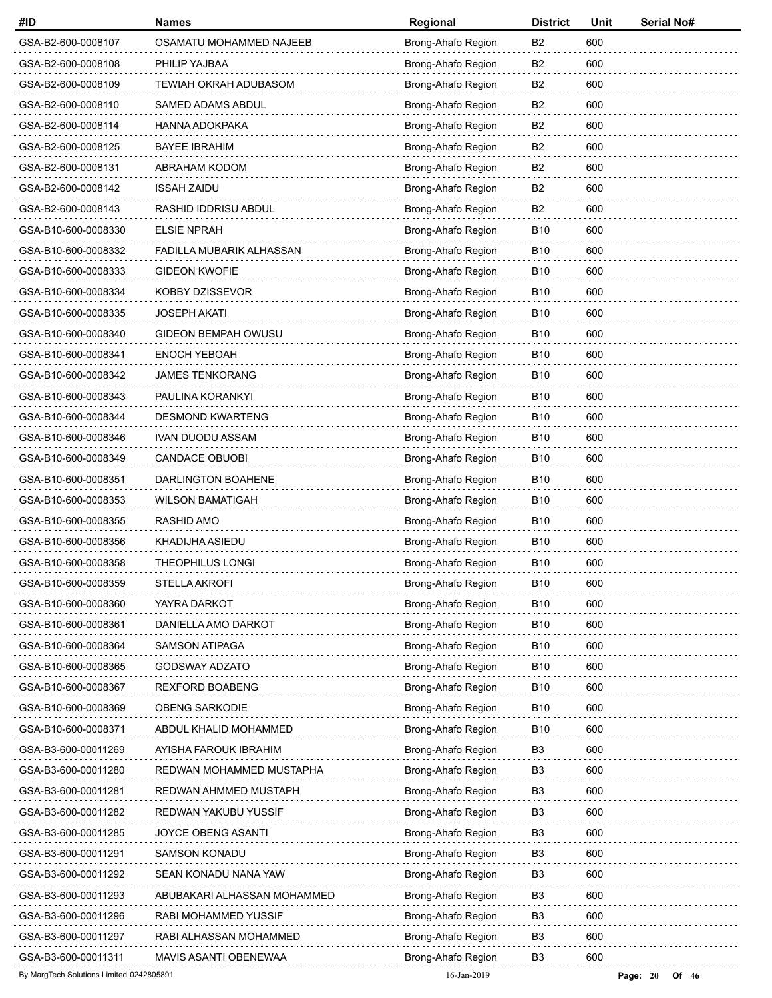| #ID                                      | <b>Names</b>                | Regional           | <b>District</b> | Unit | Serial No#          |
|------------------------------------------|-----------------------------|--------------------|-----------------|------|---------------------|
| GSA-B2-600-0008107                       | OSAMATU MOHAMMED NAJEEB     | Brong-Ahafo Region | B2              | 600  |                     |
| GSA-B2-600-0008108                       | PHILIP YAJBAA               | Brong-Ahafo Region | B2              | 600  |                     |
| GSA-B2-600-0008109                       | TEWIAH OKRAH ADUBASOM       | Brong-Ahafo Region | B <sub>2</sub>  | 600  |                     |
| GSA-B2-600-0008110                       | SAMED ADAMS ABDUL           | Brong-Ahafo Region | B <sub>2</sub>  | 600  |                     |
| GSA-B2-600-0008114                       | <b>HANNA ADOKPAKA</b>       | Brong-Ahafo Region | B2              | 600  |                     |
| GSA-B2-600-0008125                       | <b>BAYEE IBRAHIM</b>        | Brong-Ahafo Region | B2              | 600  |                     |
| GSA-B2-600-0008131                       | ABRAHAM KODOM               | Brong-Ahafo Region | B2              | 600  |                     |
| GSA-B2-600-0008142                       | <b>ISSAH ZAIDU</b>          | Brong-Ahafo Region | B <sub>2</sub>  | 600  |                     |
| GSA-B2-600-0008143                       | RASHID IDDRISU ABDUL        | Brong-Ahafo Region | B2              | 600  |                     |
| GSA-B10-600-0008330                      | <b>ELSIE NPRAH</b>          | Brong-Ahafo Region | <b>B10</b>      | 600  |                     |
| GSA-B10-600-0008332                      | FADILLA MUBARIK ALHASSAN    | Brong-Ahafo Region | <b>B10</b>      | 600  |                     |
| GSA-B10-600-0008333                      | <b>GIDEON KWOFIE</b>        | Brong-Ahafo Region | <b>B10</b>      | 600  |                     |
| GSA-B10-600-0008334                      | KOBBY DZISSEVOR             | Brong-Ahafo Region | B <sub>10</sub> | 600  |                     |
| GSA-B10-600-0008335                      | <b>JOSEPH AKATI</b>         | Brong-Ahafo Region | B <sub>10</sub> | 600  |                     |
| GSA-B10-600-0008340                      | <b>GIDEON BEMPAH OWUSU</b>  | Brong-Ahafo Region | <b>B10</b>      | 600  |                     |
| GSA-B10-600-0008341                      | <b>ENOCH YEBOAH</b>         | Brong-Ahafo Region | <b>B10</b>      | 600  |                     |
| GSA-B10-600-0008342                      | <b>JAMES TENKORANG</b>      | Brong-Ahafo Region | B <sub>10</sub> | 600  |                     |
| GSA-B10-600-0008343                      | PAULINA KORANKYI            | Brong-Ahafo Region | <b>B10</b>      | 600  |                     |
| GSA-B10-600-0008344                      | <b>DESMOND KWARTENG</b>     | Brong-Ahafo Region | <b>B10</b>      | 600  |                     |
| GSA-B10-600-0008346                      | IVAN DUODU ASSAM            | Brong-Ahafo Region | <b>B10</b>      | 600  |                     |
| GSA-B10-600-0008349                      | <b>CANDACE OBUOBI</b>       | Brong-Ahafo Region | B <sub>10</sub> | 600  |                     |
| GSA-B10-600-0008351                      | DARLINGTON BOAHENE          | Brong-Ahafo Region | B <sub>10</sub> | 600  |                     |
| GSA-B10-600-0008353                      | <b>WILSON BAMATIGAH</b>     | Brong-Ahafo Region | B <sub>10</sub> | 600  |                     |
| GSA-B10-600-0008355                      | RASHID AMO                  | Brong-Ahafo Region | <b>B10</b>      | 600  |                     |
| GSA-B10-600-0008356                      | KHADIJHA ASIEDU             | Brong-Ahafo Region | B <sub>10</sub> | 600  |                     |
| GSA-B10-600-0008358                      | <b>THEOPHILUS LONGI</b>     | Brong-Ahafo Region | <b>B10</b>      | 600  |                     |
| GSA-B10-600-0008359                      | STELLA AKROFI               | Brong-Ahafo Region | <b>B10</b>      | 600  |                     |
| GSA-B10-600-0008360                      | YAYRA DARKOT                | Brong-Ahafo Region | <b>B10</b>      | 600  |                     |
| GSA-B10-600-0008361                      | DANIELLA AMO DARKOT         | Brong-Ahafo Region | B <sub>10</sub> | 600  |                     |
| GSA-B10-600-0008364                      | <b>SAMSON ATIPAGA</b>       | Brong-Ahafo Region | B <sub>10</sub> | 600  |                     |
| GSA-B10-600-0008365                      | GODSWAY ADZATO              | Brong-Ahafo Region | B <sub>10</sub> | 600  |                     |
| GSA-B10-600-0008367                      | <b>REXFORD BOABENG</b>      | Brong-Ahafo Region | <b>B10</b>      | 600  |                     |
| GSA-B10-600-0008369                      | OBENG SARKODIE              | Brong-Ahafo Region | <b>B10</b>      | 600  |                     |
| GSA-B10-600-0008371                      | ABDUL KHALID MOHAMMED       | Brong-Ahafo Region | B <sub>10</sub> | 600  |                     |
| GSA-B3-600-00011269                      | AYISHA FAROUK IBRAHIM       | Brong-Ahafo Region | B <sub>3</sub>  | 600  |                     |
| GSA-B3-600-00011280                      | REDWAN MOHAMMED MUSTAPHA    | Brong-Ahafo Region | B <sub>3</sub>  | 600  |                     |
| GSA-B3-600-00011281                      | REDWAN AHMMED MUSTAPH       | Brong-Ahafo Region | B3              | 600  |                     |
| GSA-B3-600-00011282                      | REDWAN YAKUBU YUSSIF        | Brong-Ahafo Region | B3              | 600  |                     |
| GSA-B3-600-00011285                      | JOYCE OBENG ASANTI          | Brong-Ahafo Region | B <sub>3</sub>  | 600  |                     |
| GSA-B3-600-00011291                      | <b>SAMSON KONADU</b>        | Brong-Ahafo Region | B <sub>3</sub>  | 600  |                     |
| GSA-B3-600-00011292                      | SEAN KONADU NANA YAW        | Brong-Ahafo Region | B <sub>3</sub>  | 600  |                     |
| GSA-B3-600-00011293                      | ABUBAKARI ALHASSAN MOHAMMED | Brong-Ahafo Region | B3              | 600  |                     |
| GSA-B3-600-00011296                      | RABI MOHAMMED YUSSIF        | Brong-Ahafo Region | B <sub>3</sub>  | 600  |                     |
| GSA-B3-600-00011297                      | RABI ALHASSAN MOHAMMED      | Brong-Ahafo Region | B <sub>3</sub>  | 600  |                     |
| GSA-B3-600-00011311                      | MAVIS ASANTI OBENEWAA       | Brong-Ahafo Region | B3              | 600  |                     |
| By MargTech Solutions Limited 0242805891 |                             | 16-Jan-2019        |                 |      | Page: 20<br>Of $46$ |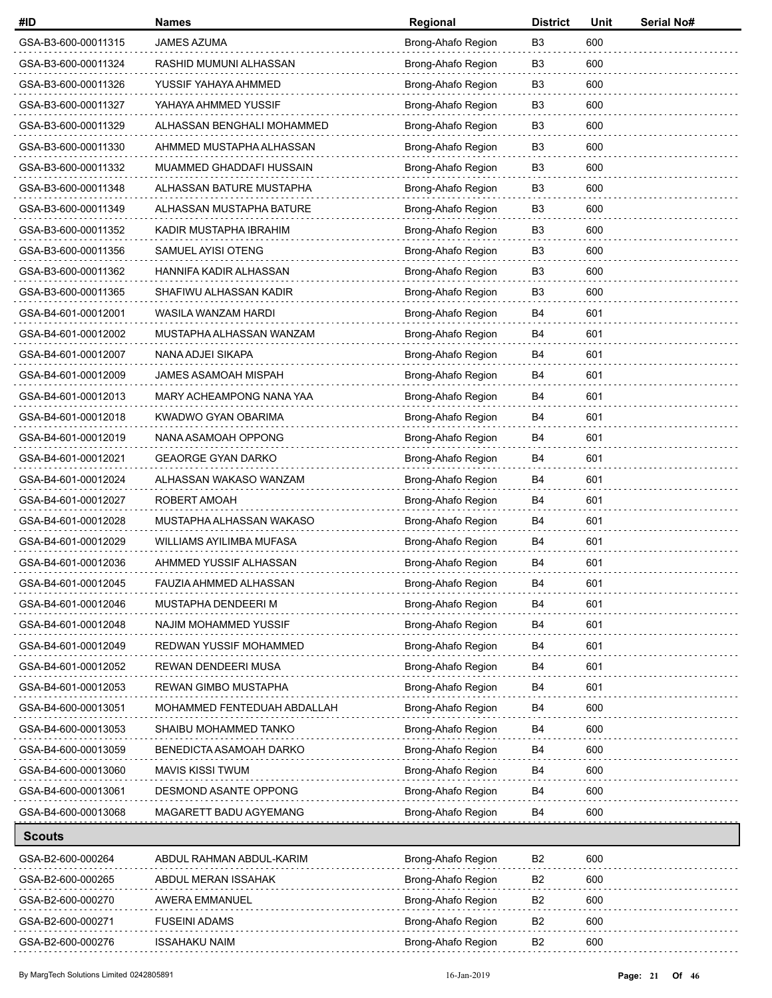| #ID                 | <b>Names</b>                | Regional           | <b>District</b> | Unit | Serial No# |
|---------------------|-----------------------------|--------------------|-----------------|------|------------|
| GSA-B3-600-00011315 | <b>JAMES AZUMA</b>          | Brong-Ahafo Region | B3              | 600  |            |
| GSA-B3-600-00011324 | RASHID MUMUNI ALHASSAN      | Brong-Ahafo Region | B <sub>3</sub>  | 600  |            |
| GSA-B3-600-00011326 | YUSSIF YAHAYA AHMMED        | Brong-Ahafo Region | B <sub>3</sub>  | 600  |            |
| GSA-B3-600-00011327 | YAHAYA AHMMED YUSSIF        | Brong-Ahafo Region | B <sub>3</sub>  | 600  |            |
| GSA-B3-600-00011329 | ALHASSAN BENGHALI MOHAMMED  | Brong-Ahafo Region | B <sub>3</sub>  | 600  |            |
| GSA-B3-600-00011330 | AHMMED MUSTAPHA ALHASSAN    | Brong-Ahafo Region | B <sub>3</sub>  | 600  |            |
| GSA-B3-600-00011332 | MUAMMED GHADDAFI HUSSAIN    | Brong-Ahafo Region | B <sub>3</sub>  | 600  |            |
| GSA-B3-600-00011348 | ALHASSAN BATURE MUSTAPHA    | Brong-Ahafo Region | B <sub>3</sub>  | 600  |            |
| GSA-B3-600-00011349 | ALHASSAN MUSTAPHA BATURE    | Brong-Ahafo Region | B <sub>3</sub>  | 600  |            |
| GSA-B3-600-00011352 | KADIR MUSTAPHA IBRAHIM      | Brong-Ahafo Region | B <sub>3</sub>  | 600  |            |
| GSA-B3-600-00011356 | SAMUEL AYISI OTENG          | Brong-Ahafo Region | B3              | 600  |            |
| GSA-B3-600-00011362 | HANNIFA KADIR ALHASSAN      | Brong-Ahafo Region | B <sub>3</sub>  | 600  |            |
| GSA-B3-600-00011365 | SHAFIWU ALHASSAN KADIR      | Brong-Ahafo Region | B <sub>3</sub>  | 600  |            |
| GSA-B4-601-00012001 | WASILA WANZAM HARDI         | Brong-Ahafo Region | B4              | 601  |            |
| GSA-B4-601-00012002 | MUSTAPHA ALHASSAN WANZAM    | Brong-Ahafo Region | B4              | 601  |            |
| GSA-B4-601-00012007 | NANA ADJEI SIKAPA           | Brong-Ahafo Region | B4              | 601  |            |
| GSA-B4-601-00012009 | <b>JAMES ASAMOAH MISPAH</b> | Brong-Ahafo Region | B4              | 601  |            |
| GSA-B4-601-00012013 | MARY ACHEAMPONG NANA YAA    | Brong-Ahafo Region | <b>B4</b>       | 601  |            |
| GSA-B4-601-00012018 | KWADWO GYAN OBARIMA         | Brong-Ahafo Region | B4              | 601  |            |
| GSA-B4-601-00012019 | NANA ASAMOAH OPPONG         | Brong-Ahafo Region | <b>B4</b>       | 601  |            |
| GSA-B4-601-00012021 | <b>GEAORGE GYAN DARKO</b>   | Brong-Ahafo Region | B4              | 601  |            |
| GSA-B4-601-00012024 | ALHASSAN WAKASO WANZAM      | Brong-Ahafo Region | <b>B4</b>       | 601  |            |
| GSA-B4-601-00012027 | ROBERT AMOAH                | Brong-Ahafo Region | B4              | 601  |            |
| GSA-B4-601-00012028 | MUSTAPHA ALHASSAN WAKASO    | Brong-Ahafo Region | B4              | 601  |            |
| GSA-B4-601-00012029 | WILLIAMS AYILIMBA MUFASA    | Brong-Ahafo Region | B4              | 601  |            |
| GSA-B4-601-00012036 | AHMMED YUSSIF ALHASSAN      | Brong-Ahafo Region | B4              | 601  |            |
| GSA-B4-601-00012045 | FAUZIA AHMMED ALHASSAN      | Brong-Ahafo Region | B4              | 601  |            |
| GSA-B4-601-00012046 | MUSTAPHA DENDEERI M         | Brong-Ahafo Region | B4              | 601  |            |
| GSA-B4-601-00012048 | NAJIM MOHAMMED YUSSIF       | Brong-Ahafo Region | B4              | 601  |            |
| GSA-B4-601-00012049 | REDWAN YUSSIF MOHAMMED      | Brong-Ahafo Region | B4              | 601  |            |
| GSA-B4-601-00012052 | REWAN DENDEERI MUSA         | Brong-Ahafo Region | B4              | 601  |            |
| GSA-B4-601-00012053 | REWAN GIMBO MUSTAPHA        | Brong-Ahafo Region | B4              | 601  |            |
| GSA-B4-600-00013051 | MOHAMMED FENTEDUAH ABDALLAH | Brong-Ahafo Region | B4              | 600  |            |
| GSA-B4-600-00013053 | SHAIBU MOHAMMED TANKO       | Brong-Ahafo Region | B4              | 600  |            |
| GSA-B4-600-00013059 | BENEDICTA ASAMOAH DARKO     | Brong-Ahafo Region | B4              | 600  |            |
| GSA-B4-600-00013060 | <b>MAVIS KISSI TWUM</b>     | Brong-Ahafo Region | B4              | 600  |            |
| GSA-B4-600-00013061 | DESMOND ASANTE OPPONG       | Brong-Ahafo Region | B4              | 600  |            |
| GSA-B4-600-00013068 | MAGARETT BADU AGYEMANG      | Brong-Ahafo Region | B <sub>4</sub>  | 600  |            |
| <b>Scouts</b>       |                             |                    |                 |      |            |
| GSA-B2-600-000264   | ABDUL RAHMAN ABDUL-KARIM    | Brong-Ahafo Region | B <sub>2</sub>  | 600  |            |
|                     |                             |                    |                 |      |            |

| GSA-B2-600-000264 | ABDUL RAHMAN ABDUL-KARIM | Brong-Ahafo Region | B <sub>2</sub> | 600 |
|-------------------|--------------------------|--------------------|----------------|-----|
| GSA-B2-600-000265 | ABDUL MERAN ISSAHAK      | Brong-Ahafo Region | B <sub>2</sub> | 600 |
| GSA-B2-600-000270 | AWERA EMMANUEL           | Brong-Ahafo Region | B <sub>2</sub> | 600 |
| GSA-B2-600-000271 | FUSEINI ADAMS            | Brong-Ahafo Region | B <sub>2</sub> | 600 |
| GSA-B2-600-000276 | <b>ISSAHAKU NAIM</b>     | Brong-Ahafo Region | B <sub>2</sub> | 600 |
|                   |                          |                    |                |     |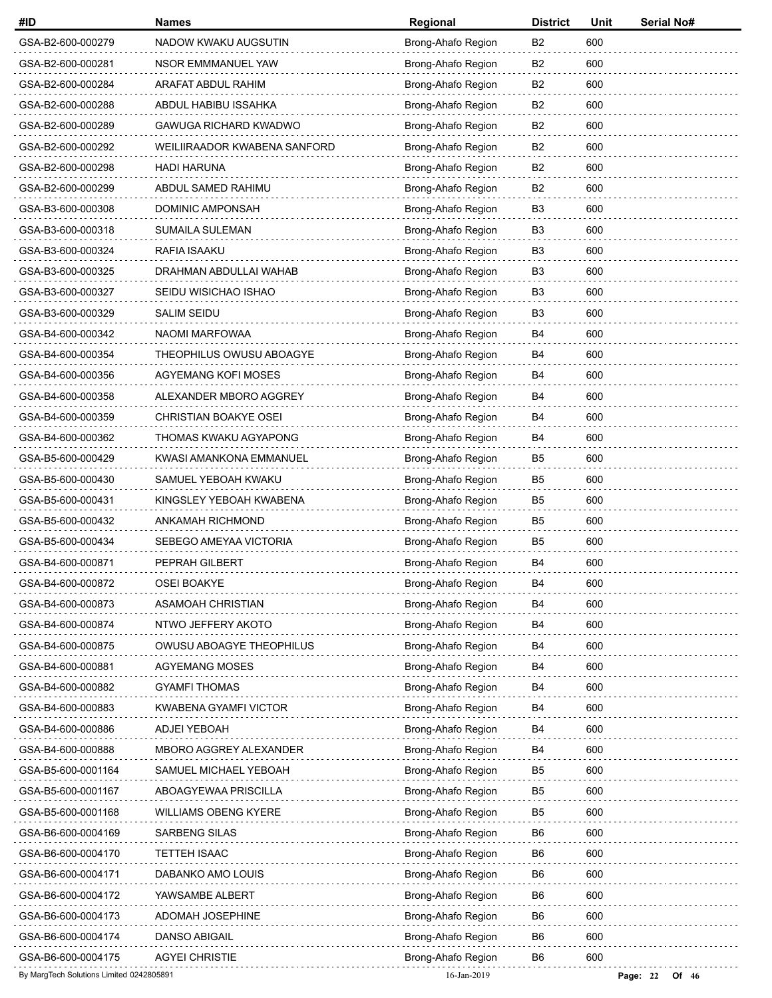| #ID                                      | <b>Names</b>                 | Regional           | <b>District</b> | Unit | Serial No#            |
|------------------------------------------|------------------------------|--------------------|-----------------|------|-----------------------|
| GSA-B2-600-000279                        | NADOW KWAKU AUGSUTIN         | Brong-Ahafo Region | B <sub>2</sub>  | 600  |                       |
| GSA-B2-600-000281                        | NSOR EMMMANUEL YAW           | Brong-Ahafo Region | B <sub>2</sub>  | 600  |                       |
| GSA-B2-600-000284                        | ARAFAT ABDUL RAHIM           | Brong-Ahafo Region | B2              | 600  |                       |
| GSA-B2-600-000288                        | ABDUL HABIBU ISSAHKA         | Brong-Ahafo Region | B <sub>2</sub>  | 600  |                       |
| GSA-B2-600-000289                        | GAWUGA RICHARD KWADWO        | Brong-Ahafo Region | B <sub>2</sub>  | 600  |                       |
| GSA-B2-600-000292                        | WEILIIRAADOR KWABENA SANFORD | Brong-Ahafo Region | B <sub>2</sub>  | 600  |                       |
| GSA-B2-600-000298                        | <b>HADI HARUNA</b>           | Brong-Ahafo Region | <b>B2</b>       | 600  |                       |
| GSA-B2-600-000299                        | ABDUL SAMED RAHIMU           | Brong-Ahafo Region | B <sub>2</sub>  | 600  |                       |
| GSA-B3-600-000308                        | DOMINIC AMPONSAH             | Brong-Ahafo Region | B <sub>3</sub>  | 600  |                       |
| GSA-B3-600-000318                        | SUMAILA SULEMAN              | Brong-Ahafo Region | B <sub>3</sub>  | 600  |                       |
| GSA-B3-600-000324                        | RAFIA ISAAKU                 | Brong-Ahafo Region | B <sub>3</sub>  | 600  |                       |
| GSA-B3-600-000325                        | DRAHMAN ABDULLAI WAHAB       | Brong-Ahafo Region | B <sub>3</sub>  | 600  |                       |
| GSA-B3-600-000327                        | SEIDU WISICHAO ISHAO         | Brong-Ahafo Region | B <sub>3</sub>  | 600  |                       |
| GSA-B3-600-000329                        | <b>SALIM SEIDU</b>           | Brong-Ahafo Region | B <sub>3</sub>  | 600  |                       |
| GSA-B4-600-000342                        | NAOMI MARFOWAA               | Brong-Ahafo Region | <b>B4</b>       | 600  |                       |
| GSA-B4-600-000354                        | THEOPHILUS OWUSU ABOAGYE     | Brong-Ahafo Region | B4              | 600  |                       |
| GSA-B4-600-000356                        | AGYEMANG KOFI MOSES          | Brong-Ahafo Region | B4              | 600  |                       |
| GSA-B4-600-000358                        | ALEXANDER MBORO AGGREY       | Brong-Ahafo Region | <b>B4</b>       | 600  |                       |
| GSA-B4-600-000359                        | CHRISTIAN BOAKYE OSEI        | Brong-Ahafo Region | B4              | 600  |                       |
| GSA-B4-600-000362                        | THOMAS KWAKU AGYAPONG        | Brong-Ahafo Region | B4              | 600  |                       |
| GSA-B5-600-000429                        | KWASI AMANKONA EMMANUEL      | Brong-Ahafo Region | B <sub>5</sub>  | 600  |                       |
| GSA-B5-600-000430                        | SAMUEL YEBOAH KWAKU          | Brong-Ahafo Region | B5              | 600  |                       |
| GSA-B5-600-000431                        | KINGSLEY YEBOAH KWABENA      | Brong-Ahafo Region | B <sub>5</sub>  | 600  |                       |
| GSA-B5-600-000432                        | ANKAMAH RICHMOND             | Brong-Ahafo Region | B <sub>5</sub>  | 600  |                       |
| GSA-B5-600-000434                        | SEBEGO AMEYAA VICTORIA       | Brong-Ahafo Region | B <sub>5</sub>  | 600  |                       |
| GSA-B4-600-000871                        | PEPRAH GILBERT               | Brong-Ahafo Region | <b>B4</b>       | 600  |                       |
| GSA-B4-600-000872                        | <b>OSEI BOAKYE</b>           | Brong-Ahafo Region | B <sub>4</sub>  | 600  |                       |
| GSA-B4-600-000873                        | ASAMOAH CHRISTIAN            | Brong-Ahafo Region | B4              | 600  |                       |
| GSA-B4-600-000874                        | NTWO JEFFERY AKOTO           | Brong-Ahafo Region | B4              | 600  |                       |
| GSA-B4-600-000875                        | OWUSU ABOAGYE THEOPHILUS     | Brong-Ahafo Region | B4              | 600  |                       |
| GSA-B4-600-000881                        | AGYEMANG MOSES               | Brong-Ahafo Region | B4              | 600  |                       |
| GSA-B4-600-000882                        | <b>GYAMFI THOMAS</b>         | Brong-Ahafo Region | B4              | 600  |                       |
| GSA-B4-600-000883                        | <b>KWABENA GYAMFI VICTOR</b> | Brong-Ahafo Region | B4              | 600  |                       |
| GSA-B4-600-000886                        | ADJEI YEBOAH                 | Brong-Ahafo Region | B4              | 600  |                       |
| GSA-B4-600-000888                        | MBORO AGGREY ALEXANDER       | Brong-Ahafo Region | B4              | 600  |                       |
| GSA-B5-600-0001164                       | SAMUEL MICHAEL YEBOAH        | Brong-Ahafo Region | B <sub>5</sub>  | 600  |                       |
| GSA-B5-600-0001167                       | ABOAGYEWAA PRISCILLA         | Brong-Ahafo Region | B <sub>5</sub>  | 600  |                       |
| GSA-B5-600-0001168                       | WILLIAMS OBENG KYERE         | Brong-Ahafo Region | B <sub>5</sub>  | 600  |                       |
| GSA-B6-600-0004169                       | <b>SARBENG SILAS</b>         | Brong-Ahafo Region | B6              | 600  |                       |
| GSA-B6-600-0004170                       | TETTEH ISAAC                 | Brong-Ahafo Region | B <sub>6</sub>  | 600  |                       |
| GSA-B6-600-0004171                       | DABANKO AMO LOUIS            | Brong-Ahafo Region | B <sub>6</sub>  | 600  |                       |
| GSA-B6-600-0004172                       | YAWSAMBE ALBERT              | Brong-Ahafo Region | B6              | 600  |                       |
| GSA-B6-600-0004173                       | <b>ADOMAH JOSEPHINE</b>      | Brong-Ahafo Region | B <sub>6</sub>  | 600  |                       |
| GSA-B6-600-0004174                       | DANSO ABIGAIL                | Brong-Ahafo Region | B <sub>6</sub>  | 600  |                       |
| GSA-B6-600-0004175                       | <b>AGYEI CHRISTIE</b>        | Brong-Ahafo Region | B <sub>6</sub>  | 600  |                       |
| By MargTech Solutions Limited 0242805891 |                              | 16-Jan-2019        |                 |      | Page: $22$<br>Of $46$ |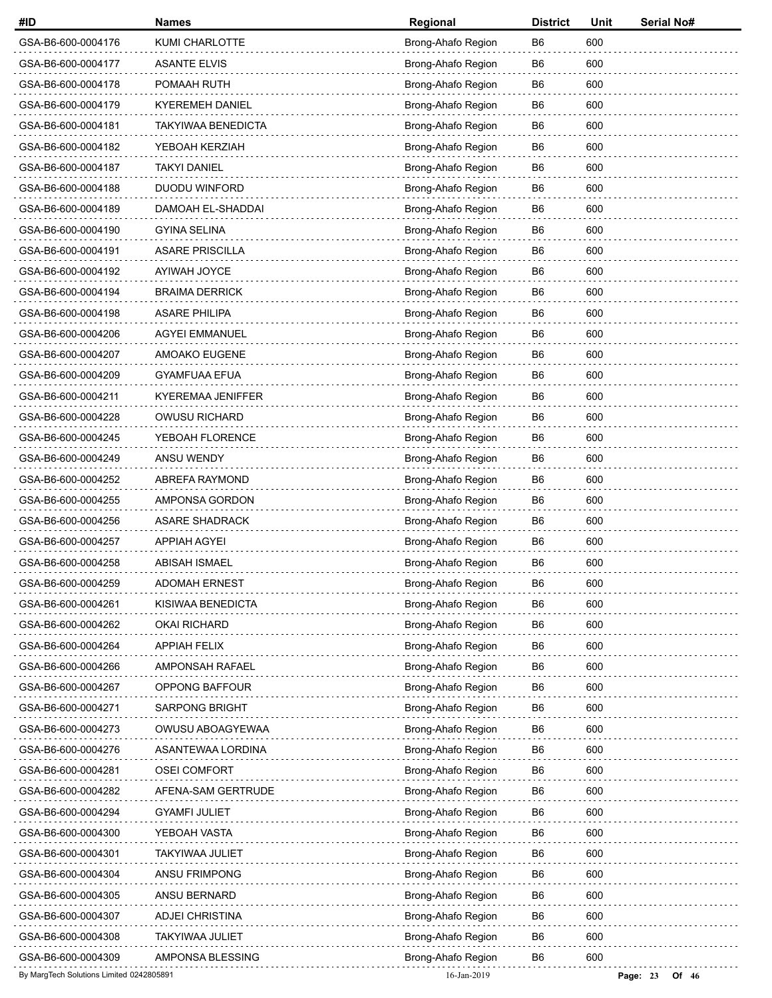| #ID                                      | <b>Names</b>              | Regional           | <b>District</b> | Unit | Serial No#          |
|------------------------------------------|---------------------------|--------------------|-----------------|------|---------------------|
| GSA-B6-600-0004176                       | KUMI CHARLOTTE            | Brong-Ahafo Region | B6              | 600  |                     |
| GSA-B6-600-0004177                       | <b>ASANTE ELVIS</b>       | Brong-Ahafo Region | B6              | 600  |                     |
| GSA-B6-600-0004178                       | POMAAH RUTH               | Brong-Ahafo Region | B6              | 600  |                     |
| GSA-B6-600-0004179                       | <b>KYEREMEH DANIEL</b>    | Brong-Ahafo Region | B <sub>6</sub>  | 600  |                     |
| GSA-B6-600-0004181                       | <b>TAKYIWAA BENEDICTA</b> | Brong-Ahafo Region | B <sub>6</sub>  | 600  |                     |
| GSA-B6-600-0004182                       | YEBOAH KERZIAH            | Brong-Ahafo Region | B6              | 600  |                     |
| GSA-B6-600-0004187                       | <b>TAKYI DANIEL</b>       | Brong-Ahafo Region | B6              | 600  |                     |
| GSA-B6-600-0004188                       | <b>DUODU WINFORD</b>      | Brong-Ahafo Region | B <sub>6</sub>  | 600  |                     |
| GSA-B6-600-0004189                       | DAMOAH EL-SHADDAI         | Brong-Ahafo Region | B <sub>6</sub>  | 600  |                     |
| GSA-B6-600-0004190                       | <b>GYINA SELINA</b>       | Brong-Ahafo Region | B6              | 600  |                     |
| GSA-B6-600-0004191                       | <b>ASARE PRISCILLA</b>    | Brong-Ahafo Region | B6              | 600  |                     |
| GSA-B6-600-0004192                       | AYIWAH JOYCE              | Brong-Ahafo Region | B <sub>6</sub>  | 600  |                     |
| GSA-B6-600-0004194                       | <b>BRAIMA DERRICK</b>     | Brong-Ahafo Region | B <sub>6</sub>  | 600  |                     |
| GSA-B6-600-0004198                       | <b>ASARE PHILIPA</b>      | Brong-Ahafo Region | B6              | 600  |                     |
| GSA-B6-600-0004206                       | <b>AGYEI EMMANUEL</b>     | Brong-Ahafo Region | B <sub>6</sub>  | 600  |                     |
| GSA-B6-600-0004207                       | AMOAKO EUGENE             | Brong-Ahafo Region | B <sub>6</sub>  | 600  |                     |
| GSA-B6-600-0004209                       | <b>GYAMFUAA EFUA</b>      | Brong-Ahafo Region | B <sub>6</sub>  | 600  |                     |
| GSA-B6-600-0004211                       | KYEREMAA JENIFFER         | Brong-Ahafo Region | B6              | 600  |                     |
| GSA-B6-600-0004228                       | <b>OWUSU RICHARD</b>      | Brong-Ahafo Region | B6              | 600  |                     |
| GSA-B6-600-0004245                       | YEBOAH FLORENCE           | Brong-Ahafo Region | B <sub>6</sub>  | 600  |                     |
| GSA-B6-600-0004249                       | ANSU WENDY                | Brong-Ahafo Region | B <sub>6</sub>  | 600  |                     |
| GSA-B6-600-0004252                       | ABREFA RAYMOND            | Brong-Ahafo Region | B6              | 600  |                     |
| GSA-B6-600-0004255                       | AMPONSA GORDON            | Brong-Ahafo Region | B6              | 600  |                     |
| GSA-B6-600-0004256                       | <b>ASARE SHADRACK</b>     | Brong-Ahafo Region | B <sub>6</sub>  | 600  |                     |
| GSA-B6-600-0004257                       | <b>APPIAH AGYEI</b>       | Brong-Ahafo Region | B <sub>6</sub>  | 600  |                     |
| GSA-B6-600-0004258                       | <b>ABISAH ISMAEL</b>      | Brong-Ahafo Region | B6              | 600  |                     |
| GSA-B6-600-0004259                       | <b>ADOMAH ERNEST</b>      | Brong-Ahafo Region | B6              | 600  |                     |
| GSA-B6-600-0004261                       | KISIWAA BENEDICTA         | Brong-Ahafo Region | B <sub>6</sub>  | 600  |                     |
| GSA-B6-600-0004262                       | <b>OKAI RICHARD</b>       | Brong-Ahafo Region | B6              | 600  |                     |
| GSA-B6-600-0004264                       | <b>APPIAH FELIX</b>       | Brong-Ahafo Region | B6              | 600  |                     |
| GSA-B6-600-0004266                       | AMPONSAH RAFAEL           | Brong-Ahafo Region | B6              | 600  |                     |
| GSA-B6-600-0004267                       | OPPONG BAFFOUR            | Brong-Ahafo Region | B <sub>6</sub>  | 600  |                     |
| GSA-B6-600-0004271                       | <b>SARPONG BRIGHT</b>     | Brong-Ahafo Region | B <sub>6</sub>  | 600  |                     |
| GSA-B6-600-0004273                       | OWUSU ABOAGYEWAA          | Brong-Ahafo Region | B6              | 600  |                     |
| GSA-B6-600-0004276                       | ASANTEWAA LORDINA         | Brong-Ahafo Region | B <sub>6</sub>  | 600  |                     |
| GSA-B6-600-0004281                       | <b>OSEI COMFORT</b>       | Brong-Ahafo Region | B <sub>6</sub>  | 600  |                     |
| GSA-B6-600-0004282                       | AFENA-SAM GERTRUDE        | Brong-Ahafo Region | B6              | 600  |                     |
| GSA-B6-600-0004294                       | <b>GYAMFI JULIET</b>      | Brong-Ahafo Region | B6              | 600  |                     |
| GSA-B6-600-0004300                       | YEBOAH VASTA              | Brong-Ahafo Region | B6              | 600  |                     |
| GSA-B6-600-0004301                       | <b>TAKYIWAA JULIET</b>    | Brong-Ahafo Region | B <sub>6</sub>  | 600  |                     |
| GSA-B6-600-0004304                       | ANSU FRIMPONG             | Brong-Ahafo Region | B6              | 600  |                     |
| GSA-B6-600-0004305                       | ANSU BERNARD              | Brong-Ahafo Region | B6              | 600  |                     |
| GSA-B6-600-0004307                       | <b>ADJEI CHRISTINA</b>    | Brong-Ahafo Region | B6              | 600  |                     |
| GSA-B6-600-0004308                       | <b>TAKYIWAA JULIET</b>    | Brong-Ahafo Region | B <sub>6</sub>  | 600  |                     |
| GSA-B6-600-0004309                       | AMPONSA BLESSING          | Brong-Ahafo Region | B6              | 600  |                     |
| By MargTech Solutions Limited 0242805891 |                           | 16-Jan-2019        |                 |      | Page: 23<br>Of $46$ |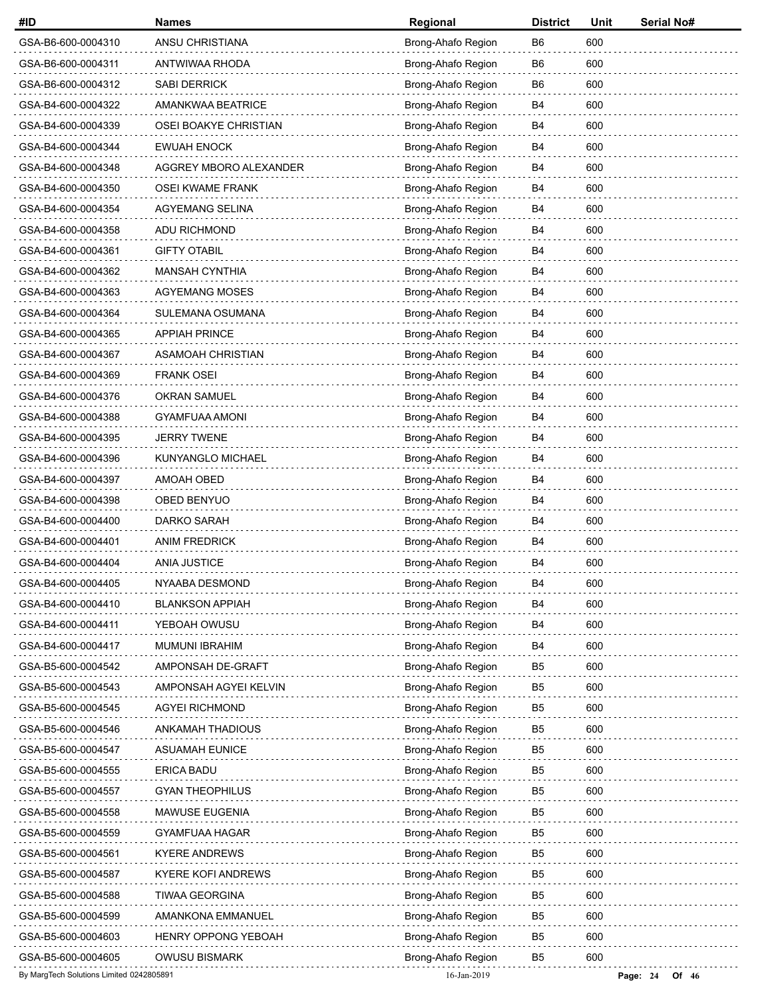| #ID                                      | <b>Names</b>           | Regional           | <b>District</b> | Unit | Serial No#          |
|------------------------------------------|------------------------|--------------------|-----------------|------|---------------------|
| GSA-B6-600-0004310                       | ANSU CHRISTIANA        | Brong-Ahafo Region | B6              | 600  |                     |
| GSA-B6-600-0004311                       | ANTWIWAA RHODA         | Brong-Ahafo Region | B6              | 600  |                     |
| GSA-B6-600-0004312                       | <b>SABI DERRICK</b>    | Brong-Ahafo Region | B6              | 600  |                     |
| GSA-B4-600-0004322                       | AMANKWAA BEATRICE      | Brong-Ahafo Region | B4              | 600  |                     |
| GSA-B4-600-0004339                       | OSEI BOAKYE CHRISTIAN  | Brong-Ahafo Region | B4              | 600  |                     |
| GSA-B4-600-0004344                       | <b>EWUAH ENOCK</b>     | Brong-Ahafo Region | B4              | 600  |                     |
| GSA-B4-600-0004348                       | AGGREY MBORO ALEXANDER | Brong-Ahafo Region | B4              | 600  |                     |
| GSA-B4-600-0004350                       | OSEI KWAME FRANK       | Brong-Ahafo Region | B4              | 600  |                     |
| GSA-B4-600-0004354                       | <b>AGYEMANG SELINA</b> | Brong-Ahafo Region | B4              | 600  |                     |
| GSA-B4-600-0004358                       | ADU RICHMOND           | Brong-Ahafo Region | B4              | 600  |                     |
| GSA-B4-600-0004361                       | <b>GIFTY OTABIL</b>    | Brong-Ahafo Region | B4              | 600  |                     |
| GSA-B4-600-0004362                       | <b>MANSAH CYNTHIA</b>  | Brong-Ahafo Region | B4              | 600  |                     |
| GSA-B4-600-0004363                       | <b>AGYEMANG MOSES</b>  | Brong-Ahafo Region | B4              | 600  |                     |
| GSA-B4-600-0004364                       | SULEMANA OSUMANA       | Brong-Ahafo Region | B4              | 600  |                     |
| GSA-B4-600-0004365                       | <b>APPIAH PRINCE</b>   | Brong-Ahafo Region | B4              | 600  |                     |
| GSA-B4-600-0004367                       | ASAMOAH CHRISTIAN      | Brong-Ahafo Region | B4              | 600  |                     |
| GSA-B4-600-0004369                       | <b>FRANK OSEI</b>      | Brong-Ahafo Region | B4              | 600  |                     |
| GSA-B4-600-0004376                       | <b>OKRAN SAMUEL</b>    | Brong-Ahafo Region | B4              | 600  |                     |
| GSA-B4-600-0004388                       | <b>GYAMFUAA AMONI</b>  | Brong-Ahafo Region | B4              | 600  |                     |
| GSA-B4-600-0004395                       | <b>JERRY TWENE</b>     | Brong-Ahafo Region | B4              | 600  |                     |
| GSA-B4-600-0004396                       | KUNYANGLO MICHAEL      | Brong-Ahafo Region | B4              | 600  |                     |
| GSA-B4-600-0004397                       | AMOAH OBED             | Brong-Ahafo Region | B4              | 600  |                     |
| GSA-B4-600-0004398                       | OBED BENYUO            | Brong-Ahafo Region | B4              | 600  |                     |
| GSA-B4-600-0004400                       | DARKO SARAH            | Brong-Ahafo Region | B4              | 600  |                     |
| GSA-B4-600-0004401                       | <b>ANIM FREDRICK</b>   | Brong-Ahafo Region | B4              | 600  |                     |
| GSA-B4-600-0004404                       | <b>ANIA JUSTICE</b>    | Brong-Ahafo Region | B4              | 600  |                     |
| GSA-B4-600-0004405                       | NYAABA DESMOND         | Brong-Ahafo Region | B4              | 600  |                     |
| GSA-B4-600-0004410                       | <b>BLANKSON APPIAH</b> | Brong-Ahafo Region | B4              | 600  |                     |
| GSA-B4-600-0004411                       | YEBOAH OWUSU           | Brong-Ahafo Region | B4              | 600  |                     |
| GSA-B4-600-0004417                       | <b>MUMUNI IBRAHIM</b>  | Brong-Ahafo Region | B4              | 600  |                     |
| GSA-B5-600-0004542                       | AMPONSAH DE-GRAFT      | Brong-Ahafo Region | B5              | 600  |                     |
| GSA-B5-600-0004543                       | AMPONSAH AGYEI KELVIN  | Brong-Ahafo Region | B <sub>5</sub>  | 600  |                     |
| GSA-B5-600-0004545                       | <b>AGYEI RICHMOND</b>  | Brong-Ahafo Region | B <sub>5</sub>  | 600  |                     |
| GSA-B5-600-0004546                       | ANKAMAH THADIOUS       | Brong-Ahafo Region | B5              | 600  |                     |
| GSA-B5-600-0004547                       | ASUAMAH EUNICE         | Brong-Ahafo Region | B <sub>5</sub>  | 600  |                     |
| GSA-B5-600-0004555                       | <b>ERICA BADU</b>      | Brong-Ahafo Region | B <sub>5</sub>  | 600  |                     |
| GSA-B5-600-0004557                       | <b>GYAN THEOPHILUS</b> | Brong-Ahafo Region | B <sub>5</sub>  | 600  |                     |
| GSA-B5-600-0004558                       | MAWUSE EUGENIA         | Brong-Ahafo Region | B5              | 600  |                     |
| GSA-B5-600-0004559                       | GYAMFUAA HAGAR         | Brong-Ahafo Region | B5              | 600  |                     |
| GSA-B5-600-0004561                       | <b>KYERE ANDREWS</b>   | Brong-Ahafo Region | B <sub>5</sub>  | 600  |                     |
| GSA-B5-600-0004587                       | KYERE KOFI ANDREWS     | Brong-Ahafo Region | B5              | 600  |                     |
| GSA-B5-600-0004588                       | <b>TIWAA GEORGINA</b>  | Brong-Ahafo Region | B5              | 600  |                     |
| GSA-B5-600-0004599                       | AMANKONA EMMANUEL      | Brong-Ahafo Region | B5              | 600  |                     |
| GSA-B5-600-0004603                       | HENRY OPPONG YEBOAH    | Brong-Ahafo Region | B5              | 600  |                     |
| GSA-B5-600-0004605                       | <b>OWUSU BISMARK</b>   | Brong-Ahafo Region | B5              | 600  |                     |
| By MargTech Solutions Limited 0242805891 |                        | 16-Jan-2019        |                 |      | Page: 24<br>Of $46$ |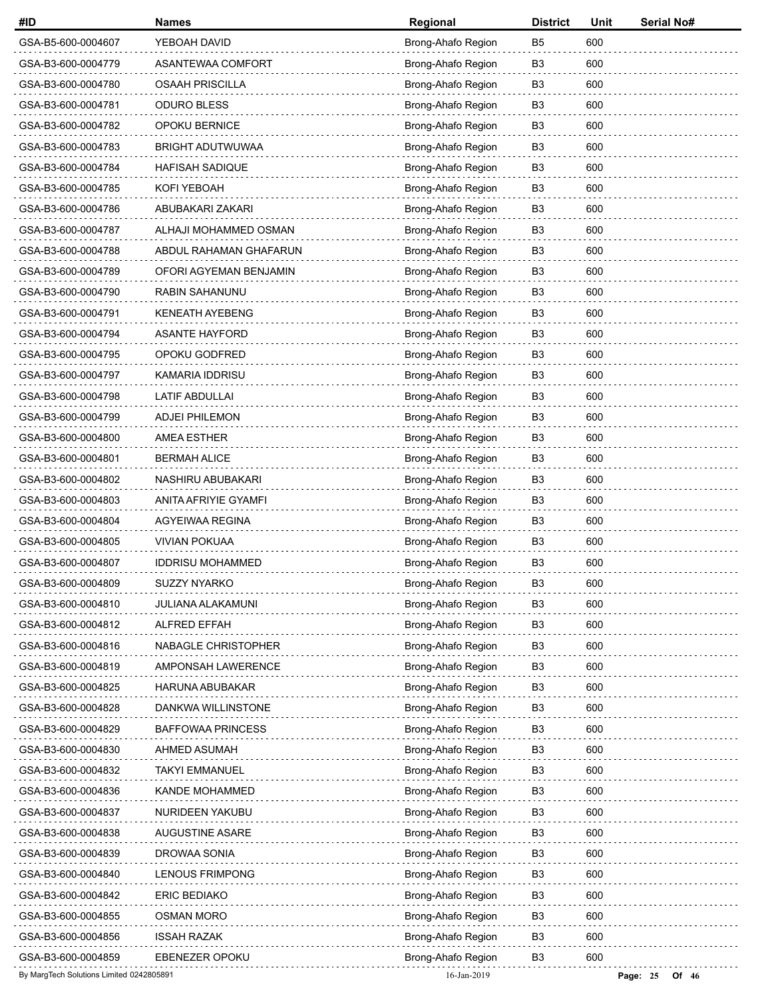| #ID                                      | <b>Names</b>             | Regional           | <b>District</b> | Unit | Serial No#          |
|------------------------------------------|--------------------------|--------------------|-----------------|------|---------------------|
| GSA-B5-600-0004607                       | YEBOAH DAVID             | Brong-Ahafo Region | B <sub>5</sub>  | 600  |                     |
| GSA-B3-600-0004779                       | ASANTEWAA COMFORT        | Brong-Ahafo Region | B <sub>3</sub>  | 600  |                     |
| GSA-B3-600-0004780                       | <b>OSAAH PRISCILLA</b>   | Brong-Ahafo Region | B3              | 600  |                     |
| GSA-B3-600-0004781                       | <b>ODURO BLESS</b>       | Brong-Ahafo Region | B <sub>3</sub>  | 600  |                     |
| GSA-B3-600-0004782                       | OPOKU BERNICE            | Brong-Ahafo Region | B <sub>3</sub>  | 600  |                     |
| GSA-B3-600-0004783                       | <b>BRIGHT ADUTWUWAA</b>  | Brong-Ahafo Region | B3              | 600  |                     |
| GSA-B3-600-0004784                       | HAFISAH SADIQUE          | Brong-Ahafo Region | B <sub>3</sub>  | 600  |                     |
| GSA-B3-600-0004785                       | KOFI YEBOAH              | Brong-Ahafo Region | B <sub>3</sub>  | 600  |                     |
| GSA-B3-600-0004786                       | ABUBAKARI ZAKARI         | Brong-Ahafo Region | B <sub>3</sub>  | 600  |                     |
| GSA-B3-600-0004787                       | ALHAJI MOHAMMED OSMAN    | Brong-Ahafo Region | B <sub>3</sub>  | 600  |                     |
| GSA-B3-600-0004788                       | ABDUL RAHAMAN GHAFARUN   | Brong-Ahafo Region | B <sub>3</sub>  | 600  |                     |
| GSA-B3-600-0004789                       | OFORI AGYEMAN BENJAMIN   | Brong-Ahafo Region | B <sub>3</sub>  | 600  |                     |
| GSA-B3-600-0004790                       | RABIN SAHANUNU           | Brong-Ahafo Region | B <sub>3</sub>  | 600  |                     |
| GSA-B3-600-0004791                       | <b>KENEATH AYEBENG</b>   | Brong-Ahafo Region | B <sub>3</sub>  | 600  |                     |
| GSA-B3-600-0004794                       | <b>ASANTE HAYFORD</b>    | Brong-Ahafo Region | B <sub>3</sub>  | 600  |                     |
| GSA-B3-600-0004795                       | OPOKU GODFRED            | Brong-Ahafo Region | B <sub>3</sub>  | 600  |                     |
| GSA-B3-600-0004797                       | <b>KAMARIA IDDRISU</b>   | Brong-Ahafo Region | B <sub>3</sub>  | 600  |                     |
| GSA-B3-600-0004798                       | LATIF ABDULLAI           | Brong-Ahafo Region | B <sub>3</sub>  | 600  |                     |
| GSA-B3-600-0004799                       | <b>ADJEI PHILEMON</b>    | Brong-Ahafo Region | B <sub>3</sub>  | 600  |                     |
| GSA-B3-600-0004800                       | <b>AMEA ESTHER</b>       | Brong-Ahafo Region | B <sub>3</sub>  | 600  |                     |
| GSA-B3-600-0004801                       | <b>BERMAH ALICE</b>      | Brong-Ahafo Region | B <sub>3</sub>  | 600  |                     |
| GSA-B3-600-0004802                       | NASHIRU ABUBAKARI        | Brong-Ahafo Region | B3              | 600  |                     |
| GSA-B3-600-0004803                       | ANITA AFRIYIE GYAMFI     | Brong-Ahafo Region | B <sub>3</sub>  | 600  |                     |
| GSA-B3-600-0004804                       | AGYEIWAA REGINA          | Brong-Ahafo Region | B <sub>3</sub>  | 600  |                     |
| GSA-B3-600-0004805                       | <b>VIVIAN POKUAA</b>     | Brong-Ahafo Region | B3              | 600  |                     |
| GSA-B3-600-0004807                       | <b>IDDRISU MOHAMMED</b>  | Brong-Ahafo Region | B <sub>3</sub>  | 600  |                     |
| GSA-B3-600-0004809                       | SUZZY NYARKO             | Brong-Ahafo Region | B3              | 600  |                     |
| GSA-B3-600-0004810                       | JULIANA ALAKAMUNI        | Brong-Ahafo Region | B <sub>3</sub>  | 600  |                     |
| GSA-B3-600-0004812                       | <b>ALFRED EFFAH</b>      | Brong-Ahafo Region | B <sub>3</sub>  | 600  |                     |
| GSA-B3-600-0004816                       | NABAGLE CHRISTOPHER      | Brong-Ahafo Region | B3              | 600  |                     |
| GSA-B3-600-0004819                       | AMPONSAH LAWERENCE       | Brong-Ahafo Region | B3              | 600  |                     |
| GSA-B3-600-0004825                       | HARUNA ABUBAKAR          | Brong-Ahafo Region | B <sub>3</sub>  | 600  |                     |
| GSA-B3-600-0004828                       | DANKWA WILLINSTONE       | Brong-Ahafo Region | B <sub>3</sub>  | 600  |                     |
| GSA-B3-600-0004829                       | <b>BAFFOWAA PRINCESS</b> | Brong-Ahafo Region | B3              | 600  |                     |
| GSA-B3-600-0004830                       | AHMED ASUMAH             | Brong-Ahafo Region | B3              | 600  |                     |
| GSA-B3-600-0004832                       | <b>TAKYI EMMANUEL</b>    | Brong-Ahafo Region | B <sub>3</sub>  | 600  |                     |
| GSA-B3-600-0004836                       | KANDE MOHAMMED           | Brong-Ahafo Region | B <sub>3</sub>  | 600  |                     |
| GSA-B3-600-0004837                       | NURIDEEN YAKUBU          | Brong-Ahafo Region | B3              | 600  |                     |
| GSA-B3-600-0004838                       | <b>AUGUSTINE ASARE</b>   | Brong-Ahafo Region | B3              | 600  |                     |
| GSA-B3-600-0004839                       | DROWAA SONIA             | Brong-Ahafo Region | B <sub>3</sub>  | 600  |                     |
| GSA-B3-600-0004840                       | LENOUS FRIMPONG          | Brong-Ahafo Region | B <sub>3</sub>  | 600  |                     |
| GSA-B3-600-0004842                       | <b>ERIC BEDIAKO</b>      | Brong-Ahafo Region | B3              | 600  |                     |
| GSA-B3-600-0004855                       | <b>OSMAN MORO</b>        | Brong-Ahafo Region | B <sub>3</sub>  | 600  |                     |
| GSA-B3-600-0004856                       | <b>ISSAH RAZAK</b>       | Brong-Ahafo Region | B <sub>3</sub>  | 600  |                     |
| GSA-B3-600-0004859                       | <b>EBENEZER OPOKU</b>    | Brong-Ahafo Region | B3              | 600  |                     |
| By MargTech Solutions Limited 0242805891 |                          | 16-Jan-2019        |                 |      | Page: 25<br>Of $46$ |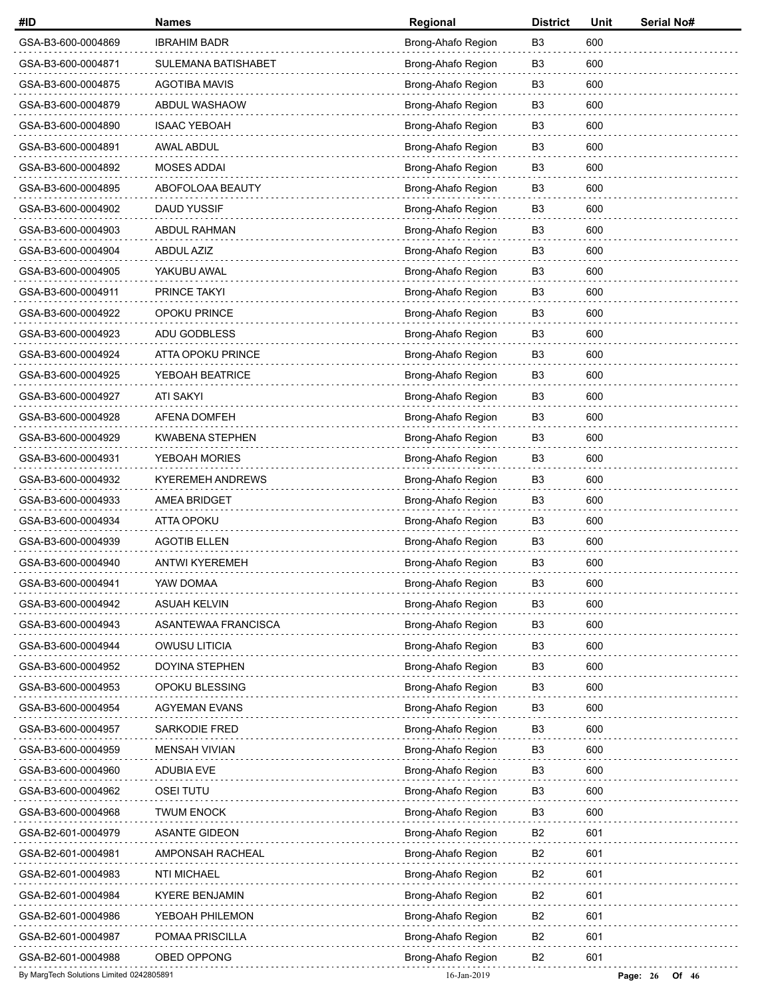| #ID                                      | <b>Names</b>            | Regional           | <b>District</b> | Unit | Serial No#          |
|------------------------------------------|-------------------------|--------------------|-----------------|------|---------------------|
| GSA-B3-600-0004869                       | <b>IBRAHIM BADR</b>     | Brong-Ahafo Region | B <sub>3</sub>  | 600  |                     |
| GSA-B3-600-0004871                       | SULEMANA BATISHABET     | Brong-Ahafo Region | B <sub>3</sub>  | 600  |                     |
| GSA-B3-600-0004875                       | <b>AGOTIBA MAVIS</b>    | Brong-Ahafo Region | B <sub>3</sub>  | 600  |                     |
| GSA-B3-600-0004879                       | ABDUL WASHAOW           | Brong-Ahafo Region | B <sub>3</sub>  | 600  |                     |
| GSA-B3-600-0004890                       | <b>ISAAC YEBOAH</b>     | Brong-Ahafo Region | B <sub>3</sub>  | 600  |                     |
| GSA-B3-600-0004891                       | <b>AWAL ABDUL</b>       | Brong-Ahafo Region | B <sub>3</sub>  | 600  |                     |
| GSA-B3-600-0004892                       | MOSES ADDAI             | Brong-Ahafo Region | B <sub>3</sub>  | 600  |                     |
| GSA-B3-600-0004895                       | ABOFOLOAA BEAUTY        | Brong-Ahafo Region | B <sub>3</sub>  | 600  |                     |
| GSA-B3-600-0004902                       | <b>DAUD YUSSIF</b>      | Brong-Ahafo Region | B <sub>3</sub>  | 600  |                     |
| GSA-B3-600-0004903                       | <b>ABDUL RAHMAN</b>     | Brong-Ahafo Region | B <sub>3</sub>  | 600  |                     |
| GSA-B3-600-0004904                       | <b>ABDUL AZIZ</b>       | Brong-Ahafo Region | B <sub>3</sub>  | 600  |                     |
| GSA-B3-600-0004905                       | YAKUBU AWAL             | Brong-Ahafo Region | B <sub>3</sub>  | 600  |                     |
| GSA-B3-600-0004911                       | PRINCE TAKYI            | Brong-Ahafo Region | B <sub>3</sub>  | 600  |                     |
| GSA-B3-600-0004922                       | OPOKU PRINCE            | Brong-Ahafo Region | B3              | 600  |                     |
| GSA-B3-600-0004923                       | ADU GODBLESS            | Brong-Ahafo Region | B <sub>3</sub>  | 600  |                     |
| GSA-B3-600-0004924                       | ATTA OPOKU PRINCE       | Brong-Ahafo Region | B <sub>3</sub>  | 600  |                     |
| GSA-B3-600-0004925                       | YEBOAH BEATRICE         | Brong-Ahafo Region | B <sub>3</sub>  | 600  |                     |
| GSA-B3-600-0004927                       | ATI SAKYI               | Brong-Ahafo Region | B <sub>3</sub>  | 600  |                     |
| GSA-B3-600-0004928                       | <b>AFENA DOMFEH</b>     | Brong-Ahafo Region | B <sub>3</sub>  | 600  |                     |
| GSA-B3-600-0004929                       | <b>KWABENA STEPHEN</b>  | Brong-Ahafo Region | B <sub>3</sub>  | 600  |                     |
| GSA-B3-600-0004931                       | YEBOAH MORIES           | Brong-Ahafo Region | B <sub>3</sub>  | 600  |                     |
| GSA-B3-600-0004932                       | <b>KYEREMEH ANDREWS</b> | Brong-Ahafo Region | B <sub>3</sub>  | 600  |                     |
| GSA-B3-600-0004933                       | AMEA BRIDGET            | Brong-Ahafo Region | B <sub>3</sub>  | 600  |                     |
| GSA-B3-600-0004934                       | <b>ATTA OPOKU</b>       | Brong-Ahafo Region | B <sub>3</sub>  | 600  |                     |
| GSA-B3-600-0004939                       | <b>AGOTIB ELLEN</b>     | Brong-Ahafo Region | B3              | 600  |                     |
| GSA-B3-600-0004940                       | <b>ANTWI KYEREMEH</b>   | Brong-Ahafo Region | B <sub>3</sub>  | 600  |                     |
| GSA-B3-600-0004941                       | YAW DOMAA               | Brong-Ahafo Region | B3              | 600  |                     |
| GSA-B3-600-0004942                       | <b>ASUAH KELVIN</b>     | Brong-Ahafo Region | B <sub>3</sub>  | 600  |                     |
| GSA-B3-600-0004943                       | ASANTEWAA FRANCISCA     | Brong-Ahafo Region | B <sub>3</sub>  | 600  |                     |
| GSA-B3-600-0004944                       | OWUSU LITICIA           | Brong-Ahafo Region | B <sub>3</sub>  | 600  |                     |
| GSA-B3-600-0004952                       | <b>DOYINA STEPHEN</b>   | Brong-Ahafo Region | B3              | 600  |                     |
| GSA-B3-600-0004953                       | OPOKU BLESSING          | Brong-Ahafo Region | B <sub>3</sub>  | 600  |                     |
| GSA-B3-600-0004954                       | <b>AGYEMAN EVANS</b>    | Brong-Ahafo Region | B <sub>3</sub>  | 600  |                     |
| GSA-B3-600-0004957                       | SARKODIE FRED           | Brong-Ahafo Region | B3              | 600  |                     |
| GSA-B3-600-0004959                       | <b>MENSAH VIVIAN</b>    | Brong-Ahafo Region | B <sub>3</sub>  | 600  |                     |
| GSA-B3-600-0004960                       | <b>ADUBIA EVE</b>       | Brong-Ahafo Region | B <sub>3</sub>  | 600  |                     |
| GSA-B3-600-0004962                       | <b>OSEI TUTU</b>        | Brong-Ahafo Region | B <sub>3</sub>  | 600  |                     |
| GSA-B3-600-0004968                       | <b>TWUM ENOCK</b>       | Brong-Ahafo Region | B <sub>3</sub>  | 600  |                     |
| GSA-B2-601-0004979                       | <b>ASANTE GIDEON</b>    | Brong-Ahafo Region | B2              | 601  |                     |
| GSA-B2-601-0004981                       | AMPONSAH RACHEAL        | Brong-Ahafo Region | B <sub>2</sub>  | 601  |                     |
| GSA-B2-601-0004983                       | <b>NTI MICHAEL</b>      | Brong-Ahafo Region | B <sub>2</sub>  | 601  |                     |
| GSA-B2-601-0004984                       | <b>KYERE BENJAMIN</b>   | Brong-Ahafo Region | B <sub>2</sub>  | 601  |                     |
| GSA-B2-601-0004986                       | YEBOAH PHILEMON         | Brong-Ahafo Region | B2              | 601  |                     |
| GSA-B2-601-0004987                       | POMAA PRISCILLA         | Brong-Ahafo Region | B <sub>2</sub>  | 601  |                     |
| GSA-B2-601-0004988                       | OBED OPPONG             | Brong-Ahafo Region | B <sub>2</sub>  | 601  |                     |
| By MargTech Solutions Limited 0242805891 |                         | 16-Jan-2019        |                 |      | Page: 26<br>Of $46$ |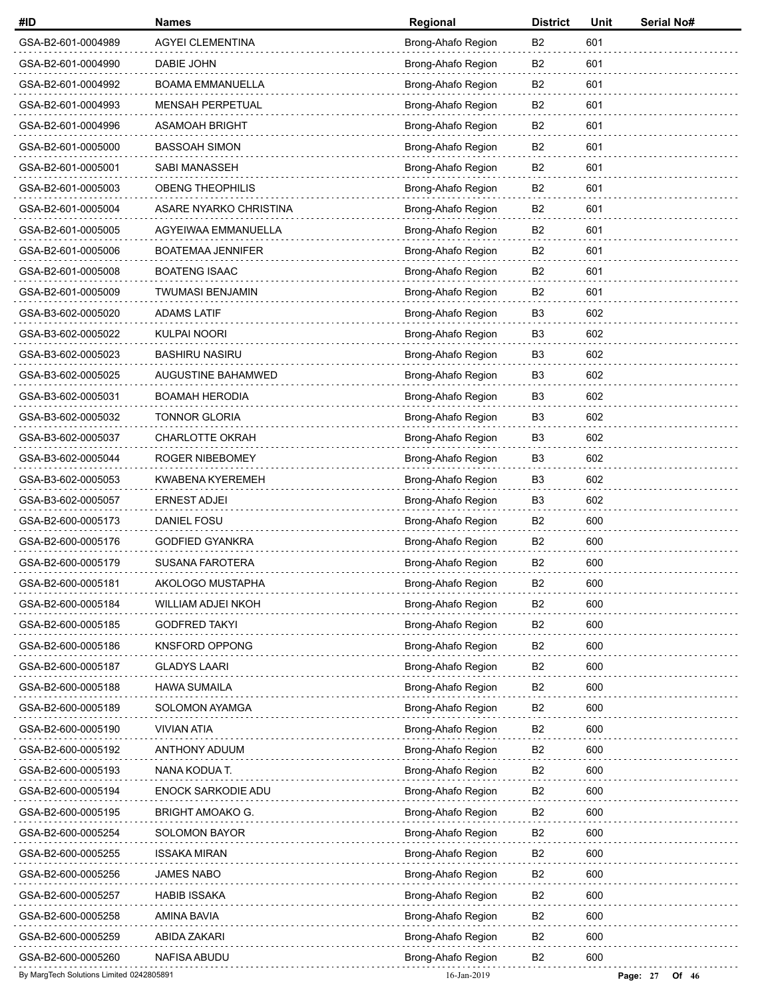| #ID                                      | <b>Names</b>              | Regional           | <b>District</b> | Unit | Serial No#          |
|------------------------------------------|---------------------------|--------------------|-----------------|------|---------------------|
| GSA-B2-601-0004989                       | AGYEI CLEMENTINA          | Brong-Ahafo Region | B <sub>2</sub>  | 601  |                     |
| GSA-B2-601-0004990                       | DABIE JOHN                | Brong-Ahafo Region | B <sub>2</sub>  | 601  |                     |
| GSA-B2-601-0004992                       | <b>BOAMA EMMANUELLA</b>   | Brong-Ahafo Region | B2              | 601  |                     |
| GSA-B2-601-0004993                       | <b>MENSAH PERPETUAL</b>   | Brong-Ahafo Region | B <sub>2</sub>  | 601  |                     |
| GSA-B2-601-0004996                       | <b>ASAMOAH BRIGHT</b>     | Brong-Ahafo Region | B <sub>2</sub>  | 601  |                     |
| GSA-B2-601-0005000                       | <b>BASSOAH SIMON</b>      | Brong-Ahafo Region | B <sub>2</sub>  | 601  |                     |
| GSA-B2-601-0005001                       | SABI MANASSEH             | Brong-Ahafo Region | B <sub>2</sub>  | 601  |                     |
| GSA-B2-601-0005003                       | <b>OBENG THEOPHILIS</b>   | Brong-Ahafo Region | B <sub>2</sub>  | 601  |                     |
| GSA-B2-601-0005004                       | ASARE NYARKO CHRISTINA    | Brong-Ahafo Region | B <sub>2</sub>  | 601  |                     |
| GSA-B2-601-0005005                       | AGYEIWAA EMMANUELLA       | Brong-Ahafo Region | B <sub>2</sub>  | 601  |                     |
| GSA-B2-601-0005006                       | <b>BOATEMAA JENNIFER</b>  | Brong-Ahafo Region | B2              | 601  |                     |
| GSA-B2-601-0005008                       | <b>BOATENG ISAAC</b>      | Brong-Ahafo Region | B <sub>2</sub>  | 601  |                     |
| GSA-B2-601-0005009                       | <b>TWUMASI BENJAMIN</b>   | Brong-Ahafo Region | B <sub>2</sub>  | 601  |                     |
| GSA-B3-602-0005020                       | <b>ADAMS LATIF</b>        | Brong-Ahafo Region | B <sub>3</sub>  | 602  |                     |
| GSA-B3-602-0005022                       | <b>KULPAI NOORI</b>       | Brong-Ahafo Region | B <sub>3</sub>  | 602  |                     |
| GSA-B3-602-0005023                       | <b>BASHIRU NASIRU</b>     | Brong-Ahafo Region | B <sub>3</sub>  | 602  |                     |
| GSA-B3-602-0005025                       | AUGUSTINE BAHAMWED        | Brong-Ahafo Region | B <sub>3</sub>  | 602  |                     |
| GSA-B3-602-0005031                       | <b>BOAMAH HERODIA</b>     | Brong-Ahafo Region | B <sub>3</sub>  | 602  |                     |
| GSA-B3-602-0005032                       | <b>TONNOR GLORIA</b>      | Brong-Ahafo Region | B <sub>3</sub>  | 602  |                     |
| GSA-B3-602-0005037                       | <b>CHARLOTTE OKRAH</b>    | Brong-Ahafo Region | B <sub>3</sub>  | 602  |                     |
| GSA-B3-602-0005044                       | ROGER NIBEBOMEY           | Brong-Ahafo Region | B <sub>3</sub>  | 602  |                     |
| GSA-B3-602-0005053                       | <b>KWABENA KYEREMEH</b>   | Brong-Ahafo Region | B <sub>3</sub>  | 602  |                     |
| GSA-B3-602-0005057                       | <b>ERNEST ADJEI</b>       | Brong-Ahafo Region | B <sub>3</sub>  | 602  |                     |
| GSA-B2-600-0005173                       | <b>DANIEL FOSU</b>        | Brong-Ahafo Region | B <sub>2</sub>  | 600  |                     |
| GSA-B2-600-0005176                       | <b>GODFIED GYANKRA</b>    | Brong-Ahafo Region | B <sub>2</sub>  | 600  |                     |
| GSA-B2-600-0005179                       | <b>SUSANA FAROTERA</b>    | Brong-Ahafo Region | B <sub>2</sub>  | 600  |                     |
| GSA-B2-600-0005181                       | AKOLOGO MUSTAPHA          | Brong-Ahafo Region | B <sub>2</sub>  | 600  |                     |
| GSA-B2-600-0005184                       | WILLIAM ADJEI NKOH        | Brong-Ahafo Region | B <sub>2</sub>  | 600  |                     |
| GSA-B2-600-0005185                       | <b>GODFRED TAKYI</b>      | Brong-Ahafo Region | B <sub>2</sub>  | 600  |                     |
| GSA-B2-600-0005186                       | <b>KNSFORD OPPONG</b>     | Brong-Ahafo Region | B <sub>2</sub>  | 600  |                     |
| GSA-B2-600-0005187                       | <b>GLADYS LAARI</b>       | Brong-Ahafo Region | B <sub>2</sub>  | 600  |                     |
| GSA-B2-600-0005188                       | <b>HAWA SUMAILA</b>       | Brong-Ahafo Region | B <sub>2</sub>  | 600  |                     |
| GSA-B2-600-0005189                       | SOLOMON AYAMGA            | Brong-Ahafo Region | B <sub>2</sub>  | 600  |                     |
| GSA-B2-600-0005190                       | <b>VIVIAN ATIA</b>        | Brong-Ahafo Region | B2              | 600  |                     |
| GSA-B2-600-0005192                       | <b>ANTHONY ADUUM</b>      | Brong-Ahafo Region | B <sub>2</sub>  | 600  |                     |
| GSA-B2-600-0005193                       | NANA KODUA T.             | Brong-Ahafo Region | B <sub>2</sub>  | 600  |                     |
| GSA-B2-600-0005194                       | <b>ENOCK SARKODIE ADU</b> | Brong-Ahafo Region | B <sub>2</sub>  | 600  |                     |
| GSA-B2-600-0005195                       | <b>BRIGHT AMOAKO G.</b>   | Brong-Ahafo Region | B <sub>2</sub>  | 600  |                     |
| GSA-B2-600-0005254                       | <b>SOLOMON BAYOR</b>      | Brong-Ahafo Region | B <sub>2</sub>  | 600  |                     |
| GSA-B2-600-0005255                       | <b>ISSAKA MIRAN</b>       | Brong-Ahafo Region | B <sub>2</sub>  | 600  |                     |
| GSA-B2-600-0005256                       | <b>JAMES NABO</b>         | Brong-Ahafo Region | B <sub>2</sub>  | 600  |                     |
| GSA-B2-600-0005257                       | <b>HABIB ISSAKA</b>       | Brong-Ahafo Region | B2              | 600  |                     |
| GSA-B2-600-0005258                       | AMINA BAVIA               | Brong-Ahafo Region | B <sub>2</sub>  | 600  |                     |
| GSA-B2-600-0005259                       | ABIDA ZAKARI              | Brong-Ahafo Region | B <sub>2</sub>  | 600  |                     |
| GSA-B2-600-0005260                       | NAFISA ABUDU              | Brong-Ahafo Region | B <sub>2</sub>  | 600  |                     |
| By MargTech Solutions Limited 0242805891 |                           | 16-Jan-2019        |                 |      | Page: 27<br>Of $46$ |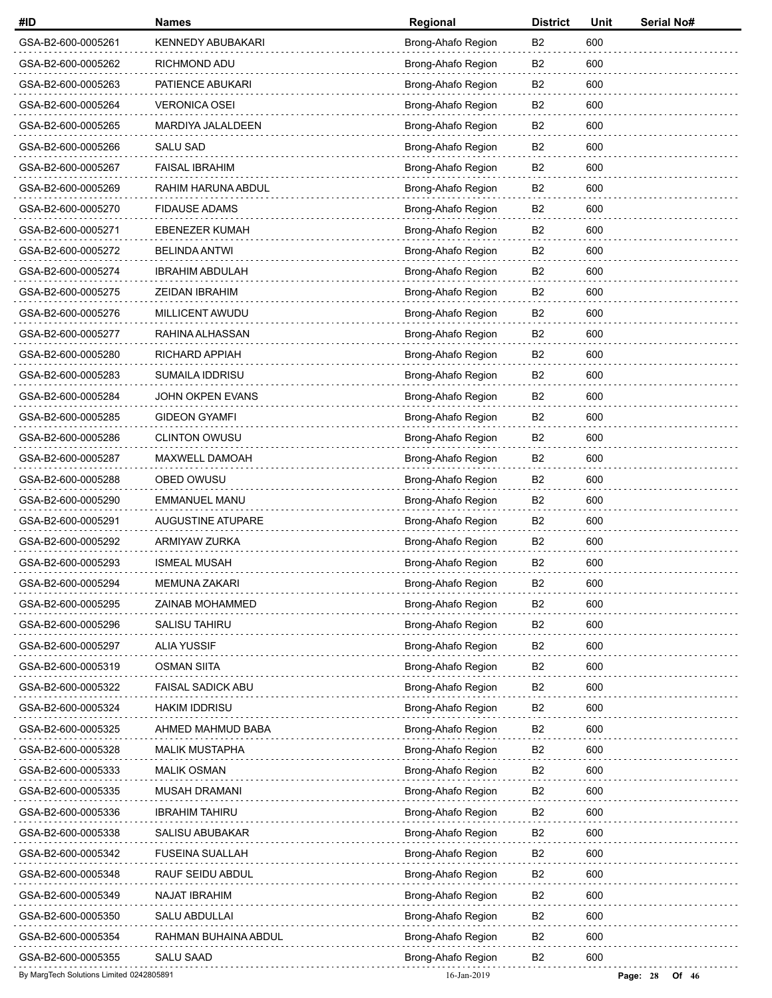| #ID                                      | <b>Names</b>             | Regional           | <b>District</b> | Unit | Serial No#          |
|------------------------------------------|--------------------------|--------------------|-----------------|------|---------------------|
| GSA-B2-600-0005261                       | <b>KENNEDY ABUBAKARI</b> | Brong-Ahafo Region | B <sub>2</sub>  | 600  |                     |
| GSA-B2-600-0005262                       | RICHMOND ADU             | Brong-Ahafo Region | B <sub>2</sub>  | 600  |                     |
| GSA-B2-600-0005263                       | PATIENCE ABUKARI         | Brong-Ahafo Region | B2              | 600  |                     |
| GSA-B2-600-0005264                       | <b>VERONICA OSEI</b>     | Brong-Ahafo Region | B <sub>2</sub>  | 600  |                     |
| GSA-B2-600-0005265                       | MARDIYA JALALDEEN        | Brong-Ahafo Region | B <sub>2</sub>  | 600  |                     |
| GSA-B2-600-0005266                       | <b>SALU SAD</b>          | Brong-Ahafo Region | B <sub>2</sub>  | 600  |                     |
| GSA-B2-600-0005267                       | <b>FAISAL IBRAHIM</b>    | Brong-Ahafo Region | B <sub>2</sub>  | 600  |                     |
| GSA-B2-600-0005269                       | RAHIM HARUNA ABDUL       | Brong-Ahafo Region | B <sub>2</sub>  | 600  |                     |
| GSA-B2-600-0005270                       | <b>FIDAUSE ADAMS</b>     | Brong-Ahafo Region | B <sub>2</sub>  | 600  |                     |
| GSA-B2-600-0005271                       | <b>EBENEZER KUMAH</b>    | Brong-Ahafo Region | B <sub>2</sub>  | 600  |                     |
| GSA-B2-600-0005272                       | <b>BELINDA ANTWI</b>     | Brong-Ahafo Region | B2              | 600  |                     |
| GSA-B2-600-0005274                       | <b>IBRAHIM ABDULAH</b>   | Brong-Ahafo Region | B <sub>2</sub>  | 600  |                     |
| GSA-B2-600-0005275                       | <b>ZEIDAN IBRAHIM</b>    | Brong-Ahafo Region | B <sub>2</sub>  | 600  |                     |
| GSA-B2-600-0005276                       | MILLICENT AWUDU          | Brong-Ahafo Region | B <sub>2</sub>  | 600  |                     |
| GSA-B2-600-0005277                       | RAHINA ALHASSAN          | Brong-Ahafo Region | B2              | 600  |                     |
| GSA-B2-600-0005280                       | RICHARD APPIAH           | Brong-Ahafo Region | B <sub>2</sub>  | 600  |                     |
| GSA-B2-600-0005283                       | <b>SUMAILA IDDRISU</b>   | Brong-Ahafo Region | B <sub>2</sub>  | 600  |                     |
| GSA-B2-600-0005284                       | JOHN OKPEN EVANS         | Brong-Ahafo Region | B <sub>2</sub>  | 600  |                     |
| GSA-B2-600-0005285                       | <b>GIDEON GYAMFI</b>     | Brong-Ahafo Region | B2              | 600  |                     |
| GSA-B2-600-0005286                       | <b>CLINTON OWUSU</b>     | Brong-Ahafo Region | B <sub>2</sub>  | 600  |                     |
| GSA-B2-600-0005287                       | MAXWELL DAMOAH           | Brong-Ahafo Region | B <sub>2</sub>  | 600  |                     |
| GSA-B2-600-0005288                       | OBED OWUSU               | Brong-Ahafo Region | B <sub>2</sub>  | 600  |                     |
| GSA-B2-600-0005290                       | EMMANUEL MANU            | Brong-Ahafo Region | B2              | 600  |                     |
| GSA-B2-600-0005291                       | AUGUSTINE ATUPARE        | Brong-Ahafo Region | B <sub>2</sub>  | 600  |                     |
| GSA-B2-600-0005292                       | ARMIYAW ZURKA            | Brong-Ahafo Region | B <sub>2</sub>  | 600  |                     |
| GSA-B2-600-0005293                       | <b>ISMEAL MUSAH</b>      | Brong-Ahafo Region | B <sub>2</sub>  | 600  |                     |
| GSA-B2-600-0005294                       | <b>MEMUNA ZAKARI</b>     | Brong-Ahafo Region | B <sub>2</sub>  | 600  |                     |
| GSA-B2-600-0005295                       | ZAINAB MOHAMMED          | Brong-Ahafo Region | B <sub>2</sub>  | 600  |                     |
| GSA-B2-600-0005296                       | <b>SALISU TAHIRU</b>     | Brong-Ahafo Region | B <sub>2</sub>  | 600  |                     |
| GSA-B2-600-0005297                       | <b>ALIA YUSSIF</b>       | Brong-Ahafo Region | B <sub>2</sub>  | 600  |                     |
| GSA-B2-600-0005319                       | <b>OSMAN SIITA</b>       | Brong-Ahafo Region | B <sub>2</sub>  | 600  |                     |
| GSA-B2-600-0005322                       | FAISAL SADICK ABU        | Brong-Ahafo Region | B <sub>2</sub>  | 600  |                     |
| GSA-B2-600-0005324                       | <b>HAKIM IDDRISU</b>     | Brong-Ahafo Region | B <sub>2</sub>  | 600  |                     |
| GSA-B2-600-0005325                       | AHMED MAHMUD BABA        | Brong-Ahafo Region | B2              | 600  |                     |
| GSA-B2-600-0005328                       | <b>MALIK MUSTAPHA</b>    | Brong-Ahafo Region | B <sub>2</sub>  | 600  |                     |
| GSA-B2-600-0005333                       | <b>MALIK OSMAN</b>       | Brong-Ahafo Region | B <sub>2</sub>  | 600  |                     |
| GSA-B2-600-0005335                       | <b>MUSAH DRAMANI</b>     | Brong-Ahafo Region | B <sub>2</sub>  | 600  |                     |
| GSA-B2-600-0005336                       | <b>IBRAHIM TAHIRU</b>    | Brong-Ahafo Region | B <sub>2</sub>  | 600  |                     |
| GSA-B2-600-0005338                       | SALISU ABUBAKAR          | Brong-Ahafo Region | B <sub>2</sub>  | 600  |                     |
| GSA-B2-600-0005342                       | <b>FUSEINA SUALLAH</b>   | Brong-Ahafo Region | B <sub>2</sub>  | 600  |                     |
| GSA-B2-600-0005348                       | RAUF SEIDU ABDUL         | Brong-Ahafo Region | B <sub>2</sub>  | 600  |                     |
| GSA-B2-600-0005349                       | <b>NAJAT IBRAHIM</b>     | Brong-Ahafo Region | B2              | 600  |                     |
| GSA-B2-600-0005350                       | SALU ABDULLAI            | Brong-Ahafo Region | B <sub>2</sub>  | 600  |                     |
| GSA-B2-600-0005354                       | RAHMAN BUHAINA ABDUL     | Brong-Ahafo Region | B <sub>2</sub>  | 600  |                     |
| GSA-B2-600-0005355                       | <b>SALU SAAD</b>         | Brong-Ahafo Region | B <sub>2</sub>  | 600  |                     |
| By MargTech Solutions Limited 0242805891 |                          | 16-Jan-2019        |                 |      | Page: 28<br>Of $46$ |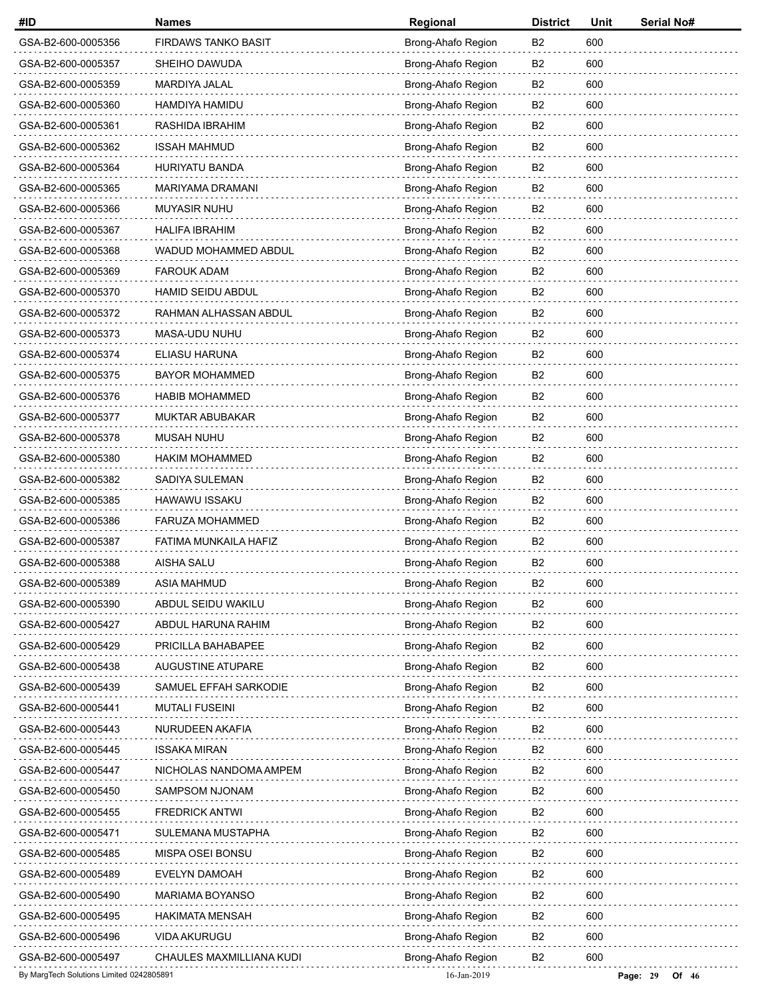| #ID                                      | <b>Names</b>               | Regional           | <b>District</b> | Unit | Serial No#          |
|------------------------------------------|----------------------------|--------------------|-----------------|------|---------------------|
| GSA-B2-600-0005356                       | <b>FIRDAWS TANKO BASIT</b> | Brong-Ahafo Region | B2              | 600  |                     |
| GSA-B2-600-0005357                       | SHEIHO DAWUDA              | Brong-Ahafo Region | B2              | 600  |                     |
| GSA-B2-600-0005359                       | MARDIYA JALAL              | Brong-Ahafo Region | B2              | 600  |                     |
| GSA-B2-600-0005360                       | HAMDIYA HAMIDU             | Brong-Ahafo Region | B <sub>2</sub>  | 600  |                     |
| GSA-B2-600-0005361                       | RASHIDA IBRAHIM            | Brong-Ahafo Region | B <sub>2</sub>  | 600  |                     |
| GSA-B2-600-0005362                       | <b>ISSAH MAHMUD</b>        | Brong-Ahafo Region | B <sub>2</sub>  | 600  |                     |
| GSA-B2-600-0005364                       | HURIYATU BANDA             | Brong-Ahafo Region | B <sub>2</sub>  | 600  |                     |
| GSA-B2-600-0005365                       | MARIYAMA DRAMANI           | Brong-Ahafo Region | B <sub>2</sub>  | 600  |                     |
| GSA-B2-600-0005366                       | <b>MUYASIR NUHU</b>        | Brong-Ahafo Region | B <sub>2</sub>  | 600  |                     |
| GSA-B2-600-0005367                       | <b>HALIFA IBRAHIM</b>      | Brong-Ahafo Region | B <sub>2</sub>  | 600  |                     |
| GSA-B2-600-0005368                       | WADUD MOHAMMED ABDUL       | Brong-Ahafo Region | B2              | 600  |                     |
| GSA-B2-600-0005369                       | <b>FAROUK ADAM</b>         | Brong-Ahafo Region | B <sub>2</sub>  | 600  |                     |
| GSA-B2-600-0005370                       | HAMID SEIDU ABDUL          | Brong-Ahafo Region | B <sub>2</sub>  | 600  |                     |
| GSA-B2-600-0005372                       | RAHMAN ALHASSAN ABDUL      | Brong-Ahafo Region | B <sub>2</sub>  | 600  |                     |
| GSA-B2-600-0005373                       | MASA-UDU NUHU              | Brong-Ahafo Region | B <sub>2</sub>  | 600  |                     |
| GSA-B2-600-0005374                       | ELIASU HARUNA              | Brong-Ahafo Region | B <sub>2</sub>  | 600  |                     |
| GSA-B2-600-0005375                       | <b>BAYOR MOHAMMED</b>      | Brong-Ahafo Region | B <sub>2</sub>  | 600  |                     |
| GSA-B2-600-0005376                       | <b>HABIB MOHAMMED</b>      | Brong-Ahafo Region | B <sub>2</sub>  | 600  |                     |
| GSA-B2-600-0005377                       | <b>MUKTAR ABUBAKAR</b>     | Brong-Ahafo Region | B2              | 600  |                     |
| GSA-B2-600-0005378                       | MUSAH NUHU                 | Brong-Ahafo Region | B <sub>2</sub>  | 600  |                     |
| GSA-B2-600-0005380                       | <b>HAKIM MOHAMMED</b>      | Brong-Ahafo Region | B <sub>2</sub>  | 600  |                     |
| GSA-B2-600-0005382                       | SADIYA SULEMAN             | Brong-Ahafo Region | B <sub>2</sub>  | 600  |                     |
| GSA-B2-600-0005385                       | HAWAWU ISSAKU              | Brong-Ahafo Region | B2              | 600  |                     |
| GSA-B2-600-0005386                       | FARUZA MOHAMMED            | Brong-Ahafo Region | B <sub>2</sub>  | 600  |                     |
| GSA-B2-600-0005387                       | FATIMA MUNKAILA HAFIZ      | Brong-Ahafo Region | B <sub>2</sub>  | 600  |                     |
| GSA-B2-600-0005388                       | <b>AISHA SALU</b>          | Brong-Ahafo Region | B <sub>2</sub>  | 600  |                     |
| GSA-B2-600-0005389                       | <b>ASIA MAHMUD</b>         | Brong-Ahafo Region | B2              | 600  |                     |
| GSA-B2-600-0005390                       | ABDUL SEIDU WAKILU         | Brong-Ahafo Region | B <sub>2</sub>  | 600  |                     |
| GSA-B2-600-0005427                       | ABDUL HARUNA RAHIM         | Brong-Ahafo Region | B <sub>2</sub>  | 600  |                     |
| GSA-B2-600-0005429                       | PRICILLA BAHABAPEE         | Brong-Ahafo Region | B <sub>2</sub>  | 600  |                     |
| GSA-B2-600-0005438                       | AUGUSTINE ATUPARE          | Brong-Ahafo Region | B2              | 600  |                     |
| GSA-B2-600-0005439                       | SAMUEL EFFAH SARKODIE      | Brong-Ahafo Region | B <sub>2</sub>  | 600  |                     |
| GSA-B2-600-0005441                       | <b>MUTALI FUSEINI</b>      | Brong-Ahafo Region | B <sub>2</sub>  | 600  |                     |
| GSA-B2-600-0005443                       | NURUDEEN AKAFIA            | Brong-Ahafo Region | B2              | 600  |                     |
| GSA-B2-600-0005445                       | <b>ISSAKA MIRAN</b>        | Brong-Ahafo Region | B <sub>2</sub>  | 600  |                     |
| GSA-B2-600-0005447                       | NICHOLAS NANDOMA AMPEM     | Brong-Ahafo Region | B <sub>2</sub>  | 600  |                     |
| GSA-B2-600-0005450                       | SAMPSOM NJONAM             | Brong-Ahafo Region | B <sub>2</sub>  | 600  |                     |
| GSA-B2-600-0005455                       | <b>FREDRICK ANTWI</b>      | Brong-Ahafo Region | B <sub>2</sub>  | 600  |                     |
| GSA-B2-600-0005471                       | SULEMANA MUSTAPHA          | Brong-Ahafo Region | B2              | 600  |                     |
| GSA-B2-600-0005485                       | MISPA OSEI BONSU           | Brong-Ahafo Region | B <sub>2</sub>  | 600  |                     |
| GSA-B2-600-0005489                       | EVELYN DAMOAH              | Brong-Ahafo Region | B <sub>2</sub>  | 600  |                     |
| GSA-B2-600-0005490                       | MARIAMA BOYANSO            | Brong-Ahafo Region | B2              | 600  |                     |
| GSA-B2-600-0005495                       | <b>HAKIMATA MENSAH</b>     | Brong-Ahafo Region | B2              | 600  |                     |
| GSA-B2-600-0005496                       | VIDA AKURUGU               | Brong-Ahafo Region | B <sub>2</sub>  | 600  |                     |
| GSA-B2-600-0005497                       | CHAULES MAXMILLIANA KUDI   | Brong-Ahafo Region | B <sub>2</sub>  | 600  |                     |
| By MargTech Solutions Limited 0242805891 |                            | 16-Jan-2019        |                 |      | Page: 29<br>Of $46$ |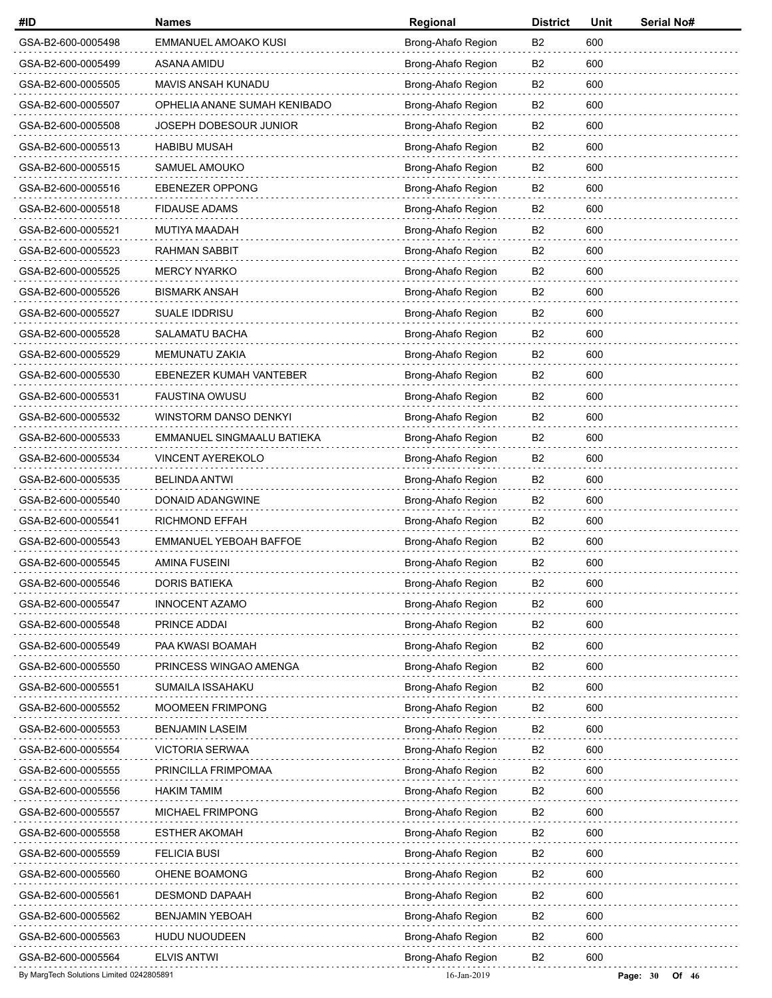| #ID                                      | <b>Names</b>                 | Regional           | <b>District</b> | Unit | Serial No#            |
|------------------------------------------|------------------------------|--------------------|-----------------|------|-----------------------|
| GSA-B2-600-0005498                       | EMMANUEL AMOAKO KUSI         | Brong-Ahafo Region | B <sub>2</sub>  | 600  |                       |
| GSA-B2-600-0005499                       | ASANA AMIDU                  | Brong-Ahafo Region | B <sub>2</sub>  | 600  |                       |
| GSA-B2-600-0005505                       | MAVIS ANSAH KUNADU           | Brong-Ahafo Region | <b>B2</b>       | 600  |                       |
| GSA-B2-600-0005507                       | OPHELIA ANANE SUMAH KENIBADO | Brong-Ahafo Region | B <sub>2</sub>  | 600  |                       |
| GSA-B2-600-0005508                       | JOSEPH DOBESOUR JUNIOR       | Brong-Ahafo Region | B <sub>2</sub>  | 600  |                       |
| GSA-B2-600-0005513                       | <b>HABIBU MUSAH</b>          | Brong-Ahafo Region | <b>B2</b>       | 600  |                       |
| GSA-B2-600-0005515                       | SAMUEL AMOUKO                | Brong-Ahafo Region | B <sub>2</sub>  | 600  |                       |
| GSA-B2-600-0005516                       | <b>EBENEZER OPPONG</b>       | Brong-Ahafo Region | B <sub>2</sub>  | 600  |                       |
| GSA-B2-600-0005518                       | <b>FIDAUSE ADAMS</b>         | Brong-Ahafo Region | B <sub>2</sub>  | 600  |                       |
| GSA-B2-600-0005521                       | MUTIYA MAADAH                | Brong-Ahafo Region | B <sub>2</sub>  | 600  |                       |
| GSA-B2-600-0005523                       | RAHMAN SABBIT                | Brong-Ahafo Region | B <sub>2</sub>  | 600  |                       |
| GSA-B2-600-0005525                       | <b>MERCY NYARKO</b>          | Brong-Ahafo Region | B <sub>2</sub>  | 600  |                       |
| GSA-B2-600-0005526                       | <b>BISMARK ANSAH</b>         | Brong-Ahafo Region | B <sub>2</sub>  | 600  |                       |
| GSA-B2-600-0005527                       | SUALE IDDRISU                | Brong-Ahafo Region | B <sub>2</sub>  | 600  |                       |
| GSA-B2-600-0005528                       | <b>SALAMATU BACHA</b>        | Brong-Ahafo Region | B <sub>2</sub>  | 600  |                       |
| GSA-B2-600-0005529                       | MEMUNATU ZAKIA               | Brong-Ahafo Region | B <sub>2</sub>  | 600  |                       |
| GSA-B2-600-0005530                       | EBENEZER KUMAH VANTEBER      | Brong-Ahafo Region | B <sub>2</sub>  | 600  |                       |
| GSA-B2-600-0005531                       | <b>FAUSTINA OWUSU</b>        | Brong-Ahafo Region | B <sub>2</sub>  | 600  |                       |
| GSA-B2-600-0005532                       | WINSTORM DANSO DENKYI        | Brong-Ahafo Region | <b>B2</b>       | 600  |                       |
| GSA-B2-600-0005533                       | EMMANUEL SINGMAALU BATIEKA   | Brong-Ahafo Region | B <sub>2</sub>  | 600  |                       |
| GSA-B2-600-0005534                       | VINCENT AYEREKOLO            | Brong-Ahafo Region | B <sub>2</sub>  | 600  |                       |
| GSA-B2-600-0005535                       | <b>BELINDA ANTWI</b>         | Brong-Ahafo Region | <b>B2</b>       | 600  |                       |
| GSA-B2-600-0005540                       | DONAID ADANGWINE             | Brong-Ahafo Region | B <sub>2</sub>  | 600  |                       |
| GSA-B2-600-0005541                       | RICHMOND EFFAH               | Brong-Ahafo Region | B <sub>2</sub>  | 600  |                       |
| GSA-B2-600-0005543                       | EMMANUEL YEBOAH BAFFOE       | Brong-Ahafo Region | B <sub>2</sub>  | 600  |                       |
| GSA-B2-600-0005545                       | <b>AMINA FUSEINI</b>         | Brong-Ahafo Region | B <sub>2</sub>  | 600  |                       |
| GSA-B2-600-0005546                       | <b>DORIS BATIEKA</b>         | Brong-Ahafo Region | B <sub>2</sub>  | 600  |                       |
| GSA-B2-600-0005547                       | INNOCENT AZAMO               | Brong-Ahafo Region | B <sub>2</sub>  | 600  |                       |
| GSA-B2-600-0005548                       | PRINCE ADDAI                 | Brong-Ahafo Region | B <sub>2</sub>  | 600  |                       |
| GSA-B2-600-0005549                       | PAA KWASI BOAMAH             | Brong-Ahafo Region | B <sub>2</sub>  | 600  |                       |
| GSA-B2-600-0005550                       | PRINCESS WINGAO AMENGA       | Brong-Ahafo Region | B <sub>2</sub>  | 600  |                       |
| GSA-B2-600-0005551                       | SUMAILA ISSAHAKU             | Brong-Ahafo Region | B <sub>2</sub>  | 600  |                       |
| GSA-B2-600-0005552                       | MOOMEEN FRIMPONG             | Brong-Ahafo Region | B <sub>2</sub>  | 600  |                       |
| GSA-B2-600-0005553                       | <b>BENJAMIN LASEIM</b>       | Brong-Ahafo Region | B2              | 600  |                       |
| GSA-B2-600-0005554                       | <b>VICTORIA SERWAA</b>       | Brong-Ahafo Region | B <sub>2</sub>  | 600  |                       |
| GSA-B2-600-0005555                       | PRINCILLA FRIMPOMAA          | Brong-Ahafo Region | B <sub>2</sub>  | 600  |                       |
| GSA-B2-600-0005556                       | <b>HAKIM TAMIM</b>           | Brong-Ahafo Region | B <sub>2</sub>  | 600  |                       |
| GSA-B2-600-0005557                       | <b>MICHAEL FRIMPONG</b>      | Brong-Ahafo Region | B <sub>2</sub>  | 600  |                       |
| GSA-B2-600-0005558                       | <b>ESTHER AKOMAH</b>         | Brong-Ahafo Region | B <sub>2</sub>  | 600  |                       |
| GSA-B2-600-0005559                       | <b>FELICIA BUSI</b>          | Brong-Ahafo Region | B <sub>2</sub>  | 600  |                       |
| GSA-B2-600-0005560                       | OHENE BOAMONG                | Brong-Ahafo Region | B <sub>2</sub>  | 600  |                       |
| GSA-B2-600-0005561                       | <b>DESMOND DAPAAH</b>        | Brong-Ahafo Region | B2              | 600  |                       |
| GSA-B2-600-0005562                       | <b>BENJAMIN YEBOAH</b>       | Brong-Ahafo Region | B <sub>2</sub>  | 600  |                       |
| GSA-B2-600-0005563                       | <b>HUDU NUOUDEEN</b>         | Brong-Ahafo Region | B <sub>2</sub>  | 600  |                       |
| GSA-B2-600-0005564                       | <b>ELVIS ANTWI</b>           | Brong-Ahafo Region | B <sub>2</sub>  | 600  |                       |
| By MargTech Solutions Limited 0242805891 |                              | 16-Jan-2019        |                 |      | Page: $30$<br>Of $46$ |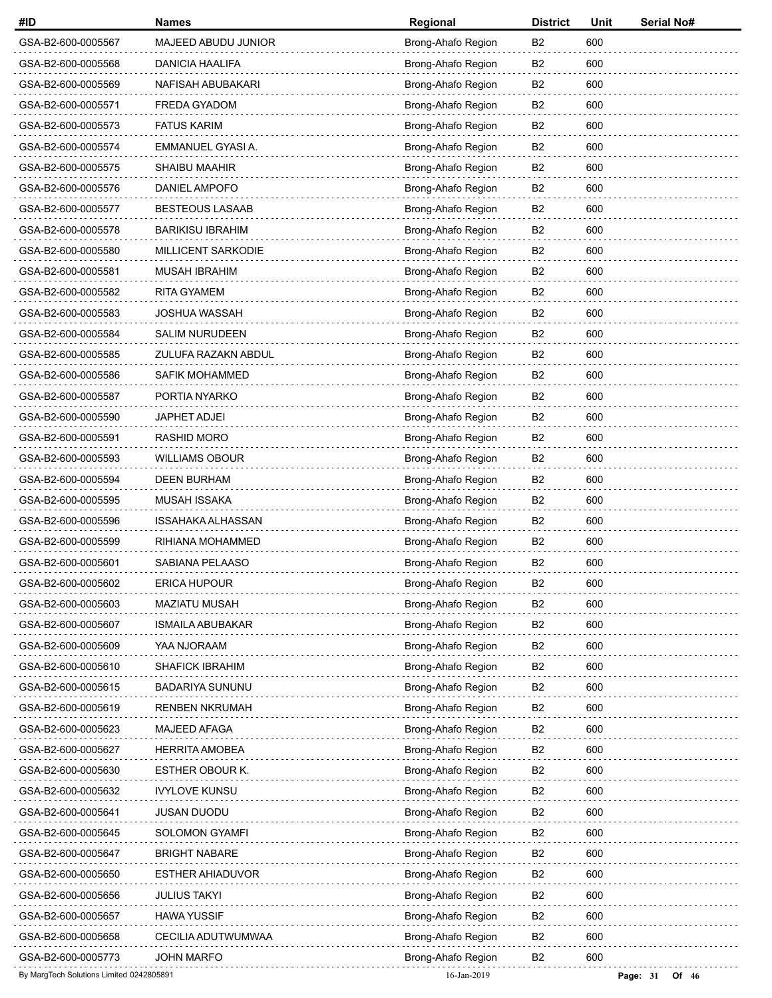| #ID                                      | <b>Names</b>            | Regional           | <b>District</b> | Unit | Serial No#          |
|------------------------------------------|-------------------------|--------------------|-----------------|------|---------------------|
| GSA-B2-600-0005567                       | MAJEED ABUDU JUNIOR     | Brong-Ahafo Region | B <sub>2</sub>  | 600  |                     |
| GSA-B2-600-0005568                       | <b>DANICIA HAALIFA</b>  | Brong-Ahafo Region | B <sub>2</sub>  | 600  |                     |
| GSA-B2-600-0005569                       | NAFISAH ABUBAKARI       | Brong-Ahafo Region | B2              | 600  |                     |
| GSA-B2-600-0005571                       | <b>FREDA GYADOM</b>     | Brong-Ahafo Region | B <sub>2</sub>  | 600  |                     |
| GSA-B2-600-0005573                       | <b>FATUS KARIM</b>      | Brong-Ahafo Region | B <sub>2</sub>  | 600  |                     |
| GSA-B2-600-0005574                       | EMMANUEL GYASI A.       | Brong-Ahafo Region | B <sub>2</sub>  | 600  |                     |
| GSA-B2-600-0005575                       | <b>SHAIBU MAAHIR</b>    | Brong-Ahafo Region | B <sub>2</sub>  | 600  |                     |
| GSA-B2-600-0005576                       | DANIEL AMPOFO           | Brong-Ahafo Region | B <sub>2</sub>  | 600  |                     |
| GSA-B2-600-0005577                       | <b>BESTEOUS LASAAB</b>  | Brong-Ahafo Region | B <sub>2</sub>  | 600  |                     |
| GSA-B2-600-0005578                       | <b>BARIKISU IBRAHIM</b> | Brong-Ahafo Region | B <sub>2</sub>  | 600  |                     |
| GSA-B2-600-0005580                       | MILLICENT SARKODIE      | Brong-Ahafo Region | B2              | 600  |                     |
| GSA-B2-600-0005581                       | <b>MUSAH IBRAHIM</b>    | Brong-Ahafo Region | B <sub>2</sub>  | 600  |                     |
| GSA-B2-600-0005582                       | <b>RITA GYAMEM</b>      | Brong-Ahafo Region | B <sub>2</sub>  | 600  |                     |
| GSA-B2-600-0005583                       | <b>JOSHUA WASSAH</b>    | Brong-Ahafo Region | B <sub>2</sub>  | 600  |                     |
| GSA-B2-600-0005584                       | <b>SALIM NURUDEEN</b>   | Brong-Ahafo Region | B2              | 600  |                     |
| GSA-B2-600-0005585                       | ZULUFA RAZAKN ABDUL     | Brong-Ahafo Region | B <sub>2</sub>  | 600  |                     |
| GSA-B2-600-0005586                       | <b>SAFIK MOHAMMED</b>   | Brong-Ahafo Region | B <sub>2</sub>  | 600  |                     |
| GSA-B2-600-0005587                       | PORTIA NYARKO           | Brong-Ahafo Region | B <sub>2</sub>  | 600  |                     |
| GSA-B2-600-0005590                       | JAPHET ADJEI            | Brong-Ahafo Region | B2              | 600  |                     |
| GSA-B2-600-0005591                       | <b>RASHID MORO</b>      | Brong-Ahafo Region | B <sub>2</sub>  | 600  |                     |
| GSA-B2-600-0005593                       | <b>WILLIAMS OBOUR</b>   | Brong-Ahafo Region | B <sub>2</sub>  | 600  |                     |
| GSA-B2-600-0005594                       | <b>DEEN BURHAM</b>      | Brong-Ahafo Region | B <sub>2</sub>  | 600  |                     |
| GSA-B2-600-0005595                       | <b>MUSAH ISSAKA</b>     | Brong-Ahafo Region | B <sub>2</sub>  | 600  |                     |
| GSA-B2-600-0005596                       | ISSAHAKA ALHASSAN       | Brong-Ahafo Region | B <sub>2</sub>  | 600  |                     |
| GSA-B2-600-0005599                       | RIHIANA MOHAMMED        | Brong-Ahafo Region | B <sub>2</sub>  | 600  |                     |
| GSA-B2-600-0005601                       | SABIANA PELAASO         | Brong-Ahafo Region | B <sub>2</sub>  | 600  |                     |
| GSA-B2-600-0005602                       | ERICA HUPOUR            | Brong-Ahafo Region | B <sub>2</sub>  | 600  |                     |
| GSA-B2-600-0005603                       | <b>MAZIATU MUSAH</b>    | Brong-Ahafo Region | B <sub>2</sub>  | 600  |                     |
| GSA-B2-600-0005607                       | <b>ISMAILA ABUBAKAR</b> | Brong-Ahafo Region | B <sub>2</sub>  | 600  |                     |
| GSA-B2-600-0005609                       | YAA NJORAAM             | Brong-Ahafo Region | B <sub>2</sub>  | 600  |                     |
| GSA-B2-600-0005610                       | <b>SHAFICK IBRAHIM</b>  | Brong-Ahafo Region | B <sub>2</sub>  | 600  |                     |
| GSA-B2-600-0005615                       | <b>BADARIYA SUNUNU</b>  | Brong-Ahafo Region | B <sub>2</sub>  | 600  |                     |
| GSA-B2-600-0005619                       | <b>RENBEN NKRUMAH</b>   | Brong-Ahafo Region | B <sub>2</sub>  | 600  |                     |
| GSA-B2-600-0005623                       | MAJEED AFAGA            | Brong-Ahafo Region | B2              | 600  |                     |
| GSA-B2-600-0005627                       | <b>HERRITA AMOBEA</b>   | Brong-Ahafo Region | B <sub>2</sub>  | 600  |                     |
| GSA-B2-600-0005630                       | ESTHER OBOUR K.         | Brong-Ahafo Region | B <sub>2</sub>  | 600  |                     |
| GSA-B2-600-0005632                       | <b>IVYLOVE KUNSU</b>    | Brong-Ahafo Region | B <sub>2</sub>  | 600  |                     |
| GSA-B2-600-0005641                       | <b>JUSAN DUODU</b>      | Brong-Ahafo Region | B <sub>2</sub>  | 600  |                     |
| GSA-B2-600-0005645                       | <b>SOLOMON GYAMFI</b>   | Brong-Ahafo Region | B <sub>2</sub>  | 600  |                     |
| GSA-B2-600-0005647                       | <b>BRIGHT NABARE</b>    | Brong-Ahafo Region | B <sub>2</sub>  | 600  |                     |
| GSA-B2-600-0005650                       | <b>ESTHER AHIADUVOR</b> | Brong-Ahafo Region | B <sub>2</sub>  | 600  |                     |
| GSA-B2-600-0005656                       | <b>JULIUS TAKYI</b>     | Brong-Ahafo Region | B2              | 600  |                     |
| GSA-B2-600-0005657                       | HAWA YUSSIF             | Brong-Ahafo Region | B <sub>2</sub>  | 600  |                     |
| GSA-B2-600-0005658                       | CECILIA ADUTWUMWAA      | Brong-Ahafo Region | B <sub>2</sub>  | 600  |                     |
| GSA-B2-600-0005773                       | <b>JOHN MARFO</b>       | Brong-Ahafo Region | B <sub>2</sub>  | 600  |                     |
| By MargTech Solutions Limited 0242805891 |                         | 16-Jan-2019        |                 |      | Page: 31<br>Of $46$ |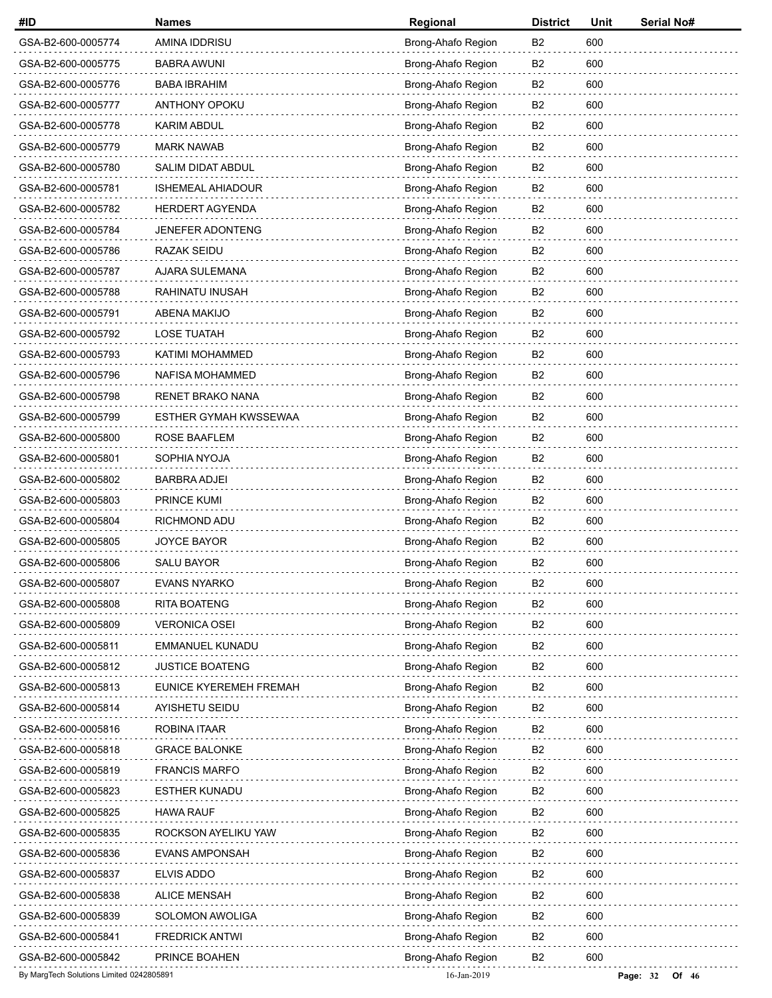| #ID                                      | <b>Names</b>             | Regional           | <b>District</b> | Unit | <b>Serial No#</b>     |
|------------------------------------------|--------------------------|--------------------|-----------------|------|-----------------------|
| GSA-B2-600-0005774                       | AMINA IDDRISU            | Brong-Ahafo Region | B <sub>2</sub>  | 600  |                       |
| GSA-B2-600-0005775                       | <b>BABRA AWUNI</b>       | Brong-Ahafo Region | B <sub>2</sub>  | 600  |                       |
| GSA-B2-600-0005776                       | <b>BABA IBRAHIM</b>      | Brong-Ahafo Region | B2              | 600  |                       |
| GSA-B2-600-0005777                       | ANTHONY OPOKU            | Brong-Ahafo Region | B <sub>2</sub>  | 600  |                       |
| GSA-B2-600-0005778                       | <b>KARIM ABDUL</b>       | Brong-Ahafo Region | B <sub>2</sub>  | 600  |                       |
| GSA-B2-600-0005779                       | <b>MARK NAWAB</b>        | Brong-Ahafo Region | B <sub>2</sub>  | 600  |                       |
| GSA-B2-600-0005780                       | <b>SALIM DIDAT ABDUL</b> | Brong-Ahafo Region | B2              | 600  |                       |
| GSA-B2-600-0005781                       | <b>ISHEMEAL AHIADOUR</b> | Brong-Ahafo Region | B <sub>2</sub>  | 600  |                       |
| GSA-B2-600-0005782                       | <b>HERDERT AGYENDA</b>   | Brong-Ahafo Region | B <sub>2</sub>  | 600  |                       |
| GSA-B2-600-0005784                       | JENEFER ADONTENG         | Brong-Ahafo Region | B <sub>2</sub>  | 600  |                       |
| GSA-B2-600-0005786                       | RAZAK SEIDU              | Brong-Ahafo Region | B <sub>2</sub>  | 600  |                       |
| GSA-B2-600-0005787                       | AJARA SULEMANA           | Brong-Ahafo Region | B <sub>2</sub>  | 600  |                       |
| GSA-B2-600-0005788                       | RAHINATU INUSAH          | Brong-Ahafo Region | B <sub>2</sub>  | 600  |                       |
| GSA-B2-600-0005791                       | <b>ABENA MAKIJO</b>      | Brong-Ahafo Region | B <sub>2</sub>  | 600  |                       |
| GSA-B2-600-0005792                       | <b>LOSE TUATAH</b>       | Brong-Ahafo Region | B <sub>2</sub>  | 600  |                       |
| GSA-B2-600-0005793                       | <b>KATIMI MOHAMMED</b>   | Brong-Ahafo Region | B <sub>2</sub>  | 600  |                       |
| GSA-B2-600-0005796                       | NAFISA MOHAMMED          | Brong-Ahafo Region | B <sub>2</sub>  | 600  |                       |
| GSA-B2-600-0005798                       | <b>RENET BRAKO NANA</b>  | Brong-Ahafo Region | B <sub>2</sub>  | 600  |                       |
| GSA-B2-600-0005799                       | ESTHER GYMAH KWSSEWAA    | Brong-Ahafo Region | B <sub>2</sub>  | 600  |                       |
| GSA-B2-600-0005800                       | ROSE BAAFLEM             | Brong-Ahafo Region | B <sub>2</sub>  | 600  |                       |
| GSA-B2-600-0005801                       | SOPHIA NYOJA             | Brong-Ahafo Region | B <sub>2</sub>  | 600  |                       |
| GSA-B2-600-0005802                       | <b>BARBRA ADJEI</b>      | Brong-Ahafo Region | B <sub>2</sub>  | 600  |                       |
| GSA-B2-600-0005803                       | PRINCE KUMI              | Brong-Ahafo Region | B <sub>2</sub>  | 600  |                       |
| GSA-B2-600-0005804                       | RICHMOND ADU             | Brong-Ahafo Region | B <sub>2</sub>  | 600  |                       |
| GSA-B2-600-0005805                       | JOYCE BAYOR              | Brong-Ahafo Region | B <sub>2</sub>  | 600  |                       |
| GSA-B2-600-0005806                       | <b>SALU BAYOR</b>        | Brong-Ahafo Region | B <sub>2</sub>  | 600  |                       |
| GSA-B2-600-0005807                       | EVANS NYARKO             | Brong-Ahafo Region | B <sub>2</sub>  | 600  |                       |
| GSA-B2-600-0005808                       | <b>RITA BOATENG</b>      | Brong-Ahafo Region | B <sub>2</sub>  | 600  |                       |
| GSA-B2-600-0005809                       | <b>VERONICA OSEI</b>     | Brong-Ahafo Region | B <sub>2</sub>  | 600  |                       |
| GSA-B2-600-0005811                       | EMMANUEL KUNADU          | Brong-Ahafo Region | B <sub>2</sub>  | 600  |                       |
| GSA-B2-600-0005812                       | <b>JUSTICE BOATENG</b>   | Brong-Ahafo Region | B <sub>2</sub>  | 600  |                       |
| GSA-B2-600-0005813                       | EUNICE KYEREMEH FREMAH   | Brong-Ahafo Region | B <sub>2</sub>  | 600  |                       |
| GSA-B2-600-0005814                       | AYISHETU SEIDU           | Brong-Ahafo Region | B <sub>2</sub>  | 600  |                       |
| GSA-B2-600-0005816                       | ROBINA ITAAR             | Brong-Ahafo Region | B <sub>2</sub>  | 600  |                       |
| GSA-B2-600-0005818                       | <b>GRACE BALONKE</b>     | Brong-Ahafo Region | B <sub>2</sub>  | 600  |                       |
| GSA-B2-600-0005819                       | <b>FRANCIS MARFO</b>     | Brong-Ahafo Region | B <sub>2</sub>  | 600  |                       |
| GSA-B2-600-0005823                       | ESTHER KUNADU            | Brong-Ahafo Region | B <sub>2</sub>  | 600  |                       |
| GSA-B2-600-0005825                       | <b>HAWA RAUF</b>         | Brong-Ahafo Region | B <sub>2</sub>  | 600  |                       |
| GSA-B2-600-0005835                       | ROCKSON AYELIKU YAW      | Brong-Ahafo Region | B <sub>2</sub>  | 600  |                       |
| GSA-B2-600-0005836                       | <b>EVANS AMPONSAH</b>    | Brong-Ahafo Region | B <sub>2</sub>  | 600  |                       |
| GSA-B2-600-0005837                       | <b>ELVIS ADDO</b>        | Brong-Ahafo Region | B <sub>2</sub>  | 600  |                       |
| GSA-B2-600-0005838                       | <b>ALICE MENSAH</b>      | Brong-Ahafo Region | B2              | 600  |                       |
| GSA-B2-600-0005839                       | SOLOMON AWOLIGA          | Brong-Ahafo Region | B <sub>2</sub>  | 600  |                       |
| GSA-B2-600-0005841                       | <b>FREDRICK ANTWI</b>    | Brong-Ahafo Region | B <sub>2</sub>  | 600  |                       |
| GSA-B2-600-0005842                       | PRINCE BOAHEN            | Brong-Ahafo Region | B <sub>2</sub>  | 600  |                       |
| By MargTech Solutions Limited 0242805891 |                          | 16-Jan-2019        |                 |      | Page: $32$<br>Of $46$ |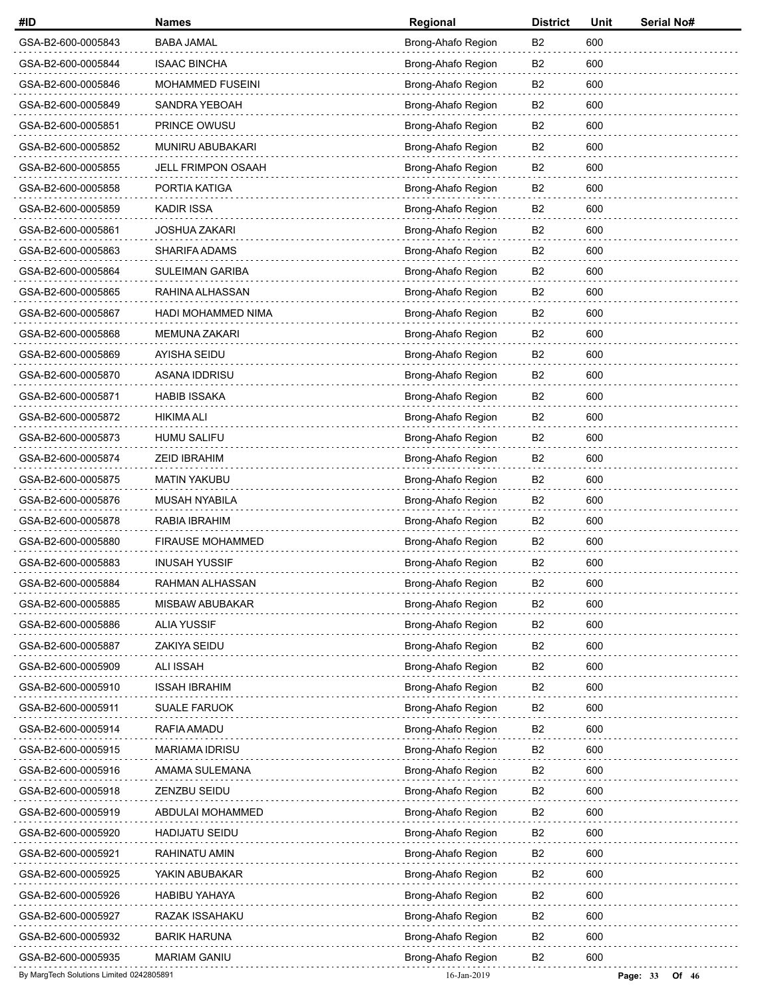| #ID                                      | <b>Names</b>              | Regional           | <b>District</b> | Unit | <b>Serial No#</b>   |
|------------------------------------------|---------------------------|--------------------|-----------------|------|---------------------|
| GSA-B2-600-0005843                       | <b>BABA JAMAL</b>         | Brong-Ahafo Region | B <sub>2</sub>  | 600  |                     |
| GSA-B2-600-0005844                       | <b>ISAAC BINCHA</b>       | Brong-Ahafo Region | B <sub>2</sub>  | 600  |                     |
| GSA-B2-600-0005846                       | <b>MOHAMMED FUSEINI</b>   | Brong-Ahafo Region | B2              | 600  |                     |
| GSA-B2-600-0005849                       | SANDRA YEBOAH             | Brong-Ahafo Region | B <sub>2</sub>  | 600  |                     |
| GSA-B2-600-0005851                       | PRINCE OWUSU              | Brong-Ahafo Region | B <sub>2</sub>  | 600  |                     |
| GSA-B2-600-0005852                       | MUNIRU ABUBAKARI          | Brong-Ahafo Region | B <sub>2</sub>  | 600  |                     |
| GSA-B2-600-0005855                       | <b>JELL FRIMPON OSAAH</b> | Brong-Ahafo Region | B <sub>2</sub>  | 600  |                     |
| GSA-B2-600-0005858                       | PORTIA KATIGA             | Brong-Ahafo Region | B <sub>2</sub>  | 600  |                     |
| GSA-B2-600-0005859                       | <b>KADIR ISSA</b>         | Brong-Ahafo Region | B <sub>2</sub>  | 600  |                     |
| GSA-B2-600-0005861                       | <b>JOSHUA ZAKARI</b>      | Brong-Ahafo Region | B <sub>2</sub>  | 600  |                     |
| GSA-B2-600-0005863                       | SHARIFA ADAMS             | Brong-Ahafo Region | B2              | 600  |                     |
| GSA-B2-600-0005864                       | <b>SULEIMAN GARIBA</b>    | Brong-Ahafo Region | B <sub>2</sub>  | 600  |                     |
| GSA-B2-600-0005865                       | RAHINA ALHASSAN           | Brong-Ahafo Region | B <sub>2</sub>  | 600  |                     |
| GSA-B2-600-0005867                       | HADI MOHAMMED NIMA        | Brong-Ahafo Region | B <sub>2</sub>  | 600  |                     |
| GSA-B2-600-0005868                       | MEMUNA ZAKARI             | Brong-Ahafo Region | B2              | 600  |                     |
| GSA-B2-600-0005869                       | AYISHA SEIDU              | Brong-Ahafo Region | B <sub>2</sub>  | 600  |                     |
| GSA-B2-600-0005870                       | ASANA IDDRISU             | Brong-Ahafo Region | B <sub>2</sub>  | 600  |                     |
| GSA-B2-600-0005871                       | <b>HABIB ISSAKA</b>       | Brong-Ahafo Region | B <sub>2</sub>  | 600  |                     |
| GSA-B2-600-0005872                       | <b>HIKIMA ALI</b>         | Brong-Ahafo Region | B2              | 600  |                     |
| GSA-B2-600-0005873                       | HUMU SALIFU               | Brong-Ahafo Region | B <sub>2</sub>  | 600  |                     |
| GSA-B2-600-0005874                       | <b>ZEID IBRAHIM</b>       | Brong-Ahafo Region | B <sub>2</sub>  | 600  |                     |
| GSA-B2-600-0005875                       | <b>MATIN YAKUBU</b>       | Brong-Ahafo Region | B <sub>2</sub>  | 600  |                     |
| GSA-B2-600-0005876                       | MUSAH NYABILA             | Brong-Ahafo Region | B <sub>2</sub>  | 600  |                     |
| GSA-B2-600-0005878                       | RABIA IBRAHIM             | Brong-Ahafo Region | B <sub>2</sub>  | 600  |                     |
| GSA-B2-600-0005880                       | <b>FIRAUSE MOHAMMED</b>   | Brong-Ahafo Region | B <sub>2</sub>  | 600  |                     |
| GSA-B2-600-0005883                       | <b>INUSAH YUSSIF</b>      | Brong-Ahafo Region | B <sub>2</sub>  | 600  |                     |
| GSA-B2-600-0005884                       | RAHMAN ALHASSAN           | Brong-Ahafo Region | B <sub>2</sub>  | 600  |                     |
| GSA-B2-600-0005885                       | MISBAW ABUBAKAR           | Brong-Ahafo Region | B <sub>2</sub>  | 600  |                     |
| GSA-B2-600-0005886                       | <b>ALIA YUSSIF</b>        | Brong-Ahafo Region | B <sub>2</sub>  | 600  |                     |
| GSA-B2-600-0005887                       | ZAKIYA SEIDU              | Brong-Ahafo Region | B <sub>2</sub>  | 600  |                     |
| GSA-B2-600-0005909                       | <b>ALI ISSAH</b>          | Brong-Ahafo Region | B <sub>2</sub>  | 600  |                     |
| GSA-B2-600-0005910                       | <b>ISSAH IBRAHIM</b>      | Brong-Ahafo Region | B <sub>2</sub>  | 600  |                     |
| GSA-B2-600-0005911                       | <b>SUALE FARUOK</b>       | Brong-Ahafo Region | B <sub>2</sub>  | 600  |                     |
| GSA-B2-600-0005914                       | RAFIA AMADU               | Brong-Ahafo Region | B2              | 600  |                     |
| GSA-B2-600-0005915                       | <b>MARIAMA IDRISU</b>     | Brong-Ahafo Region | B <sub>2</sub>  | 600  |                     |
| GSA-B2-600-0005916                       | AMAMA SULEMANA            | Brong-Ahafo Region | B <sub>2</sub>  | 600  |                     |
| GSA-B2-600-0005918                       | ZENZBU SEIDU              | Brong-Ahafo Region | B <sub>2</sub>  | 600  |                     |
| GSA-B2-600-0005919                       | ABDULAI MOHAMMED          | Brong-Ahafo Region | B <sub>2</sub>  | 600  |                     |
| GSA-B2-600-0005920                       | <b>HADIJATU SEIDU</b>     | Brong-Ahafo Region | B <sub>2</sub>  | 600  |                     |
| GSA-B2-600-0005921                       | RAHINATU AMIN             | Brong-Ahafo Region | B <sub>2</sub>  | 600  |                     |
| GSA-B2-600-0005925                       | YAKIN ABUBAKAR            | Brong-Ahafo Region | B <sub>2</sub>  | 600  |                     |
| GSA-B2-600-0005926                       | <b>HABIBU YAHAYA</b>      | Brong-Ahafo Region | B2              | 600  |                     |
| GSA-B2-600-0005927                       | RAZAK ISSAHAKU            | Brong-Ahafo Region | B <sub>2</sub>  | 600  |                     |
| GSA-B2-600-0005932                       | <b>BARIK HARUNA</b>       | Brong-Ahafo Region | B <sub>2</sub>  | 600  |                     |
| GSA-B2-600-0005935                       | <b>MARIAM GANIU</b>       | Brong-Ahafo Region | B <sub>2</sub>  | 600  |                     |
| By MargTech Solutions Limited 0242805891 |                           | 16-Jan-2019        |                 |      | Page: 33<br>Of $46$ |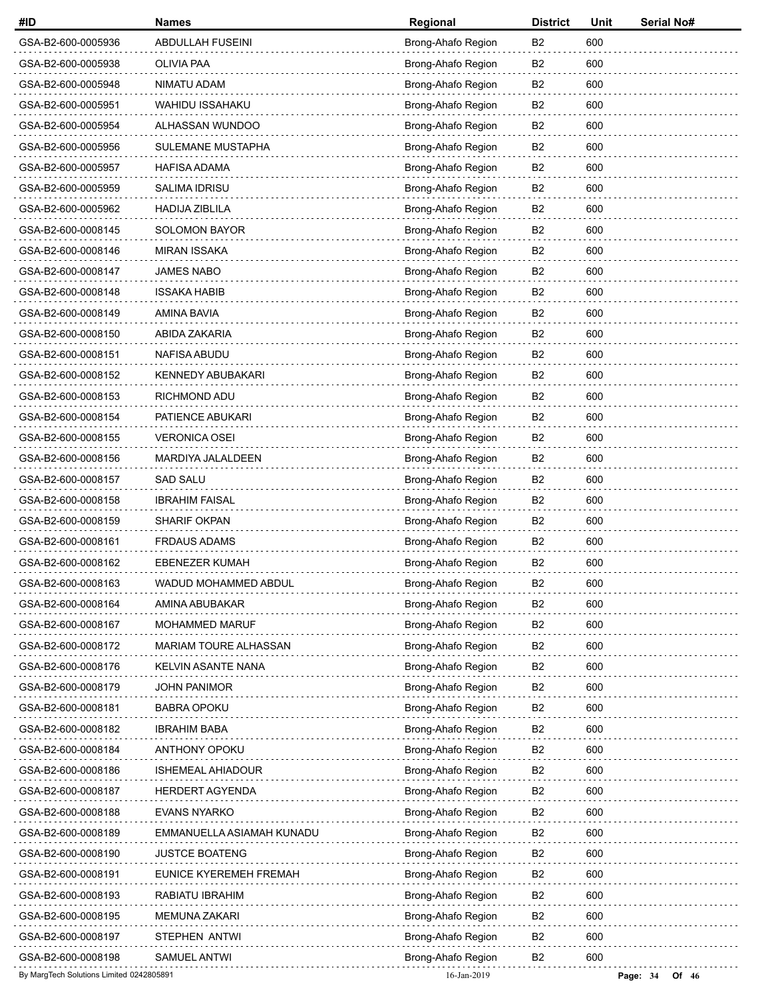| #ID                                      | <b>Names</b>              | Regional           | <b>District</b> | Unit | Serial No#            |
|------------------------------------------|---------------------------|--------------------|-----------------|------|-----------------------|
| GSA-B2-600-0005936                       | ABDULLAH FUSEINI          | Brong-Ahafo Region | B <sub>2</sub>  | 600  |                       |
| GSA-B2-600-0005938                       | OLIVIA PAA                | Brong-Ahafo Region | B <sub>2</sub>  | 600  |                       |
| GSA-B2-600-0005948                       | NIMATU ADAM               | Brong-Ahafo Region | B2              | 600  |                       |
| GSA-B2-600-0005951                       | <b>WAHIDU ISSAHAKU</b>    | Brong-Ahafo Region | B <sub>2</sub>  | 600  |                       |
| GSA-B2-600-0005954                       | ALHASSAN WUNDOO           | Brong-Ahafo Region | B <sub>2</sub>  | 600  |                       |
| GSA-B2-600-0005956                       | SULEMANE MUSTAPHA         | Brong-Ahafo Region | B <sub>2</sub>  | 600  |                       |
| GSA-B2-600-0005957                       | HAFISA ADAMA              | Brong-Ahafo Region | B <sub>2</sub>  | 600  |                       |
| GSA-B2-600-0005959                       | <b>SALIMA IDRISU</b>      | Brong-Ahafo Region | B <sub>2</sub>  | 600  |                       |
| GSA-B2-600-0005962                       | <b>HADIJA ZIBLILA</b>     | Brong-Ahafo Region | B <sub>2</sub>  | 600  |                       |
| GSA-B2-600-0008145                       | <b>SOLOMON BAYOR</b>      | Brong-Ahafo Region | B <sub>2</sub>  | 600  |                       |
| GSA-B2-600-0008146                       | <b>MIRAN ISSAKA</b>       | Brong-Ahafo Region | B2              | 600  |                       |
| GSA-B2-600-0008147                       | <b>JAMES NABO</b>         | Brong-Ahafo Region | B <sub>2</sub>  | 600  |                       |
| GSA-B2-600-0008148                       | <b>ISSAKA HABIB</b>       | Brong-Ahafo Region | B <sub>2</sub>  | 600  |                       |
| GSA-B2-600-0008149                       | <b>AMINA BAVIA</b>        | Brong-Ahafo Region | B <sub>2</sub>  | 600  |                       |
| GSA-B2-600-0008150                       | ABIDA ZAKARIA             | Brong-Ahafo Region | B2              | 600  |                       |
| GSA-B2-600-0008151                       | NAFISA ABUDU              | Brong-Ahafo Region | B <sub>2</sub>  | 600  |                       |
| GSA-B2-600-0008152                       | <b>KENNEDY ABUBAKARI</b>  | Brong-Ahafo Region | B <sub>2</sub>  | 600  |                       |
| GSA-B2-600-0008153                       | RICHMOND ADU              | Brong-Ahafo Region | B <sub>2</sub>  | 600  |                       |
| GSA-B2-600-0008154                       | PATIENCE ABUKARI          | Brong-Ahafo Region | B2              | 600  |                       |
| GSA-B2-600-0008155                       | <b>VERONICA OSEI</b>      | Brong-Ahafo Region | B <sub>2</sub>  | 600  |                       |
| GSA-B2-600-0008156                       | MARDIYA JALALDEEN         | Brong-Ahafo Region | B <sub>2</sub>  | 600  |                       |
| GSA-B2-600-0008157                       | <b>SAD SALU</b>           | Brong-Ahafo Region | B2              | 600  |                       |
| GSA-B2-600-0008158                       | <b>IBRAHIM FAISAL</b>     | Brong-Ahafo Region | B <sub>2</sub>  | 600  |                       |
| GSA-B2-600-0008159                       | <b>SHARIF OKPAN</b>       | Brong-Ahafo Region | B <sub>2</sub>  | 600  |                       |
| GSA-B2-600-0008161                       | <b>FRDAUS ADAMS</b>       | Brong-Ahafo Region | B <sub>2</sub>  | 600  |                       |
| GSA-B2-600-0008162                       | <b>EBENEZER KUMAH</b>     | Brong-Ahafo Region | B <sub>2</sub>  | 600  |                       |
| GSA-B2-600-0008163                       | WADUD MOHAMMED ABDUL      | Brong-Ahafo Region | B <sub>2</sub>  | 600  |                       |
| GSA-B2-600-0008164                       | AMINA ABUBAKAR            | Brong-Ahafo Region | B <sub>2</sub>  | 600  |                       |
| GSA-B2-600-0008167                       | MOHAMMED MARUF            | Brong-Ahafo Region | B <sub>2</sub>  | 600  |                       |
| GSA-B2-600-0008172                       | MARIAM TOURE ALHASSAN     | Brong-Ahafo Region | B <sub>2</sub>  | 600  |                       |
| GSA-B2-600-0008176                       | KELVIN ASANTE NANA        | Brong-Ahafo Region | B <sub>2</sub>  | 600  |                       |
| GSA-B2-600-0008179                       | <b>JOHN PANIMOR</b>       | Brong-Ahafo Region | B <sub>2</sub>  | 600  |                       |
| GSA-B2-600-0008181                       | <b>BABRA OPOKU</b>        | Brong-Ahafo Region | B <sub>2</sub>  | 600  |                       |
| GSA-B2-600-0008182                       | <b>IBRAHIM BABA</b>       | Brong-Ahafo Region | B2              | 600  |                       |
| GSA-B2-600-0008184                       | ANTHONY OPOKU             | Brong-Ahafo Region | B <sub>2</sub>  | 600  |                       |
| GSA-B2-600-0008186                       | <b>ISHEMEAL AHIADOUR</b>  | Brong-Ahafo Region | B <sub>2</sub>  | 600  |                       |
| GSA-B2-600-0008187                       | <b>HERDERT AGYENDA</b>    | Brong-Ahafo Region | B <sub>2</sub>  | 600  |                       |
| GSA-B2-600-0008188                       | <b>EVANS NYARKO</b>       | Brong-Ahafo Region | B <sub>2</sub>  | 600  |                       |
| GSA-B2-600-0008189                       | EMMANUELLA ASIAMAH KUNADU | Brong-Ahafo Region | B <sub>2</sub>  | 600  |                       |
| GSA-B2-600-0008190                       | <b>JUSTCE BOATENG</b>     | Brong-Ahafo Region | B <sub>2</sub>  | 600  |                       |
| GSA-B2-600-0008191                       | EUNICE KYEREMEH FREMAH    | Brong-Ahafo Region | B <sub>2</sub>  | 600  |                       |
| GSA-B2-600-0008193                       | RABIATU IBRAHIM           | Brong-Ahafo Region | B2              | 600  |                       |
| GSA-B2-600-0008195                       | <b>MEMUNA ZAKARI</b>      | Brong-Ahafo Region | B <sub>2</sub>  | 600  |                       |
| GSA-B2-600-0008197                       | STEPHEN ANTWI             | Brong-Ahafo Region | B <sub>2</sub>  | 600  |                       |
| GSA-B2-600-0008198                       | <b>SAMUEL ANTWI</b>       | Brong-Ahafo Region | B <sub>2</sub>  | 600  |                       |
| By MargTech Solutions Limited 0242805891 |                           | 16-Jan-2019        |                 |      | Page: $34$<br>Of $46$ |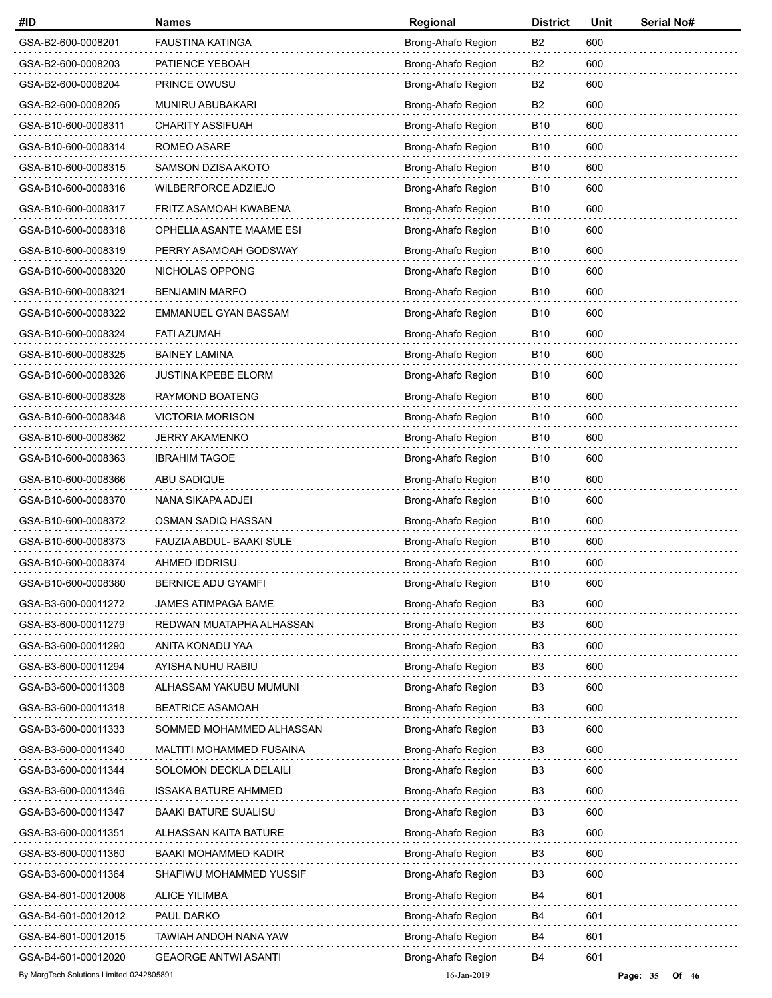| #ID                                      | <b>Names</b>                | Regional           | <b>District</b> | Unit | Serial No#          |
|------------------------------------------|-----------------------------|--------------------|-----------------|------|---------------------|
| GSA-B2-600-0008201                       | <b>FAUSTINA KATINGA</b>     | Brong-Ahafo Region | B2              | 600  |                     |
| GSA-B2-600-0008203                       | PATIENCE YEBOAH             | Brong-Ahafo Region | B2              | 600  |                     |
| GSA-B2-600-0008204                       | PRINCE OWUSU                | Brong-Ahafo Region | B2              | 600  |                     |
| GSA-B2-600-0008205                       | MUNIRU ABUBAKARI            | Brong-Ahafo Region | B <sub>2</sub>  | 600  |                     |
| GSA-B10-600-0008311                      | <b>CHARITY ASSIFUAH</b>     | Brong-Ahafo Region | B <sub>10</sub> | 600  |                     |
| GSA-B10-600-0008314                      | ROMEO ASARE                 | Brong-Ahafo Region | B <sub>10</sub> | 600  |                     |
| GSA-B10-600-0008315                      | SAMSON DZISA AKOTO          | Brong-Ahafo Region | <b>B10</b>      | 600  |                     |
| GSA-B10-600-0008316                      | WILBERFORCE ADZIEJO         | Brong-Ahafo Region | <b>B10</b>      | 600  |                     |
| GSA-B10-600-0008317                      | FRITZ ASAMOAH KWABENA       | Brong-Ahafo Region | B <sub>10</sub> | 600  |                     |
| GSA-B10-600-0008318                      | OPHELIA ASANTE MAAME ESI    | Brong-Ahafo Region | B <sub>10</sub> | 600  |                     |
| GSA-B10-600-0008319                      | PERRY ASAMOAH GODSWAY       | Brong-Ahafo Region | B <sub>10</sub> | 600  |                     |
| GSA-B10-600-0008320                      | NICHOLAS OPPONG             | Brong-Ahafo Region | B <sub>10</sub> | 600  |                     |
| GSA-B10-600-0008321                      | <b>BENJAMIN MARFO</b>       | Brong-Ahafo Region | B <sub>10</sub> | 600  |                     |
| GSA-B10-600-0008322                      | EMMANUEL GYAN BASSAM        | Brong-Ahafo Region | B <sub>10</sub> | 600  |                     |
| GSA-B10-600-0008324                      | <b>FATI AZUMAH</b>          | Brong-Ahafo Region | B <sub>10</sub> | 600  |                     |
| GSA-B10-600-0008325                      | <b>BAINEY LAMINA</b>        | Brong-Ahafo Region | B <sub>10</sub> | 600  |                     |
| GSA-B10-600-0008326                      | <b>JUSTINA KPEBE ELORM</b>  | Brong-Ahafo Region | B <sub>10</sub> | 600  |                     |
| GSA-B10-600-0008328                      | RAYMOND BOATENG             | Brong-Ahafo Region | B <sub>10</sub> | 600  |                     |
| GSA-B10-600-0008348                      | <b>VICTORIA MORISON</b>     | Brong-Ahafo Region | B <sub>10</sub> | 600  |                     |
| GSA-B10-600-0008362                      | JERRY AKAMENKO              | Brong-Ahafo Region | B <sub>10</sub> | 600  |                     |
| GSA-B10-600-0008363                      | <b>IBRAHIM TAGOE</b>        | Brong-Ahafo Region | B <sub>10</sub> | 600  |                     |
| GSA-B10-600-0008366                      | ABU SADIQUE                 | Brong-Ahafo Region | B <sub>10</sub> | 600  |                     |
| GSA-B10-600-0008370                      | NANA SIKAPA ADJEI           | Brong-Ahafo Region | B <sub>10</sub> | 600  |                     |
| GSA-B10-600-0008372                      | OSMAN SADIQ HASSAN          | Brong-Ahafo Region | B <sub>10</sub> | 600  |                     |
| GSA-B10-600-0008373                      | FAUZIA ABDUL- BAAKI SULE    | Brong-Ahafo Region | <b>B10</b>      | 600  |                     |
| GSA-B10-600-0008374                      | AHMED IDDRISU               | Brong-Ahafo Region | B <sub>10</sub> | 600  |                     |
| GSA-B10-600-0008380                      | <b>BERNICE ADU GYAMFI</b>   | Brong-Ahafo Region | B10             | 600  |                     |
| GSA-B3-600-00011272                      | JAMES ATIMPAGA BAME         | Brong-Ahafo Region | B3              | 600  |                     |
| GSA-B3-600-00011279                      | REDWAN MUATAPHA ALHASSAN    | Brong-Ahafo Region | B <sub>3</sub>  | 600  |                     |
| GSA-B3-600-00011290                      | ANITA KONADU YAA            | Brong-Ahafo Region | B3              | 600  |                     |
| GSA-B3-600-00011294                      | AYISHA NUHU RABIU           | Brong-Ahafo Region | B3              | 600  |                     |
| GSA-B3-600-00011308                      | ALHASSAM YAKUBU MUMUNI      | Brong-Ahafo Region | B <sub>3</sub>  | 600  |                     |
| GSA-B3-600-00011318                      | <b>BEATRICE ASAMOAH</b>     | Brong-Ahafo Region | B <sub>3</sub>  | 600  |                     |
| GSA-B3-600-00011333                      | SOMMED MOHAMMED ALHASSAN    | Brong-Ahafo Region | B3              | 600  |                     |
| GSA-B3-600-00011340                      | MALTITI MOHAMMED FUSAINA    | Brong-Ahafo Region | B3              | 600  |                     |
| GSA-B3-600-00011344                      | SOLOMON DECKLA DELAILI      | Brong-Ahafo Region | B <sub>3</sub>  | 600  |                     |
| GSA-B3-600-00011346                      | <b>ISSAKA BATURE AHMMED</b> | Brong-Ahafo Region | B <sub>3</sub>  | 600  |                     |
| GSA-B3-600-00011347                      | <b>BAAKI BATURE SUALISU</b> | Brong-Ahafo Region | B3              | 600  |                     |
| GSA-B3-600-00011351                      | ALHASSAN KAITA BATURE       | Brong-Ahafo Region | B3              | 600  |                     |
| GSA-B3-600-00011360                      | BAAKI MOHAMMED KADIR        | Brong-Ahafo Region | B <sub>3</sub>  | 600  |                     |
| GSA-B3-600-00011364                      | SHAFIWU MOHAMMED YUSSIF     | Brong-Ahafo Region | B <sub>3</sub>  | 600  |                     |
| GSA-B4-601-00012008                      | <b>ALICE YILIMBA</b>        | Brong-Ahafo Region | B4              | 601  |                     |
| GSA-B4-601-00012012                      | PAUL DARKO                  | Brong-Ahafo Region | B4              | 601  |                     |
| GSA-B4-601-00012015                      | TAWIAH ANDOH NANA YAW       | Brong-Ahafo Region | B4              | 601  |                     |
| GSA-B4-601-00012020                      | <b>GEAORGE ANTWI ASANTI</b> | Brong-Ahafo Region | B4              | 601  |                     |
| By MargTech Solutions Limited 0242805891 |                             | 16-Jan-2019        |                 |      | Page: 35<br>Of $46$ |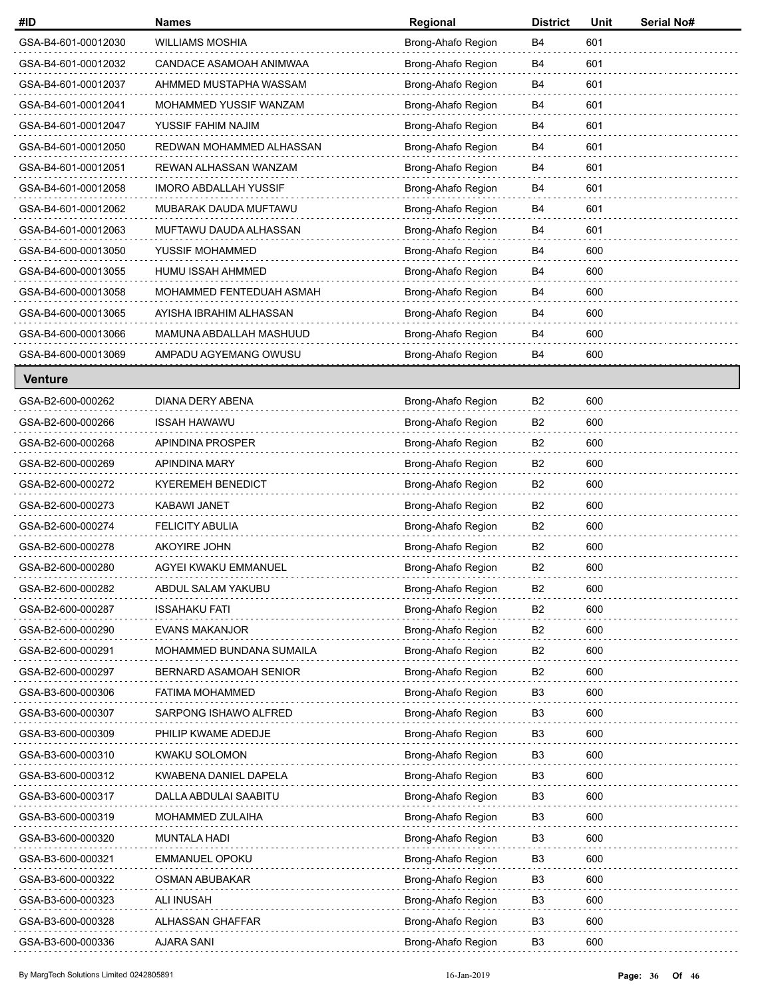| #ID                 | <b>Names</b>                 | Regional           | <b>District</b> | Unit | <b>Serial No#</b> |
|---------------------|------------------------------|--------------------|-----------------|------|-------------------|
| GSA-B4-601-00012030 | <b>WILLIAMS MOSHIA</b>       | Brong-Ahafo Region | B4              | 601  |                   |
| GSA-B4-601-00012032 | CANDACE ASAMOAH ANIMWAA      | Brong-Ahafo Region | B <sub>4</sub>  | 601  |                   |
| GSA-B4-601-00012037 | AHMMED MUSTAPHA WASSAM       | Brong-Ahafo Region | B4              | 601  |                   |
| GSA-B4-601-00012041 | MOHAMMED YUSSIF WANZAM       | Brong-Ahafo Region | B4              | 601  |                   |
| GSA-B4-601-00012047 | YUSSIF FAHIM NAJIM           | Brong-Ahafo Region | B4              | 601  |                   |
| GSA-B4-601-00012050 | REDWAN MOHAMMED ALHASSAN     | Brong-Ahafo Region | B <sub>4</sub>  | 601  |                   |
| GSA-B4-601-00012051 | REWAN ALHASSAN WANZAM        | Brong-Ahafo Region | B4              | 601  |                   |
| GSA-B4-601-00012058 | <b>IMORO ABDALLAH YUSSIF</b> | Brong-Ahafo Region | B4              | 601  |                   |
| GSA-B4-601-00012062 | MUBARAK DAUDA MUFTAWU        | Brong-Ahafo Region | B4              | 601  |                   |
| GSA-B4-601-00012063 | MUFTAWU DAUDA ALHASSAN       | Brong-Ahafo Region | B <sub>4</sub>  | 601  |                   |
| GSA-B4-600-00013050 | YUSSIF MOHAMMED              | Brong-Ahafo Region | B4              | 600  |                   |
| GSA-B4-600-00013055 | HUMU ISSAH AHMMED            | Brong-Ahafo Region | B4              | 600  |                   |
| GSA-B4-600-00013058 | MOHAMMED FENTEDUAH ASMAH     | Brong-Ahafo Region | B4              | 600  |                   |
| GSA-B4-600-00013065 | AYISHA IBRAHIM ALHASSAN      | Brong-Ahafo Region | B <sub>4</sub>  | 600  |                   |
| GSA-B4-600-00013066 | MAMUNA ABDALLAH MASHUUD      | Brong-Ahafo Region | B <sub>4</sub>  | 600  |                   |
| GSA-B4-600-00013069 | AMPADU AGYEMANG OWUSU        | Brong-Ahafo Region | <b>B4</b>       | 600  |                   |
| <b>Venture</b>      |                              |                    |                 |      |                   |
| GSA-B2-600-000262   | DIANA DERY ABENA             | Brong-Ahafo Region | B <sub>2</sub>  | 600  |                   |
| GSA-B2-600-000266   | <b>ISSAH HAWAWU</b>          | Brong-Ahafo Region | B2              | 600  |                   |
| GSA-B2-600-000268   | APINDINA PROSPER             | Brong-Ahafo Region | B <sub>2</sub>  | 600  |                   |
| GSA-B2-600-000269   | APINDINA MARY                | Brong-Ahafo Region | B <sub>2</sub>  | 600  |                   |
| GSA-B2-600-000272   | <b>KYEREMEH BENEDICT</b>     | Brong-Ahafo Region | B <sub>2</sub>  | 600  |                   |
| GSA-B2-600-000273   | KABAWI JANET                 | Brong-Ahafo Region | B2              | 600  |                   |
| GSA-B2-600-000274   | <b>FELICITY ABULIA</b>       | Brong-Ahafo Region | B2              | 600  |                   |
| GSA-B2-600-000278   | AKOYIRE JOHN                 | Brong-Ahafo Region | B <sub>2</sub>  | 600  |                   |
| GSA-B2-600-000280   | AGYEI KWAKU EMMANUEL         | Brong-Ahafo Region | B <sub>2</sub>  | 600  |                   |
| GSA-B2-600-000282   | ABDUL SALAM YAKUBU           | Brong-Ahafo Region | B <sub>2</sub>  | 600  |                   |
| GSA-B2-600-000287   | <b>ISSAHAKU FATI</b>         | Brong-Ahafo Region | B <sub>2</sub>  | 600  |                   |
| GSA-B2-600-000290   | <b>EVANS MAKANJOR</b>        | Brong-Ahafo Region | B <sub>2</sub>  | 600  |                   |
| GSA-B2-600-000291   | MOHAMMED BUNDANA SUMAILA     | Brong-Ahafo Region | B <sub>2</sub>  | 600  |                   |
| GSA-B2-600-000297   | BERNARD ASAMOAH SENIOR       | Brong-Ahafo Region | B2              | 600  |                   |
| GSA-B3-600-000306   | <b>FATIMA MOHAMMED</b>       | Brong-Ahafo Region | B <sub>3</sub>  | 600  |                   |
| GSA-B3-600-000307   | SARPONG ISHAWO ALFRED        | Brong-Ahafo Region | B <sub>3</sub>  | 600  |                   |
| GSA-B3-600-000309   | PHILIP KWAME ADEDJE          | Brong-Ahafo Region | B3              | 600  |                   |
| GSA-B3-600-000310   | KWAKU SOLOMON                | Brong-Ahafo Region | B <sub>3</sub>  | 600  |                   |
| GSA-B3-600-000312   | KWABENA DANIEL DAPELA        | Brong-Ahafo Region | B <sub>3</sub>  | 600  |                   |
| GSA-B3-600-000317   | DALLA ABDULAI SAABITU        | Brong-Ahafo Region | B <sub>3</sub>  | 600  |                   |
| GSA-B3-600-000319   | MOHAMMED ZULAIHA             | Brong-Ahafo Region | B <sub>3</sub>  | 600  |                   |
| GSA-B3-600-000320   | <b>MUNTALA HADI</b>          | Brong-Ahafo Region | B3              | 600  |                   |
| GSA-B3-600-000321   | EMMANUEL OPOKU               | Brong-Ahafo Region | B <sub>3</sub>  | 600  |                   |
| GSA-B3-600-000322   | OSMAN ABUBAKAR               | Brong-Ahafo Region | B <sub>3</sub>  | 600  |                   |
| GSA-B3-600-000323   | ALI INUSAH                   | Brong-Ahafo Region | B3              | 600  |                   |
| GSA-B3-600-000328   | ALHASSAN GHAFFAR             | Brong-Ahafo Region | B3              | 600  |                   |
| GSA-B3-600-000336   | AJARA SANI                   | Brong-Ahafo Region | B <sub>3</sub>  | 600  |                   |
|                     |                              |                    |                 |      |                   |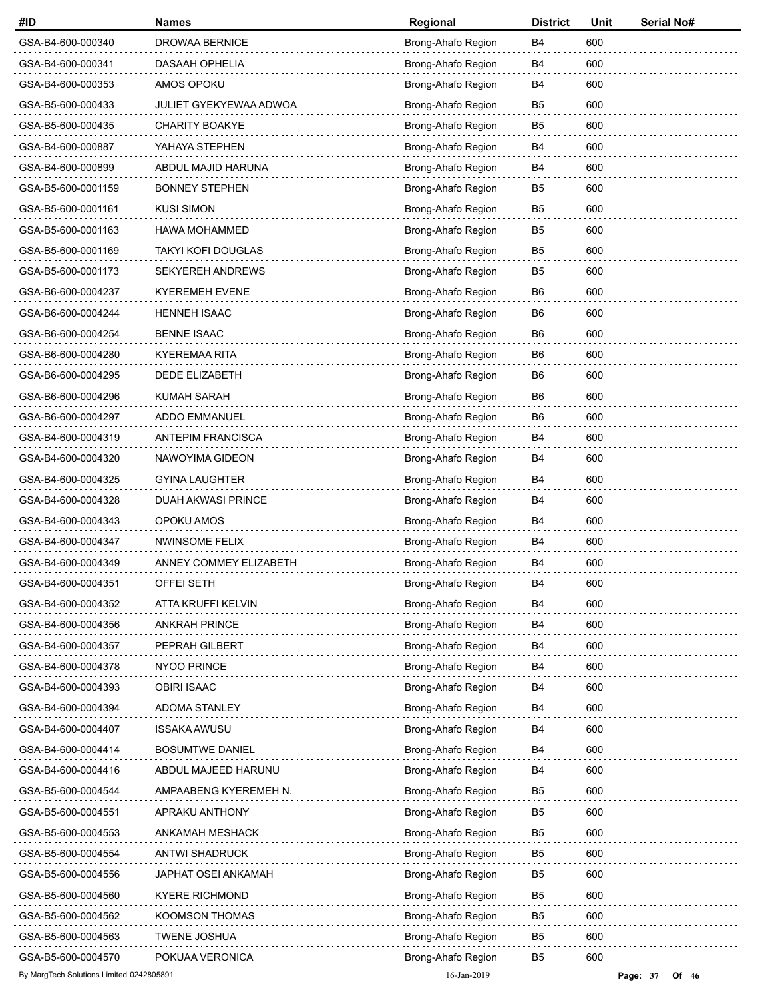| #ID                                      | <b>Names</b>              | Regional           | <b>District</b> | Unit | Serial No#          |
|------------------------------------------|---------------------------|--------------------|-----------------|------|---------------------|
| GSA-B4-600-000340                        | <b>DROWAA BERNICE</b>     | Brong-Ahafo Region | B4              | 600  |                     |
| GSA-B4-600-000341                        | DASAAH OPHELIA            | Brong-Ahafo Region | <b>B4</b>       | 600  |                     |
| GSA-B4-600-000353                        | AMOS OPOKU                | Brong-Ahafo Region | B4              | 600  |                     |
| GSA-B5-600-000433                        | JULIET GYEKYEWAA ADWOA    | Brong-Ahafo Region | B <sub>5</sub>  | 600  |                     |
| GSA-B5-600-000435                        | <b>CHARITY BOAKYE</b>     | Brong-Ahafo Region | B <sub>5</sub>  | 600  |                     |
| GSA-B4-600-000887                        | YAHAYA STEPHEN            | Brong-Ahafo Region | <b>B4</b>       | 600  |                     |
| GSA-B4-600-000899                        | ABDUL MAJID HARUNA        | Brong-Ahafo Region | B4              | 600  |                     |
| GSA-B5-600-0001159                       | <b>BONNEY STEPHEN</b>     | Brong-Ahafo Region | B <sub>5</sub>  | 600  |                     |
| GSA-B5-600-0001161                       | <b>KUSI SIMON</b>         | Brong-Ahafo Region | B <sub>5</sub>  | 600  |                     |
| GSA-B5-600-0001163                       | <b>HAWA MOHAMMED</b>      | Brong-Ahafo Region | B <sub>5</sub>  | 600  |                     |
| GSA-B5-600-0001169                       | <b>TAKYI KOFI DOUGLAS</b> | Brong-Ahafo Region | B <sub>5</sub>  | 600  |                     |
| GSA-B5-600-0001173                       | <b>SEKYEREH ANDREWS</b>   | Brong-Ahafo Region | B <sub>5</sub>  | 600  |                     |
| GSA-B6-600-0004237                       | <b>KYEREMEH EVENE</b>     | Brong-Ahafo Region | B <sub>6</sub>  | 600  |                     |
| GSA-B6-600-0004244                       | <b>HENNEH ISAAC</b>       | Brong-Ahafo Region | B6              | 600  |                     |
| GSA-B6-600-0004254                       | <b>BENNE ISAAC</b>        | Brong-Ahafo Region | B6              | 600  |                     |
| GSA-B6-600-0004280                       | <b>KYEREMAA RITA</b>      | Brong-Ahafo Region | B <sub>6</sub>  | 600  |                     |
| GSA-B6-600-0004295                       | DEDE ELIZABETH            | Brong-Ahafo Region | B <sub>6</sub>  | 600  |                     |
| GSA-B6-600-0004296                       | <b>KUMAH SARAH</b>        | Brong-Ahafo Region | B6              | 600  |                     |
| GSA-B6-600-0004297                       | ADDO EMMANUEL             | Brong-Ahafo Region | B6              | 600  |                     |
| GSA-B4-600-0004319                       | ANTEPIM FRANCISCA         | Brong-Ahafo Region | B4              | 600  |                     |
| GSA-B4-600-0004320                       | NAWOYIMA GIDEON           | Brong-Ahafo Region | B4              | 600  |                     |
| GSA-B4-600-0004325                       | <b>GYINA LAUGHTER</b>     | Brong-Ahafo Region | <b>B4</b>       | 600  |                     |
| GSA-B4-600-0004328                       | DUAH AKWASI PRINCE        | Brong-Ahafo Region | B4              | 600  |                     |
| GSA-B4-600-0004343                       | OPOKU AMOS                | Brong-Ahafo Region | B4              | 600  |                     |
| GSA-B4-600-0004347                       | <b>NWINSOME FELIX</b>     | Brong-Ahafo Region | B4              | 600  |                     |
| GSA-B4-600-0004349                       | ANNEY COMMEY ELIZABETH    | Brong-Ahafo Region | B4              | 600  |                     |
| GSA-B4-600-0004351                       | OFFEI SETH                | Brong-Ahafo Region | B4              | 600  |                     |
| GSA-B4-600-0004352                       | ATTA KRUFFI KELVIN        | Brong-Ahafo Region | B4              | 600  |                     |
| GSA-B4-600-0004356                       | <b>ANKRAH PRINCE</b>      | Brong-Ahafo Region | B4              | 600  |                     |
| GSA-B4-600-0004357                       | PEPRAH GILBERT            | Brong-Ahafo Region | B4              | 600  |                     |
| GSA-B4-600-0004378                       | NYOO PRINCE               | Brong-Ahafo Region | B4              | 600  |                     |
| GSA-B4-600-0004393                       | <b>OBIRI ISAAC</b>        | Brong-Ahafo Region | B4              | 600  |                     |
| GSA-B4-600-0004394                       | ADOMA STANLEY             | Brong-Ahafo Region | B4              | 600  |                     |
| GSA-B4-600-0004407                       | <b>ISSAKA AWUSU</b>       | Brong-Ahafo Region | B4              | 600  |                     |
| GSA-B4-600-0004414                       | <b>BOSUMTWE DANIEL</b>    | Brong-Ahafo Region | B4              | 600  |                     |
| GSA-B4-600-0004416                       | ABDUL MAJEED HARUNU       | Brong-Ahafo Region | B4              | 600  |                     |
| GSA-B5-600-0004544                       | AMPAABENG KYEREMEH N.     | Brong-Ahafo Region | B <sub>5</sub>  | 600  |                     |
| GSA-B5-600-0004551                       | APRAKU ANTHONY            | Brong-Ahafo Region | B <sub>5</sub>  | 600  |                     |
| GSA-B5-600-0004553                       | ANKAMAH MESHACK           | Brong-Ahafo Region | B5              | 600  |                     |
| GSA-B5-600-0004554                       | <b>ANTWI SHADRUCK</b>     | Brong-Ahafo Region | B <sub>5</sub>  | 600  |                     |
| GSA-B5-600-0004556                       | JAPHAT OSEI ANKAMAH       | Brong-Ahafo Region | B5              | 600  |                     |
| GSA-B5-600-0004560                       | <b>KYERE RICHMOND</b>     | Brong-Ahafo Region | B5              | 600  |                     |
| GSA-B5-600-0004562                       | KOOMSON THOMAS            | Brong-Ahafo Region | B5              | 600  |                     |
| GSA-B5-600-0004563                       | <b>TWENE JOSHUA</b>       | Brong-Ahafo Region | B <sub>5</sub>  | 600  |                     |
| GSA-B5-600-0004570                       | POKUAA VERONICA           | Brong-Ahafo Region | B <sub>5</sub>  | 600  |                     |
| By MargTech Solutions Limited 0242805891 |                           | 16-Jan-2019        |                 |      | Page: 37<br>Of $46$ |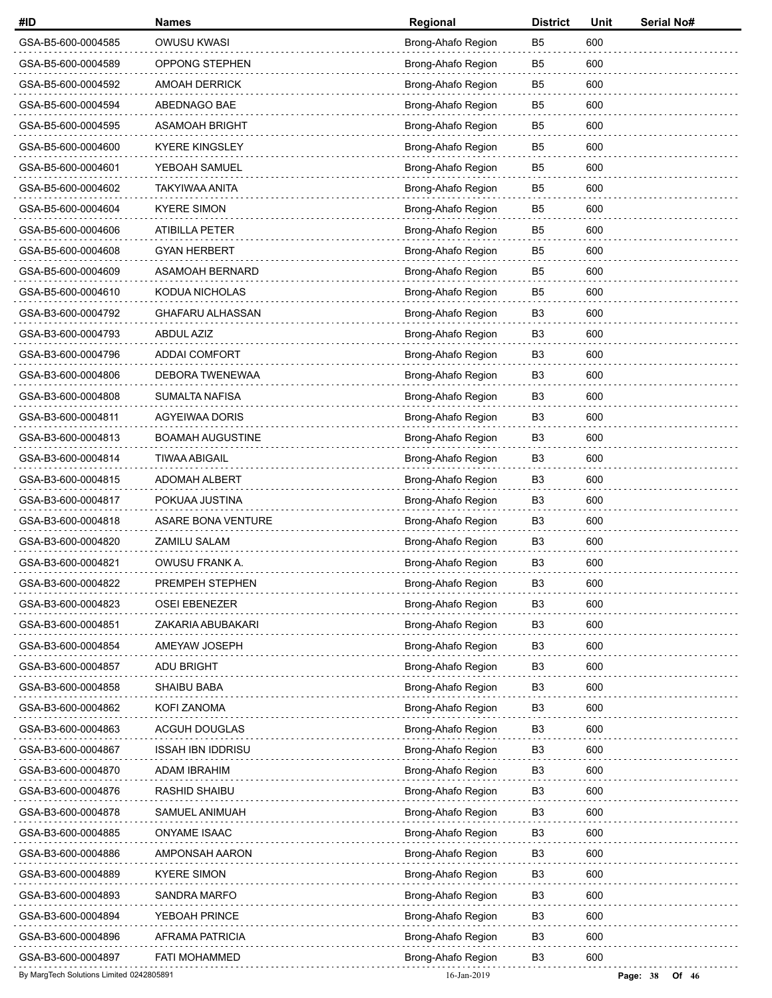| #ID                                      | <b>Names</b>              | Regional           | <b>District</b> | Unit | Serial No#        |
|------------------------------------------|---------------------------|--------------------|-----------------|------|-------------------|
| GSA-B5-600-0004585                       | <b>OWUSU KWASI</b>        | Brong-Ahafo Region | B <sub>5</sub>  | 600  |                   |
| GSA-B5-600-0004589                       | OPPONG STEPHEN            | Brong-Ahafo Region | B5              | 600  |                   |
| GSA-B5-600-0004592                       | <b>AMOAH DERRICK</b>      | Brong-Ahafo Region | B5              | 600  |                   |
| GSA-B5-600-0004594                       | ABEDNAGO BAE              | Brong-Ahafo Region | B <sub>5</sub>  | 600  |                   |
| GSA-B5-600-0004595                       | ASAMOAH BRIGHT            | Brong-Ahafo Region | B <sub>5</sub>  | 600  |                   |
| GSA-B5-600-0004600                       | <b>KYERE KINGSLEY</b>     | Brong-Ahafo Region | B <sub>5</sub>  | 600  |                   |
| GSA-B5-600-0004601                       | YEBOAH SAMUEL             | Brong-Ahafo Region | B <sub>5</sub>  | 600  |                   |
| GSA-B5-600-0004602                       | <b>TAKYIWAA ANITA</b>     | Brong-Ahafo Region | B <sub>5</sub>  | 600  |                   |
| GSA-B5-600-0004604                       | <b>KYERE SIMON</b>        | Brong-Ahafo Region | B <sub>5</sub>  | 600  |                   |
| GSA-B5-600-0004606                       | ATIBILLA PETER            | Brong-Ahafo Region | B <sub>5</sub>  | 600  |                   |
| GSA-B5-600-0004608                       | <b>GYAN HERBERT</b>       | Brong-Ahafo Region | B5              | 600  |                   |
| GSA-B5-600-0004609                       | <b>ASAMOAH BERNARD</b>    | Brong-Ahafo Region | B <sub>5</sub>  | 600  |                   |
| GSA-B5-600-0004610                       | KODUA NICHOLAS            | Brong-Ahafo Region | B <sub>5</sub>  | 600  |                   |
| GSA-B3-600-0004792                       | <b>GHAFARU ALHASSAN</b>   | Brong-Ahafo Region | B3              | 600  |                   |
| GSA-B3-600-0004793                       | <b>ABDUL AZIZ</b>         | Brong-Ahafo Region | B3              | 600  |                   |
| GSA-B3-600-0004796                       | <b>ADDAI COMFORT</b>      | Brong-Ahafo Region | B3              | 600  |                   |
| GSA-B3-600-0004806                       | DEBORA TWENEWAA           | Brong-Ahafo Region | B <sub>3</sub>  | 600  |                   |
| GSA-B3-600-0004808                       | <b>SUMALTA NAFISA</b>     | Brong-Ahafo Region | B3              | 600  |                   |
| GSA-B3-600-0004811                       | <b>AGYEIWAA DORIS</b>     | Brong-Ahafo Region | B3              | 600  |                   |
| GSA-B3-600-0004813                       | <b>BOAMAH AUGUSTINE</b>   | Brong-Ahafo Region | B <sub>3</sub>  | 600  |                   |
| GSA-B3-600-0004814                       | <b>TIWAA ABIGAIL</b>      | Brong-Ahafo Region | B <sub>3</sub>  | 600  |                   |
| GSA-B3-600-0004815                       | <b>ADOMAH ALBERT</b>      | Brong-Ahafo Region | B3              | 600  |                   |
| GSA-B3-600-0004817                       | POKUAA JUSTINA            | Brong-Ahafo Region | B <sub>3</sub>  | 600  |                   |
| GSA-B3-600-0004818                       | <b>ASARE BONA VENTURE</b> | Brong-Ahafo Region | B3              | 600  |                   |
| GSA-B3-600-0004820                       | ZAMILU SALAM              | Brong-Ahafo Region | B <sub>3</sub>  | 600  |                   |
| GSA-B3-600-0004821                       | OWUSU FRANK A.            | Brong-Ahafo Region | B3              | 600  |                   |
| GSA-B3-600-0004822                       | PREMPEH STEPHEN           | Brong-Ahafo Region | B3              | 600  |                   |
| GSA-B3-600-0004823                       | <b>OSEI EBENEZER</b>      | Brong-Ahafo Region | B <sub>3</sub>  | 600  |                   |
| GSA-B3-600-0004851                       | ZAKARIA ABUBAKARI         | Brong-Ahafo Region | B <sub>3</sub>  | 600  |                   |
| GSA-B3-600-0004854                       | AMEYAW JOSEPH             | Brong-Ahafo Region | B <sub>3</sub>  | 600  |                   |
| GSA-B3-600-0004857                       | <b>ADU BRIGHT</b>         | Brong-Ahafo Region | B3              | 600  |                   |
| GSA-B3-600-0004858                       | <b>SHAIBU BABA</b>        | Brong-Ahafo Region | B <sub>3</sub>  | 600  |                   |
| GSA-B3-600-0004862                       | KOFI ZANOMA               | Brong-Ahafo Region | B <sub>3</sub>  | 600  |                   |
| GSA-B3-600-0004863                       | ACGUH DOUGLAS             | Brong-Ahafo Region | B3              | 600  |                   |
| GSA-B3-600-0004867                       | <b>ISSAH IBN IDDRISU</b>  | Brong-Ahafo Region | B <sub>3</sub>  | 600  |                   |
| GSA-B3-600-0004870                       | ADAM IBRAHIM              | Brong-Ahafo Region | B <sub>3</sub>  | 600  |                   |
| GSA-B3-600-0004876                       | <b>RASHID SHAIBU</b>      | Brong-Ahafo Region | B <sub>3</sub>  | 600  |                   |
| GSA-B3-600-0004878                       | SAMUEL ANIMUAH            | Brong-Ahafo Region | B <sub>3</sub>  | 600  |                   |
| GSA-B3-600-0004885                       | <b>ONYAME ISAAC</b>       | Brong-Ahafo Region | B3              | 600  |                   |
| GSA-B3-600-0004886                       | AMPONSAH AARON            | Brong-Ahafo Region | B <sub>3</sub>  | 600  |                   |
| GSA-B3-600-0004889                       | <b>KYERE SIMON</b>        | Brong-Ahafo Region | B <sub>3</sub>  | 600  |                   |
| GSA-B3-600-0004893                       | <b>SANDRA MARFO</b>       | Brong-Ahafo Region | B3              | 600  |                   |
| GSA-B3-600-0004894                       | YEBOAH PRINCE             | Brong-Ahafo Region | B3              | 600  |                   |
| GSA-B3-600-0004896                       | AFRAMA PATRICIA           | Brong-Ahafo Region | B <sub>3</sub>  | 600  |                   |
| GSA-B3-600-0004897                       | <b>FATI MOHAMMED</b>      | Brong-Ahafo Region | B <sub>3</sub>  | 600  |                   |
| By MargTech Solutions Limited 0242805891 |                           | 16-Jan-2019        |                 |      | Page: 38<br>Of 46 |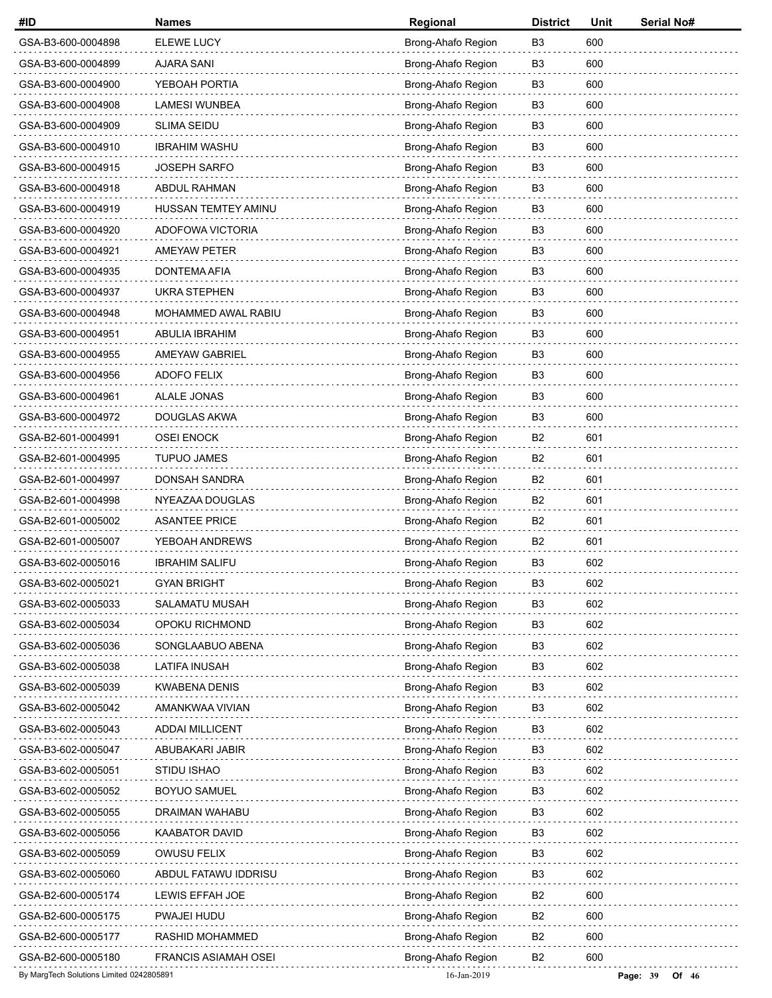| #ID                                      | <b>Names</b>                | Regional           | <b>District</b> | Unit | Serial No#          |
|------------------------------------------|-----------------------------|--------------------|-----------------|------|---------------------|
| GSA-B3-600-0004898                       | ELEWE LUCY                  | Brong-Ahafo Region | B <sub>3</sub>  | 600  |                     |
| GSA-B3-600-0004899                       | <b>AJARA SANI</b>           | Brong-Ahafo Region | B <sub>3</sub>  | 600  |                     |
| GSA-B3-600-0004900                       | YEBOAH PORTIA               | Brong-Ahafo Region | B3              | 600  |                     |
| GSA-B3-600-0004908                       | LAMESI WUNBEA               | Brong-Ahafo Region | B <sub>3</sub>  | 600  |                     |
| GSA-B3-600-0004909                       | <b>SLIMA SEIDU</b>          | Brong-Ahafo Region | B <sub>3</sub>  | 600  |                     |
| GSA-B3-600-0004910                       | <b>IBRAHIM WASHU</b>        | Brong-Ahafo Region | B <sub>3</sub>  | 600  |                     |
| GSA-B3-600-0004915                       | <b>JOSEPH SARFO</b>         | Brong-Ahafo Region | B <sub>3</sub>  | 600  |                     |
| GSA-B3-600-0004918                       | ABDUL RAHMAN                | Brong-Ahafo Region | B <sub>3</sub>  | 600  |                     |
| GSA-B3-600-0004919                       | HUSSAN TEMTEY AMINU         | Brong-Ahafo Region | B <sub>3</sub>  | 600  |                     |
| GSA-B3-600-0004920                       | ADOFOWA VICTORIA            | Brong-Ahafo Region | B <sub>3</sub>  | 600  |                     |
| GSA-B3-600-0004921                       | <b>AMEYAW PETER</b>         | Brong-Ahafo Region | B <sub>3</sub>  | 600  |                     |
| GSA-B3-600-0004935                       | DONTEMA AFIA                | Brong-Ahafo Region | B <sub>3</sub>  | 600  |                     |
| GSA-B3-600-0004937                       | <b>UKRA STEPHEN</b>         | Brong-Ahafo Region | B <sub>3</sub>  | 600  |                     |
| GSA-B3-600-0004948                       | MOHAMMED AWAL RABIU         | Brong-Ahafo Region | B <sub>3</sub>  | 600  |                     |
| GSA-B3-600-0004951                       | <b>ABULIA IBRAHIM</b>       | Brong-Ahafo Region | B <sub>3</sub>  | 600  |                     |
| GSA-B3-600-0004955                       | <b>AMEYAW GABRIEL</b>       | Brong-Ahafo Region | B <sub>3</sub>  | 600  |                     |
| GSA-B3-600-0004956                       | ADOFO FELIX                 | Brong-Ahafo Region | B <sub>3</sub>  | 600  |                     |
| GSA-B3-600-0004961                       | ALALE JONAS                 | Brong-Ahafo Region | B <sub>3</sub>  | 600  |                     |
| GSA-B3-600-0004972                       | DOUGLAS AKWA                | Brong-Ahafo Region | B <sub>3</sub>  | 600  |                     |
| GSA-B2-601-0004991                       | <b>OSEI ENOCK</b>           | Brong-Ahafo Region | B <sub>2</sub>  | 601  |                     |
| GSA-B2-601-0004995                       | <b>TUPUO JAMES</b>          | Brong-Ahafo Region | B <sub>2</sub>  | 601  |                     |
| GSA-B2-601-0004997                       | DONSAH SANDRA               | Brong-Ahafo Region | B <sub>2</sub>  | 601  |                     |
| GSA-B2-601-0004998                       | NYEAZAA DOUGLAS             | Brong-Ahafo Region | B2              | 601  |                     |
| GSA-B2-601-0005002                       | <b>ASANTEE PRICE</b>        | Brong-Ahafo Region | B <sub>2</sub>  | 601  |                     |
| GSA-B2-601-0005007                       | YEBOAH ANDREWS              | Brong-Ahafo Region | B <sub>2</sub>  | 601  |                     |
| GSA-B3-602-0005016                       | <b>IBRAHIM SALIFU</b>       | Brong-Ahafo Region | B <sub>3</sub>  | 602  |                     |
| GSA-B3-602-0005021                       | <b>GYAN BRIGHT</b>          | Brong-Ahafo Region | B3              | 602  |                     |
| GSA-B3-602-0005033                       | <b>SALAMATU MUSAH</b>       | Brong-Ahafo Region | B <sub>3</sub>  | 602  |                     |
| GSA-B3-602-0005034                       | OPOKU RICHMOND              | Brong-Ahafo Region | B <sub>3</sub>  | 602  |                     |
| GSA-B3-602-0005036                       | SONGLAABUO ABENA            | Brong-Ahafo Region | B3              | 602  |                     |
| GSA-B3-602-0005038                       | LATIFA INUSAH               | Brong-Ahafo Region | B3              | 602  |                     |
| GSA-B3-602-0005039                       | <b>KWABENA DENIS</b>        | Brong-Ahafo Region | B <sub>3</sub>  | 602  |                     |
| GSA-B3-602-0005042                       | AMANKWAA VIVIAN             | Brong-Ahafo Region | B <sub>3</sub>  | 602  |                     |
| GSA-B3-602-0005043                       | <b>ADDAI MILLICENT</b>      | Brong-Ahafo Region | B3              | 602  |                     |
| GSA-B3-602-0005047                       | ABUBAKARI JABIR             | Brong-Ahafo Region | B3              | 602  |                     |
| GSA-B3-602-0005051                       | STIDU ISHAO                 | Brong-Ahafo Region | B <sub>3</sub>  | 602  |                     |
| GSA-B3-602-0005052                       | <b>BOYUO SAMUEL</b>         | Brong-Ahafo Region | B <sub>3</sub>  | 602  |                     |
| GSA-B3-602-0005055                       | DRAIMAN WAHABU              | Brong-Ahafo Region | B3              | 602  |                     |
| GSA-B3-602-0005056                       | <b>KAABATOR DAVID</b>       | Brong-Ahafo Region | B3              | 602  |                     |
| GSA-B3-602-0005059                       | OWUSU FELIX                 | Brong-Ahafo Region | B <sub>3</sub>  | 602  |                     |
| GSA-B3-602-0005060                       | ABDUL FATAWU IDDRISU        | Brong-Ahafo Region | B <sub>3</sub>  | 602  |                     |
| GSA-B2-600-0005174                       | LEWIS EFFAH JOE             | Brong-Ahafo Region | B2              | 600  |                     |
| GSA-B2-600-0005175                       | PWAJEI HUDU                 | Brong-Ahafo Region | B <sub>2</sub>  | 600  |                     |
| GSA-B2-600-0005177                       | RASHID MOHAMMED             | Brong-Ahafo Region | B <sub>2</sub>  | 600  |                     |
| GSA-B2-600-0005180                       | <b>FRANCIS ASIAMAH OSEI</b> | Brong-Ahafo Region | B <sub>2</sub>  | 600  |                     |
| By MargTech Solutions Limited 0242805891 |                             | 16-Jan-2019        |                 |      | Page: 39<br>Of $46$ |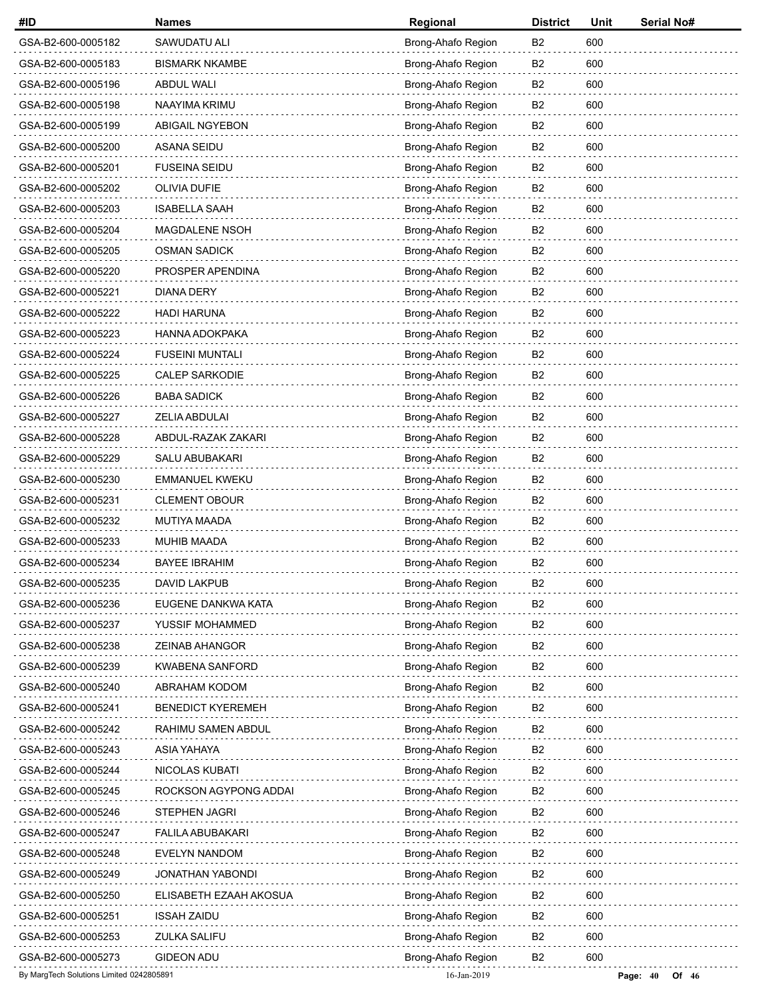| #ID                                      | <b>Names</b>             | Regional           | <b>District</b> | Unit | Serial No#            |
|------------------------------------------|--------------------------|--------------------|-----------------|------|-----------------------|
| GSA-B2-600-0005182                       | SAWUDATU ALI             | Brong-Ahafo Region | B2              | 600  |                       |
| GSA-B2-600-0005183                       | <b>BISMARK NKAMBE</b>    | Brong-Ahafo Region | B2              | 600  |                       |
| GSA-B2-600-0005196                       | <b>ABDUL WALI</b>        | Brong-Ahafo Region | B2              | 600  |                       |
| GSA-B2-600-0005198                       | NAAYIMA KRIMU            | Brong-Ahafo Region | B <sub>2</sub>  | 600  |                       |
| GSA-B2-600-0005199                       | <b>ABIGAIL NGYEBON</b>   | Brong-Ahafo Region | B <sub>2</sub>  | 600  |                       |
| GSA-B2-600-0005200                       | ASANA SEIDU              | Brong-Ahafo Region | B <sub>2</sub>  | 600  |                       |
| GSA-B2-600-0005201                       | <b>FUSEINA SEIDU</b>     | Brong-Ahafo Region | B <sub>2</sub>  | 600  |                       |
| GSA-B2-600-0005202                       | OLIVIA DUFIE             | Brong-Ahafo Region | B <sub>2</sub>  | 600  |                       |
| GSA-B2-600-0005203                       | <b>ISABELLA SAAH</b>     | Brong-Ahafo Region | B <sub>2</sub>  | 600  |                       |
| GSA-B2-600-0005204                       | MAGDALENE NSOH           | Brong-Ahafo Region | B <sub>2</sub>  | 600  |                       |
| GSA-B2-600-0005205                       | <b>OSMAN SADICK</b>      | Brong-Ahafo Region | B <sub>2</sub>  | 600  |                       |
| GSA-B2-600-0005220                       | PROSPER APENDINA         | Brong-Ahafo Region | B <sub>2</sub>  | 600  |                       |
| GSA-B2-600-0005221                       | <b>DIANA DERY</b>        | Brong-Ahafo Region | B <sub>2</sub>  | 600  |                       |
| GSA-B2-600-0005222                       | <b>HADI HARUNA</b>       | Brong-Ahafo Region | B <sub>2</sub>  | 600  |                       |
| GSA-B2-600-0005223                       | HANNA ADOKPAKA           | Brong-Ahafo Region | B <sub>2</sub>  | 600  |                       |
| GSA-B2-600-0005224                       | <b>FUSEINI MUNTALI</b>   | Brong-Ahafo Region | B <sub>2</sub>  | 600  |                       |
| GSA-B2-600-0005225                       | <b>CALEP SARKODIE</b>    | Brong-Ahafo Region | B <sub>2</sub>  | 600  |                       |
| GSA-B2-600-0005226                       | <b>BABA SADICK</b>       | Brong-Ahafo Region | B <sub>2</sub>  | 600  |                       |
| GSA-B2-600-0005227                       | ZELIA ABDULAI            | Brong-Ahafo Region | B <sub>2</sub>  | 600  |                       |
| GSA-B2-600-0005228                       | ABDUL-RAZAK ZAKARI       | Brong-Ahafo Region | B <sub>2</sub>  | 600  |                       |
| GSA-B2-600-0005229                       | <b>SALU ABUBAKARI</b>    | Brong-Ahafo Region | B <sub>2</sub>  | 600  |                       |
| GSA-B2-600-0005230                       | <b>EMMANUEL KWEKU</b>    | Brong-Ahafo Region | B <sub>2</sub>  | 600  |                       |
| GSA-B2-600-0005231                       | <b>CLEMENT OBOUR</b>     | Brong-Ahafo Region | B <sub>2</sub>  | 600  |                       |
| GSA-B2-600-0005232                       | MUTIYA MAADA             | Brong-Ahafo Region | B <sub>2</sub>  | 600  |                       |
| GSA-B2-600-0005233                       | MUHIB MAADA              | Brong-Ahafo Region | B <sub>2</sub>  | 600  |                       |
| GSA-B2-600-0005234                       | <b>BAYEE IBRAHIM</b>     | Brong-Ahafo Region | B <sub>2</sub>  | 600  |                       |
| GSA-B2-600-0005235                       | <b>DAVID LAKPUB</b>      | Brong-Ahafo Region | B2              | 600  |                       |
| GSA-B2-600-0005236                       | EUGENE DANKWA KATA       | Brong-Ahafo Region | B <sub>2</sub>  | 600  |                       |
| GSA-B2-600-0005237                       | YUSSIF MOHAMMED          | Brong-Ahafo Region | B <sub>2</sub>  | 600  |                       |
| GSA-B2-600-0005238                       | ZEINAB AHANGOR           | Brong-Ahafo Region | B <sub>2</sub>  | 600  |                       |
| GSA-B2-600-0005239                       | <b>KWABENA SANFORD</b>   | Brong-Ahafo Region | B2              | 600  |                       |
| GSA-B2-600-0005240                       | ABRAHAM KODOM            | Brong-Ahafo Region | B <sub>2</sub>  | 600  |                       |
| GSA-B2-600-0005241                       | <b>BENEDICT KYEREMEH</b> | Brong-Ahafo Region | B <sub>2</sub>  | 600  |                       |
| GSA-B2-600-0005242                       | RAHIMU SAMEN ABDUL       | Brong-Ahafo Region | B2              | 600  |                       |
| GSA-B2-600-0005243                       | ASIA YAHAYA              | Brong-Ahafo Region | B <sub>2</sub>  | 600  |                       |
| GSA-B2-600-0005244                       | NICOLAS KUBATI           | Brong-Ahafo Region | B <sub>2</sub>  | 600  |                       |
| GSA-B2-600-0005245                       | ROCKSON AGYPONG ADDAI    | Brong-Ahafo Region | B <sub>2</sub>  | 600  |                       |
| GSA-B2-600-0005246                       | STEPHEN JAGRI            | Brong-Ahafo Region | B <sub>2</sub>  | 600  |                       |
| GSA-B2-600-0005247                       | <b>FALILA ABUBAKARI</b>  | Brong-Ahafo Region | B2              | 600  |                       |
| GSA-B2-600-0005248                       | <b>EVELYN NANDOM</b>     | Brong-Ahafo Region | B <sub>2</sub>  | 600  |                       |
| GSA-B2-600-0005249                       | JONATHAN YABONDI         | Brong-Ahafo Region | B <sub>2</sub>  | 600  |                       |
| GSA-B2-600-0005250                       | ELISABETH EZAAH AKOSUA   | Brong-Ahafo Region | B2              | 600  |                       |
| GSA-B2-600-0005251                       | <b>ISSAH ZAIDU</b>       | Brong-Ahafo Region | B <sub>2</sub>  | 600  |                       |
| GSA-B2-600-0005253                       | <b>ZULKA SALIFU</b>      | Brong-Ahafo Region | B <sub>2</sub>  | 600  |                       |
| GSA-B2-600-0005273                       | GIDEON ADU               | Brong-Ahafo Region | B <sub>2</sub>  | 600  |                       |
| By MargTech Solutions Limited 0242805891 |                          | 16-Jan-2019        |                 |      | Page: $40$<br>Of $46$ |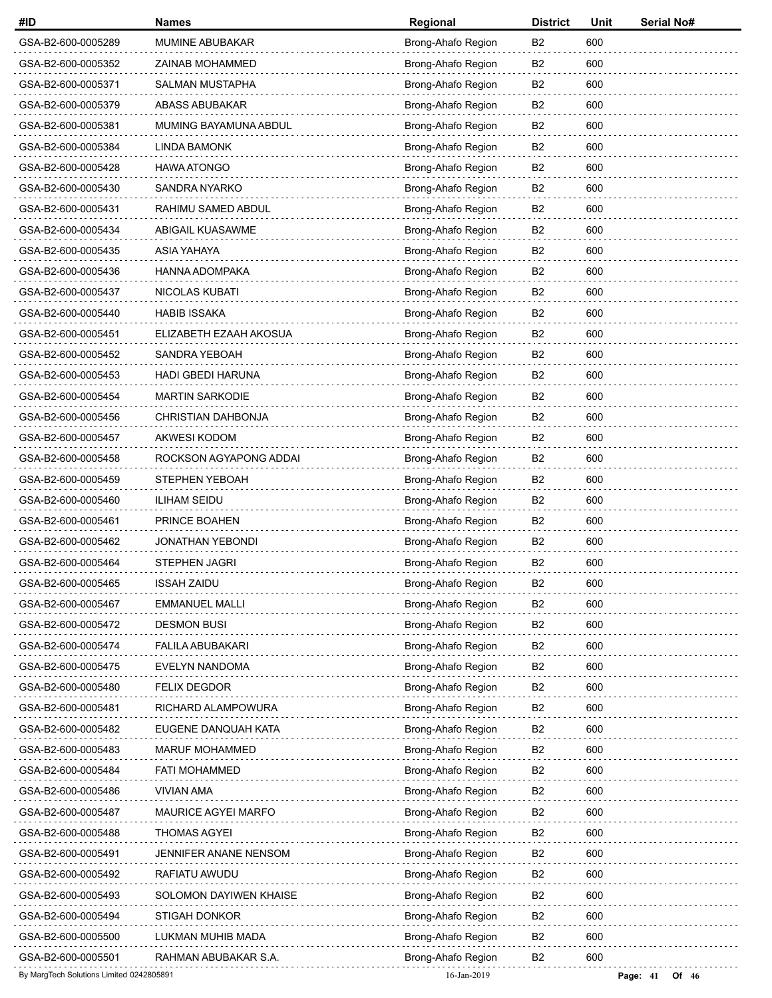| #ID                                      | <b>Names</b>             | Regional           | <b>District</b> | Unit | Serial No#            |
|------------------------------------------|--------------------------|--------------------|-----------------|------|-----------------------|
| GSA-B2-600-0005289                       | MUMINE ABUBAKAR          | Brong-Ahafo Region | B <sub>2</sub>  | 600  |                       |
| GSA-B2-600-0005352                       | ZAINAB MOHAMMED          | Brong-Ahafo Region | B <sub>2</sub>  | 600  |                       |
| GSA-B2-600-0005371                       | <b>SALMAN MUSTAPHA</b>   | Brong-Ahafo Region | B2              | 600  |                       |
| GSA-B2-600-0005379                       | <b>ABASS ABUBAKAR</b>    | Brong-Ahafo Region | B <sub>2</sub>  | 600  |                       |
| GSA-B2-600-0005381                       | MUMING BAYAMUNA ABDUL    | Brong-Ahafo Region | B <sub>2</sub>  | 600  |                       |
| GSA-B2-600-0005384                       | <b>LINDA BAMONK</b>      | Brong-Ahafo Region | B <sub>2</sub>  | 600  |                       |
| GSA-B2-600-0005428                       | <b>HAWA ATONGO</b>       | Brong-Ahafo Region | B <sub>2</sub>  | 600  |                       |
| GSA-B2-600-0005430                       | SANDRA NYARKO            | Brong-Ahafo Region | B <sub>2</sub>  | 600  |                       |
| GSA-B2-600-0005431                       | RAHIMU SAMED ABDUL       | Brong-Ahafo Region | B <sub>2</sub>  | 600  |                       |
| GSA-B2-600-0005434                       | ABIGAIL KUASAWME         | Brong-Ahafo Region | B <sub>2</sub>  | 600  |                       |
| GSA-B2-600-0005435                       | ASIA YAHAYA              | Brong-Ahafo Region | B2              | 600  |                       |
| GSA-B2-600-0005436                       | HANNA ADOMPAKA           | Brong-Ahafo Region | B <sub>2</sub>  | 600  |                       |
| GSA-B2-600-0005437                       | NICOLAS KUBATI           | Brong-Ahafo Region | B <sub>2</sub>  | 600  |                       |
| GSA-B2-600-0005440                       | <b>HABIB ISSAKA</b>      | Brong-Ahafo Region | B <sub>2</sub>  | 600  |                       |
| GSA-B2-600-0005451                       | ELIZABETH EZAAH AKOSUA   | Brong-Ahafo Region | B2              | 600  |                       |
| GSA-B2-600-0005452                       | SANDRA YEBOAH            | Brong-Ahafo Region | B <sub>2</sub>  | 600  |                       |
| GSA-B2-600-0005453                       | <b>HADI GBEDI HARUNA</b> | Brong-Ahafo Region | B <sub>2</sub>  | 600  |                       |
| GSA-B2-600-0005454                       | <b>MARTIN SARKODIE</b>   | Brong-Ahafo Region | B <sub>2</sub>  | 600  |                       |
| GSA-B2-600-0005456                       | CHRISTIAN DAHBONJA       | Brong-Ahafo Region | B2              | 600  |                       |
| GSA-B2-600-0005457                       | AKWESI KODOM             | Brong-Ahafo Region | B <sub>2</sub>  | 600  |                       |
| GSA-B2-600-0005458                       | ROCKSON AGYAPONG ADDAI   | Brong-Ahafo Region | B <sub>2</sub>  | 600  |                       |
| GSA-B2-600-0005459                       | STEPHEN YEBOAH           | Brong-Ahafo Region | B2              | 600  |                       |
| GSA-B2-600-0005460                       | <b>ILIHAM SEIDU</b>      | Brong-Ahafo Region | B2              | 600  |                       |
| GSA-B2-600-0005461                       | PRINCE BOAHEN            | Brong-Ahafo Region | B <sub>2</sub>  | 600  |                       |
| GSA-B2-600-0005462                       | <b>JONATHAN YEBONDI</b>  | Brong-Ahafo Region | B <sub>2</sub>  | 600  |                       |
| GSA-B2-600-0005464                       | STEPHEN JAGRI            | Brong-Ahafo Region | B <sub>2</sub>  | 600  |                       |
| GSA-B2-600-0005465                       | <b>ISSAH ZAIDU</b>       | Brong-Ahafo Region | B <sub>2</sub>  | 600  |                       |
| GSA-B2-600-0005467                       | <b>EMMANUEL MALLI</b>    | Brong-Ahafo Region | B <sub>2</sub>  | 600  |                       |
| GSA-B2-600-0005472                       | <b>DESMON BUSI</b>       | Brong-Ahafo Region | B <sub>2</sub>  | 600  |                       |
| GSA-B2-600-0005474                       | <b>FALILA ABUBAKARI</b>  | Brong-Ahafo Region | B <sub>2</sub>  | 600  |                       |
| GSA-B2-600-0005475                       | EVELYN NANDOMA           | Brong-Ahafo Region | B <sub>2</sub>  | 600  |                       |
| GSA-B2-600-0005480                       | <b>FELIX DEGDOR</b>      | Brong-Ahafo Region | B <sub>2</sub>  | 600  |                       |
| GSA-B2-600-0005481                       | RICHARD ALAMPOWURA       | Brong-Ahafo Region | B <sub>2</sub>  | 600  |                       |
| GSA-B2-600-0005482                       | EUGENE DANQUAH KATA      | Brong-Ahafo Region | B2              | 600  |                       |
| GSA-B2-600-0005483                       | MARUF MOHAMMED           | Brong-Ahafo Region | B <sub>2</sub>  | 600  |                       |
| GSA-B2-600-0005484                       | <b>FATI MOHAMMED</b>     | Brong-Ahafo Region | B <sub>2</sub>  | 600  |                       |
| GSA-B2-600-0005486                       | VIVIAN AMA               | Brong-Ahafo Region | B <sub>2</sub>  | 600  |                       |
| GSA-B2-600-0005487                       | MAURICE AGYEI MARFO      | Brong-Ahafo Region | B <sub>2</sub>  | 600  |                       |
| GSA-B2-600-0005488                       | <b>THOMAS AGYEI</b>      | Brong-Ahafo Region | B <sub>2</sub>  | 600  |                       |
| GSA-B2-600-0005491                       | JENNIFER ANANE NENSOM    | Brong-Ahafo Region | B <sub>2</sub>  | 600  |                       |
| GSA-B2-600-0005492                       | RAFIATU AWUDU            | Brong-Ahafo Region | B <sub>2</sub>  | 600  |                       |
| GSA-B2-600-0005493                       | SOLOMON DAYIWEN KHAISE   | Brong-Ahafo Region | B2              | 600  |                       |
| GSA-B2-600-0005494                       | STIGAH DONKOR            | Brong-Ahafo Region | B <sub>2</sub>  | 600  |                       |
| GSA-B2-600-0005500                       | LUKMAN MUHIB MADA        | Brong-Ahafo Region | B <sub>2</sub>  | 600  |                       |
| GSA-B2-600-0005501                       | RAHMAN ABUBAKAR S.A.     | Brong-Ahafo Region | B <sub>2</sub>  | 600  |                       |
| By MargTech Solutions Limited 0242805891 |                          | 16-Jan-2019        |                 |      | Page: $41$<br>Of $46$ |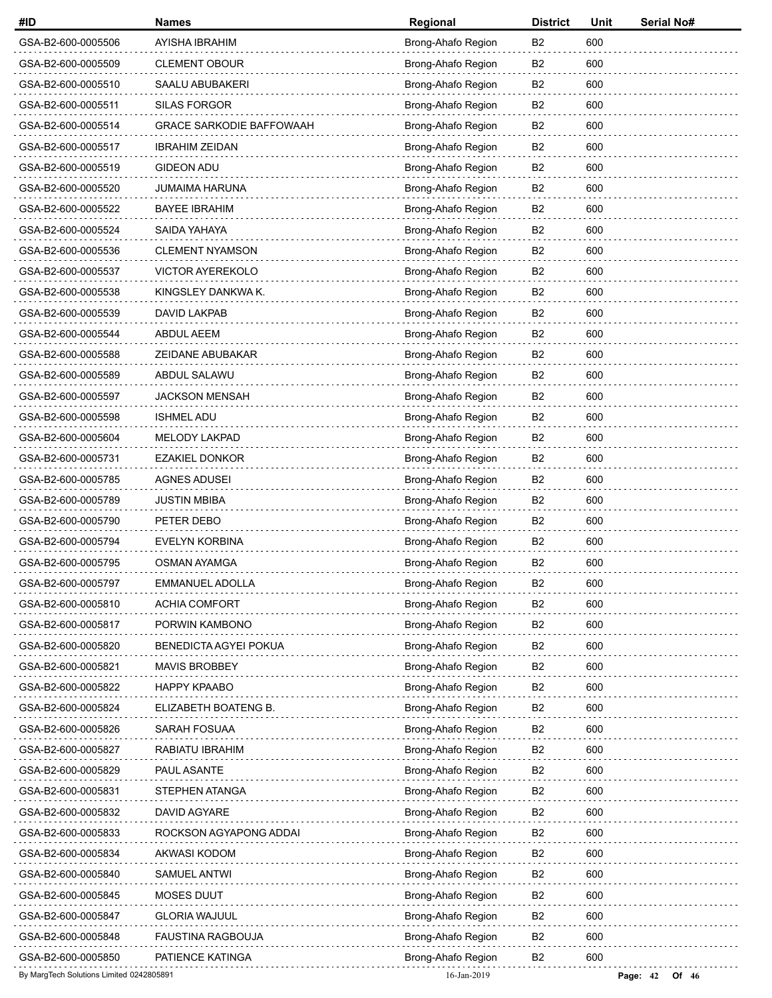| #ID                                      | <b>Names</b>                    | Regional           | <b>District</b> | Unit | Serial No#          |
|------------------------------------------|---------------------------------|--------------------|-----------------|------|---------------------|
| GSA-B2-600-0005506                       | AYISHA IBRAHIM                  | Brong-Ahafo Region | <b>B2</b>       | 600  |                     |
| GSA-B2-600-0005509                       | <b>CLEMENT OBOUR</b>            | Brong-Ahafo Region | B <sub>2</sub>  | 600  |                     |
| GSA-B2-600-0005510                       | SAALU ABUBAKERI                 | Brong-Ahafo Region | <b>B2</b>       | 600  |                     |
| GSA-B2-600-0005511                       | <b>SILAS FORGOR</b>             | Brong-Ahafo Region | B <sub>2</sub>  | 600  |                     |
| GSA-B2-600-0005514                       | <b>GRACE SARKODIE BAFFOWAAH</b> | Brong-Ahafo Region | B <sub>2</sub>  | 600  |                     |
| GSA-B2-600-0005517                       | <b>IBRAHIM ZEIDAN</b>           | Brong-Ahafo Region | B <sub>2</sub>  | 600  |                     |
| GSA-B2-600-0005519                       | <b>GIDEON ADU</b>               | Brong-Ahafo Region | B <sub>2</sub>  | 600  |                     |
| GSA-B2-600-0005520                       | JUMAIMA HARUNA                  | Brong-Ahafo Region | B <sub>2</sub>  | 600  |                     |
| GSA-B2-600-0005522                       | <b>BAYEE IBRAHIM</b>            | Brong-Ahafo Region | B <sub>2</sub>  | 600  |                     |
| GSA-B2-600-0005524                       | SAIDA YAHAYA                    | Brong-Ahafo Region | B <sub>2</sub>  | 600  |                     |
| GSA-B2-600-0005536                       | <b>CLEMENT NYAMSON</b>          | Brong-Ahafo Region | <b>B2</b>       | 600  |                     |
| GSA-B2-600-0005537                       | VICTOR AYEREKOLO                | Brong-Ahafo Region | B <sub>2</sub>  | 600  |                     |
| GSA-B2-600-0005538                       | KINGSLEY DANKWA K.              | Brong-Ahafo Region | B <sub>2</sub>  | 600  |                     |
| GSA-B2-600-0005539                       | DAVID LAKPAB                    | Brong-Ahafo Region | <b>B2</b>       | 600  |                     |
| GSA-B2-600-0005544                       | <b>ABDUL AEEM</b>               | Brong-Ahafo Region | B <sub>2</sub>  | 600  |                     |
| GSA-B2-600-0005588                       | ZEIDANE ABUBAKAR                | Brong-Ahafo Region | B <sub>2</sub>  | 600  |                     |
| GSA-B2-600-0005589                       | ABDUL SALAWU                    | Brong-Ahafo Region | B <sub>2</sub>  | 600  |                     |
| GSA-B2-600-0005597                       | <b>JACKSON MENSAH</b>           | Brong-Ahafo Region | B <sub>2</sub>  | 600  |                     |
| GSA-B2-600-0005598                       | <b>ISHMEL ADU</b>               | Brong-Ahafo Region | B <sub>2</sub>  | 600  |                     |
| GSA-B2-600-0005604                       | MELODY LAKPAD                   | Brong-Ahafo Region | B <sub>2</sub>  | 600  |                     |
| GSA-B2-600-0005731                       | <b>EZAKIEL DONKOR</b>           | Brong-Ahafo Region | B <sub>2</sub>  | 600  |                     |
| GSA-B2-600-0005785                       | <b>AGNES ADUSEI</b>             | Brong-Ahafo Region | B <sub>2</sub>  | 600  |                     |
| GSA-B2-600-0005789                       | <b>JUSTIN MBIBA</b>             | Brong-Ahafo Region | B <sub>2</sub>  | 600  |                     |
| GSA-B2-600-0005790                       | PETER DEBO                      | Brong-Ahafo Region | B <sub>2</sub>  | 600  |                     |
| GSA-B2-600-0005794                       | <b>EVELYN KORBINA</b>           | Brong-Ahafo Region | B <sub>2</sub>  | 600  |                     |
| GSA-B2-600-0005795                       | <b>OSMAN AYAMGA</b>             | Brong-Ahafo Region | B <sub>2</sub>  | 600  |                     |
| GSA-B2-600-0005797                       | <b>EMMANUEL ADOLLA</b>          | Brong-Ahafo Region | B <sub>2</sub>  | 600  |                     |
| GSA-B2-600-0005810                       | <b>ACHIA COMFORT</b>            | Brong-Ahafo Region | B <sub>2</sub>  | 600  |                     |
| GSA-B2-600-0005817                       | PORWIN KAMBONO                  | Brong-Ahafo Region | B <sub>2</sub>  | 600  |                     |
| GSA-B2-600-0005820                       | <b>BENEDICTA AGYEI POKUA</b>    | Brong-Ahafo Region | B <sub>2</sub>  | 600  |                     |
| GSA-B2-600-0005821                       | <b>MAVIS BROBBEY</b>            | Brong-Ahafo Region | B2              | 600  |                     |
| GSA-B2-600-0005822                       | <b>HAPPY KPAABO</b>             | Brong-Ahafo Region | B <sub>2</sub>  | 600  |                     |
| GSA-B2-600-0005824                       | ELIZABETH BOATENG B.            | Brong-Ahafo Region | B <sub>2</sub>  | 600  |                     |
| GSA-B2-600-0005826                       | SARAH FOSUAA                    | Brong-Ahafo Region | B2              | 600  |                     |
| GSA-B2-600-0005827                       | RABIATU IBRAHIM                 | Brong-Ahafo Region | B <sub>2</sub>  | 600  |                     |
| GSA-B2-600-0005829                       | PAUL ASANTE                     | Brong-Ahafo Region | B <sub>2</sub>  | 600  |                     |
| GSA-B2-600-0005831                       | STEPHEN ATANGA                  | Brong-Ahafo Region | B <sub>2</sub>  | 600  |                     |
| GSA-B2-600-0005832                       | DAVID AGYARE                    | Brong-Ahafo Region | B <sub>2</sub>  | 600  |                     |
| GSA-B2-600-0005833                       | ROCKSON AGYAPONG ADDAI          | Brong-Ahafo Region | B2              | 600  |                     |
| GSA-B2-600-0005834                       | AKWASI KODOM                    | Brong-Ahafo Region | B <sub>2</sub>  | 600  |                     |
| GSA-B2-600-0005840                       | SAMUEL ANTWI                    | Brong-Ahafo Region | B <sub>2</sub>  | 600  |                     |
| GSA-B2-600-0005845                       | MOSES DUUT                      | Brong-Ahafo Region | B2              | 600  |                     |
| GSA-B2-600-0005847                       | <b>GLORIA WAJUUL</b>            | Brong-Ahafo Region | B2              | 600  |                     |
| GSA-B2-600-0005848                       | <b>FAUSTINA RAGBOUJA</b>        | Brong-Ahafo Region | B <sub>2</sub>  | 600  |                     |
| GSA-B2-600-0005850                       | PATIENCE KATINGA                | Brong-Ahafo Region | B <sub>2</sub>  | 600  |                     |
| By MargTech Solutions Limited 0242805891 |                                 | 16-Jan-2019        |                 |      | Page: 42<br>Of $46$ |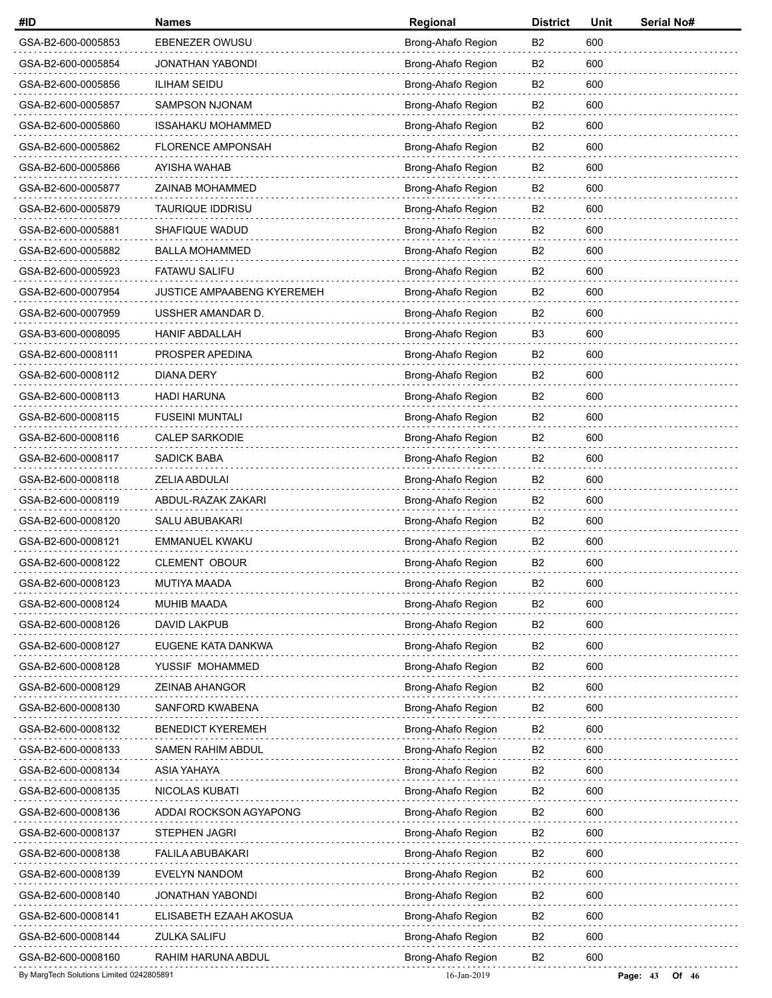| #ID                                      | <b>Names</b>                      | Regional           | <b>District</b> | Unit | Serial No#          |
|------------------------------------------|-----------------------------------|--------------------|-----------------|------|---------------------|
| GSA-B2-600-0005853                       | EBENEZER OWUSU                    | Brong-Ahafo Region | B2              | 600  |                     |
| GSA-B2-600-0005854                       | JONATHAN YABONDI                  | Brong-Ahafo Region | B2              | 600  |                     |
| GSA-B2-600-0005856                       | <b>ILIHAM SEIDU</b>               | Brong-Ahafo Region | B2              | 600  |                     |
| GSA-B2-600-0005857                       | <b>SAMPSON NJONAM</b>             | Brong-Ahafo Region | B <sub>2</sub>  | 600  |                     |
| GSA-B2-600-0005860                       | <b>ISSAHAKU MOHAMMED</b>          | Brong-Ahafo Region | B <sub>2</sub>  | 600  |                     |
| GSA-B2-600-0005862                       | <b>FLORENCE AMPONSAH</b>          | Brong-Ahafo Region | B2              | 600  |                     |
| GSA-B2-600-0005866                       | AYISHA WAHAB                      | Brong-Ahafo Region | B <sub>2</sub>  | 600  |                     |
| GSA-B2-600-0005877                       | ZAINAB MOHAMMED                   | Brong-Ahafo Region | B <sub>2</sub>  | 600  |                     |
| GSA-B2-600-0005879                       | <b>TAURIQUE IDDRISU</b>           | Brong-Ahafo Region | B <sub>2</sub>  | 600  |                     |
| GSA-B2-600-0005881                       | SHAFIQUE WADUD                    | Brong-Ahafo Region | B <sub>2</sub>  | 600  |                     |
| GSA-B2-600-0005882                       | <b>BALLA MOHAMMED</b>             | Brong-Ahafo Region | B2              | 600  |                     |
| GSA-B2-600-0005923                       | <b>FATAWU SALIFU</b>              | Brong-Ahafo Region | B <sub>2</sub>  | 600  |                     |
| GSA-B2-600-0007954                       | <b>JUSTICE AMPAABENG KYEREMEH</b> | Brong-Ahafo Region | B <sub>2</sub>  | 600  |                     |
| GSA-B2-600-0007959                       | USSHER AMANDAR D.                 | Brong-Ahafo Region | B <sub>2</sub>  | 600  |                     |
| GSA-B3-600-0008095                       | <b>HANIF ABDALLAH</b>             | Brong-Ahafo Region | B <sub>3</sub>  | 600  |                     |
| GSA-B2-600-0008111                       | PROSPER APEDINA                   | Brong-Ahafo Region | B <sub>2</sub>  | 600  |                     |
| GSA-B2-600-0008112                       | <b>DIANA DERY</b>                 | Brong-Ahafo Region | B <sub>2</sub>  | 600  |                     |
| GSA-B2-600-0008113                       | <b>HADI HARUNA</b>                | Brong-Ahafo Region | B <sub>2</sub>  | 600  |                     |
| GSA-B2-600-0008115                       | <b>FUSEINI MUNTALI</b>            | Brong-Ahafo Region | B2              | 600  |                     |
| GSA-B2-600-0008116                       | <b>CALEP SARKODIE</b>             | Brong-Ahafo Region | B <sub>2</sub>  | 600  |                     |
| GSA-B2-600-0008117                       | <b>SADICK BABA</b>                | Brong-Ahafo Region | B <sub>2</sub>  | 600  |                     |
| GSA-B2-600-0008118                       | ZELIA ABDULAI                     | Brong-Ahafo Region | B <sub>2</sub>  | 600  |                     |
| GSA-B2-600-0008119                       | ABDUL-RAZAK ZAKARI                | Brong-Ahafo Region | B2              | 600  |                     |
| GSA-B2-600-0008120                       | SALU ABUBAKARI                    | Brong-Ahafo Region | B <sub>2</sub>  | 600  |                     |
| GSA-B2-600-0008121                       | EMMANUEL KWAKU                    | Brong-Ahafo Region | B <sub>2</sub>  | 600  |                     |
| GSA-B2-600-0008122                       | <b>CLEMENT OBOUR</b>              | Brong-Ahafo Region | B <sub>2</sub>  | 600  |                     |
| GSA-B2-600-0008123                       | MUTIYA MAADA                      | Brong-Ahafo Region | B <sub>2</sub>  | 600  |                     |
| GSA-B2-600-0008124                       | MUHIB MAADA                       | Brong-Ahafo Region | B <sub>2</sub>  | 600  |                     |
| GSA-B2-600-0008126                       | DAVID LAKPUB                      | Brong-Ahafo Region | B <sub>2</sub>  | 600  |                     |
| GSA-B2-600-0008127                       | EUGENE KATA DANKWA                | Brong-Ahafo Region | B <sub>2</sub>  | 600  |                     |
| GSA-B2-600-0008128                       | YUSSIF MOHAMMED                   | Brong-Ahafo Region | B2              | 600  |                     |
| GSA-B2-600-0008129                       | ZEINAB AHANGOR                    | Brong-Ahafo Region | B <sub>2</sub>  | 600  |                     |
| GSA-B2-600-0008130                       | SANFORD KWABENA                   | Brong-Ahafo Region | B <sub>2</sub>  | 600  |                     |
| GSA-B2-600-0008132                       | <b>BENEDICT KYEREMEH</b>          | Brong-Ahafo Region | B2              | 600  |                     |
| GSA-B2-600-0008133                       | SAMEN RAHIM ABDUL                 | Brong-Ahafo Region | B <sub>2</sub>  | 600  |                     |
| GSA-B2-600-0008134                       | ASIA YAHAYA                       | Brong-Ahafo Region | B <sub>2</sub>  | 600  |                     |
| GSA-B2-600-0008135                       | NICOLAS KUBATI                    | Brong-Ahafo Region | B <sub>2</sub>  | 600  |                     |
| GSA-B2-600-0008136                       | ADDAI ROCKSON AGYAPONG            | Brong-Ahafo Region | B <sub>2</sub>  | 600  |                     |
| GSA-B2-600-0008137                       | <b>STEPHEN JAGRI</b>              | Brong-Ahafo Region | B2              | 600  |                     |
| GSA-B2-600-0008138                       | FALILA ABUBAKARI                  | Brong-Ahafo Region | B <sub>2</sub>  | 600  |                     |
| GSA-B2-600-0008139                       | <b>EVELYN NANDOM</b>              | Brong-Ahafo Region | B <sub>2</sub>  | 600  |                     |
| GSA-B2-600-0008140                       | JONATHAN YABONDI                  | Brong-Ahafo Region | B2              | 600  |                     |
| GSA-B2-600-0008141                       | ELISABETH EZAAH AKOSUA            | Brong-Ahafo Region | B2              | 600  |                     |
| GSA-B2-600-0008144                       | ZULKA SALIFU                      | Brong-Ahafo Region | B <sub>2</sub>  | 600  |                     |
| GSA-B2-600-0008160                       | RAHIM HARUNA ABDUL                | Brong-Ahafo Region | B <sub>2</sub>  | 600  |                     |
| By MargTech Solutions Limited 0242805891 |                                   | 16-Jan-2019        |                 |      | Page: 43<br>Of $46$ |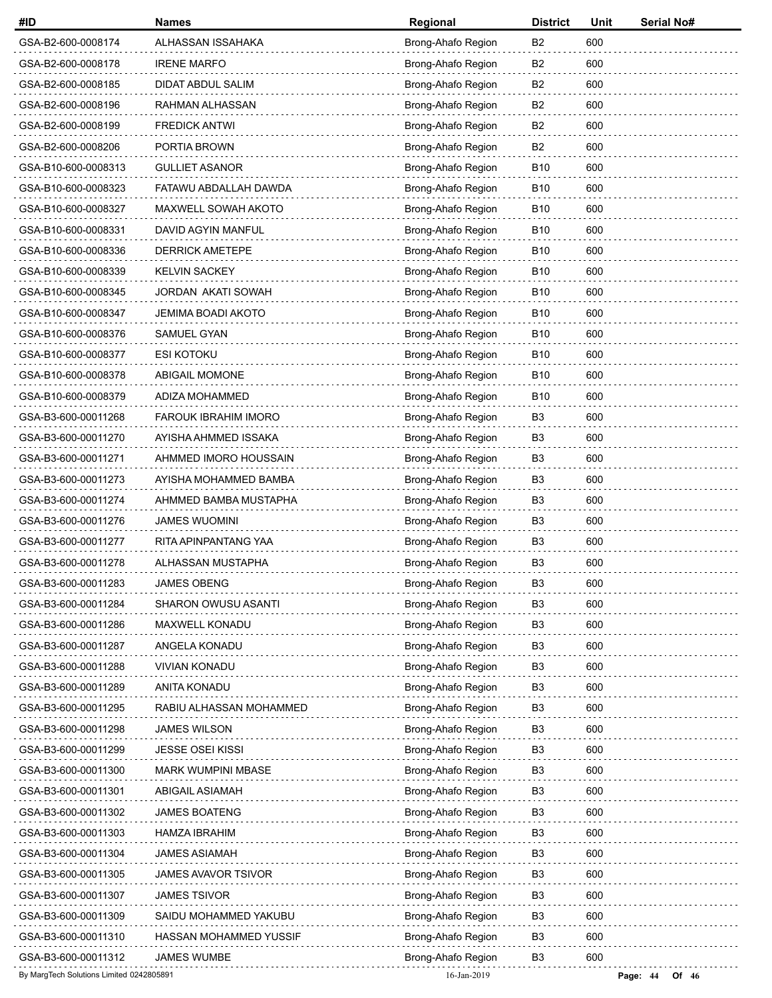| #ID                                      | <b>Names</b>                | Regional           | <b>District</b> | Unit | <b>Serial No#</b>   |
|------------------------------------------|-----------------------------|--------------------|-----------------|------|---------------------|
| GSA-B2-600-0008174                       | ALHASSAN ISSAHAKA           | Brong-Ahafo Region | B <sub>2</sub>  | 600  |                     |
| GSA-B2-600-0008178                       | <b>IRENE MARFO</b>          | Brong-Ahafo Region | B <sub>2</sub>  | 600  |                     |
| GSA-B2-600-0008185                       | DIDAT ABDUL SALIM           | Brong-Ahafo Region | B2              | 600  |                     |
| GSA-B2-600-0008196                       | RAHMAN ALHASSAN             | Brong-Ahafo Region | B <sub>2</sub>  | 600  |                     |
| GSA-B2-600-0008199                       | <b>FREDICK ANTWI</b>        | Brong-Ahafo Region | B <sub>2</sub>  | 600  |                     |
| GSA-B2-600-0008206                       | PORTIA BROWN                | Brong-Ahafo Region | B <sub>2</sub>  | 600  |                     |
| GSA-B10-600-0008313                      | <b>GULLIET ASANOR</b>       | Brong-Ahafo Region | <b>B10</b>      | 600  |                     |
| GSA-B10-600-0008323                      | FATAWU ABDALLAH DAWDA       | Brong-Ahafo Region | <b>B10</b>      | 600  |                     |
| GSA-B10-600-0008327                      | MAXWELL SOWAH AKOTO         | Brong-Ahafo Region | <b>B10</b>      | 600  |                     |
| GSA-B10-600-0008331                      | DAVID AGYIN MANFUL          | Brong-Ahafo Region | <b>B10</b>      | 600  |                     |
| GSA-B10-600-0008336                      | <b>DERRICK AMETEPE</b>      | Brong-Ahafo Region | <b>B10</b>      | 600  |                     |
| GSA-B10-600-0008339                      | <b>KELVIN SACKEY</b>        | Brong-Ahafo Region | <b>B10</b>      | 600  |                     |
| GSA-B10-600-0008345                      | <b>JORDAN AKATI SOWAH</b>   | Brong-Ahafo Region | <b>B10</b>      | 600  |                     |
| GSA-B10-600-0008347                      | JEMIMA BOADI AKOTO          | Brong-Ahafo Region | <b>B10</b>      | 600  |                     |
| GSA-B10-600-0008376                      | <b>SAMUEL GYAN</b>          | Brong-Ahafo Region | <b>B10</b>      | 600  |                     |
| GSA-B10-600-0008377                      | ESI KOTOKU                  | Brong-Ahafo Region | <b>B10</b>      | 600  |                     |
| GSA-B10-600-0008378                      | <b>ABIGAIL MOMONE</b>       | Brong-Ahafo Region | <b>B10</b>      | 600  |                     |
| GSA-B10-600-0008379                      | ADIZA MOHAMMED              | Brong-Ahafo Region | <b>B10</b>      | 600  |                     |
| GSA-B3-600-00011268                      | <b>FAROUK IBRAHIM IMORO</b> | Brong-Ahafo Region | B3              | 600  |                     |
| GSA-B3-600-00011270                      | AYISHA AHMMED ISSAKA        | Brong-Ahafo Region | B <sub>3</sub>  | 600  |                     |
| GSA-B3-600-00011271                      | AHMMED IMORO HOUSSAIN       | Brong-Ahafo Region | B <sub>3</sub>  | 600  |                     |
| GSA-B3-600-00011273                      | AYISHA MOHAMMED BAMBA       | Brong-Ahafo Region | B <sub>3</sub>  | 600  |                     |
| GSA-B3-600-00011274                      | AHMMED BAMBA MUSTAPHA       | Brong-Ahafo Region | B <sub>3</sub>  | 600  |                     |
| GSA-B3-600-00011276                      | <b>JAMES WUOMINI</b>        | Brong-Ahafo Region | B <sub>3</sub>  | 600  |                     |
| GSA-B3-600-00011277                      | RITA APINPANTANG YAA        | Brong-Ahafo Region | B <sub>3</sub>  | 600  |                     |
| GSA-B3-600-00011278                      | ALHASSAN MUSTAPHA           | Brong-Ahafo Region | B <sub>3</sub>  | 600  |                     |
| GSA-B3-600-00011283                      | <b>JAMES OBENG</b>          | Brong-Ahafo Region | B <sub>3</sub>  | 600  |                     |
| GSA-B3-600-00011284                      | SHARON OWUSU ASANTI         | Brong-Ahafo Region | B <sub>3</sub>  | 600  |                     |
| GSA-B3-600-00011286                      | MAXWELL KONADU              | Brong-Ahafo Region | B <sub>3</sub>  | 600  |                     |
| GSA-B3-600-00011287                      | ANGELA KONADU               | Brong-Ahafo Region | B <sub>3</sub>  | 600  |                     |
| GSA-B3-600-00011288                      | <b>VIVIAN KONADU</b>        | Brong-Ahafo Region | B <sub>3</sub>  | 600  |                     |
| GSA-B3-600-00011289                      | ANITA KONADU                | Brong-Ahafo Region | B <sub>3</sub>  | 600  |                     |
| GSA-B3-600-00011295                      | RABIU ALHASSAN MOHAMMED     | Brong-Ahafo Region | B <sub>3</sub>  | 600  |                     |
| GSA-B3-600-00011298                      | <b>JAMES WILSON</b>         | Brong-Ahafo Region | B3              | 600  |                     |
| GSA-B3-600-00011299                      | <b>JESSE OSEI KISSI</b>     | Brong-Ahafo Region | B <sub>3</sub>  | 600  |                     |
| GSA-B3-600-00011300                      | <b>MARK WUMPINI MBASE</b>   | Brong-Ahafo Region | B <sub>3</sub>  | 600  |                     |
| GSA-B3-600-00011301                      | <b>ABIGAIL ASIAMAH</b>      | Brong-Ahafo Region | B <sub>3</sub>  | 600  |                     |
| GSA-B3-600-00011302                      | <b>JAMES BOATENG</b>        | Brong-Ahafo Region | B <sub>3</sub>  | 600  |                     |
| GSA-B3-600-00011303                      | <b>HAMZA IBRAHIM</b>        | Brong-Ahafo Region | B3              | 600  |                     |
| GSA-B3-600-00011304                      | <b>JAMES ASIAMAH</b>        | Brong-Ahafo Region | B <sub>3</sub>  | 600  |                     |
| GSA-B3-600-00011305                      | <b>JAMES AVAVOR TSIVOR</b>  | Brong-Ahafo Region | B <sub>3</sub>  | 600  |                     |
| GSA-B3-600-00011307                      | <b>JAMES TSIVOR</b>         | Brong-Ahafo Region | B3              | 600  |                     |
| GSA-B3-600-00011309                      | SAIDU MOHAMMED YAKUBU       | Brong-Ahafo Region | B <sub>3</sub>  | 600  |                     |
| GSA-B3-600-00011310                      | HASSAN MOHAMMED YUSSIF      | Brong-Ahafo Region | B <sub>3</sub>  | 600  |                     |
| GSA-B3-600-00011312                      | <b>JAMES WUMBE</b>          | Brong-Ahafo Region | B <sub>3</sub>  | 600  |                     |
| By MargTech Solutions Limited 0242805891 |                             | 16-Jan-2019        |                 |      | Page: 44<br>Of $46$ |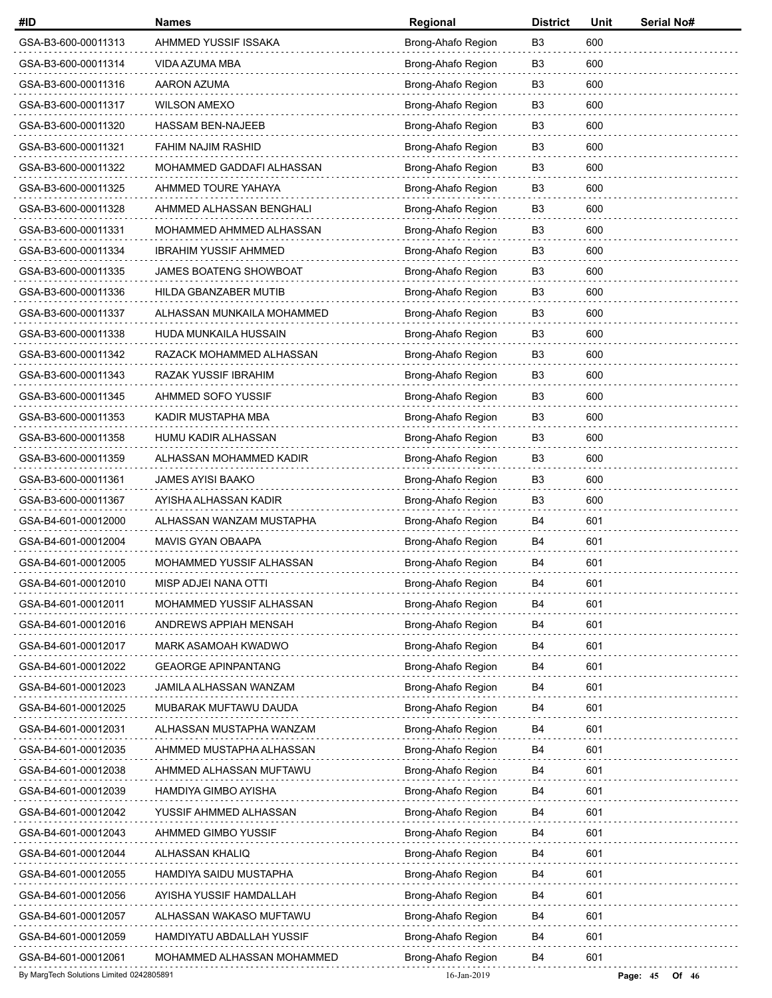| #ID                                      | <b>Names</b>                  | Regional           | <b>District</b> | Unit | <b>Serial No#</b>   |
|------------------------------------------|-------------------------------|--------------------|-----------------|------|---------------------|
| GSA-B3-600-00011313                      | AHMMED YUSSIF ISSAKA          | Brong-Ahafo Region | B <sub>3</sub>  | 600  |                     |
| GSA-B3-600-00011314                      | VIDA AZUMA MBA                | Brong-Ahafo Region | B3              | 600  |                     |
| GSA-B3-600-00011316                      | AARON AZUMA                   | Brong-Ahafo Region | B3              | 600  |                     |
| GSA-B3-600-00011317                      | <b>WILSON AMEXO</b>           | Brong-Ahafo Region | B <sub>3</sub>  | 600  |                     |
| GSA-B3-600-00011320                      | <b>HASSAM BEN-NAJEEB</b>      | Brong-Ahafo Region | B <sub>3</sub>  | 600  |                     |
| GSA-B3-600-00011321                      | FAHIM NAJIM RASHID            | Brong-Ahafo Region | B <sub>3</sub>  | 600  |                     |
| GSA-B3-600-00011322                      | MOHAMMED GADDAFI ALHASSAN     | Brong-Ahafo Region | B <sub>3</sub>  | 600  |                     |
| GSA-B3-600-00011325                      | AHMMED TOURE YAHAYA           | Brong-Ahafo Region | B <sub>3</sub>  | 600  |                     |
| GSA-B3-600-00011328                      | AHMMED ALHASSAN BENGHALI      | Brong-Ahafo Region | B <sub>3</sub>  | 600  |                     |
| GSA-B3-600-00011331                      | MOHAMMED AHMMED ALHASSAN      | Brong-Ahafo Region | B <sub>3</sub>  | 600  |                     |
| GSA-B3-600-00011334                      | <b>IBRAHIM YUSSIF AHMMED</b>  | Brong-Ahafo Region | B <sub>3</sub>  | 600  |                     |
| GSA-B3-600-00011335                      | <b>JAMES BOATENG SHOWBOAT</b> | Brong-Ahafo Region | B <sub>3</sub>  | 600  |                     |
| GSA-B3-600-00011336                      | HILDA GBANZABER MUTIB         | Brong-Ahafo Region | B <sub>3</sub>  | 600  |                     |
| GSA-B3-600-00011337                      | ALHASSAN MUNKAILA MOHAMMED    | Brong-Ahafo Region | B <sub>3</sub>  | 600  |                     |
| GSA-B3-600-00011338                      | HUDA MUNKAILA HUSSAIN         | Brong-Ahafo Region | B <sub>3</sub>  | 600  |                     |
| GSA-B3-600-00011342                      | RAZACK MOHAMMED ALHASSAN      | Brong-Ahafo Region | B <sub>3</sub>  | 600  |                     |
| GSA-B3-600-00011343                      | RAZAK YUSSIF IBRAHIM          | Brong-Ahafo Region | B <sub>3</sub>  | 600  |                     |
| GSA-B3-600-00011345                      | AHMMED SOFO YUSSIF            | Brong-Ahafo Region | B <sub>3</sub>  | 600  |                     |
| GSA-B3-600-00011353                      | KADIR MUSTAPHA MBA            | Brong-Ahafo Region | B <sub>3</sub>  | 600  |                     |
| GSA-B3-600-00011358                      | HUMU KADIR ALHASSAN           | Brong-Ahafo Region | B <sub>3</sub>  | 600  |                     |
| GSA-B3-600-00011359                      | ALHASSAN MOHAMMED KADIR       | Brong-Ahafo Region | B <sub>3</sub>  | 600  |                     |
| GSA-B3-600-00011361                      | JAMES AYISI BAAKO             | Brong-Ahafo Region | B <sub>3</sub>  | 600  |                     |
| GSA-B3-600-00011367                      | AYISHA ALHASSAN KADIR         | Brong-Ahafo Region | B <sub>3</sub>  | 600  |                     |
| GSA-B4-601-00012000                      | ALHASSAN WANZAM MUSTAPHA      | Brong-Ahafo Region | B4              | 601  |                     |
| GSA-B4-601-00012004                      | MAVIS GYAN OBAAPA             | Brong-Ahafo Region | B4              | 601  |                     |
| GSA-B4-601-00012005                      | MOHAMMED YUSSIF ALHASSAN      | Brong-Ahafo Region | B4              | 601  |                     |
| GSA-B4-601-00012010                      | MISP ADJEI NANA OTTI          | Brong-Ahafo Region | B4              | 601  |                     |
| GSA-B4-601-00012011                      | MOHAMMED YUSSIF ALHASSAN      | Brong-Ahafo Region | B4              | 601  |                     |
| GSA-B4-601-00012016                      | ANDREWS APPIAH MENSAH         | Brong-Ahafo Region | B4              | 601  |                     |
| GSA-B4-601-00012017                      | MARK ASAMOAH KWADWO           | Brong-Ahafo Region | B4              | 601  |                     |
| GSA-B4-601-00012022                      | <b>GEAORGE APINPANTANG</b>    | Brong-Ahafo Region | B4              | 601  |                     |
| GSA-B4-601-00012023                      | JAMILA ALHASSAN WANZAM        | Brong-Ahafo Region | B4              | 601  |                     |
| GSA-B4-601-00012025                      | MUBARAK MUFTAWU DAUDA         | Brong-Ahafo Region | B4              | 601  |                     |
| GSA-B4-601-00012031                      | ALHASSAN MUSTAPHA WANZAM      | Brong-Ahafo Region | B4              | 601  |                     |
| GSA-B4-601-00012035                      | AHMMED MUSTAPHA ALHASSAN      | Brong-Ahafo Region | B4              | 601  |                     |
| GSA-B4-601-00012038                      | AHMMED ALHASSAN MUFTAWU       | Brong-Ahafo Region | B4              | 601  |                     |
| GSA-B4-601-00012039                      | HAMDIYA GIMBO AYISHA          | Brong-Ahafo Region | B4              | 601  |                     |
| GSA-B4-601-00012042                      | YUSSIF AHMMED ALHASSAN        | Brong-Ahafo Region | B4              | 601  |                     |
| GSA-B4-601-00012043                      | AHMMED GIMBO YUSSIF           | Brong-Ahafo Region | B4              | 601  |                     |
| GSA-B4-601-00012044                      | ALHASSAN KHALIQ               | Brong-Ahafo Region | B4              | 601  |                     |
| GSA-B4-601-00012055                      | HAMDIYA SAIDU MUSTAPHA        | Brong-Ahafo Region | B4              | 601  |                     |
| GSA-B4-601-00012056                      | AYISHA YUSSIF HAMDALLAH       | Brong-Ahafo Region | B4              | 601  |                     |
| GSA-B4-601-00012057                      | ALHASSAN WAKASO MUFTAWU       | Brong-Ahafo Region | B4              | 601  |                     |
| GSA-B4-601-00012059                      | HAMDIYATU ABDALLAH YUSSIF     | Brong-Ahafo Region | B4              | 601  |                     |
| GSA-B4-601-00012061                      | MOHAMMED ALHASSAN MOHAMMED    | Brong-Ahafo Region | B4              | 601  |                     |
| By MargTech Solutions Limited 0242805891 |                               | 16-Jan-2019        |                 |      | Page: $45$<br>Of 46 |